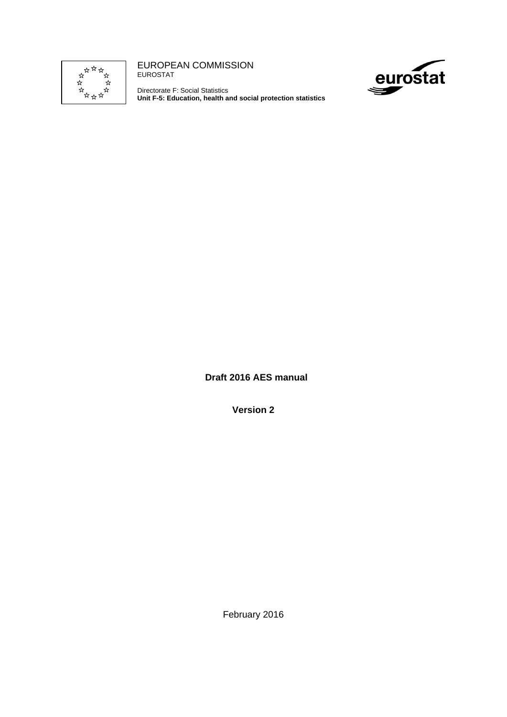

EUROPEAN COMMISSION EUROSTAT

Directorate F: Social Statistics **Unit F-5: Education, health and social protection statistics** 



**Draft 2016 AES manual** 

**Version 2** 

February 2016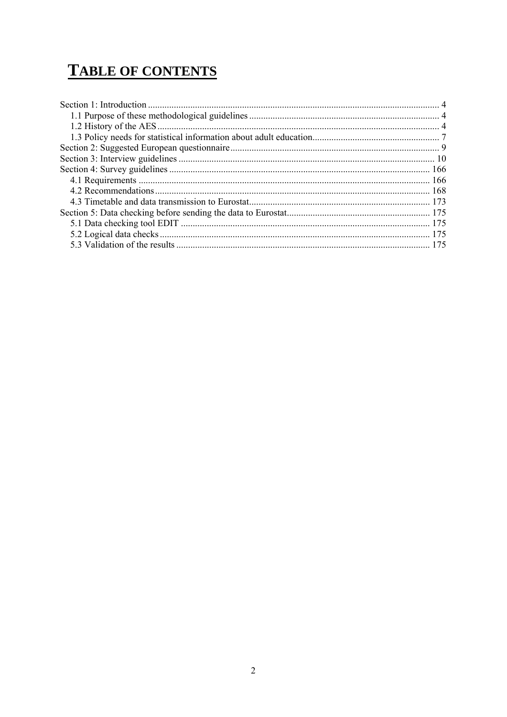# **TABLE OF CONTENTS**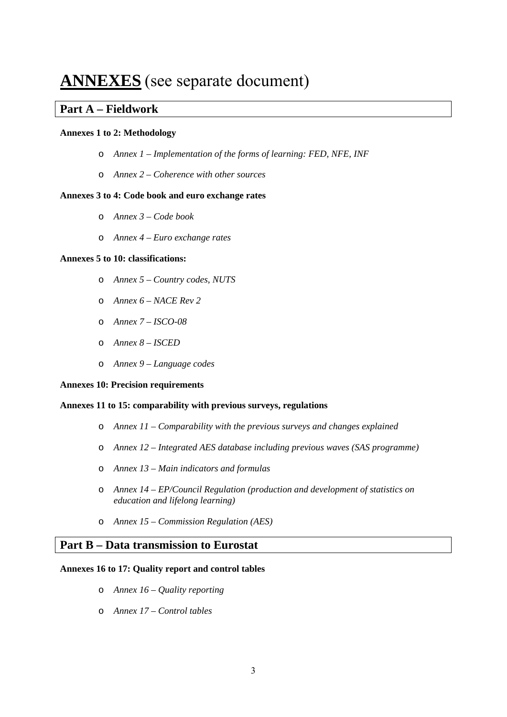## **ANNEXES** (see separate document)

#### **Part A – Fieldwork**

#### **Annexes 1 to 2: Methodology**

- o *Annex 1 Implementation of the forms of learning: FED, NFE, INF*
- o *Annex 2 Coherence with other sources*

#### **Annexes 3 to 4: Code book and euro exchange rates**

- o *Annex 3 Code book*
- o *Annex 4 Euro exchange rates*

#### **Annexes 5 to 10: classifications:**

- o *Annex 5 Country codes, NUTS*
- o *Annex 6 NACE Rev 2*
- o *Annex 7 ISCO-08*
- o *Annex 8 ISCED*
- o *Annex 9 Language codes*

#### **Annexes 10: Precision requirements**

#### **Annexes 11 to 15: comparability with previous surveys, regulations**

- o *Annex 11 Comparability with the previous surveys and changes explained*
- o *Annex 12 Integrated AES database including previous waves (SAS programme)*
- o *Annex 13 Main indicators and formulas*
- o *Annex 14 EP/Council Regulation (production and development of statistics on education and lifelong learning)*
- o *Annex 15 Commission Regulation (AES)*

### **Part B – Data transmission to Eurostat**

#### **Annexes 16 to 17: Quality report and control tables**

- o *Annex 16 Quality reporting*
- o *Annex 17 Control tables*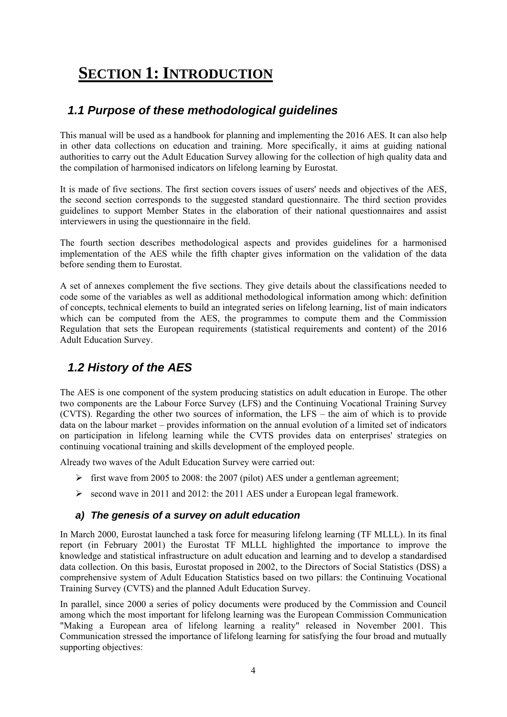# <span id="page-3-0"></span>**SECTION 1: INTRODUCTION**

## <span id="page-3-1"></span>*1.1 Purpose of these methodological guidelines*

This manual will be used as a handbook for planning and implementing the 2016 AES. It can also help in other data collections on education and training. More specifically, it aims at guiding national authorities to carry out the Adult Education Survey allowing for the collection of high quality data and the compilation of harmonised indicators on lifelong learning by Eurostat.

It is made of five sections. The first section covers issues of users' needs and objectives of the AES, the second section corresponds to the suggested standard questionnaire. The third section provides guidelines to support Member States in the elaboration of their national questionnaires and assist interviewers in using the questionnaire in the field.

The fourth section describes methodological aspects and provides guidelines for a harmonised implementation of the AES while the fifth chapter gives information on the validation of the data before sending them to Eurostat.

A set of annexes complement the five sections. They give details about the classifications needed to code some of the variables as well as additional methodological information among which: definition of concepts, technical elements to build an integrated series on lifelong learning, list of main indicators which can be computed from the AES, the programmes to compute them and the Commission Regulation that sets the European requirements (statistical requirements and content) of the 2016 Adult Education Survey.

## <span id="page-3-2"></span>*1.2 History of the AES*

The AES is one component of the system producing statistics on adult education in Europe. The other two components are the Labour Force Survey (LFS) and the Continuing Vocational Training Survey (CVTS). Regarding the other two sources of information, the LFS – the aim of which is to provide data on the labour market – provides information on the annual evolution of a limited set of indicators on participation in lifelong learning while the CVTS provides data on enterprises' strategies on continuing vocational training and skills development of the employed people.

Already two waves of the Adult Education Survey were carried out:

- $\triangleright$  first wave from 2005 to 2008: the 2007 (pilot) AES under a gentleman agreement;
- $\ge$  second wave in 2011 and 2012: the 2011 AES under a European legal framework.

#### *a) The genesis of a survey on adult education*

In March 2000, Eurostat launched a task force for measuring lifelong learning (TF MLLL). In its final report (in February 2001) the Eurostat TF MLLL highlighted the importance to improve the knowledge and statistical infrastructure on adult education and learning and to develop a standardised data collection. On this basis, Eurostat proposed in 2002, to the Directors of Social Statistics (DSS) a comprehensive system of Adult Education Statistics based on two pillars: the Continuing Vocational Training Survey (CVTS) and the planned Adult Education Survey.

In parallel, since 2000 a series of policy documents were produced by the Commission and Council among which the most important for lifelong learning was the European Commission Communication "Making a European area of lifelong learning a reality" released in November 2001. This Communication stressed the importance of lifelong learning for satisfying the four broad and mutually supporting objectives: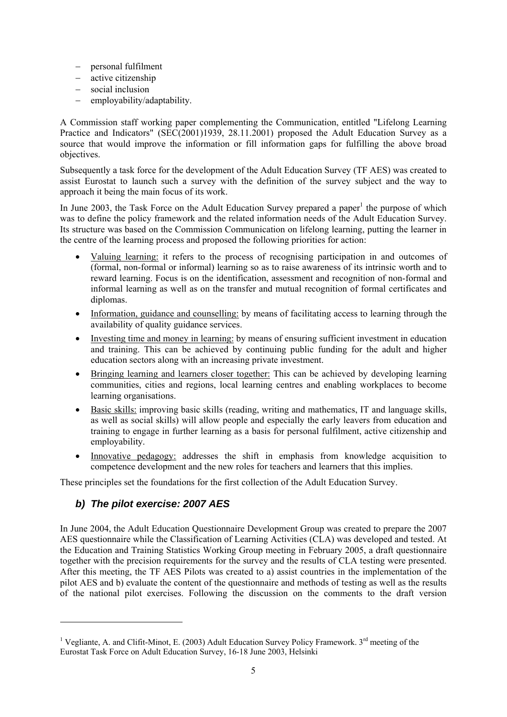- − personal fulfilment
- − active citizenship
- − social inclusion
- − employability/adaptability.

A Commission staff working paper complementing the Communication, entitled "Lifelong Learning Practice and Indicators" (SEC(2001)1939, 28.11.2001) proposed the Adult Education Survey as a source that would improve the information or fill information gaps for fulfilling the above broad objectives.

Subsequently a task force for the development of the Adult Education Survey (TF AES) was created to assist Eurostat to launch such a survey with the definition of the survey subject and the way to approach it being the main focus of its work.

In June 2003, the Task Force on the Adult Education Survey prepared a paper<sup>1</sup> the purpose of which was to define the policy framework and the related information needs of the Adult Education Survey. Its structure was based on the Commission Communication on lifelong learning, putting the learner in the centre of the learning process and proposed the following priorities for action:

- Valuing learning: it refers to the process of recognising participation in and outcomes of (formal, non-formal or informal) learning so as to raise awareness of its intrinsic worth and to reward learning. Focus is on the identification, assessment and recognition of non-formal and informal learning as well as on the transfer and mutual recognition of formal certificates and diplomas.
- Information, guidance and counselling: by means of facilitating access to learning through the availability of quality guidance services.
- Investing time and money in learning: by means of ensuring sufficient investment in education and training. This can be achieved by continuing public funding for the adult and higher education sectors along with an increasing private investment.
- Bringing learning and learners closer together: This can be achieved by developing learning communities, cities and regions, local learning centres and enabling workplaces to become learning organisations.
- Basic skills: improving basic skills (reading, writing and mathematics, IT and language skills, as well as social skills) will allow people and especially the early leavers from education and training to engage in further learning as a basis for personal fulfilment, active citizenship and employability.
- Innovative pedagogy: addresses the shift in emphasis from knowledge acquisition to competence development and the new roles for teachers and learners that this implies.

These principles set the foundations for the first collection of the Adult Education Survey.

#### *b) The pilot exercise: 2007 AES*

l

In June 2004, the Adult Education Questionnaire Development Group was created to prepare the 2007 AES questionnaire while the Classification of Learning Activities (CLA) was developed and tested. At the Education and Training Statistics Working Group meeting in February 2005, a draft questionnaire together with the precision requirements for the survey and the results of CLA testing were presented. After this meeting, the TF AES Pilots was created to a) assist countries in the implementation of the pilot AES and b) evaluate the content of the questionnaire and methods of testing as well as the results of the national pilot exercises. Following the discussion on the comments to the draft version

<sup>&</sup>lt;sup>1</sup> Vegliante, A. and Clifit-Minot, E. (2003) Adult Education Survey Policy Framework.  $3^{rd}$  meeting of the Eurostat Task Force on Adult Education Survey, 16-18 June 2003, Helsinki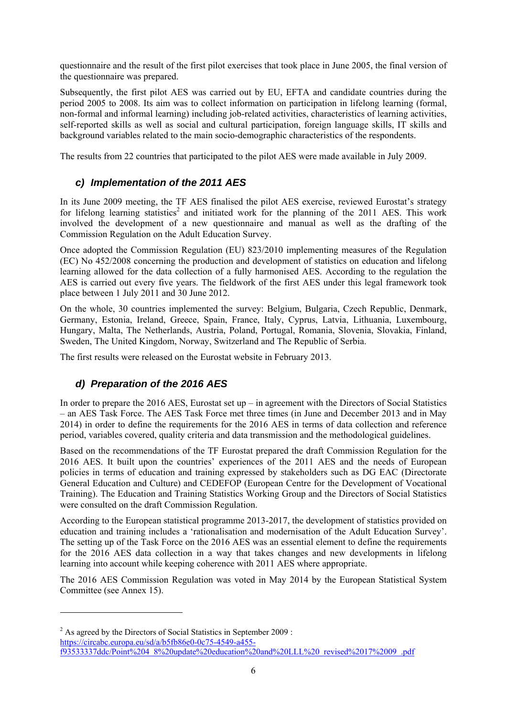questionnaire and the result of the first pilot exercises that took place in June 2005, the final version of the questionnaire was prepared.

Subsequently, the first pilot AES was carried out by EU, EFTA and candidate countries during the period 2005 to 2008. Its aim was to collect information on participation in lifelong learning (formal, non-formal and informal learning) including job-related activities, characteristics of learning activities, self-reported skills as well as social and cultural participation, foreign language skills, IT skills and background variables related to the main socio-demographic characteristics of the respondents.

The results from 22 countries that participated to the pilot AES were made available in July 2009.

### *c) Implementation of the 2011 AES*

In its June 2009 meeting, the TF AES finalised the pilot AES exercise, reviewed Eurostat's strategy [for lifelong learning statistics](https://circabc.europa.eu/sd/a/b5fb86e0-0c75-4549-a455-f93533337ddc/Point%204_8%20update%20education%20and%20LLL%20_revised%2017%2009_.pdf)<sup>2</sup> and initiated work for the planning of the 2011 AES. This work involved the development of a new questionnaire and manual as well as the drafting of the Commission Regulation on the Adult Education Survey.

Once adopted the Commission Regulation (EU) 823/2010 implementing measures of the Regulation (EC) No 452/2008 concerning the production and development of statistics on education and lifelong learning allowed for the data collection of a fully harmonised AES. According to the regulation the AES is carried out every five years. The fieldwork of the first AES under this legal framework took place between 1 July 2011 and 30 June 2012.

On the whole, 30 countries implemented the survey: Belgium, Bulgaria, Czech Republic, Denmark, Germany, Estonia, Ireland, Greece, Spain, France, Italy, Cyprus, Latvia, Lithuania, Luxembourg, Hungary, Malta, The Netherlands, Austria, Poland, Portugal, Romania, Slovenia, Slovakia, Finland, Sweden, The United Kingdom, Norway, Switzerland and The Republic of Serbia.

The first results were released on the Eurostat website in February 2013.

### *d) Preparation of the 2016 AES*

l

In order to prepare the 2016 AES, Eurostat set up – in agreement with the Directors of Social Statistics – an AES Task Force. The AES Task Force met three times (in June and December 2013 and in May 2014) in order to define the requirements for the 2016 AES in terms of data collection and reference period, variables covered, quality criteria and data transmission and the methodological guidelines.

Based on the recommendations of the TF Eurostat prepared the draft Commission Regulation for the 2016 AES. It built upon the countries' experiences of the 2011 AES and the needs of European policies in terms of education and training expressed by stakeholders such as DG EAC (Directorate General Education and Culture) and CEDEFOP (European Centre for the Development of Vocational Training). The Education and Training Statistics Working Group and the Directors of Social Statistics were consulted on the draft Commission Regulation.

According to the European statistical programme 2013-2017, the development of statistics provided on education and training includes a 'rationalisation and modernisation of the Adult Education Survey'. The setting up of the Task Force on the 2016 AES was an essential element to define the requirements for the 2016 AES data collection in a way that takes changes and new developments in lifelong learning into account while keeping coherence with 2011 AES where appropriate.

The 2016 AES Commission Regulation was voted in May 2014 by the European Statistical System Committee (see Annex 15).

 $2^{2}$  As agreed by the Directors of Social Statistics in September 2009 : https://circabc.europa.eu/sd/a/b5fb86e0-0c75-4549-a455 [f93533337ddc/Point%204\\_8%20update%20education%20and%20LLL%20\\_revised%2017%2009\\_.pdf](https://circabc.europa.eu/sd/a/b5fb86e0-0c75-4549-a455-f93533337ddc/Point%204_8%20update%20education%20and%20LLL%20_revised%2017%2009_.pdf)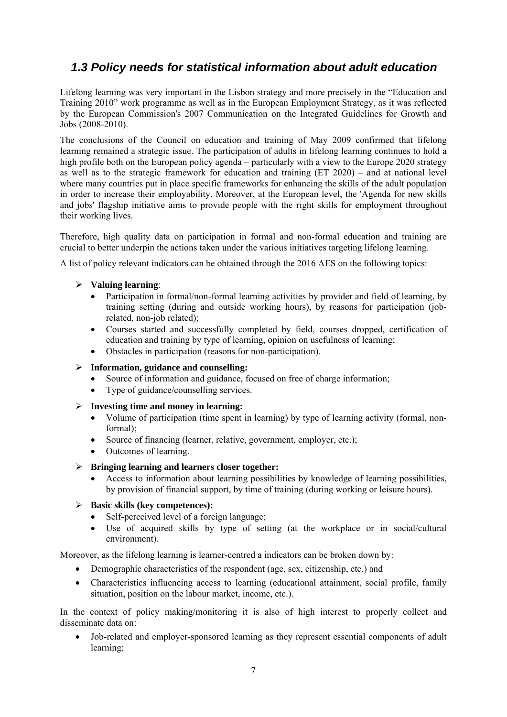## <span id="page-6-0"></span> *1.3 Policy needs for statistical information about adult education*

Lifelong learning was very important in the Lisbon strategy and more precisely in the "Education and Training 2010" work programme as well as in the European Employment Strategy, as it was reflected by the European Commission's 2007 Communication on the Integrated Guidelines for Growth and Jobs (2008-2010).

The conclusions of the Council on education and training of May 2009 confirmed that lifelong learning remained a strategic issue. The participation of adults in lifelong learning continues to hold a high profile both on the European policy agenda – particularly with a view to the Europe 2020 strategy as well as to the strategic framework for education and training (ET 2020) – and at national level where many countries put in place specific frameworks for enhancing the skills of the adult population in order to increase their employability. Moreover, at the European level, the 'Agenda for new skills and jobs' flagship initiative aims to provide people with the right skills for employment throughout their working lives.

Therefore, high quality data on participation in formal and non-formal education and training are crucial to better underpin the actions taken under the various initiatives targeting lifelong learning.

A list of policy relevant indicators can be obtained through the 2016 AES on the following topics:

#### ¾ **Valuing learning**:

- Participation in formal/non-formal learning activities by provider and field of learning, by training setting (during and outside working hours), by reasons for participation (jobrelated, non-job related);
- Courses started and successfully completed by field, courses dropped, certification of education and training by type of learning, opinion on usefulness of learning;
- Obstacles in participation (reasons for non-participation).

#### ¾ **Information, guidance and counselling:**

- Source of information and guidance, focused on free of charge information;
- Type of guidance/counselling services.
- ¾ **Investing time and money in learning:**
	- Volume of participation (time spent in learning) by type of learning activity (formal, nonformal);
	- Source of financing (learner, relative, government, employer, etc.);
	- Outcomes of learning.
- ¾ **Bringing learning and learners closer together:** 
	- Access to information about learning possibilities by knowledge of learning possibilities, by provision of financial support, by time of training (during working or leisure hours).

#### ¾ **Basic skills (key competences):**

- Self-perceived level of a foreign language;
- Use of acquired skills by type of setting (at the workplace or in social/cultural environment).

Moreover, as the lifelong learning is learner-centred a indicators can be broken down by:

- Demographic characteristics of the respondent (age, sex, citizenship, etc.) and
- Characteristics influencing access to learning (educational attainment, social profile, family situation, position on the labour market, income, etc.).

In the context of policy making/monitoring it is also of high interest to properly collect and disseminate data on:

• Job-related and employer-sponsored learning as they represent essential components of adult learning;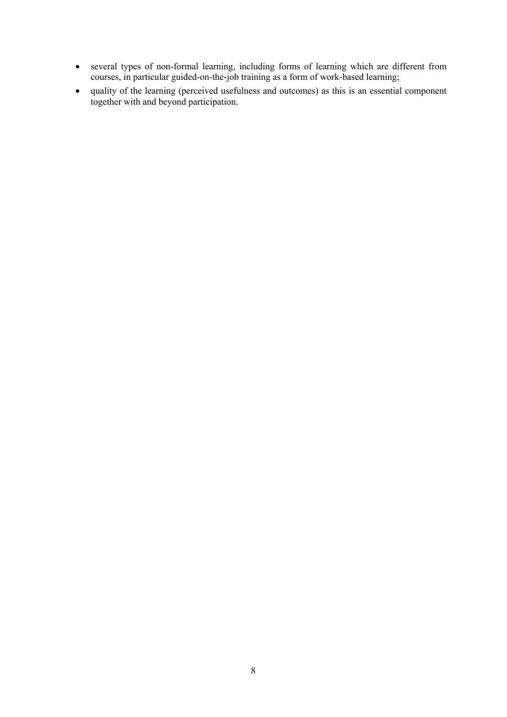- several types of non-formal learning, including forms of learning which are different from courses, in particular guided-on-the-job training as a form of work-based learning;
- quality of the learning (perceived usefulness and outcomes) as this is an essential component together with and beyond participation.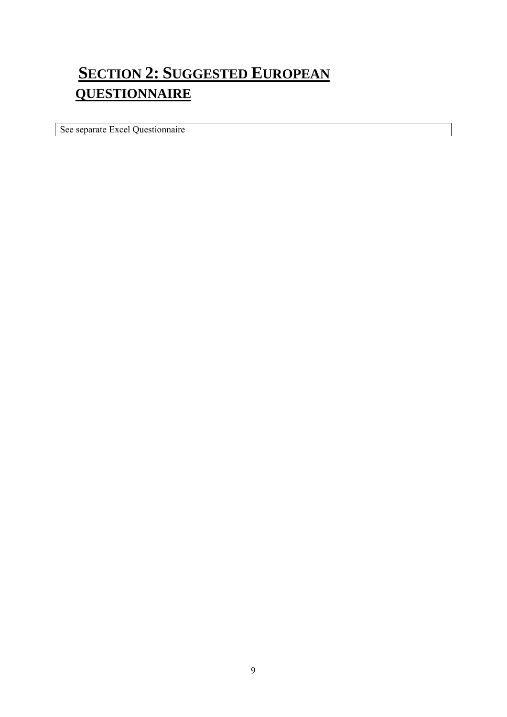# <span id="page-8-0"></span>**SECTION 2: SUGGESTED EUROPEAN QUESTIONNAIRE**

See separate Excel Questionnaire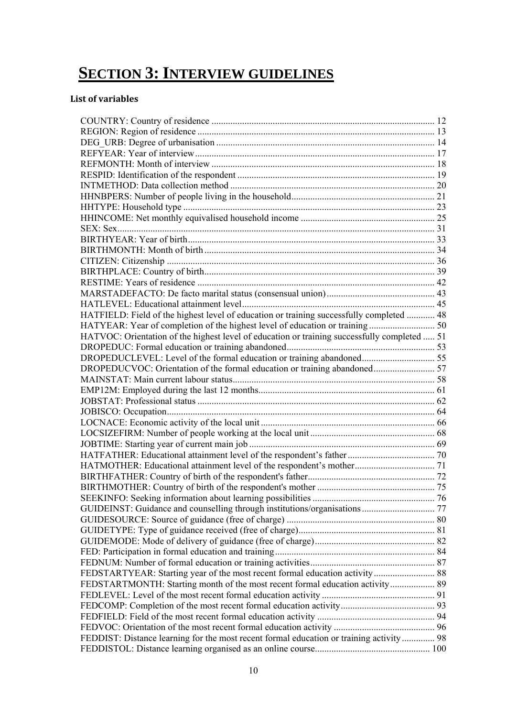# <span id="page-9-0"></span>**SECTION 3: INTERVIEW GUIDELINES**

#### **List of variables**

| HATFIELD: Field of the highest level of education or training successfully completed  48     |  |
|----------------------------------------------------------------------------------------------|--|
|                                                                                              |  |
| HATVOC: Orientation of the highest level of education or training successfully completed  51 |  |
|                                                                                              |  |
|                                                                                              |  |
| DROPEDUCLEVEL: Level of the formal education or training abandoned 55                        |  |
|                                                                                              |  |
|                                                                                              |  |
|                                                                                              |  |
|                                                                                              |  |
|                                                                                              |  |
|                                                                                              |  |
|                                                                                              |  |
|                                                                                              |  |
|                                                                                              |  |
|                                                                                              |  |
|                                                                                              |  |
|                                                                                              |  |
|                                                                                              |  |
|                                                                                              |  |
|                                                                                              |  |
|                                                                                              |  |
|                                                                                              |  |
|                                                                                              |  |
|                                                                                              |  |
|                                                                                              |  |
| FEDSTARTMONTH: Starting month of the most recent formal education activity 89                |  |
|                                                                                              |  |
|                                                                                              |  |
|                                                                                              |  |
|                                                                                              |  |
| FEDDIST: Distance learning for the most recent formal education or training activity  98     |  |
|                                                                                              |  |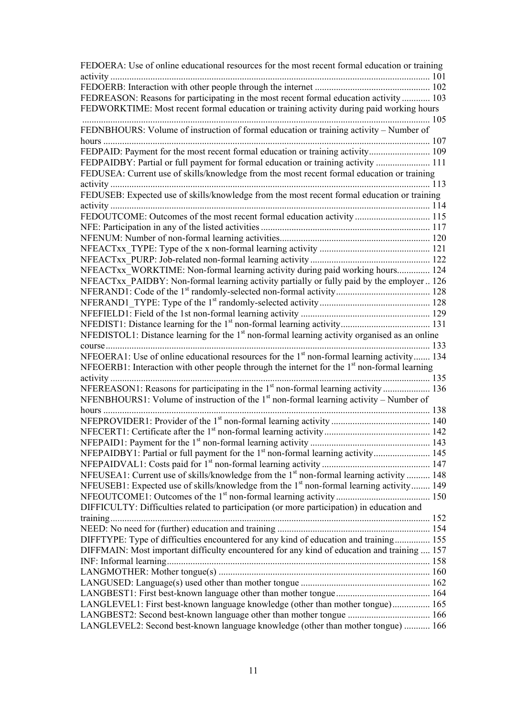| FEDOERA: Use of online educational resources for the most recent formal education or training                                                                                  |     |
|--------------------------------------------------------------------------------------------------------------------------------------------------------------------------------|-----|
|                                                                                                                                                                                |     |
| FEDREASON: Reasons for participating in the most recent formal education activity 103                                                                                          |     |
| FEDWORKTIME: Most recent formal education or training activity during paid working hours                                                                                       |     |
|                                                                                                                                                                                |     |
|                                                                                                                                                                                |     |
| FEDNBHOURS: Volume of instruction of formal education or training activity - Number of                                                                                         |     |
|                                                                                                                                                                                |     |
|                                                                                                                                                                                |     |
| FEDPAIDBY: Partial or full payment for formal education or training activity  111                                                                                              |     |
| FEDUSEA: Current use of skills/knowledge from the most recent formal education or training                                                                                     |     |
| 113                                                                                                                                                                            |     |
| FEDUSEB: Expected use of skills/knowledge from the most recent formal education or training                                                                                    |     |
|                                                                                                                                                                                |     |
| FEDOUTCOME: Outcomes of the most recent formal education activity  115                                                                                                         |     |
|                                                                                                                                                                                |     |
|                                                                                                                                                                                |     |
|                                                                                                                                                                                |     |
|                                                                                                                                                                                |     |
| NFEACTxx WORKTIME: Non-formal learning activity during paid working hours 124                                                                                                  |     |
| NFEACTxx PAIDBY: Non-formal learning activity partially or fully paid by the employer  126                                                                                     |     |
|                                                                                                                                                                                |     |
|                                                                                                                                                                                |     |
|                                                                                                                                                                                |     |
|                                                                                                                                                                                |     |
| NFEDISTOL1: Distance learning for the $1st$ non-formal learning activity organised as an online                                                                                |     |
|                                                                                                                                                                                | 133 |
| $course \dots \dots \dots \dots \dots \dots \dots \dots \dots \dots$<br>NFEOERA1: Use of online educational resources for the 1 <sup>st</sup> non-formal learning activity 134 |     |
|                                                                                                                                                                                |     |
| NFEOERB1: Interaction with other people through the internet for the 1 <sup>st</sup> non-formal learning                                                                       |     |
|                                                                                                                                                                                |     |
| NFEREASON1: Reasons for participating in the 1 <sup>st</sup> non-formal learning activity  136                                                                                 |     |
| NFENBHOURS1: Volume of instruction of the $1st$ non-formal learning activity – Number of                                                                                       |     |
| hours                                                                                                                                                                          |     |
|                                                                                                                                                                                |     |
|                                                                                                                                                                                |     |
|                                                                                                                                                                                |     |
|                                                                                                                                                                                |     |
|                                                                                                                                                                                |     |
| NFEUSEA1: Current use of skills/knowledge from the 1 <sup>st</sup> non-formal learning activity  148                                                                           |     |
| NFEUSEB1: Expected use of skills/knowledge from the 1 <sup>st</sup> non-formal learning activity 149                                                                           |     |
|                                                                                                                                                                                |     |
| DIFFICULTY: Difficulties related to participation (or more participation) in education and                                                                                     |     |
|                                                                                                                                                                                |     |
|                                                                                                                                                                                |     |
| DIFFTYPE: Type of difficulties encountered for any kind of education and training 155                                                                                          |     |
| DIFFMAIN: Most important difficulty encountered for any kind of education and training  157                                                                                    |     |
|                                                                                                                                                                                |     |
|                                                                                                                                                                                |     |
|                                                                                                                                                                                |     |
|                                                                                                                                                                                |     |
| LANGLEVEL1: First best-known language knowledge (other than mother tongue) 165                                                                                                 |     |
|                                                                                                                                                                                |     |
| LANGBEST2: Second best-known language other than mother tongue  166                                                                                                            |     |
| LANGLEVEL2: Second best-known language knowledge (other than mother tongue)  166                                                                                               |     |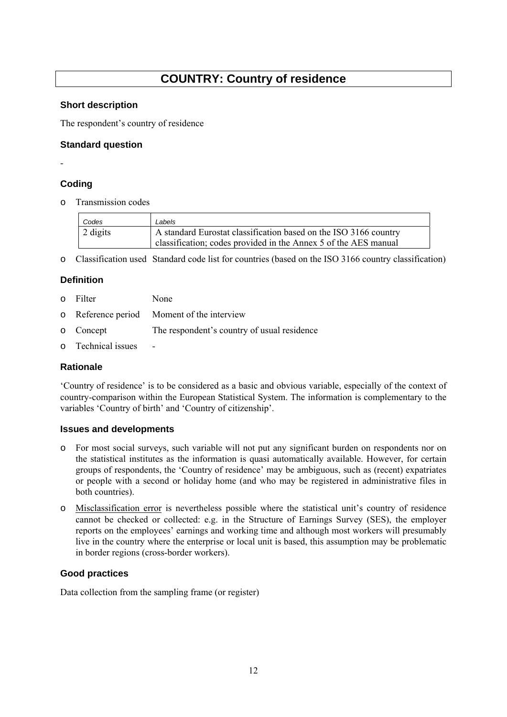## **COUNTRY: Country of residence**

#### <span id="page-11-0"></span>**Short description**

The respondent's country of residence

#### **Standard question**

-

#### **Coding**

o Transmission codes

| Codes    | Labels                                                           |  |
|----------|------------------------------------------------------------------|--|
| 2 digits | A standard Eurostat classification based on the ISO 3166 country |  |
|          | classification; codes provided in the Annex 5 of the AES manual  |  |

o Classification used Standard code list for countries (based on the ISO 3166 country classification)

#### **Definition**

- o Filter None
- o Reference period Moment of the interview
- o Concept The respondent's country of usual residence
- o Technical issues -

#### **Rationale**

'Country of residence' is to be considered as a basic and obvious variable, especially of the context of country-comparison within the European Statistical System. The information is complementary to the variables 'Country of birth' and 'Country of citizenship'.

#### **Issues and developments**

- o For most social surveys, such variable will not put any significant burden on respondents nor on the statistical institutes as the information is quasi automatically available. However, for certain groups of respondents, the 'Country of residence' may be ambiguous, such as (recent) expatriates or people with a second or holiday home (and who may be registered in administrative files in both countries).
- o Misclassification error is nevertheless possible where the statistical unit's country of residence cannot be checked or collected: e.g. in the Structure of Earnings Survey (SES), the employer reports on the employees' earnings and working time and although most workers will presumably live in the country where the enterprise or local unit is based, this assumption may be problematic in border regions (cross-border workers).

#### **Good practices**

Data collection from the sampling frame (or register)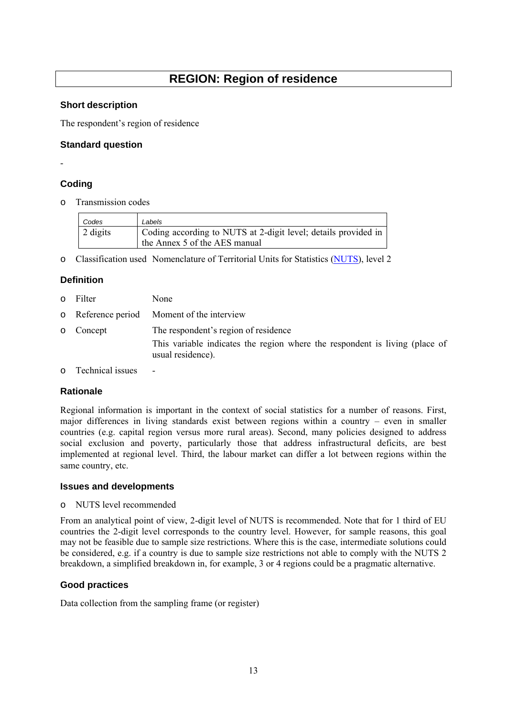## **REGION: Region of residence**

#### <span id="page-12-0"></span>**Short description**

The respondent's region of residence

#### **Standard question**

-

#### **Coding**

o Transmission codes

| Codes    | Labels                                                         |  |
|----------|----------------------------------------------------------------|--|
| 2 digits | Coding according to NUTS at 2-digit level; details provided in |  |
|          | the Annex 5 of the AES manual                                  |  |

o Classification used Nomenclature of Territorial Units for Statistics [\(NUTS\)](http://ec.europa.eu/eurostat/web/nuts/overview), level 2

#### **Definition**

- o Filter None
- o Reference period Moment of the interview

usual residence).

- o Concept The respondent's region of residence This variable indicates the region where the respondent is living (place of
- o Technical issues -

#### **Rationale**

Regional information is important in the context of social statistics for a number of reasons. First, major differences in living standards exist between regions within a country – even in smaller countries (e.g. capital region versus more rural areas). Second, many policies designed to address social exclusion and poverty, particularly those that address infrastructural deficits, are best implemented at regional level. Third, the labour market can differ a lot between regions within the same country, etc.

#### **Issues and developments**

o NUTS level recommended

From an analytical point of view, 2-digit level of NUTS is recommended. Note that for 1 third of EU countries the 2-digit level corresponds to the country level. However, for sample reasons, this goal may not be feasible due to sample size restrictions. Where this is the case, intermediate solutions could be considered, e.g. if a country is due to sample size restrictions not able to comply with the NUTS 2 breakdown, a simplified breakdown in, for example, 3 or 4 regions could be a pragmatic alternative.

#### **Good practices**

Data collection from the sampling frame (or register)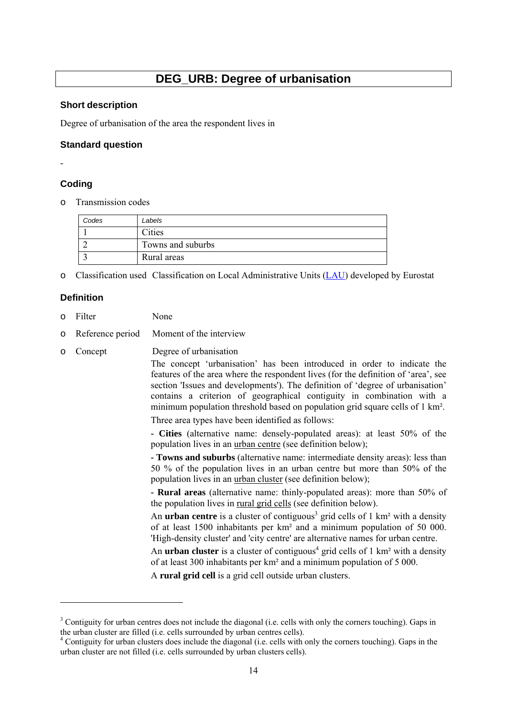## **DEG\_URB: Degree of urbanisation**

#### <span id="page-13-0"></span>**Short description**

Degree of urbanisation of the area the respondent lives in

#### **Standard question**

-

#### **Coding**

Transmission codes

| Codes | Labels            |  |
|-------|-------------------|--|
|       | Cities            |  |
|       | Towns and suburbs |  |
|       | Rural areas       |  |

o Classification used Classification on Local Administrative Units [\(LAU\)](http://ec.europa.eu/eurostat/web/nuts/local-administrative-units) developed by Eurostat

#### **Definition**

-

- o Filter None
- o Reference period Moment of the interview
- o Concept Degree of urbanisation

The concept 'urbanisation' has been introduced in order to indicate the features of the area where the respondent lives (for the definition of 'area', see section 'Issues and developments'). The definition of 'degree of urbanisation' contains a criterion of geographical contiguity in combination with a minimum population threshold based on population grid square cells of 1 km².

Three area types have been identified as follows:

**- Cities** (alternative name: densely-populated areas): at least 50% of the population lives in an urban centre (see definition below);

**- Towns and suburbs** (alternative name: intermediate density areas): less than 50 % of the population lives in an urban centre but more than 50% of the population lives in an urban cluster (see definition below);

**- Rural areas** (alternative name: thinly-populated areas): more than 50% of the population lives in rural grid cells (see definition below).

An **urban centre** is a cluster of contiguous<sup>3</sup> grid cells of 1 km<sup>2</sup> with a density of at least 1500 inhabitants per km² and a minimum population of 50 000. 'High-density cluster' and 'city centre' are alternative names for urban centre.

An **urban cluster** is a cluster of contiguous<sup>4</sup> grid cells of 1 km<sup>2</sup> with a density of at least 300 inhabitants per km² and a minimum population of 5 000.

A **rural grid cell** is a grid cell outside urban clusters.

<sup>&</sup>lt;sup>3</sup> Contiguity for urban centres does not include the diagonal (i.e. cells with only the corners touching). Gaps in the urban cluster are filled (i.e. cells surrounded by urban centres cells).

<sup>&</sup>lt;sup>4</sup> Contiguity for urban clusters does include the diagonal (i.e. cells with only the corners touching). Gaps in the urban cluster are not filled (i.e. cells surrounded by urban clusters cells).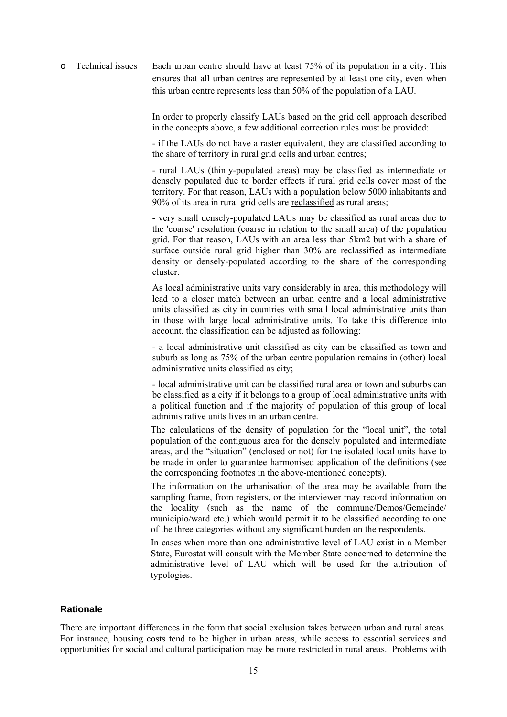o Technical issues Each urban centre should have at least 75% of its population in a city. This ensures that all urban centres are represented by at least one city, even when this urban centre represents less than 50% of the population of a LAU.

> In order to properly classify LAUs based on the grid cell approach described in the concepts above, a few additional correction rules must be provided:

> - if the LAUs do not have a raster equivalent, they are classified according to the share of territory in rural grid cells and urban centres;

> - rural LAUs (thinly-populated areas) may be classified as intermediate or densely populated due to border effects if rural grid cells cover most of the territory. For that reason, LAUs with a population below 5000 inhabitants and 90% of its area in rural grid cells are reclassified as rural areas;

> - very small densely-populated LAUs may be classified as rural areas due to the 'coarse' resolution (coarse in relation to the small area) of the population grid. For that reason, LAUs with an area less than 5km2 but with a share of surface outside rural grid higher than 30% are reclassified as intermediate density or densely-populated according to the share of the corresponding cluster.

> As local administrative units vary considerably in area, this methodology will lead to a closer match between an urban centre and a local administrative units classified as city in countries with small local administrative units than in those with large local administrative units. To take this difference into account, the classification can be adjusted as following:

> - a local administrative unit classified as city can be classified as town and suburb as long as 75% of the urban centre population remains in (other) local administrative units classified as city;

> - local administrative unit can be classified rural area or town and suburbs can be classified as a city if it belongs to a group of local administrative units with a political function and if the majority of population of this group of local administrative units lives in an urban centre.

> The calculations of the density of population for the "local unit", the total population of the contiguous area for the densely populated and intermediate areas, and the "situation" (enclosed or not) for the isolated local units have to be made in order to guarantee harmonised application of the definitions (see the corresponding footnotes in the above-mentioned concepts).

> The information on the urbanisation of the area may be available from the sampling frame, from registers, or the interviewer may record information on the locality (such as the name of the commune/Demos/Gemeinde/ municipio/ward etc.) which would permit it to be classified according to one of the three categories without any significant burden on the respondents.

> In cases when more than one administrative level of LAU exist in a Member State, Eurostat will consult with the Member State concerned to determine the administrative level of LAU which will be used for the attribution of typologies.

#### **Rationale**

There are important differences in the form that social exclusion takes between urban and rural areas. For instance, housing costs tend to be higher in urban areas, while access to essential services and opportunities for social and cultural participation may be more restricted in rural areas. Problems with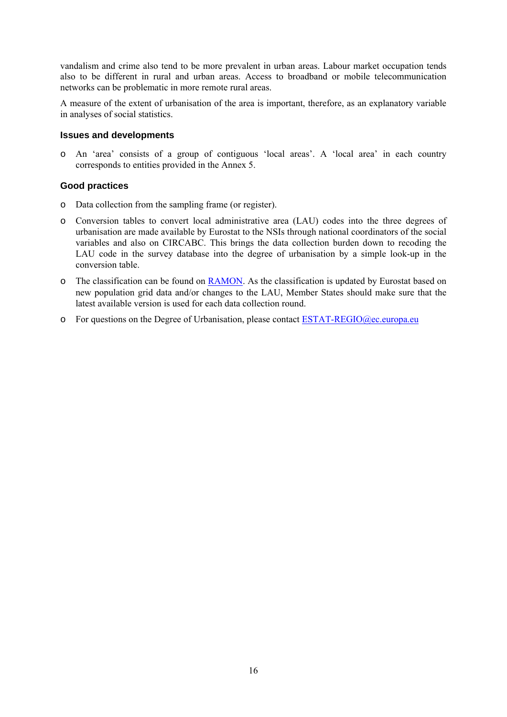vandalism and crime also tend to be more prevalent in urban areas. Labour market occupation tends also to be different in rural and urban areas. Access to broadband or mobile telecommunication networks can be problematic in more remote rural areas.

A measure of the extent of urbanisation of the area is important, therefore, as an explanatory variable in analyses of social statistics.

#### **Issues and developments**

o An 'area' consists of a group of contiguous 'local areas'. A 'local area' in each country corresponds to entities provided in the Annex 5.

- o Data collection from the sampling frame (or register).
- o Conversion tables to convert local administrative area (LAU) codes into the three degrees of urbanisation are made available by Eurostat to the NSIs through national coordinators of the social variables and also on CIRCABC. This brings the data collection burden down to recoding the LAU code in the survey database into the degree of urbanisation by a simple look-up in the conversion table.
- o The classification can be found on [RAMON.](http://ec.europa.eu/eurostat/ramon/miscellaneous/index.cfm?TargetUrl=DSP_DEGURBA) As the classification is updated by Eurostat based on new population grid data and/or changes to the LAU, Member States should make sure that the latest available version is used for each data collection round.
- $\circ$  For questions on the Degree of Urbanisation, please contact ESTAT-REGIO@ec.europa.eu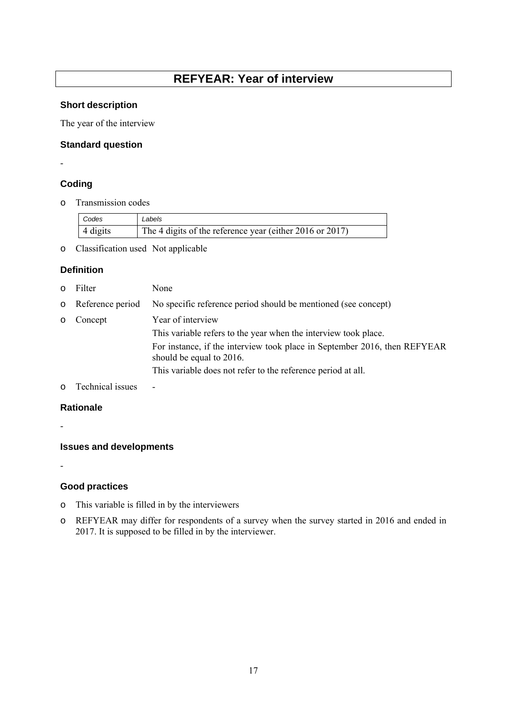## **REFYEAR: Year of interview**

#### <span id="page-16-0"></span>**Short description**

The year of the interview

#### **Standard question**

## -

#### **Coding**

o Transmission codes

| Codes    | Labels                                                   |
|----------|----------------------------------------------------------|
| 4 digits | The 4 digits of the reference year (either 2016 or 2017) |

o Classification used Not applicable

#### **Definition**

- o Filter None
- o Reference period No specific reference period should be mentioned (see concept) o Concept Year of interview This variable refers to the year when the interview took place. For instance, if the interview took place in September 2016, then REFYEAR should be equal to 2016. This variable does not refer to the reference period at all.
- o Technical issues -

#### **Rationale**

-

#### **Issues and developments**

-

- o This variable is filled in by the interviewers
- o REFYEAR may differ for respondents of a survey when the survey started in 2016 and ended in 2017. It is supposed to be filled in by the interviewer.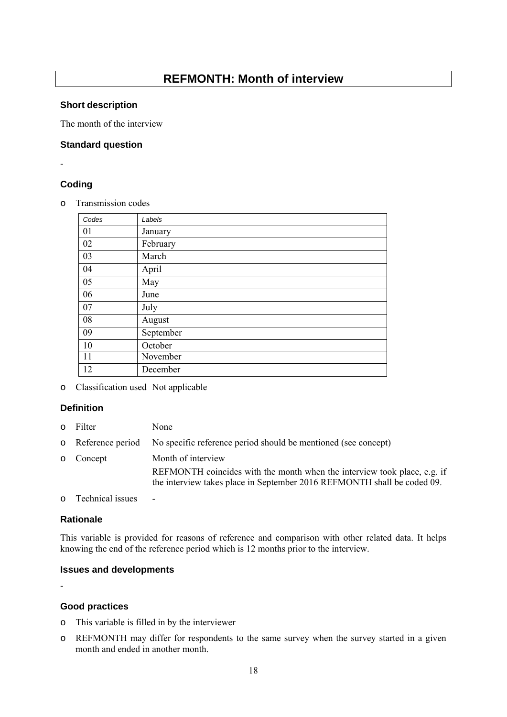## **REFMONTH: Month of interview**

#### <span id="page-17-0"></span>**Short description**

The month of the interview

#### **Standard question**

-

#### **Coding**

o Transmission codes

| Codes | Labels    |
|-------|-----------|
| 01    | January   |
| 02    | February  |
| 03    | March     |
| 04    | April     |
| 05    | May       |
| 06    | June      |
| 07    | July      |
| 08    | August    |
| 09    | September |
| 10    | October   |
| 11    | November  |
| 12    | December  |

o Classification used Not applicable

#### **Definition**

o Filter None

|           | o Reference period No specific reference period should be mentioned (see concept)                                                                   |  |
|-----------|-----------------------------------------------------------------------------------------------------------------------------------------------------|--|
| o Concept | Month of interview                                                                                                                                  |  |
|           | REFMONTH coincides with the month when the interview took place, e.g. if<br>the interview takes place in September 2016 REFMONTH shall be coded 09. |  |

o Technical issues -

#### **Rationale**

This variable is provided for reasons of reference and comparison with other related data. It helps knowing the end of the reference period which is 12 months prior to the interview.

#### **Issues and developments**

-

- o This variable is filled in by the interviewer
- o REFMONTH may differ for respondents to the same survey when the survey started in a given month and ended in another month.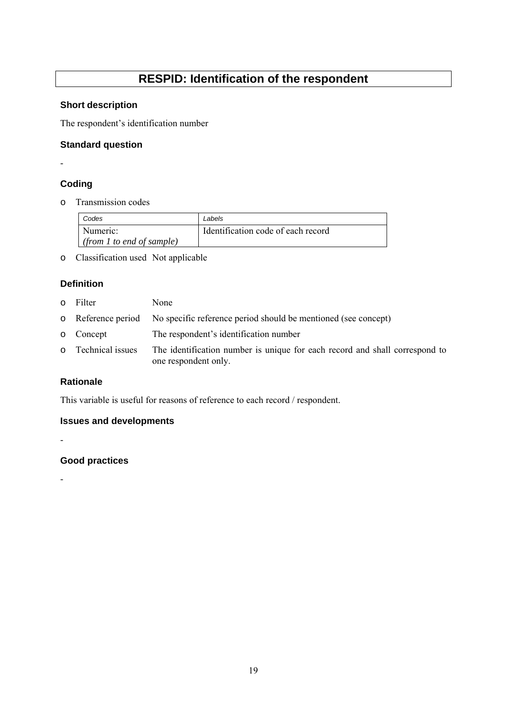## **RESPID: Identification of the respondent**

#### <span id="page-18-0"></span>**Short description**

The respondent's identification number

#### **Standard question**

## -

#### **Coding**

o Transmission codes

| Codes                     | Labels                             |
|---------------------------|------------------------------------|
| Numeric:                  | Identification code of each record |
| (from 1 to end of sample) |                                    |

o Classification used Not applicable

#### **Definition**

- o Filter None
- o Reference period No specific reference period should be mentioned (see concept)
- o Concept The respondent's identification number
- o Technical issues The identification number is unique for each record and shall correspond to one respondent only.

19

#### **Rationale**

-

-

This variable is useful for reasons of reference to each record / respondent.

#### **Issues and developments**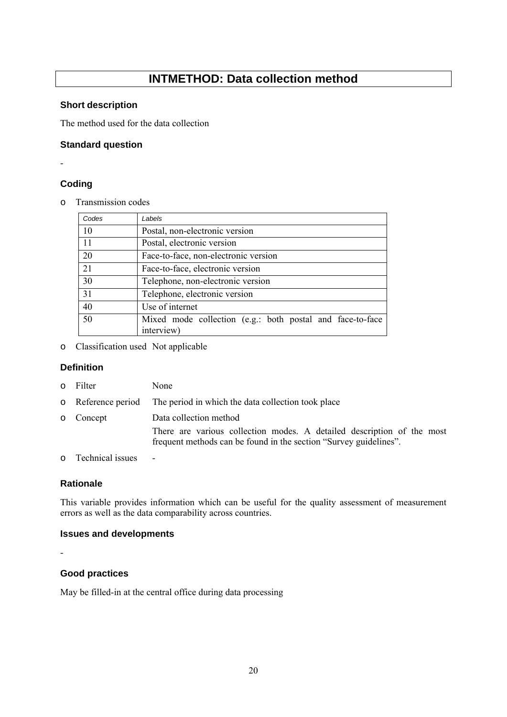## **INTMETHOD: Data collection method**

#### <span id="page-19-0"></span>**Short description**

The method used for the data collection

#### **Standard question**

-

#### **Coding**

o Transmission codes

| Codes | Labels                                                                  |  |  |
|-------|-------------------------------------------------------------------------|--|--|
| 10    | Postal, non-electronic version                                          |  |  |
| 11    | Postal, electronic version                                              |  |  |
| 20    | Face-to-face, non-electronic version                                    |  |  |
| 21    | Face-to-face, electronic version                                        |  |  |
| 30    | Telephone, non-electronic version                                       |  |  |
| 31    | Telephone, electronic version                                           |  |  |
| 40    | Use of internet                                                         |  |  |
| 50    | Mixed mode collection (e.g.: both postal and face-to-face<br>interview) |  |  |

o Classification used Not applicable

#### **Definition**

- o Filter None
- o Reference period The period in which the data collection took place
- o Concept Data collection method There are various collection modes. A detailed description of the most frequent methods can be found in the section "Survey guidelines".
- o Technical issues -

#### **Rationale**

This variable provides information which can be useful for the quality assessment of measurement errors as well as the data comparability across countries.

#### **Issues and developments**

-

#### **Good practices**

May be filled-in at the central office during data processing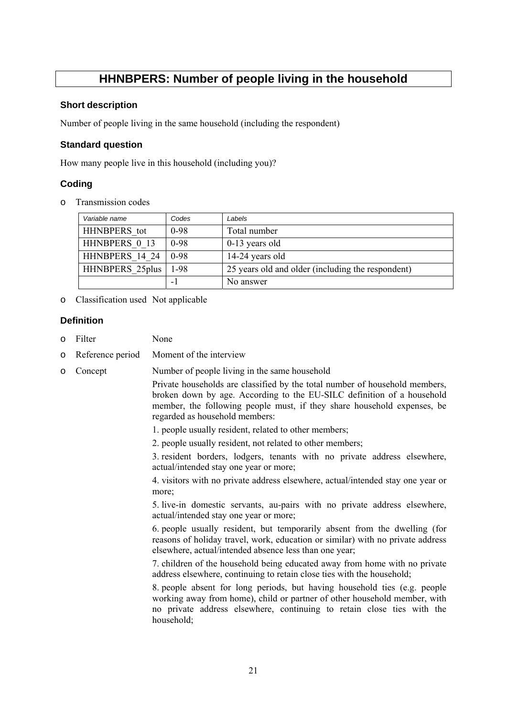## **HHNBPERS: Number of people living in the household**

#### <span id="page-20-0"></span>**Short description**

Number of people living in the same household (including the respondent)

#### **Standard question**

How many people live in this household (including you)?

#### **Coding**

o Transmission codes

| Variable name    | Codes       | Labels                                            |
|------------------|-------------|---------------------------------------------------|
| HHNBPERS tot     | $0-98$      | Total number                                      |
| HHNBPERS 0 13    | $0-98$      | $0-13$ years old                                  |
| HHNBPERS 14 24   | $\mid$ 0-98 | 14-24 years old                                   |
| HHNBPERS 25 plus | 1-98        | 25 years old and older (including the respondent) |
|                  | - 1         | No answer                                         |

o Classification used Not applicable

#### **Definition**

- o Filter None
- o Reference period Moment of the interview
- o Concept Number of people living in the same household

Private households are classified by the total number of household members, broken down by age. According to the EU-SILC definition of a household member, the following people must, if they share household expenses, be regarded as household members:

- 1. people usually resident, related to other members;
- 2. people usually resident, not related to other members;

3. resident borders, lodgers, tenants with no private address elsewhere, actual/intended stay one year or more;

4. visitors with no private address elsewhere, actual/intended stay one year or more;

5. live-in domestic servants, au-pairs with no private address elsewhere, actual/intended stay one year or more;

6. people usually resident, but temporarily absent from the dwelling (for reasons of holiday travel, work, education or similar) with no private address elsewhere, actual/intended absence less than one year;

7. children of the household being educated away from home with no private address elsewhere, continuing to retain close ties with the household;

8. people absent for long periods, but having household ties (e.g. people working away from home), child or partner of other household member, with no private address elsewhere, continuing to retain close ties with the household;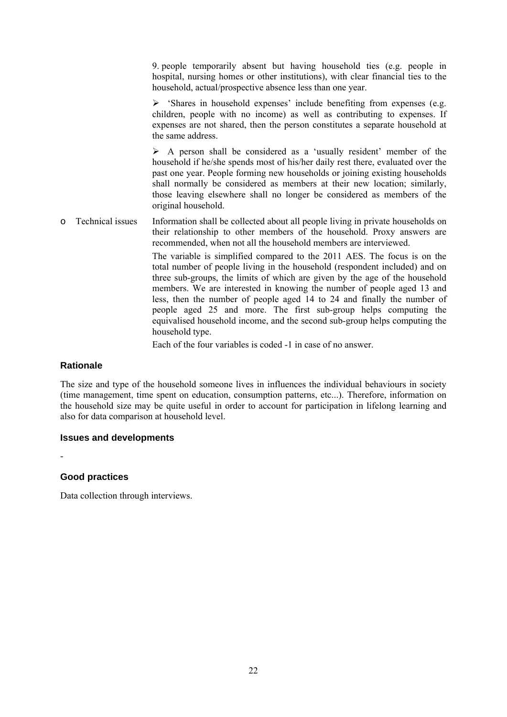9. people temporarily absent but having household ties (e.g. people in hospital, nursing homes or other institutions), with clear financial ties to the household, actual/prospective absence less than one year.

 $\triangleright$  'Shares in household expenses' include benefiting from expenses (e.g. children, people with no income) as well as contributing to expenses. If expenses are not shared, then the person constitutes a separate household at the same address.

 $\triangleright$  A person shall be considered as a 'usually resident' member of the household if he/she spends most of his/her daily rest there, evaluated over the past one year. People forming new households or joining existing households shall normally be considered as members at their new location; similarly, those leaving elsewhere shall no longer be considered as members of the original household.

o Technical issues Information shall be collected about all people living in private households on their relationship to other members of the household. Proxy answers are recommended, when not all the household members are interviewed.

> The variable is simplified compared to the 2011 AES. The focus is on the total number of people living in the household (respondent included) and on three sub-groups, the limits of which are given by the age of the household members. We are interested in knowing the number of people aged 13 and less, then the number of people aged 14 to 24 and finally the number of people aged 25 and more. The first sub-group helps computing the equivalised household income, and the second sub-group helps computing the household type.

Each of the four variables is coded -1 in case of no answer.

#### **Rationale**

The size and type of the household someone lives in influences the individual behaviours in society (time management, time spent on education, consumption patterns, etc...). Therefore, information on the household size may be quite useful in order to account for participation in lifelong learning and also for data comparison at household level.

#### **Issues and developments**

#### **Good practices**

-

Data collection through interviews.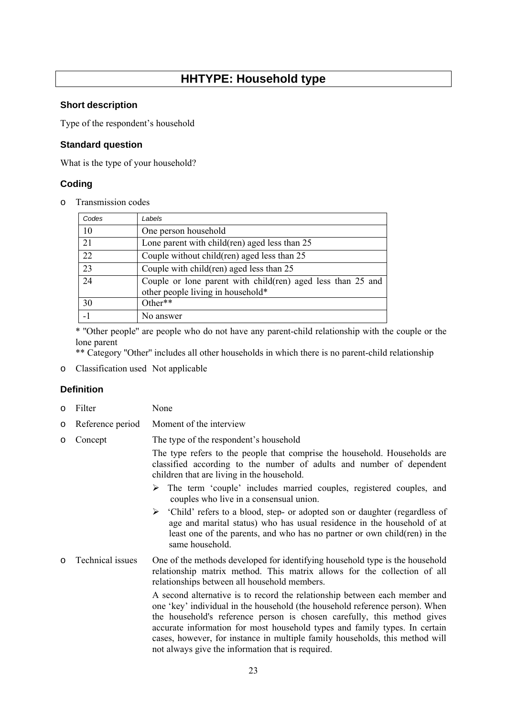## **HHTYPE: Household type**

#### <span id="page-22-0"></span>**Short description**

Type of the respondent's household

#### **Standard question**

What is the type of your household?

#### **Coding**

o Transmission codes

| Codes | Labels                                                                                           |
|-------|--------------------------------------------------------------------------------------------------|
| 10    | One person household                                                                             |
| 21    | Lone parent with child (ren) aged less than 25                                                   |
| 22    | Couple without child (ren) aged less than 25                                                     |
| 23    | Couple with child(ren) aged less than 25                                                         |
| 24    | Couple or lone parent with child(ren) aged less than 25 and<br>other people living in household* |
| 30    | Other**                                                                                          |
| $-1$  | No answer                                                                                        |

\* ''Other people'' are people who do not have any parent-child relationship with the couple or the lone parent

\*\* Category ''Other'' includes all other households in which there is no parent-child relationship

o Classification used Not applicable

#### **Definition**

- o Filter None
- o Reference period Moment of the interview
- o Concept The type of the respondent's household

The type refers to the people that comprise the household. Households are classified according to the number of adults and number of dependent children that are living in the household.

- ¾ The term 'couple' includes married couples, registered couples, and couples who live in a consensual union.
- ¾ 'Child' refers to a blood, step- or adopted son or daughter (regardless of age and marital status) who has usual residence in the household of at least one of the parents, and who has no partner or own child(ren) in the same household.
- o Technical issues One of the methods developed for identifying household type is the household relationship matrix method. This matrix allows for the collection of all relationships between all household members.

A second alternative is to record the relationship between each member and one 'key' individual in the household (the household reference person). When the household's reference person is chosen carefully, this method gives accurate information for most household types and family types. In certain cases, however, for instance in multiple family households, this method will not always give the information that is required.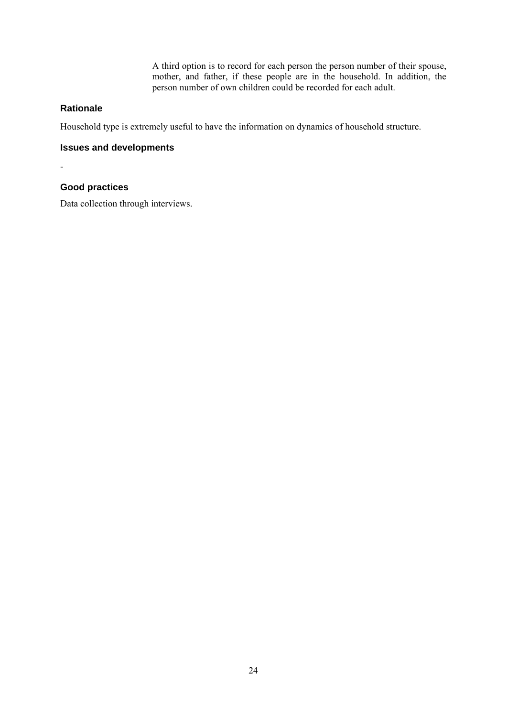A third option is to record for each person the person number of their spouse, mother, and father, if these people are in the household. In addition, the person number of own children could be recorded for each adult.

#### **Rationale**

Household type is extremely useful to have the information on dynamics of household structure.

#### **Issues and developments**

-

#### **Good practices**

Data collection through interviews.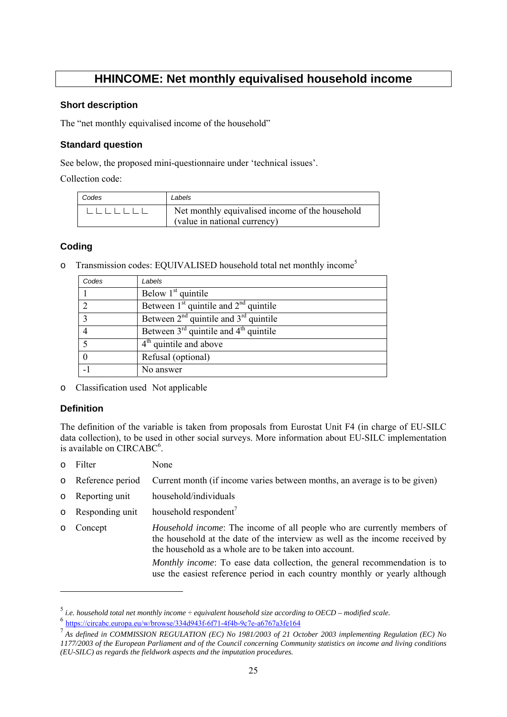## **HHINCOME: Net monthly equivalised household income**

#### <span id="page-24-0"></span>**Short description**

The "net monthly equivalised income of the household"

#### **Standard question**

See below, the proposed mini-questionnaire under 'technical issues'.

Collection code:

| Codes | Labels                                                                          |
|-------|---------------------------------------------------------------------------------|
|       | Net monthly equivalised income of the household<br>(value in national currency) |

#### **Coding**

| Transmission codes: EQUIVALISED household total net monthly income <sup>5</sup> |  |  |  |  |  |
|---------------------------------------------------------------------------------|--|--|--|--|--|
|---------------------------------------------------------------------------------|--|--|--|--|--|

| Codes          | Labels                                    |
|----------------|-------------------------------------------|
|                | Below $1st$ quintile                      |
| $\mathcal{L}$  | Between $1st$ quintile and $2nd$ quintile |
| 3              | Between $2nd$ quintile and $3rd$ quintile |
| $\overline{4}$ | Between $3rd$ quintile and $4th$ quintile |
|                | $4th$ quintile and above                  |
|                | Refusal (optional)                        |
|                | No answer                                 |

o Classification used Not applicable

#### **Definition**

1

The definition of the variable is taken from proposals from Eurostat Unit F4 (in charge of EU-SILC data collection), to be used in other social surveys. More information about EU-SILC implementation is available on CIRCABC<sup>6</sup>.

- o Filter None
- o Reference period Current month (if income varies between months, an average is to be given)
- o Reporting unit household/individuals
- $\circ$  Responding unit household respondent<sup>7</sup>
- o Concept *Household income*: The income of all people who are currently members of the household at the date of the interview as well as the income received by the household as a whole are to be taken into account.

*Monthly income*: To ease data collection, the general recommendation is to use the easiest reference period in each country monthly or yearly although

<sup>5</sup>  *i.e. household total net monthly income ÷ equivalent household size according to OECD – modified scale.*

<sup>6</sup> <https://circabc.europa.eu/w/browse/334d943f-6f71-4f4b-9c7e-a6767a3fe164>

<sup>&</sup>lt;sup>7</sup> As defined in COMMISSION REGULATION (EC) No 1981/2003 of 21 October 2003 implementing Regulation (EC) No *1177/2003 of the European Parliament and of the Council concerning Community statistics on income and living conditions (EU-SILC) as regards the fieldwork aspects and the imputation procedures.*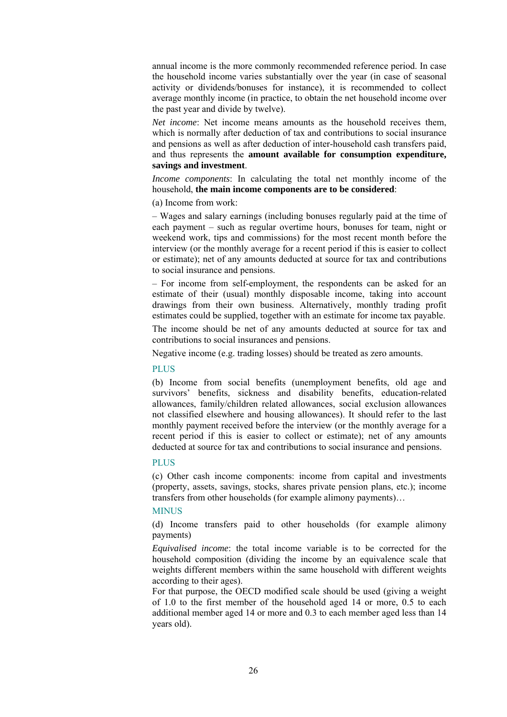annual income is the more commonly recommended reference period. In case the household income varies substantially over the year (in case of seasonal activity or dividends/bonuses for instance), it is recommended to collect average monthly income (in practice, to obtain the net household income over the past year and divide by twelve).

*Net income*: Net income means amounts as the household receives them, which is normally after deduction of tax and contributions to social insurance and pensions as well as after deduction of inter-household cash transfers paid, and thus represents the **amount available for consumption expenditure, savings and investment**.

*Income components*: In calculating the total net monthly income of the household, **the main income components are to be considered**:

(a) Income from work:

– Wages and salary earnings (including bonuses regularly paid at the time of each payment – such as regular overtime hours, bonuses for team, night or weekend work, tips and commissions) for the most recent month before the interview (or the monthly average for a recent period if this is easier to collect or estimate); net of any amounts deducted at source for tax and contributions to social insurance and pensions.

– For income from self-employment, the respondents can be asked for an estimate of their (usual) monthly disposable income, taking into account drawings from their own business. Alternatively, monthly trading profit estimates could be supplied, together with an estimate for income tax payable.

The income should be net of any amounts deducted at source for tax and contributions to social insurances and pensions.

Negative income (e.g. trading losses) should be treated as zero amounts.

#### PLUS

(b) Income from social benefits (unemployment benefits, old age and survivors' benefits, sickness and disability benefits, education-related allowances, family/children related allowances, social exclusion allowances not classified elsewhere and housing allowances). It should refer to the last monthly payment received before the interview (or the monthly average for a recent period if this is easier to collect or estimate); net of any amounts deducted at source for tax and contributions to social insurance and pensions.

#### **PLUS**

(c) Other cash income components: income from capital and investments (property, assets, savings, stocks, shares private pension plans, etc.); income transfers from other households (for example alimony payments)…

#### **MINUS**

(d) Income transfers paid to other households (for example alimony payments)

*Equivalised income*: the total income variable is to be corrected for the household composition (dividing the income by an equivalence scale that weights different members within the same household with different weights according to their ages).

For that purpose, the OECD modified scale should be used (giving a weight of 1.0 to the first member of the household aged 14 or more, 0.5 to each additional member aged 14 or more and 0.3 to each member aged less than 14 years old).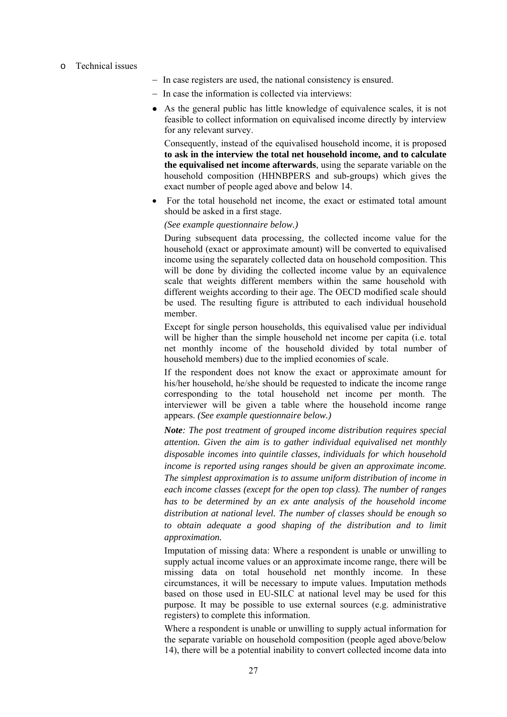#### o Technical issues

- − In case registers are used, the national consistency is ensured.
- − In case the information is collected via interviews:
- As the general public has little knowledge of equivalence scales, it is not feasible to collect information on equivalised income directly by interview for any relevant survey.

 Consequently, instead of the equivalised household income, it is proposed **to ask in the interview the total net household income, and to calculate the equivalised net income afterwards**, using the separate variable on the household composition (HHNBPERS and sub-groups) which gives the exact number of people aged above and below 14.

• For the total household net income, the exact or estimated total amount should be asked in a first stage.

#### *(See example questionnaire below.)*

 During subsequent data processing, the collected income value for the household (exact or approximate amount) will be converted to equivalised income using the separately collected data on household composition. This will be done by dividing the collected income value by an equivalence scale that weights different members within the same household with different weights according to their age. The OECD modified scale should be used. The resulting figure is attributed to each individual household member.

 Except for single person households, this equivalised value per individual will be higher than the simple household net income per capita (i.e. total net monthly income of the household divided by total number of household members) due to the implied economies of scale.

 If the respondent does not know the exact or approximate amount for his/her household, he/she should be requested to indicate the income range corresponding to the total household net income per month. The interviewer will be given a table where the household income range appears. *(See example questionnaire below.)* 

 *Note: The post treatment of grouped income distribution requires special attention. Given the aim is to gather individual equivalised net monthly disposable incomes into quintile classes, individuals for which household income is reported using ranges should be given an approximate income. The simplest approximation is to assume uniform distribution of income in each income classes (except for the open top class). The number of ranges has to be determined by an ex ante analysis of the household income distribution at national level. The number of classes should be enough so to obtain adequate a good shaping of the distribution and to limit approximation.* 

 Imputation of missing data: Where a respondent is unable or unwilling to supply actual income values or an approximate income range, there will be missing data on total household net monthly income. In these circumstances, it will be necessary to impute values. Imputation methods based on those used in EU-SILC at national level may be used for this purpose. It may be possible to use external sources (e.g. administrative registers) to complete this information.

 Where a respondent is unable or unwilling to supply actual information for the separate variable on household composition (people aged above/below 14), there will be a potential inability to convert collected income data into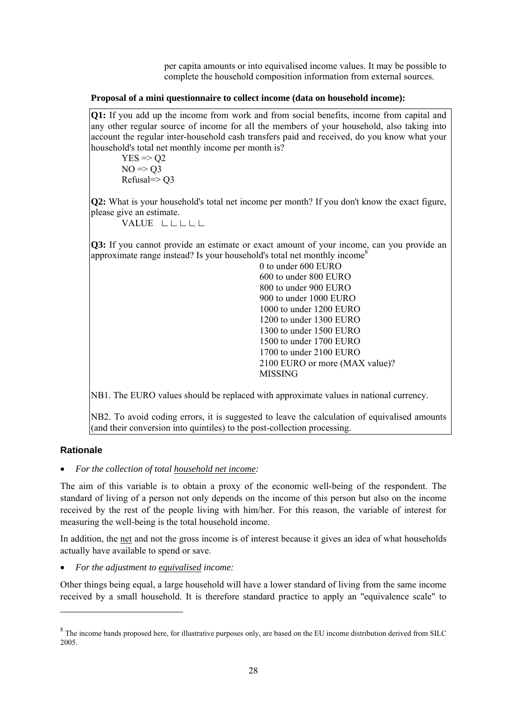per capita amounts or into equivalised income values. It may be possible to complete the household composition information from external sources.

#### **Proposal of a mini questionnaire to collect income (data on household income):**

**Q1:** If you add up the income from work and from social benefits, income from capital and any other regular source of income for all the members of your household, also taking into account the regular inter-household cash transfers paid and received, do you know what your household's total net monthly income per month is?

 $YES \Rightarrow Q2$  $NO \Rightarrow O3$ Refusal=> Q3

**Q2:** What is your household's total net income per month? If you don't know the exact figure, please give an estimate.

VALUE ∟∟∟∟∟

**Q3:** If you cannot provide an estimate or exact amount of your income, can you provide an approximate range instead? Is your household's total net monthly income<sup>8</sup>

 0 to under 600 EURO 600 to under 800 EURO 800 to under 900 EURO 900 to under 1000 EURO 1000 to under 1200 EURO 1200 to under 1300 EURO 1300 to under 1500 EURO 1500 to under 1700 EURO 1700 to under 2100 EURO 2100 EURO or more (MAX value)? MISSING

NB1. The EURO values should be replaced with approximate values in national currency.

NB2. To avoid coding errors, it is suggested to leave the calculation of equivalised amounts (and their conversion into quintiles) to the post-collection processing.

#### **Rationale**

1

• *For the collection of total household net income:* 

The aim of this variable is to obtain a proxy of the economic well-being of the respondent. The standard of living of a person not only depends on the income of this person but also on the income received by the rest of the people living with him/her. For this reason, the variable of interest for measuring the well-being is the total household income.

In addition, the net and not the gross income is of interest because it gives an idea of what households actually have available to spend or save.

• *For the adjustment to equivalised income:* 

Other things being equal, a large household will have a lower standard of living from the same income received by a small household. It is therefore standard practice to apply an "equivalence scale" to

 $8$  The income bands proposed here, for illustrative purposes only, are based on the EU income distribution derived from SILC 2005.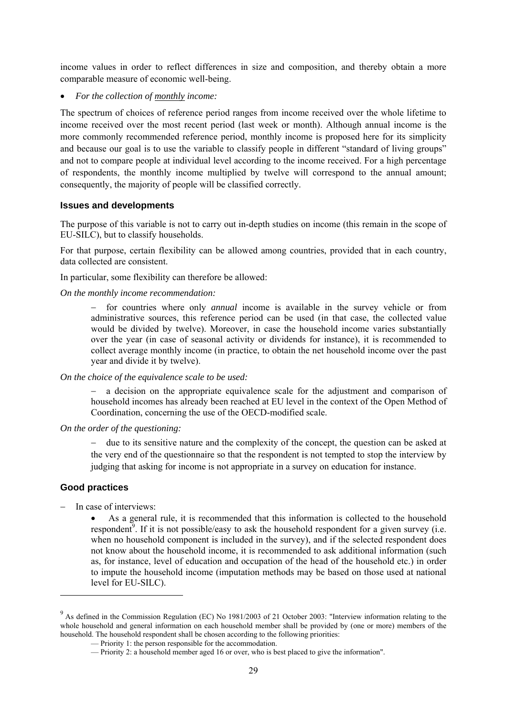income values in order to reflect differences in size and composition, and thereby obtain a more comparable measure of economic well-being.

• *For the collection of monthly income:* 

The spectrum of choices of reference period ranges from income received over the whole lifetime to income received over the most recent period (last week or month). Although annual income is the more commonly recommended reference period, monthly income is proposed here for its simplicity and because our goal is to use the variable to classify people in different "standard of living groups" and not to compare people at individual level according to the income received. For a high percentage of respondents, the monthly income multiplied by twelve will correspond to the annual amount; consequently, the majority of people will be classified correctly.

#### **Issues and developments**

The purpose of this variable is not to carry out in-depth studies on income (this remain in the scope of EU-SILC), but to classify households.

For that purpose, certain flexibility can be allowed among countries, provided that in each country, data collected are consistent.

In particular, some flexibility can therefore be allowed:

*On the monthly income recommendation:* 

for countries where only *annual* income is available in the survey vehicle or from administrative sources, this reference period can be used (in that case, the collected value would be divided by twelve). Moreover, in case the household income varies substantially over the year (in case of seasonal activity or dividends for instance), it is recommended to collect average monthly income (in practice, to obtain the net household income over the past year and divide it by twelve).

#### *On the choice of the equivalence scale to be used:*

a decision on the appropriate equivalence scale for the adjustment and comparison of household incomes has already been reached at EU level in the context of the Open Method of Coordination, concerning the use of the OECD-modified scale.

#### *On the order of the questioning:*

− due to its sensitive nature and the complexity of the concept, the question can be asked at the very end of the questionnaire so that the respondent is not tempted to stop the interview by judging that asking for income is not appropriate in a survey on education for instance.

#### **Good practices**

1

− In case of interviews:

• As a general rule, it is recommended that this information is collected to the household respondent<sup>9</sup>. If it is not possible/easy to ask the household respondent for a given survey (i.e. when no household component is included in the survey), and if the selected respondent does not know about the household income, it is recommended to ask additional information (such as, for instance, level of education and occupation of the head of the household etc.) in order to impute the household income (imputation methods may be based on those used at national level for EU-SILC).

<sup>&</sup>lt;sup>9</sup> As defined in the Commission Regulation (EC) No 1981/2003 of 21 October 2003: "Interview information relating to the whole household and general information on each household member shall be provided by (one or more) members of the household. The household respondent shall be chosen according to the following priorities:

 <sup>—</sup> Priority 1: the person responsible for the accommodation.

 <sup>—</sup> Priority 2: a household member aged 16 or over, who is best placed to give the information".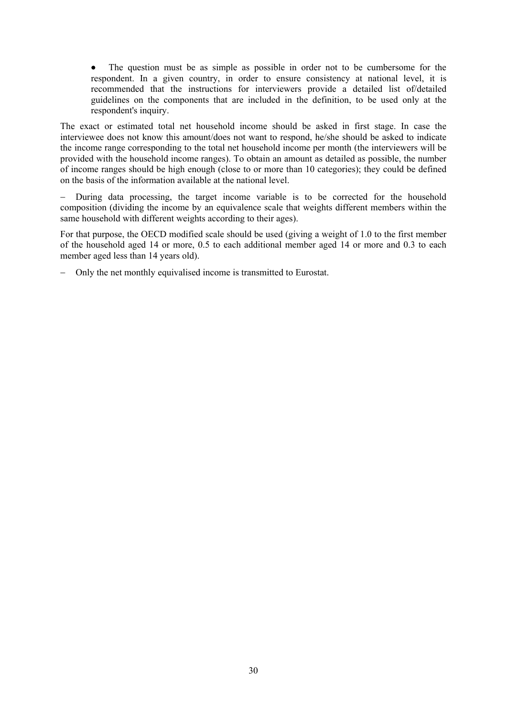• The question must be as simple as possible in order not to be cumbersome for the respondent. In a given country, in order to ensure consistency at national level, it is recommended that the instructions for interviewers provide a detailed list of/detailed guidelines on the components that are included in the definition, to be used only at the respondent's inquiry.

The exact or estimated total net household income should be asked in first stage. In case the interviewee does not know this amount/does not want to respond, he/she should be asked to indicate the income range corresponding to the total net household income per month (the interviewers will be provided with the household income ranges). To obtain an amount as detailed as possible, the number of income ranges should be high enough (close to or more than 10 categories); they could be defined on the basis of the information available at the national level.

During data processing, the target income variable is to be corrected for the household composition (dividing the income by an equivalence scale that weights different members within the same household with different weights according to their ages).

For that purpose, the OECD modified scale should be used (giving a weight of 1.0 to the first member of the household aged 14 or more, 0.5 to each additional member aged 14 or more and 0.3 to each member aged less than 14 years old).

− Only the net monthly equivalised income is transmitted to Eurostat.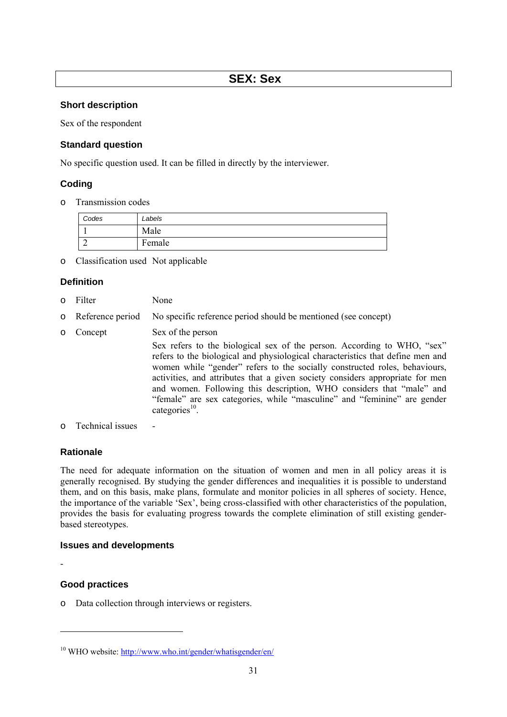#### <span id="page-30-0"></span>**Short description**

Sex of the respondent

#### **Standard question**

No specific question used. It can be filled in directly by the interviewer.

#### **Coding**

o Transmission codes

| Codes | Labels |
|-------|--------|
|       | Male   |
|       | Female |

o Classification used Not applicable

#### **Definition**

- o Filter None
- o Reference period No specific reference period should be mentioned (see concept)
- o Concept Sex of the person

Sex refers to the biological sex of the person. According to WHO, "sex" refers to the biological and physiological characteristics that define men and women while "gender" refers to the socially constructed roles, behaviours, activities, and attributes that a given society considers appropriate for men and women. Following this description, WHO considers that "male" and "female" are sex categories, while "masculine" and "feminine" are gender categories $^{10}$ .

 $\circ$  Technical issues

#### **Rationale**

The need for adequate information on the situation of women and men in all policy areas it is generally recognised. By studying the gender differences and inequalities it is possible to understand them, and on this basis, make plans, formulate and monitor policies in all spheres of society. Hence, the importance of the variable 'Sex', being cross-classified with other characteristics of the population, provides the basis for evaluating progress towards the complete elimination of still existing genderbased stereotypes.

#### **Issues and developments**

**Good practices** 

-

-

o Data collection through interviews or registers.

<sup>&</sup>lt;sup>10</sup> WHO website[: http://www.who.int/gender/whatisgender/en/](http://www.who.int/gender/whatisgender/en/)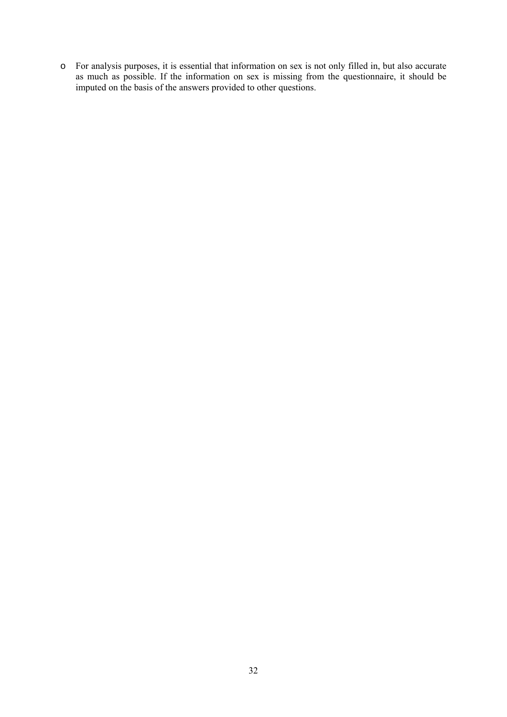o For analysis purposes, it is essential that information on sex is not only filled in, but also accurate as much as possible. If the information on sex is missing from the questionnaire, it should be imputed on the basis of the answers provided to other questions.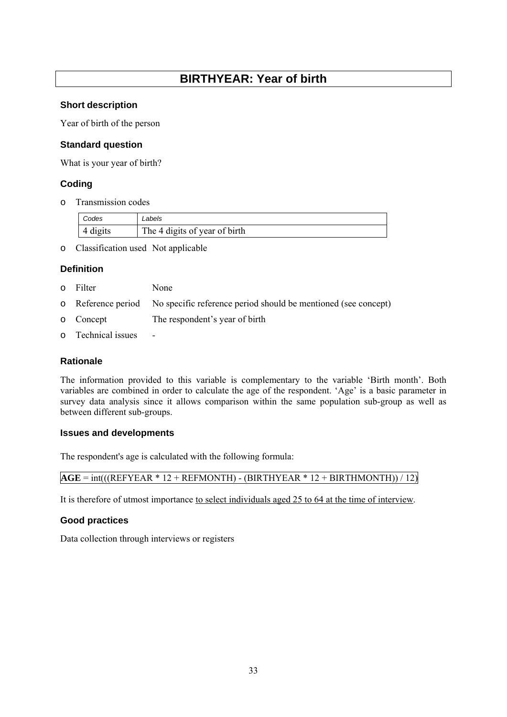## **BIRTHYEAR: Year of birth**

#### <span id="page-32-0"></span>**Short description**

Year of birth of the person

#### **Standard question**

What is your year of birth?

#### **Coding**

o Transmission codes

| Codes    | ∟abels                        |
|----------|-------------------------------|
| 4 digits | The 4 digits of year of birth |

o Classification used Not applicable

#### **Definition**

- o Filter None
- o Reference period No specific reference period should be mentioned (see concept)
- o Concept The respondent's year of birth
- o Technical issues -

#### **Rationale**

The information provided to this variable is complementary to the variable 'Birth month'. Both variables are combined in order to calculate the age of the respondent. 'Age' is a basic parameter in survey data analysis since it allows comparison within the same population sub-group as well as between different sub-groups.

#### **Issues and developments**

The respondent's age is calculated with the following formula:

|  | $AGE = int(((REFYEAR * 12 + REFMONTH) - (BIRTHYEAR * 12 + BIRTHMONTH))/12)$ |
|--|-----------------------------------------------------------------------------|
|--|-----------------------------------------------------------------------------|

It is therefore of utmost importance to select individuals aged 25 to 64 at the time of interview.

#### **Good practices**

Data collection through interviews or registers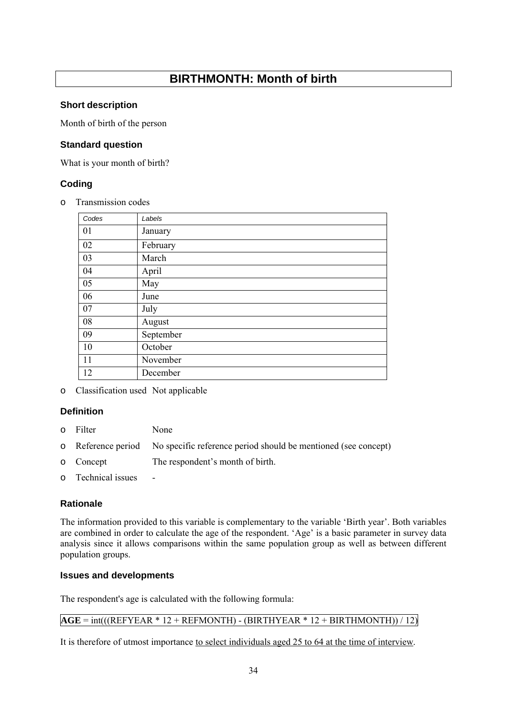## **BIRTHMONTH: Month of birth**

#### <span id="page-33-0"></span>**Short description**

Month of birth of the person

#### **Standard question**

What is your month of birth?

#### **Coding**

o Transmission codes

| Codes | Labels    |
|-------|-----------|
| 01    | January   |
| 02    | February  |
| 03    | March     |
| 04    | April     |
| 05    | May       |
| 06    | June      |
| 07    | July      |
| 08    | August    |
| 09    | September |
| 10    | October   |
| 11    | November  |
| 12    | December  |

o Classification used Not applicable

#### **Definition**

- o Filter None
- o Reference period No specific reference period should be mentioned (see concept)
- o Concept The respondent's month of birth.
- o Technical issues -

#### **Rationale**

The information provided to this variable is complementary to the variable 'Birth year'. Both variables are combined in order to calculate the age of the respondent. 'Age' is a basic parameter in survey data analysis since it allows comparisons within the same population group as well as between different population groups.

#### **Issues and developments**

The respondent's age is calculated with the following formula:

#### $AGE = int(((REFYEAR * 12 + REFMONTH) - (BIRTHYEAR * 12 + BIRTHMONTH))/12)$

It is therefore of utmost importance to select individuals aged 25 to 64 at the time of interview.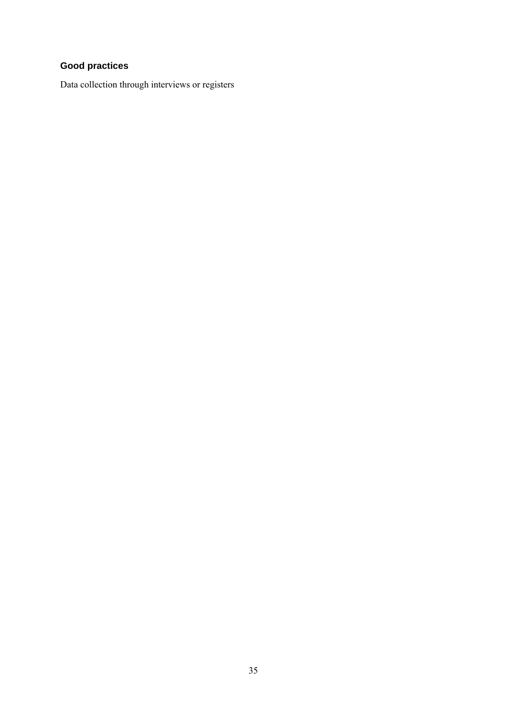## **Good practices**

Data collection through interviews or registers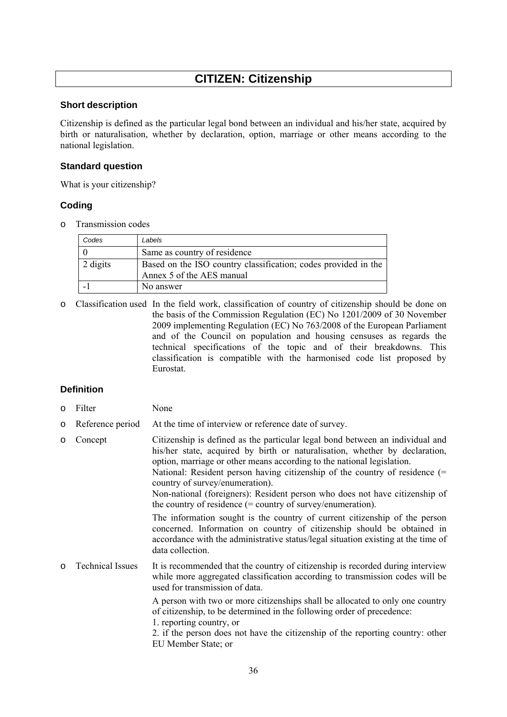## **CITIZEN: Citizenship**

#### <span id="page-35-0"></span>**Short description**

Citizenship is defined as the particular legal bond between an individual and his/her state, acquired by birth or naturalisation, whether by declaration, option, marriage or other means according to the national legislation.

#### **Standard question**

What is your citizenship?

#### **Coding**

o Transmission codes

| Codes    | Labels                                                                                      |
|----------|---------------------------------------------------------------------------------------------|
|          | Same as country of residence                                                                |
| 2 digits | Based on the ISO country classification; codes provided in the<br>Annex 5 of the AES manual |
|          | No answer                                                                                   |

o Classification used In the field work, classification of country of citizenship should be done on the basis of the Commission Regulation (EC) No 1201/2009 of 30 November 2009 implementing Regulation (EC) No 763/2008 of the European Parliament and of the Council on population and housing censuses as regards the technical specifications of the topic and of their breakdowns. This classification is compatible with the harmonised code list proposed by Eurostat.

#### **Definition**

- o Filter None
- o Reference period At the time of interview or reference date of survey.
- o Concept Citizenship is defined as the particular legal bond between an individual and his/her state, acquired by birth or naturalisation, whether by declaration, option, marriage or other means according to the national legislation. National: Resident person having citizenship of the country of residence (= country of survey/enumeration). Non-national (foreigners): Resident person who does not have citizenship of the country of residence (= country of survey/enumeration). The information sought is the country of current citizenship of the person concerned. Information on country of citizenship should be obtained in accordance with the administrative status/legal situation existing at the time of data collection. o Technical Issues It is recommended that the country of citizenship is recorded during interview while more aggregated classification according to transmission codes will be used for transmission of data. A person with two or more citizenships shall be allocated to only one country of citizenship, to be determined in the following order of precedence: 1. reporting country, or 2. if the person does not have the citizenship of the reporting country: other EU Member State; or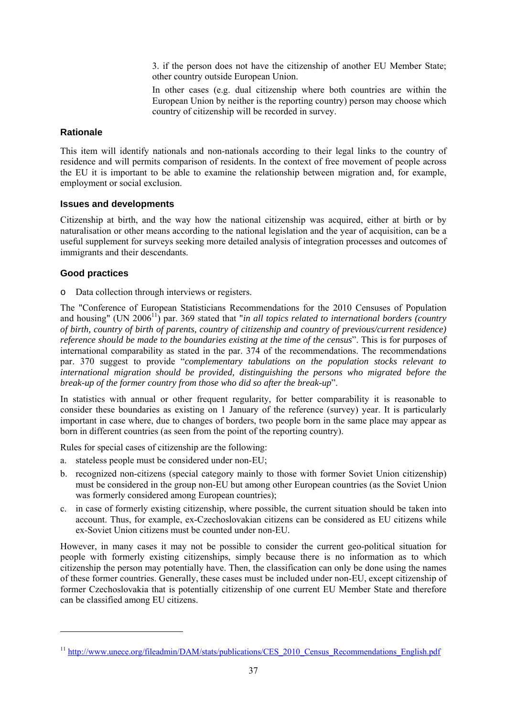3. if the person does not have the citizenship of another EU Member State; other country outside European Union.

In other cases (e.g. dual citizenship where both countries are within the European Union by neither is the reporting country) person may choose which country of citizenship will be recorded in survey.

#### **Rationale**

This item will identify nationals and non-nationals according to their legal links to the country of residence and will permits comparison of residents. In the context of free movement of people across the EU it is important to be able to examine the relationship between migration and, for example, employment or social exclusion.

#### **Issues and developments**

Citizenship at birth, and the way how the national citizenship was acquired, either at birth or by naturalisation or other means according to the national legislation and the year of acquisition, can be a useful supplement for surveys seeking more detailed analysis of integration processes and outcomes of immigrants and their descendants.

#### **Good practices**

-

o Data collection through interviews or registers.

The "Conference of European Statisticians Recommendations for the 2010 Censuses of Population and housing" (UN 2006<sup>11</sup>) par. 369 stated that "*in all topics related to international borders (country and topics related to international borders (country and topics) of birth, country of birth of parents, country of citizenship and country of previous/current residence) reference should be made to the boundaries existing at the time of the census*". This is for purposes of international comparability as stated in the par. 374 of the recommendations. The recommendations par. 370 suggest to provide "*complementary tabulations on the population stocks relevant to international migration should be provided, distinguishing the persons who migrated before the break-up of the former country from those who did so after the break-up*".

In statistics with annual or other frequent regularity, for better comparability it is reasonable to consider these boundaries as existing on 1 January of the reference (survey) year. It is particularly important in case where, due to changes of borders, two people born in the same place may appear as born in different countries (as seen from the point of the reporting country).

Rules for special cases of citizenship are the following:

- a. stateless people must be considered under non-EU;
- b. recognized non-citizens (special category mainly to those with former Soviet Union citizenship) must be considered in the group non-EU but among other European countries (as the Soviet Union was formerly considered among European countries);
- c. in case of formerly existing citizenship, where possible, the current situation should be taken into account. Thus, for example, ex-Czechoslovakian citizens can be considered as EU citizens while ex-Soviet Union citizens must be counted under non-EU.

However, in many cases it may not be possible to consider the current geo-political situation for people with formerly existing citizenships, simply because there is no information as to which citizenship the person may potentially have. Then, the classification can only be done using the names of these former countries. Generally, these cases must be included under non-EU, except citizenship of former Czechoslovakia that is potentially citizenship of one current EU Member State and therefore can be classified among EU citizens.

<sup>&</sup>lt;sup>11</sup> [http://www.unece.org/file](http://www.unece.org/fileadmin/DAM/stats/publications/CES_2010_Census_Recommendations_English.pdf)admin/DAM/stats/publications/CES\_2010\_Census\_Recommendations\_English.pdf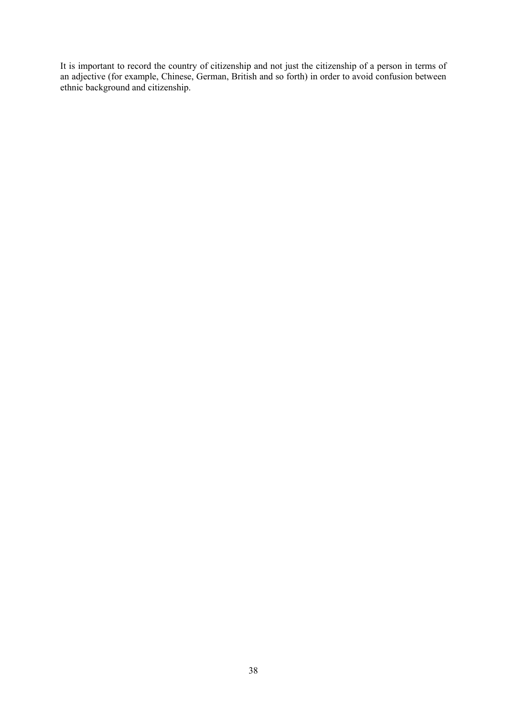It is important to record the country of citizenship and not just the citizenship of a person in terms of an adjective (for example, Chinese, German, British and so forth) in order to avoid confusion between ethnic background and citizenship.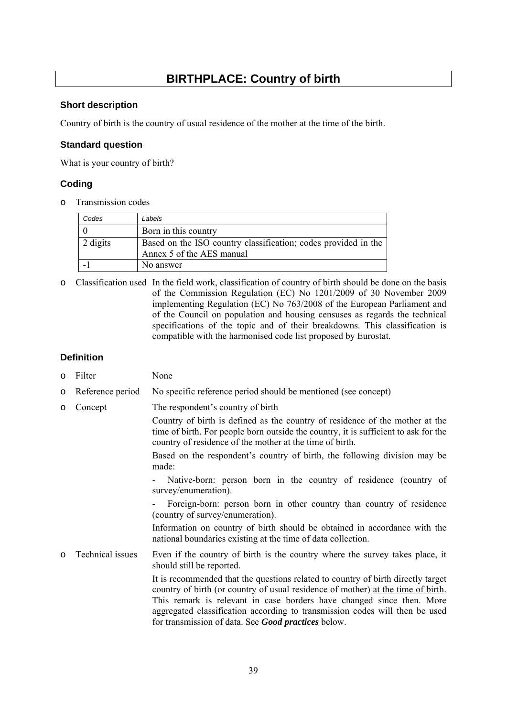# **BIRTHPLACE: Country of birth**

## **Short description**

Country of birth is the country of usual residence of the mother at the time of the birth.

#### **Standard question**

What is your country of birth?

# **Coding**

o Transmission codes

| Codes    | Labels                                                                                      |
|----------|---------------------------------------------------------------------------------------------|
|          | Born in this country                                                                        |
| 2 digits | Based on the ISO country classification; codes provided in the<br>Annex 5 of the AES manual |
|          | No answer                                                                                   |

o Classification used In the field work, classification of country of birth should be done on the basis of the Commission Regulation (EC) No 1201/2009 of 30 November 2009 implementing Regulation (EC) No 763/2008 of the European Parliament and of the Council on population and housing censuses as regards the technical specifications of the topic and of their breakdowns. This classification is compatible with the harmonised code list proposed by Eurostat.

#### **Definition**

- o Filter None
- o Reference period No specific reference period should be mentioned (see concept)
- o Concept The respondent's country of birth

Country of birth is defined as the country of residence of the mother at the time of birth. For people born outside the country, it is sufficient to ask for the country of residence of the mother at the time of birth.

Based on the respondent's country of birth, the following division may be made:

Native-born: person born in the country of residence (country of survey/enumeration).

Foreign-born: person born in other country than country of residence (country of survey/enumeration).

Information on country of birth should be obtained in accordance with the national boundaries existing at the time of data collection.

o Technical issues Even if the country of birth is the country where the survey takes place, it should still be reported.

> It is recommended that the questions related to country of birth directly target country of birth (or country of usual residence of mother) at the time of birth. This remark is relevant in case borders have changed since then. More aggregated classification according to transmission codes will then be used for transmission of data. See *Good practices* below.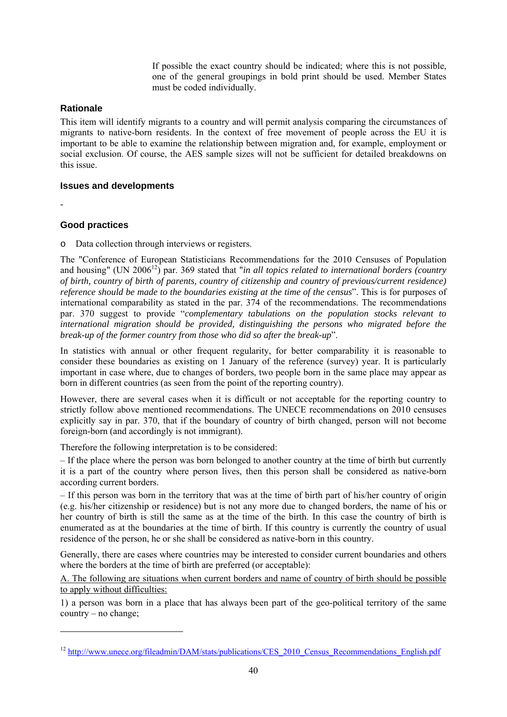If possible the exact country should be indicated; where this is not possible, one of the general groupings in bold print should be used. Member States must be coded individually.

#### **Rationale**

This item will identify migrants to a country and will permit analysis comparing the circumstances of migrants to native-born residents. In the context of free movement of people across the EU it is important to be able to examine the relationship between migration and, for example, employment or social exclusion. Of course, the AES sample sizes will not be sufficient for detailed breakdowns on this issue.

#### **Issues and developments**

-

-

## **Good practices**

o Data collection through interviews or registers.

The "Conference of European Statisticians Recommendations for the 2010 Censuses of Population and housing" (UN 2006<sup>12</sup>) par. 369 stated that "*in all topics related to international borders (country and \texty* f *of birth, country of birth of parents, country of citizenship and country of previous/current residence) reference should be made to the boundaries existing at the time of the census*". This is for purposes of international comparability as stated in the par. 374 of the recommendations. The recommendations par. 370 suggest to provide "*complementary tabulations on the population stocks relevant to international migration should be provided, distinguishing the persons who migrated before the break-up of the former country from those who did so after the break-up*".

In statistics with annual or other frequent regularity, for better comparability it is reasonable to consider these boundaries as existing on 1 January of the reference (survey) year. It is particularly important in case where, due to changes of borders, two people born in the same place may appear as born in different countries (as seen from the point of the reporting country).

However, there are several cases when it is difficult or not acceptable for the reporting country to strictly follow above mentioned recommendations. The UNECE recommendations on 2010 censuses explicitly say in par. 370, that if the boundary of country of birth changed, person will not become foreign-born (and accordingly is not immigrant).

Therefore the following interpretation is to be considered:

– If the place where the person was born belonged to another country at the time of birth but currently it is a part of the country where person lives, then this person shall be considered as native-born according current borders.

– If this person was born in the territory that was at the time of birth part of his/her country of origin (e.g. his/her citizenship or residence) but is not any more due to changed borders, the name of his or her country of birth is still the same as at the time of the birth. In this case the country of birth is enumerated as at the boundaries at the time of birth. If this country is currently the country of usual residence of the person, he or she shall be considered as native-born in this country.

Generally, there are cases where countries may be interested to consider current boundaries and others where the borders at the time of birth are preferred (or acceptable):

A. The following are situations when current borders and name of country of birth should be possible to apply without difficulties:

1) a person was born in a place that has always been part of the geo-political territory of the same country – no change;

<sup>&</sup>lt;sup>12</sup> [http://www.unece.org/file](http://www.unece.org/fileadmin/DAM/stats/publications/CES_2010_Census_Recommendations_English.pdf)admin/DAM/stats/publications/CES\_2010\_Census\_Recommendations\_English.pdf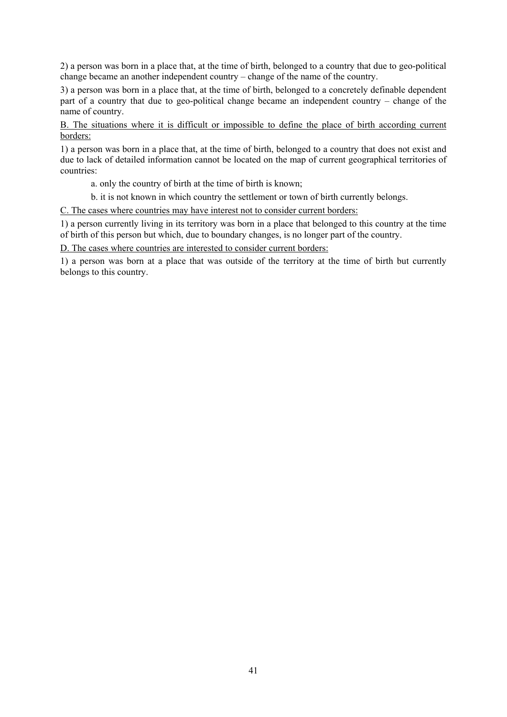2) a person was born in a place that, at the time of birth, belonged to a country that due to geo-political change became an another independent country – change of the name of the country.

3) a person was born in a place that, at the time of birth, belonged to a concretely definable dependent part of a country that due to geo-political change became an independent country – change of the name of country.

B. The situations where it is difficult or impossible to define the place of birth according current borders:

1) a person was born in a place that, at the time of birth, belonged to a country that does not exist and due to lack of detailed information cannot be located on the map of current geographical territories of countries:

a. only the country of birth at the time of birth is known;

b. it is not known in which country the settlement or town of birth currently belongs.

C. The cases where countries may have interest not to consider current borders:

1) a person currently living in its territory was born in a place that belonged to this country at the time of birth of this person but which, due to boundary changes, is no longer part of the country.

D. The cases where countries are interested to consider current borders:

1) a person was born at a place that was outside of the territory at the time of birth but currently belongs to this country.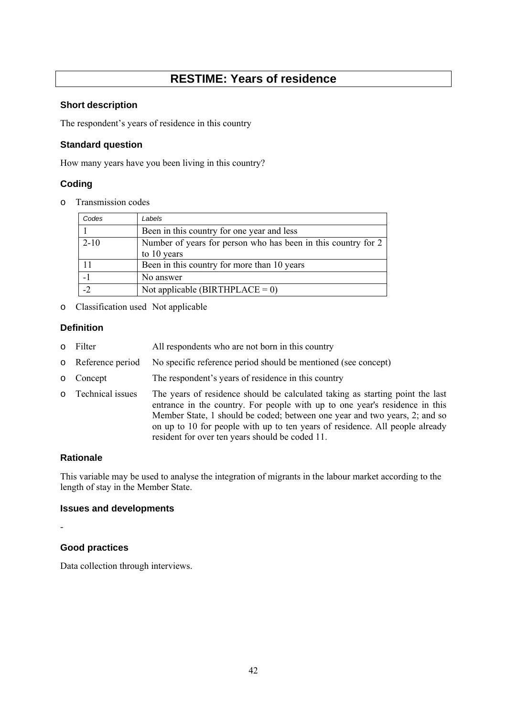# **RESTIME: Years of residence**

#### **Short description**

The respondent's years of residence in this country

# **Standard question**

How many years have you been living in this country?

# **Coding**

o Transmission codes

| Codes    | Labels                                                        |
|----------|---------------------------------------------------------------|
|          | Been in this country for one year and less                    |
| $2 - 10$ | Number of years for person who has been in this country for 2 |
|          | to 10 years                                                   |
|          | Been in this country for more than 10 years                   |
|          | No answer                                                     |
| $-2$     | Not applicable (BIRTHPLACE = $0$ )                            |

o Classification used Not applicable

## **Definition**

- o Filter All respondents who are not born in this country
- o Reference period No specific reference period should be mentioned (see concept)
- o Concept The respondent's years of residence in this country
- o Technical issues The years of residence should be calculated taking as starting point the last entrance in the country. For people with up to one year's residence in this Member State, 1 should be coded; between one year and two years, 2; and so on up to 10 for people with up to ten years of residence. All people already resident for over ten years should be coded 11.

# **Rationale**

This variable may be used to analyse the integration of migrants in the labour market according to the length of stay in the Member State.

## **Issues and developments**

-

# **Good practices**

Data collection through interviews.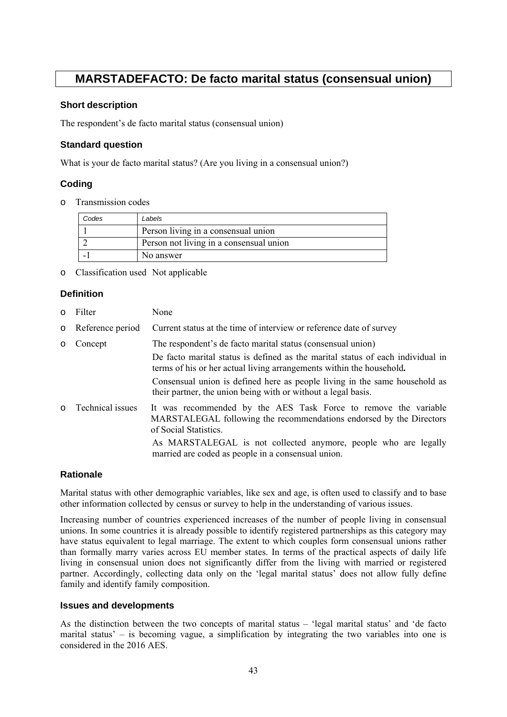# **MARSTADEFACTO: De facto marital status (consensual union)**

#### **Short description**

The respondent's de facto marital status (consensual union)

## **Standard question**

What is your de facto marital status? (Are you living in a consensual union?)

# **Coding**

o Transmission codes

| Codes | Labels                                  |
|-------|-----------------------------------------|
|       | Person living in a consensual union     |
|       | Person not living in a consensual union |
|       | No answer                               |

o Classification used Not applicable

# **Definition**

| $\circ$ | Filter           | None                                                                                                                                                            |
|---------|------------------|-----------------------------------------------------------------------------------------------------------------------------------------------------------------|
| $\circ$ | Reference period | Current status at the time of interview or reference date of survey                                                                                             |
| $\circ$ | Concept          | The respondent's de facto marital status (consensual union)                                                                                                     |
|         |                  | De facto marital status is defined as the marital status of each individual in<br>terms of his or her actual living arrangements within the household.          |
|         |                  | Consensual union is defined here as people living in the same household as<br>their partner, the union being with or without a legal basis.                     |
| $\circ$ | Technical issues | It was recommended by the AES Task Force to remove the variable<br>MARSTALEGAL following the recommendations endorsed by the Directors<br>of Social Statistics. |
|         |                  | As MARSTALEGAL is not collected anymore, people who are legally<br>married are coded as people in a consensual union.                                           |

## **Rationale**

Marital status with other demographic variables, like sex and age, is often used to classify and to base other information collected by census or survey to help in the understanding of various issues.

Increasing number of countries experienced increases of the number of people living in consensual unions. In some countries it is already possible to identify registered partnerships as this category may have status equivalent to legal marriage. The extent to which couples form consensual unions rather than formally marry varies across EU member states. In terms of the practical aspects of daily life living in consensual union does not significantly differ from the living with married or registered partner. Accordingly, collecting data only on the 'legal marital status' does not allow fully define family and identify family composition.

#### **Issues and developments**

As the distinction between the two concepts of marital status – 'legal marital status' and 'de facto marital status' – is becoming vague, a simplification by integrating the two variables into one is considered in the 2016 AES.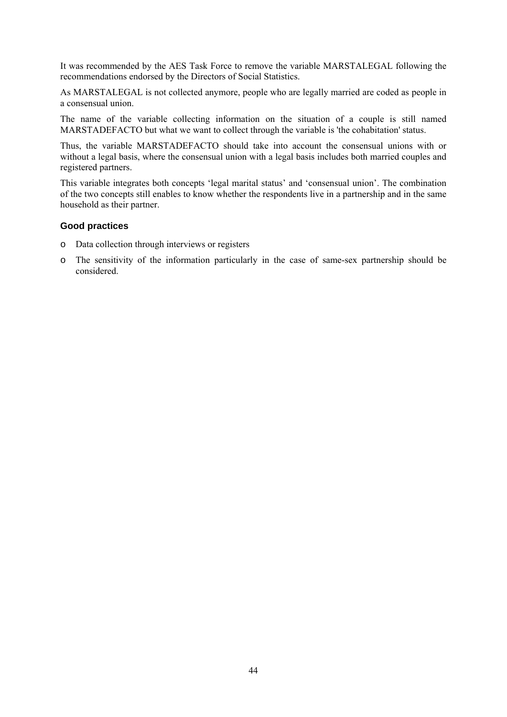It was recommended by the AES Task Force to remove the variable MARSTALEGAL following the recommendations endorsed by the Directors of Social Statistics.

As MARSTALEGAL is not collected anymore, people who are legally married are coded as people in a consensual union.

The name of the variable collecting information on the situation of a couple is still named MARSTADEFACTO but what we want to collect through the variable is 'the cohabitation' status.

Thus, the variable MARSTADEFACTO should take into account the consensual unions with or without a legal basis, where the consensual union with a legal basis includes both married couples and registered partners.

This variable integrates both concepts 'legal marital status' and 'consensual union'. The combination of the two concepts still enables to know whether the respondents live in a partnership and in the same household as their partner.

#### **Good practices**

- o Data collection through interviews or registers
- o The sensitivity of the information particularly in the case of same-sex partnership should be considered.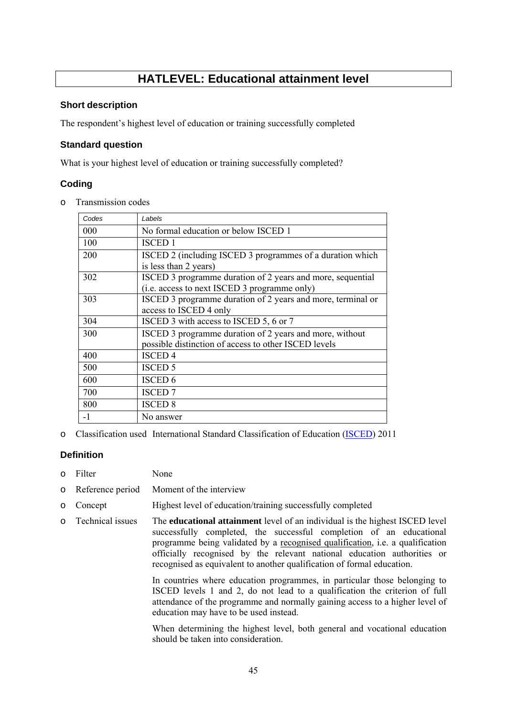# **HATLEVEL: Educational attainment level**

#### **Short description**

The respondent's highest level of education or training successfully completed

#### **Standard question**

What is your highest level of education or training successfully completed?

## **Coding**

o Transmission codes

| Codes | Labels                                                                                                          |
|-------|-----------------------------------------------------------------------------------------------------------------|
| 000   | No formal education or below ISCED 1                                                                            |
| 100   | <b>ISCED 1</b>                                                                                                  |
| 200   | ISCED 2 (including ISCED 3 programmes of a duration which<br>is less than 2 years)                              |
| 302   | ISCED 3 programme duration of 2 years and more, sequential<br>(i.e. access to next ISCED 3 programme only)      |
| 303   | ISCED 3 programme duration of 2 years and more, terminal or<br>access to ISCED 4 only                           |
| 304   | ISCED 3 with access to ISCED 5, 6 or 7                                                                          |
| 300   | ISCED 3 programme duration of 2 years and more, without<br>possible distinction of access to other ISCED levels |
| 400   | <b>ISCED 4</b>                                                                                                  |
| 500   | <b>ISCED 5</b>                                                                                                  |
| 600   | <b>ISCED 6</b>                                                                                                  |
| 700   | <b>ISCED 7</b>                                                                                                  |
| 800   | <b>ISCED 8</b>                                                                                                  |
| $-1$  | No answer                                                                                                       |

o Classification used International Standard Classification of Education [\(ISCED\)](http://ec.europa.eu/eurostat/statistics-explained/index.php/International_Standard_Classification_of_Education_(ISCED)) 2011

## **Definition**

- o Filter None
- o Reference period Moment of the interview
- o Concept Highest level of education/training successfully completed
- o Technical issues The **educational attainment** level of an individual is the highest ISCED level successfully completed, the successful completion of an educational programme being validated by a recognised qualification, i.e. a qualification officially recognised by the relevant national education authorities or recognised as equivalent to another qualification of formal education.

In countries where education programmes, in particular those belonging to ISCED levels 1 and 2, do not lead to a qualification the criterion of full attendance of the programme and normally gaining access to a higher level of education may have to be used instead.

When determining the highest level, both general and vocational education should be taken into consideration.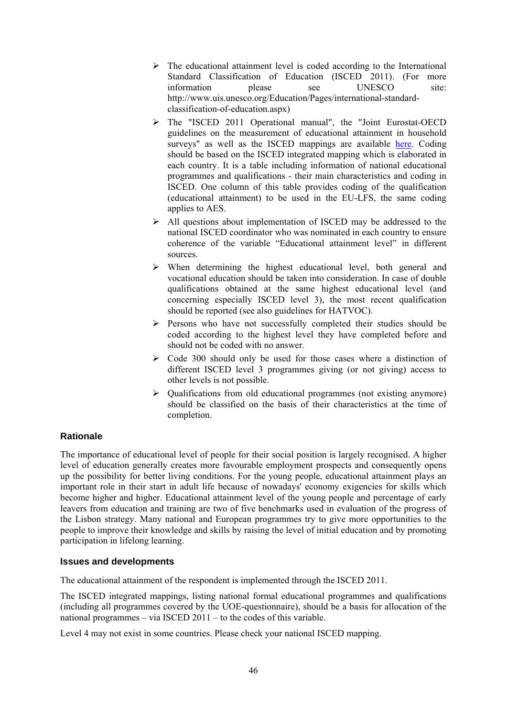- $\triangleright$  The educational attainment level is coded according to the International Standard Classification of Education (ISCED 2011). (For more information please see UNESCO site: http://www.uis.unesco.org/Education/Pages/international-standardclassification-of-education.aspx)
- ¾ The "ISCED 2011 Operational manual", the "Joint Eurostat-OECD guidelines on the measurement of educational attainment in household surveys" as well as the ISCED mappings are available [here.](https://circabc.europa.eu/w/browse/c2dc65ad-5163-4935-b0c2-e5ea1f44929b) Coding should be based on the ISCED integrated mapping which is elaborated in each country. It is a table including information of national educational programmes and qualifications - their main characteristics and coding in ISCED. One column of this table provides coding of the qualification (educational attainment) to be used in the EU-LFS, the same coding applies to AES.
- $\triangleright$  All questions about implementation of ISCED may be addressed to the national ISCED coordinator who was nominated in each country to ensure coherence of the variable "Educational attainment level" in different sources.
- $\triangleright$  When determining the highest educational level, both general and vocational education should be taken into consideration. In case of double qualifications obtained at the same highest educational level (and concerning especially ISCED level 3), the most recent qualification should be reported (see also guidelines for HATVOC).
- $\triangleright$  Persons who have not successfully completed their studies should be coded according to the highest level they have completed before and should not be coded with no answer.
- $\triangleright$  Code 300 should only be used for those cases where a distinction of different ISCED level 3 programmes giving (or not giving) access to other levels is not possible.
- ¾ Qualifications from old educational programmes (not existing anymore) should be classified on the basis of their characteristics at the time of completion.

# **Rationale**

The importance of educational level of people for their social position is largely recognised. A higher level of education generally creates more favourable employment prospects and consequently opens up the possibility for better living conditions. For the young people, educational attainment plays an important role in their start in adult life because of nowadays' economy exigencies for skills which become higher and higher. Educational attainment level of the young people and percentage of early leavers from education and training are two of five benchmarks used in evaluation of the progress of the Lisbon strategy. Many national and European programmes try to give more opportunities to the people to improve their knowledge and skills by raising the level of initial education and by promoting participation in lifelong learning.

## **Issues and developments**

The educational attainment of the respondent is implemented through the ISCED 2011.

The ISCED integrated mappings, listing national formal educational programmes and qualifications (including all programmes covered by the UOE-questionnaire), should be a basis for allocation of the national programmes – via ISCED 2011 – to the codes of this variable.

Level 4 may not exist in some countries. Please check your national ISCED mapping.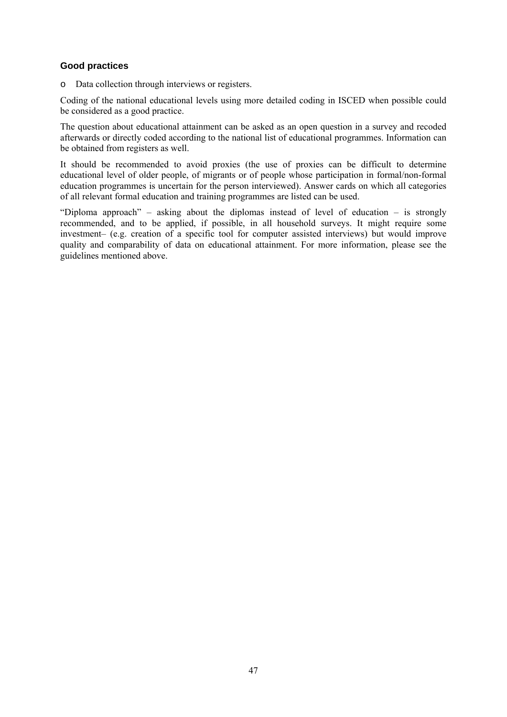# **Good practices**

o Data collection through interviews or registers.

Coding of the national educational levels using more detailed coding in ISCED when possible could be considered as a good practice.

The question about educational attainment can be asked as an open question in a survey and recoded afterwards or directly coded according to the national list of educational programmes. Information can be obtained from registers as well.

It should be recommended to avoid proxies (the use of proxies can be difficult to determine educational level of older people, of migrants or of people whose participation in formal/non-formal education programmes is uncertain for the person interviewed). Answer cards on which all categories of all relevant formal education and training programmes are listed can be used.

"Diploma approach" – asking about the diplomas instead of level of education – is strongly recommended, and to be applied, if possible, in all household surveys. It might require some investment– (e.g. creation of a specific tool for computer assisted interviews) but would improve quality and comparability of data on educational attainment. For more information, please see the guidelines mentioned above.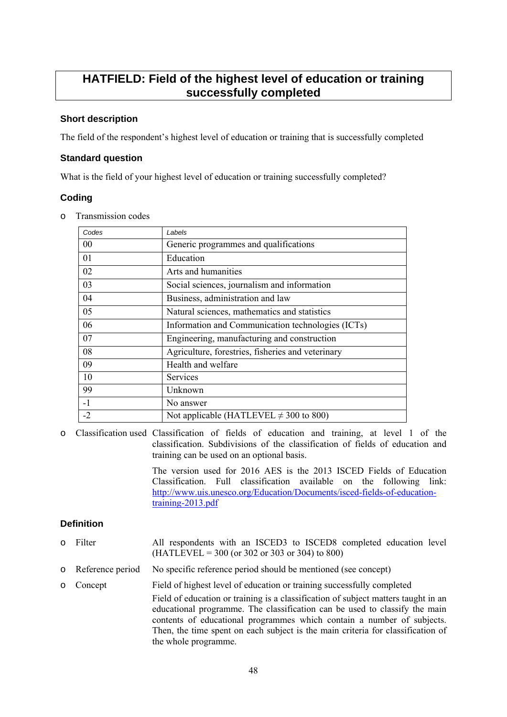# **HATFIELD: Field of the highest level of education or training successfully completed**

# **Short description**

The field of the respondent's highest level of education or training that is successfully completed

#### **Standard question**

What is the field of your highest level of education or training successfully completed?

## **Coding**

o Transmission codes

| Labels                                            |
|---------------------------------------------------|
| Generic programmes and qualifications             |
| Education                                         |
| Arts and humanities                               |
| Social sciences, journalism and information       |
| Business, administration and law                  |
| Natural sciences, mathematics and statistics      |
| Information and Communication technologies (ICTs) |
| Engineering, manufacturing and construction       |
| Agriculture, forestries, fisheries and veterinary |
| Health and welfare                                |
| Services                                          |
| Unknown                                           |
| No answer                                         |
| Not applicable (HATLEVEL $\neq$ 300 to 800)       |
|                                                   |

o Classification used Classification of fields of education and training, at level 1 of the classification. Subdivisions of the classification of fields of education and training can be used on an optional basis.

> The version used for 2016 AES is the 2013 ISCED Fields of Education Classification. Full classification available on the following link: [http://www.uis.unesco.org/Education/Documents/isced-fields-of-education](http://www.uis.unesco.org/Education/Documents/isced-fields-of-education-training-2013.pdf)[training-2013.pdf](http://www.uis.unesco.org/Education/Documents/isced-fields-of-education-training-2013.pdf)

## **Definition**

- o Filter All respondents with an ISCED3 to ISCED8 completed education level  $(HATLEVEL = 300$  (or 302 or 303 or 304) to 800)
- o Reference period No specific reference period should be mentioned (see concept)
- o Concept Field of highest level of education or training successfully completed Field of education or training is a classification of subject matters taught in an educational programme. The classification can be used to classify the main contents of educational programmes which contain a number of subjects. Then, the time spent on each subject is the main criteria for classification of the whole programme.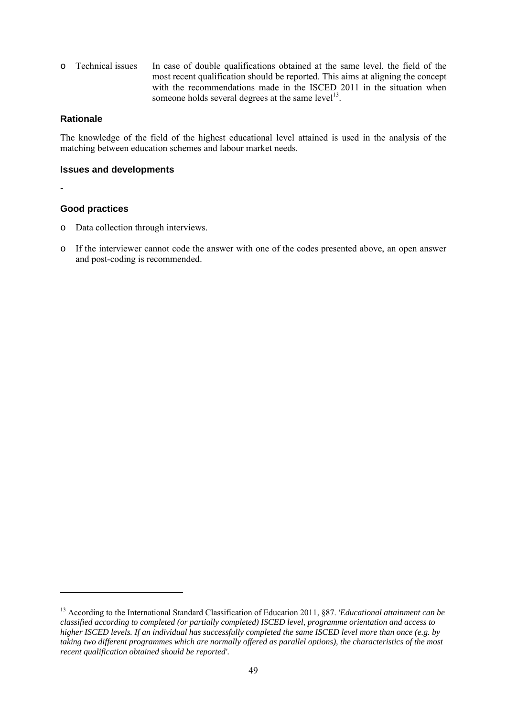o Technical issues In case of double qualifications obtained at the same level, the field of the most recent qualification should be reported. This aims at aligning the concept with the recommendations made in the ISCED 2011 in the situation when someone holds several degrees at the same level<sup>13</sup>.

#### **Rationale**

The knowledge of the field of the highest educational level attained is used in the analysis of the matching between education schemes and labour market needs.

#### **Issues and developments**

-

1

## **Good practices**

- o Data collection through interviews.
- o If the interviewer cannot code the answer with one of the codes presented above, an open answer and post-coding is recommended.

<sup>13</sup> According to the International Standard Classification of Education 2011, §87. *'Educational attainment can be classified according to completed (or partially completed) ISCED level, programme orientation and access to higher ISCED levels. If an individual has successfully completed the same ISCED level more than once (e.g. by taking two different programmes which are normally offered as parallel options), the characteristics of the most recent qualification obtained should be reported'.*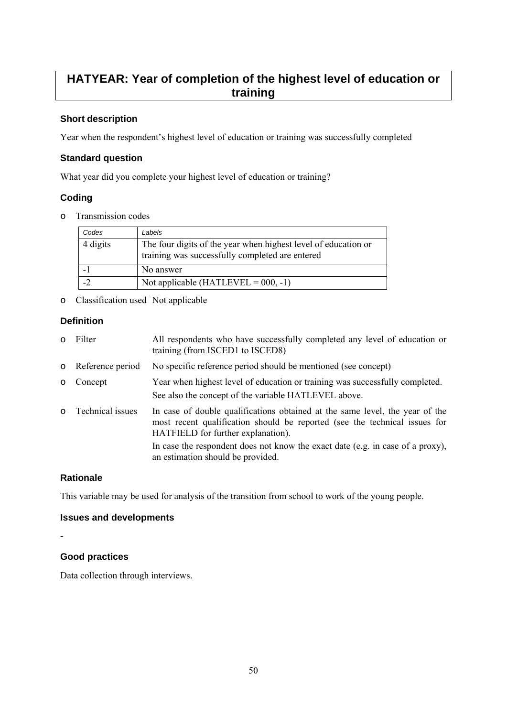# **HATYEAR: Year of completion of the highest level of education or training**

# **Short description**

Year when the respondent's highest level of education or training was successfully completed

# **Standard question**

What year did you complete your highest level of education or training?

# **Coding**

o Transmission codes

| Codes    | Labels                                                                                                            |
|----------|-------------------------------------------------------------------------------------------------------------------|
| 4 digits | The four digits of the year when highest level of education or<br>training was successfully completed are entered |
|          | No answer                                                                                                         |
|          | Not applicable (HATLEVEL = $000, -1$ )                                                                            |

o Classification used Not applicable

# **Definition**

o Filter All respondents who have successfully completed any level of education or training (from ISCED1 to ISCED8) o Reference period No specific reference period should be mentioned (see concept) o Concept Year when highest level of education or training was successfully completed. See also the concept of the variable HATLEVEL above. o Technical issues In case of double qualifications obtained at the same level, the year of the most recent qualification should be reported (see the technical issues for HATFIELD for further explanation). In case the respondent does not know the exact date (e.g. in case of a proxy), an estimation should be provided.

## **Rationale**

This variable may be used for analysis of the transition from school to work of the young people.

## **Issues and developments**

-

# **Good practices**

Data collection through interviews.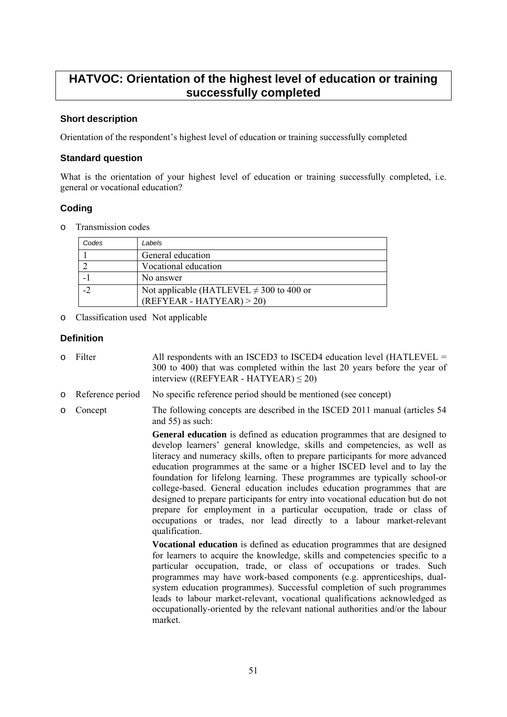# **HATVOC: Orientation of the highest level of education or training successfully completed**

## **Short description**

Orientation of the respondent's highest level of education or training successfully completed

## **Standard question**

What is the orientation of your highest level of education or training successfully completed, i.e. general or vocational education?

# **Coding**

o Transmission codes

| Codes | Labels                                                                      |
|-------|-----------------------------------------------------------------------------|
|       | General education                                                           |
|       | Vocational education                                                        |
|       | No answer                                                                   |
|       | Not applicable (HATLEVEL $\neq$ 300 to 400 or<br>$(REFYEAR - HATYEAR) > 20$ |
|       |                                                                             |

o Classification used Not applicable

# **Definition**

- o Filter All respondents with an ISCED3 to ISCED4 education level (HATLEVEL = 300 to 400) that was completed within the last 20 years before the year of interview (( $REFYEAR - HATYEAR$ )  $\leq$  20)
- o Reference period No specific reference period should be mentioned (see concept)
- o Concept The following concepts are described in the ISCED 2011 manual (articles 54 and 55) as such:

**General education** is defined as education programmes that are designed to develop learners' general knowledge, skills and competencies, as well as literacy and numeracy skills, often to prepare participants for more advanced education programmes at the same or a higher ISCED level and to lay the foundation for lifelong learning. These programmes are typically school-or college-based. General education includes education programmes that are designed to prepare participants for entry into vocational education but do not prepare for employment in a particular occupation, trade or class of occupations or trades, nor lead directly to a labour market-relevant qualification.

**Vocational education** is defined as education programmes that are designed for learners to acquire the knowledge, skills and competencies specific to a particular occupation, trade, or class of occupations or trades. Such programmes may have work-based components (e.g. apprenticeships, dualsystem education programmes). Successful completion of such programmes leads to labour market-relevant, vocational qualifications acknowledged as occupationally-oriented by the relevant national authorities and/or the labour market.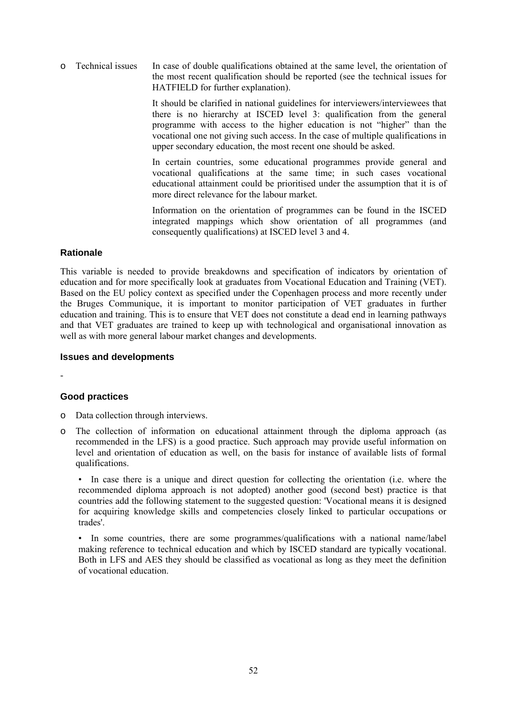o Technical issues In case of double qualifications obtained at the same level, the orientation of the most recent qualification should be reported (see the technical issues for HATFIELD for further explanation).

> It should be clarified in national guidelines for interviewers/interviewees that there is no hierarchy at ISCED level 3: qualification from the general programme with access to the higher education is not "higher" than the vocational one not giving such access. In the case of multiple qualifications in upper secondary education, the most recent one should be asked.

> In certain countries, some educational programmes provide general and vocational qualifications at the same time; in such cases vocational educational attainment could be prioritised under the assumption that it is of more direct relevance for the labour market.

> Information on the orientation of programmes can be found in the ISCED integrated mappings which show orientation of all programmes (and consequently qualifications) at ISCED level 3 and 4.

#### **Rationale**

This variable is needed to provide breakdowns and specification of indicators by orientation of education and for more specifically look at graduates from Vocational Education and Training (VET). Based on the EU policy context as specified under the Copenhagen process and more recently under the Bruges Communique, it is important to monitor participation of VET graduates in further education and training. This is to ensure that VET does not constitute a dead end in learning pathways and that VET graduates are trained to keep up with technological and organisational innovation as well as with more general labour market changes and developments.

#### **Issues and developments**

-

## **Good practices**

- o Data collection through interviews.
- o The collection of information on educational attainment through the diploma approach (as recommended in the LFS) is a good practice. Such approach may provide useful information on level and orientation of education as well, on the basis for instance of available lists of formal qualifications.

• In case there is a unique and direct question for collecting the orientation (i.e. where the recommended diploma approach is not adopted) another good (second best) practice is that countries add the following statement to the suggested question: 'Vocational means it is designed for acquiring knowledge skills and competencies closely linked to particular occupations or trades'.

• In some countries, there are some programmes/qualifications with a national name/label making reference to technical education and which by ISCED standard are typically vocational. Both in LFS and AES they should be classified as vocational as long as they meet the definition of vocational education.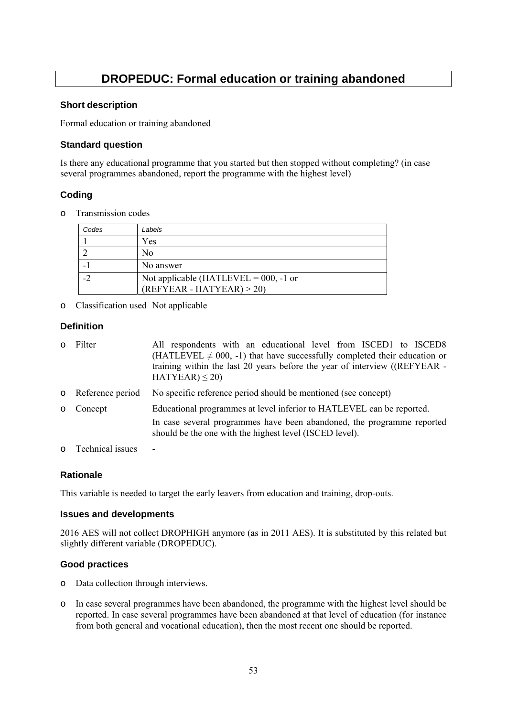# **DROPEDUC: Formal education or training abandoned**

#### **Short description**

Formal education or training abandoned

#### **Standard question**

Is there any educational programme that you started but then stopped without completing? (in case several programmes abandoned, report the programme with the highest level)

# **Coding**

o Transmission codes

| Codes                    | Labels                                                                 |
|--------------------------|------------------------------------------------------------------------|
|                          | Yes                                                                    |
|                          | No                                                                     |
|                          | No answer                                                              |
| $\overline{\phantom{a}}$ | Not applicable (HATLEVEL = $000$ , -1 or<br>$(REFYEAR - HATYEAR) > 20$ |

o Classification used Not applicable

## **Definition**

| $\Omega$ | Filter             | All respondents with an educational level from ISCED1 to ISCED8<br>(HATLEVEL $\neq$ 000, -1) that have successfully completed their education or<br>training within the last 20 years before the year of interview ((REFYEAR -<br>$HATYEAR$ ) $\leq$ 20) |
|----------|--------------------|----------------------------------------------------------------------------------------------------------------------------------------------------------------------------------------------------------------------------------------------------------|
|          | o Reference period | No specific reference period should be mentioned (see concept)                                                                                                                                                                                           |
| $\circ$  | Concept            | Educational programmes at level inferior to HATLEVEL can be reported.                                                                                                                                                                                    |
|          |                    | In case several programmes have been abandoned, the programme reported<br>should be the one with the highest level (ISCED level).                                                                                                                        |
|          | o Technical issues |                                                                                                                                                                                                                                                          |

## **Rationale**

This variable is needed to target the early leavers from education and training, drop-outs.

## **Issues and developments**

2016 AES will not collect DROPHIGH anymore (as in 2011 AES). It is substituted by this related but slightly different variable (DROPEDUC).

## **Good practices**

- o Data collection through interviews.
- o In case several programmes have been abandoned, the programme with the highest level should be reported. In case several programmes have been abandoned at that level of education (for instance from both general and vocational education), then the most recent one should be reported.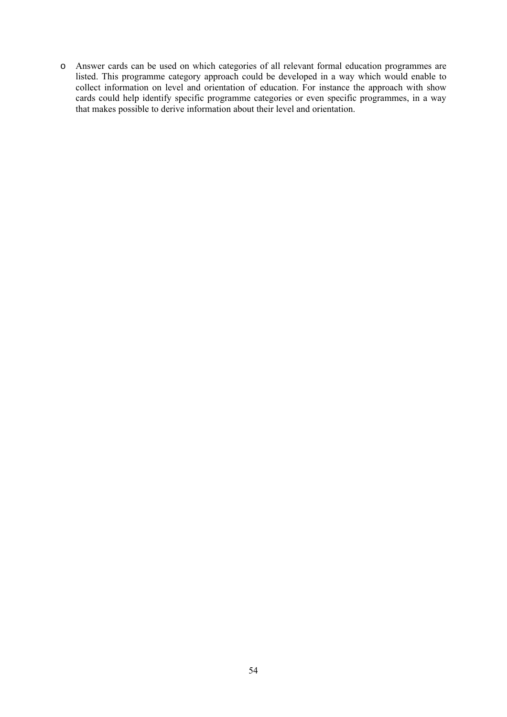o Answer cards can be used on which categories of all relevant formal education programmes are listed. This programme category approach could be developed in a way which would enable to collect information on level and orientation of education. For instance the approach with show cards could help identify specific programme categories or even specific programmes, in a way that makes possible to derive information about their level and orientation.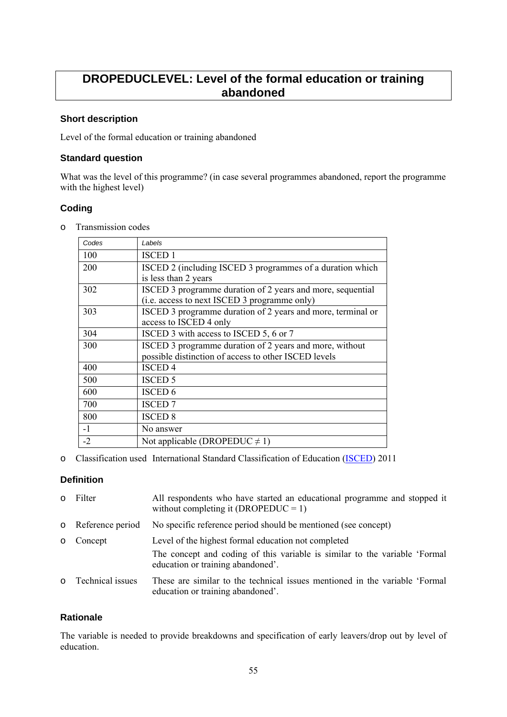# **DROPEDUCLEVEL: Level of the formal education or training abandoned**

## **Short description**

Level of the formal education or training abandoned

#### **Standard question**

What was the level of this programme? (in case several programmes abandoned, report the programme with the highest level)

## **Coding**

o Transmission codes

| Codes | Labels                                                      |
|-------|-------------------------------------------------------------|
| 100   | <b>ISCED 1</b>                                              |
| 200   | ISCED 2 (including ISCED 3 programmes of a duration which   |
|       | is less than 2 years                                        |
| 302   | ISCED 3 programme duration of 2 years and more, sequential  |
|       | (i.e. access to next ISCED 3 programme only)                |
| 303   | ISCED 3 programme duration of 2 years and more, terminal or |
|       | access to ISCED 4 only                                      |
| 304   | ISCED 3 with access to ISCED 5, 6 or 7                      |
| 300   | ISCED 3 programme duration of 2 years and more, without     |
|       | possible distinction of access to other ISCED levels        |
| 400   | <b>ISCED4</b>                                               |
| 500   | <b>ISCED 5</b>                                              |
| 600   | <b>ISCED 6</b>                                              |
| 700   | <b>ISCED 7</b>                                              |
| 800   | <b>ISCED 8</b>                                              |
| $-1$  | No answer                                                   |
| $-2$  | Not applicable (DROPEDUC $\neq$ 1)                          |

o Classification used International Standard Classification of Education [\(ISCED\)](http://ec.europa.eu/eurostat/statistics-explained/index.php/International_Standard_Classification_of_Education_(ISCED)) 2011

## **Definition**

|         | o Filter           | All respondents who have started an educational programme and stopped it<br>without completing it (DROPEDUC = 1) |
|---------|--------------------|------------------------------------------------------------------------------------------------------------------|
|         | o Reference period | No specific reference period should be mentioned (see concept)                                                   |
| $\circ$ | Concept            | Level of the highest formal education not completed                                                              |
|         |                    | The concept and coding of this variable is similar to the variable 'Formal<br>education or training abandoned'.  |
|         | o Technical issues | These are similar to the technical issues mentioned in the variable 'Formal<br>education or training abandoned'. |

## **Rationale**

The variable is needed to provide breakdowns and specification of early leavers/drop out by level of education.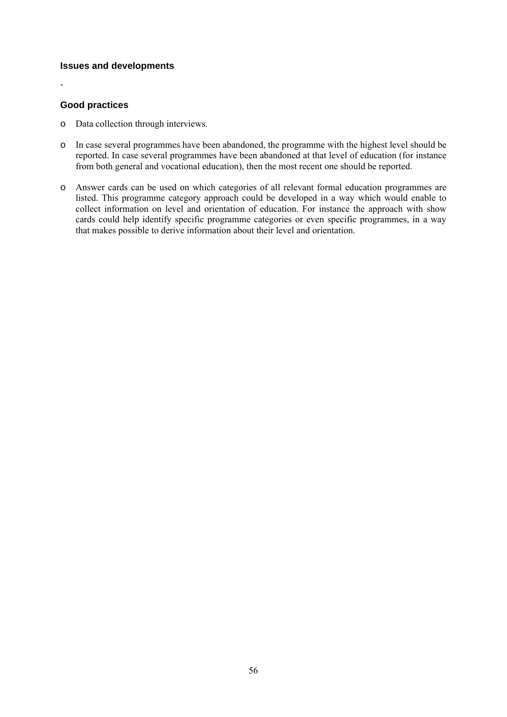## **Issues and developments**

#### **Good practices**

-

- o Data collection through interviews.
- o In case several programmes have been abandoned, the programme with the highest level should be reported. In case several programmes have been abandoned at that level of education (for instance from both general and vocational education), then the most recent one should be reported.
- o Answer cards can be used on which categories of all relevant formal education programmes are listed. This programme category approach could be developed in a way which would enable to collect information on level and orientation of education. For instance the approach with show cards could help identify specific programme categories or even specific programmes, in a way that makes possible to derive information about their level and orientation.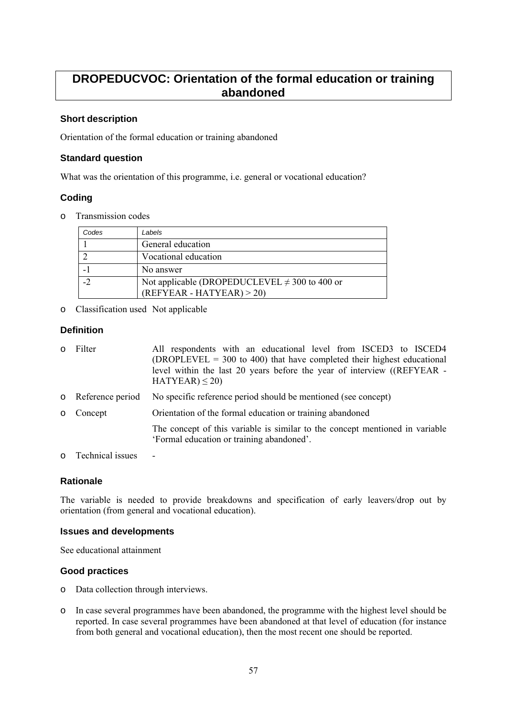# **DROPEDUCVOC: Orientation of the formal education or training abandoned**

# **Short description**

Orientation of the formal education or training abandoned

## **Standard question**

What was the orientation of this programme, i.e. general or vocational education?

# **Coding**

o Transmission codes

| Codes | Labels                                                                           |
|-------|----------------------------------------------------------------------------------|
|       | General education                                                                |
|       | Vocational education                                                             |
|       | No answer                                                                        |
| $-2$  | Not applicable (DROPEDUCLEVEL $\neq$ 300 to 400 or<br>$(REFYEAR - HATYEAR) > 20$ |

o Classification used Not applicable

## **Definition**

| $\circ$ | Filter             | All respondents with an educational level from ISCED3 to ISCED4<br>$(DROPLEVEL = 300$ to 400) that have completed their highest educational<br>level within the last 20 years before the year of interview ((REFYEAR -<br>$HATYEAR$ ) $\leq$ 20) |
|---------|--------------------|--------------------------------------------------------------------------------------------------------------------------------------------------------------------------------------------------------------------------------------------------|
|         | o Reference period | No specific reference period should be mentioned (see concept)                                                                                                                                                                                   |
| $\circ$ | Concept            | Orientation of the formal education or training abandoned                                                                                                                                                                                        |
|         |                    | The concept of this variable is similar to the concept mentioned in variable<br>'Formal education or training abandoned'.                                                                                                                        |
|         |                    |                                                                                                                                                                                                                                                  |

o Technical issues -

# **Rationale**

The variable is needed to provide breakdowns and specification of early leavers/drop out by orientation (from general and vocational education).

## **Issues and developments**

See educational attainment

## **Good practices**

- o Data collection through interviews.
- o In case several programmes have been abandoned, the programme with the highest level should be reported. In case several programmes have been abandoned at that level of education (for instance from both general and vocational education), then the most recent one should be reported.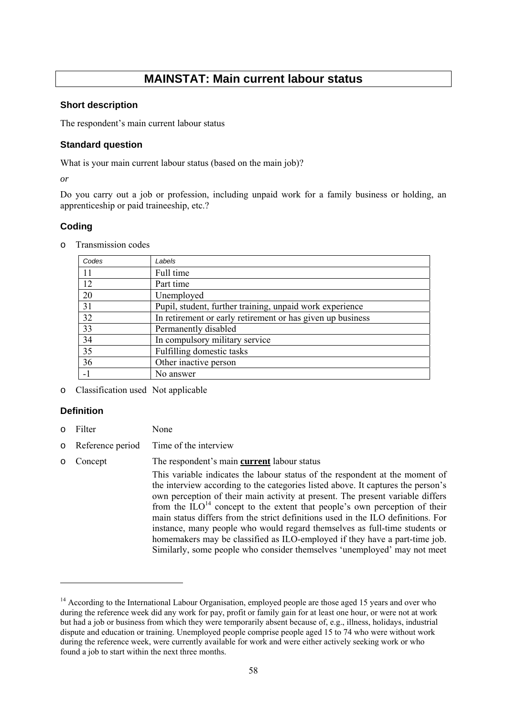# **MAINSTAT: Main current labour status**

#### **Short description**

The respondent's main current labour status

#### **Standard question**

What is your main current labour status (based on the main job)?

*or* 

Do you carry out a job or profession, including unpaid work for a family business or holding, an apprenticeship or paid traineeship, etc.?

## **Coding**

| $\circ$ | Transmission codes |  |
|---------|--------------------|--|
|         |                    |  |

| Codes | Labels                                                     |
|-------|------------------------------------------------------------|
| 11    | Full time                                                  |
| 12    | Part time                                                  |
| 20    | Unemployed                                                 |
| 31    | Pupil, student, further training, unpaid work experience   |
| 32    | In retirement or early retirement or has given up business |
| 33    | Permanently disabled                                       |
| 34    | In compulsory military service                             |
| 35    | Fulfilling domestic tasks                                  |
| 36    | Other inactive person                                      |
|       | No answer                                                  |

o Classification used Not applicable

## **Definition**

1

- o Filter None
- o Reference period Time of the interview
- o Concept The respondent's main **current** labour status

This variable indicates the labour status of the respondent at the moment of the interview according to the categories listed above. It captures the person's own perception of their main activity at present. The present variable differs from the  $1LO$ <sup>14</sup> concept to the extent that people's own perception of their main status differs from the strict definitions used in the ILO definitions. For instance, many people who would regard themselves as full-time students or homemakers may be classified as ILO-employed if they have a part-time job. Similarly, some people who consider themselves 'unemployed' may not meet

<sup>&</sup>lt;sup>14</sup> According to the International Labour Organisation, employed people are those aged 15 years and over who during the reference week did any work for pay, profit or family gain for at least one hour, or were not at work but had a job or business from which they were temporarily absent because of, e.g., illness, holidays, industrial dispute and education or training. Unemployed people comprise people aged 15 to 74 who were without work during the reference week, were currently available for work and were either actively seeking work or who found a job to start within the next three months.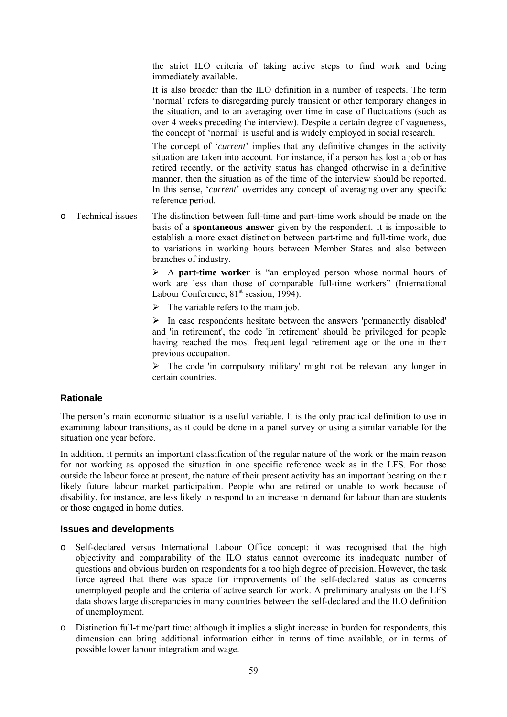the strict ILO criteria of taking active steps to find work and being immediately available.

It is also broader than the ILO definition in a number of respects. The term 'normal' refers to disregarding purely transient or other temporary changes in the situation, and to an averaging over time in case of fluctuations (such as over 4 weeks preceding the interview). Despite a certain degree of vagueness, the concept of 'normal' is useful and is widely employed in social research.

The concept of '*current*' implies that any definitive changes in the activity situation are taken into account. For instance, if a person has lost a job or has retired recently, or the activity status has changed otherwise in a definitive manner, then the situation as of the time of the interview should be reported. In this sense, '*current*' overrides any concept of averaging over any specific reference period.

o Technical issues The distinction between full-time and part-time work should be made on the basis of a **spontaneous answer** given by the respondent. It is impossible to establish a more exact distinction between part-time and full-time work, due to variations in working hours between Member States and also between branches of industry.

> ¾ A **part-time worker** is "an employed person whose normal hours of work are less than those of comparable full-time workers" (International Labour Conference,  $81<sup>st</sup>$  session, 1994).

 $\triangleright$  The variable refers to the main job.

 $\triangleright$  In case respondents hesitate between the answers 'permanently disabled' and 'in retirement', the code 'in retirement' should be privileged for people having reached the most frequent legal retirement age or the one in their previous occupation.

 $\triangleright$  The code 'in compulsory military' might not be relevant any longer in certain countries.

## **Rationale**

The person's main economic situation is a useful variable. It is the only practical definition to use in examining labour transitions, as it could be done in a panel survey or using a similar variable for the situation one year before.

In addition, it permits an important classification of the regular nature of the work or the main reason for not working as opposed the situation in one specific reference week as in the LFS. For those outside the labour force at present, the nature of their present activity has an important bearing on their likely future labour market participation. People who are retired or unable to work because of disability, for instance, are less likely to respond to an increase in demand for labour than are students or those engaged in home duties.

## **Issues and developments**

- o Self-declared versus International Labour Office concept: it was recognised that the high objectivity and comparability of the ILO status cannot overcome its inadequate number of questions and obvious burden on respondents for a too high degree of precision. However, the task force agreed that there was space for improvements of the self-declared status as concerns unemployed people and the criteria of active search for work. A preliminary analysis on the LFS data shows large discrepancies in many countries between the self-declared and the ILO definition of unemployment.
- o Distinction full-time/part time: although it implies a slight increase in burden for respondents, this dimension can bring additional information either in terms of time available, or in terms of possible lower labour integration and wage.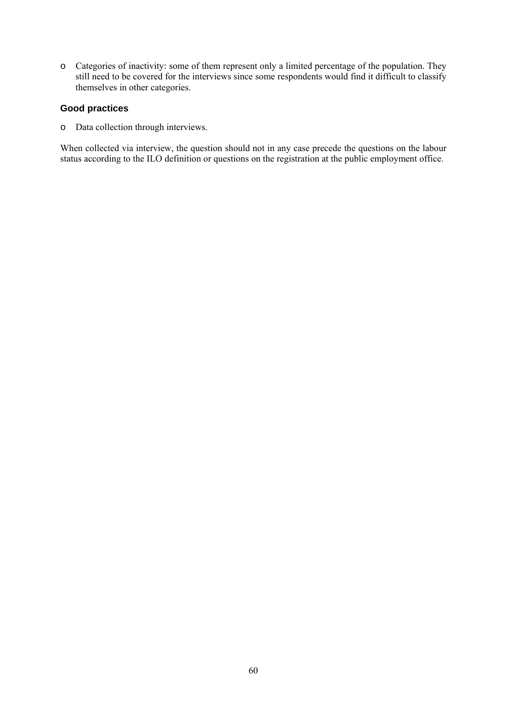o Categories of inactivity: some of them represent only a limited percentage of the population. They still need to be covered for the interviews since some respondents would find it difficult to classify themselves in other categories.

#### **Good practices**

o Data collection through interviews.

When collected via interview, the question should not in any case precede the questions on the labour status according to the ILO definition or questions on the registration at the public employment office.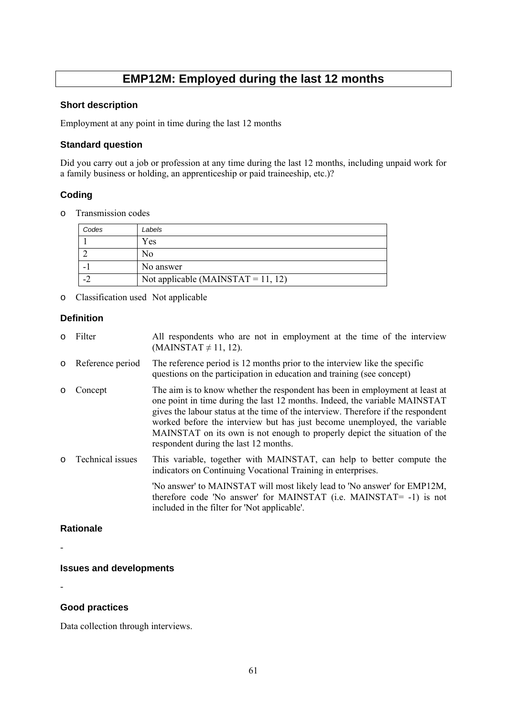# **EMP12M: Employed during the last 12 months**

#### **Short description**

Employment at any point in time during the last 12 months

#### **Standard question**

Did you carry out a job or profession at any time during the last 12 months, including unpaid work for a family business or holding, an apprenticeship or paid traineeship, etc.)?

# **Coding**

o Transmission codes

| Codes | Labels                             |
|-------|------------------------------------|
|       | Yes                                |
|       | No                                 |
|       | No answer                          |
|       | Not applicable (MAINSTAT = 11, 12) |

o Classification used Not applicable

## **Definition**

- o Filter All respondents who are not in employment at the time of the interview  $(MAINSTAT \neq 11, 12)$ .
- o Reference period The reference period is 12 months prior to the interview like the specific questions on the participation in education and training (see concept)
- o Concept The aim is to know whether the respondent has been in employment at least at one point in time during the last 12 months. Indeed, the variable MAINSTAT gives the labour status at the time of the interview. Therefore if the respondent worked before the interview but has just become unemployed, the variable MAINSTAT on its own is not enough to properly depict the situation of the respondent during the last 12 months.
- o Technical issues This variable, together with MAINSTAT, can help to better compute the indicators on Continuing Vocational Training in enterprises.

'No answer' to MAINSTAT will most likely lead to 'No answer' for EMP12M, therefore code 'No answer' for MAINSTAT (i.e. MAINSTAT= -1) is not included in the filter for 'Not applicable'.

## **Rationale**

-

#### **Issues and developments**

-

## **Good practices**

Data collection through interviews.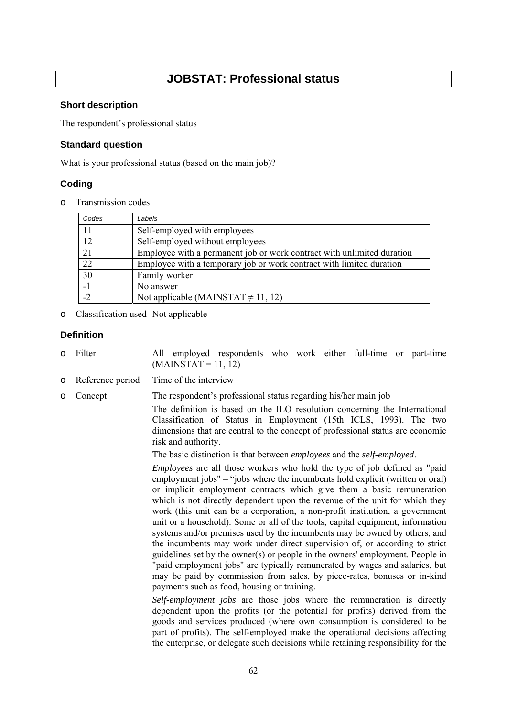# **JOBSTAT: Professional status**

#### **Short description**

The respondent's professional status

#### **Standard question**

What is your professional status (based on the main job)?

## **Coding**

o Transmission codes

| Codes | Labels                                                                 |
|-------|------------------------------------------------------------------------|
| 11    | Self-employed with employees                                           |
| 12    | Self-employed without employees                                        |
| 21    | Employee with a permanent job or work contract with unlimited duration |
| 22    | Employee with a temporary job or work contract with limited duration   |
| 30    | Family worker                                                          |
| $-1$  | No answer                                                              |
| $-2$  | Not applicable (MAINSTAT $\neq$ 11, 12)                                |

o Classification used Not applicable

## **Definition**

- o Filter All employed respondents who work either full-time or part-time  $(MAINSTAT = 11, 12)$
- o Reference period Time of the interview

o Concept The respondent's professional status regarding his/her main job

The definition is based on the ILO resolution concerning the International Classification of Status in Employment (15th ICLS, 1993). The two dimensions that are central to the concept of professional status are economic risk and authority.

The basic distinction is that between *employees* and the *self-employed*.

*Employees* are all those workers who hold the type of job defined as "paid employment jobs" – "jobs where the incumbents hold explicit (written or oral) or implicit employment contracts which give them a basic remuneration which is not directly dependent upon the revenue of the unit for which they work (this unit can be a corporation, a non-profit institution, a government unit or a household). Some or all of the tools, capital equipment, information systems and/or premises used by the incumbents may be owned by others, and the incumbents may work under direct supervision of, or according to strict guidelines set by the owner(s) or people in the owners' employment. People in "paid employment jobs" are typically remunerated by wages and salaries, but may be paid by commission from sales, by piece-rates, bonuses or in-kind payments such as food, housing or training.

*Self-employment jobs* are those jobs where the remuneration is directly dependent upon the profits (or the potential for profits) derived from the goods and services produced (where own consumption is considered to be part of profits). The self-employed make the operational decisions affecting the enterprise, or delegate such decisions while retaining responsibility for the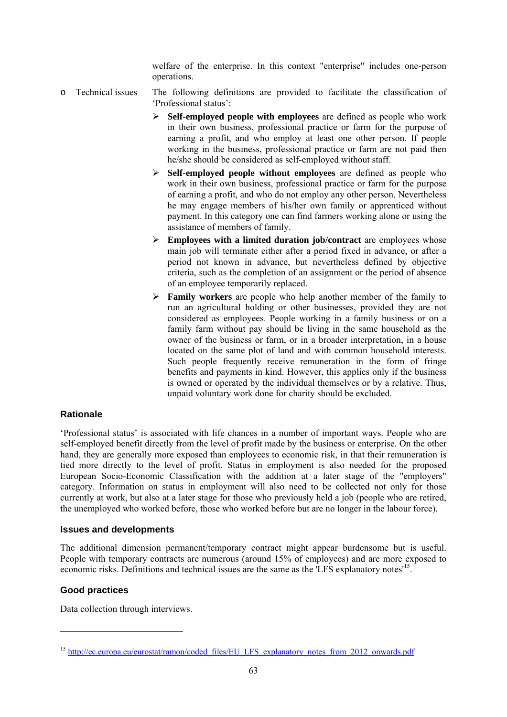welfare of the enterprise. In this context "enterprise" includes one-person operations.

- o Technical issues The following definitions are provided to facilitate the classification of 'Professional status':
	- ¾ **Self-employed people with employees** are defined as people who work in their own business, professional practice or farm for the purpose of earning a profit, and who employ at least one other person. If people working in the business, professional practice or farm are not paid then he/she should be considered as self-employed without staff.
	- ¾ **Self-employed people without employees** are defined as people who work in their own business, professional practice or farm for the purpose of earning a profit, and who do not employ any other person. Nevertheless he may engage members of his/her own family or apprenticed without payment. In this category one can find farmers working alone or using the assistance of members of family.
	- ¾ **Employees with a limited duration job/contract** are employees whose main job will terminate either after a period fixed in advance, or after a period not known in advance, but nevertheless defined by objective criteria, such as the completion of an assignment or the period of absence of an employee temporarily replaced.
	- ¾ **Family workers** are people who help another member of the family to run an agricultural holding or other businesses, provided they are not considered as employees. People working in a family business or on a family farm without pay should be living in the same household as the owner of the business or farm, or in a broader interpretation, in a house located on the same plot of land and with common household interests. Such people frequently receive remuneration in the form of fringe benefits and payments in kind. However, this applies only if the business is owned or operated by the individual themselves or by a relative. Thus, unpaid voluntary work done for charity should be excluded.

## **Rationale**

'Professional status' is associated with life chances in a number of important ways. People who are self-employed benefit directly from the level of profit made by the business or enterprise. On the other hand, they are generally more exposed than employees to economic risk, in that their remuneration is tied more directly to the level of profit. Status in employment is also needed for the proposed European Socio-Economic Classification with the addition at a later stage of the "employers" category. Information on status in employment will also need to be collected not only for those currently at work, but also at a later stage for those who previously held a job (people who are retired, the unemployed who worked before, those who worked before but are no longer in the labour force).

#### **Issues and developments**

The additional dimension permanent/temporary contract might appear burdensome but is useful. People with temporary contracts are numerous (around 15% of employees) and are more exposed to economic risks. Definitions and technical issues are the same as the 'LFS explanatory notes'15.

## **Good practices**

-

Data collection through interviews.

<sup>&</sup>lt;sup>15</sup> [http://ec.europa.eu/eurostat/ramon/coded\\_files/EU\\_LFS\\_explanatory\\_notes\\_from\\_2012\\_onwards.p](http://ec.europa.eu/eurostat/ramon/coded_files/EU_LFS_explanatory_notes_from_2012_onwards.pdf)df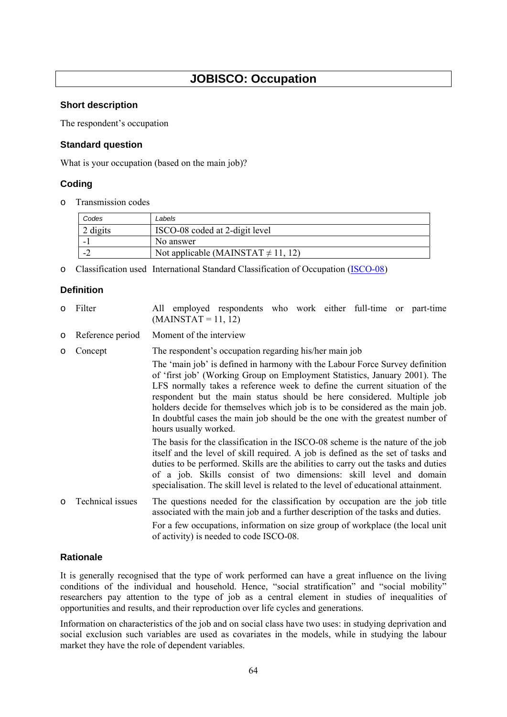# **JOBISCO: Occupation**

#### **Short description**

The respondent's occupation

#### **Standard question**

What is your occupation (based on the main job)?

## **Coding**

o Transmission codes

| Codes    | Labels                                  |
|----------|-----------------------------------------|
| 2 digits | ISCO-08 coded at 2-digit level          |
|          | No answer                               |
| . .      | Not applicable (MAINSTAT $\neq$ 11, 12) |

o Classification used International Standard Classification of Occupation [\(ISCO-08\)](http://www.ilo.org/public/english/bureau/stat/isco/isco08/index.htm) 

#### **Definition**

- o Filter All employed respondents who work either full-time or part-time  $(MAINSTAT = 11, 12)$
- o Reference period Moment of the interview
- o Concept The respondent's occupation regarding his/her main job The 'main job' is defined in harmony with the Labour Force Survey definition of 'first job' (Working Group on Employment Statistics, January 2001). The LFS normally takes a reference week to define the current situation of the respondent but the main status should be here considered. Multiple job holders decide for themselves which job is to be considered as the main job. In doubtful cases the main job should be the one with the greatest number of hours usually worked. The basis for the classification in the ISCO-08 scheme is the nature of the job itself and the level of skill required. A job is defined as the set of tasks and duties to be performed. Skills are the abilities to carry out the tasks and duties of a job. Skills consist of two dimensions: skill level and domain specialisation. The skill level is related to the level of educational attainment. o Technical issues The questions needed for the classification by occupation are the job title associated with the main job and a further description of the tasks and duties. For a few occupations, information on size group of workplace (the local unit of activity) is needed to code ISCO-08.

#### **Rationale**

It is generally recognised that the type of work performed can have a great influence on the living conditions of the individual and household. Hence, "social stratification" and "social mobility" researchers pay attention to the type of job as a central element in studies of inequalities of opportunities and results, and their reproduction over life cycles and generations.

Information on characteristics of the job and on social class have two uses: in studying deprivation and social exclusion such variables are used as covariates in the models, while in studying the labour market they have the role of dependent variables.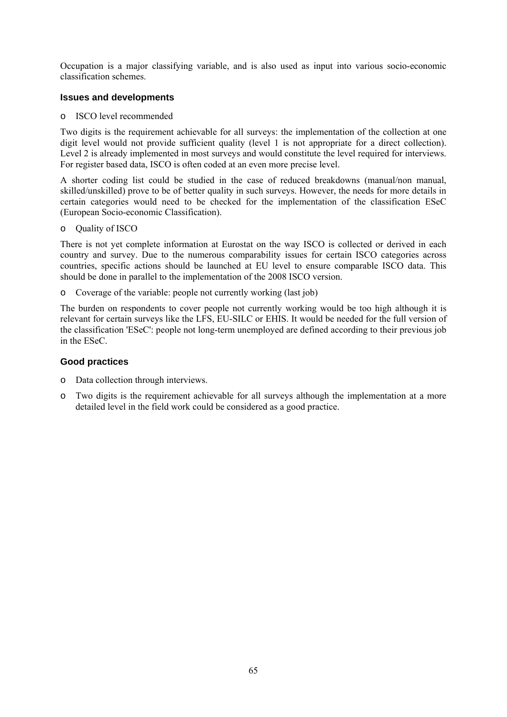Occupation is a major classifying variable, and is also used as input into various socio-economic classification schemes.

#### **Issues and developments**

o ISCO level recommended

Two digits is the requirement achievable for all surveys: the implementation of the collection at one digit level would not provide sufficient quality (level 1 is not appropriate for a direct collection). Level 2 is already implemented in most surveys and would constitute the level required for interviews. For register based data, ISCO is often coded at an even more precise level.

A shorter coding list could be studied in the case of reduced breakdowns (manual/non manual, skilled/unskilled) prove to be of better quality in such surveys. However, the needs for more details in certain categories would need to be checked for the implementation of the classification ESeC (European Socio-economic Classification).

o Quality of ISCO

There is not yet complete information at Eurostat on the way ISCO is collected or derived in each country and survey. Due to the numerous comparability issues for certain ISCO categories across countries, specific actions should be launched at EU level to ensure comparable ISCO data. This should be done in parallel to the implementation of the 2008 ISCO version.

o Coverage of the variable: people not currently working (last job)

The burden on respondents to cover people not currently working would be too high although it is relevant for certain surveys like the LFS, EU-SILC or EHIS. It would be needed for the full version of the classification 'ESeC': people not long-term unemployed are defined according to their previous job in the ESeC.

## **Good practices**

- o Data collection through interviews.
- o Two digits is the requirement achievable for all surveys although the implementation at a more detailed level in the field work could be considered as a good practice.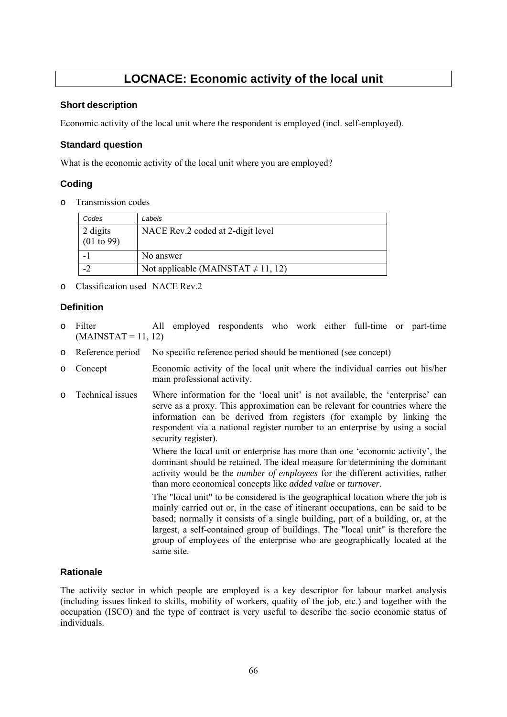# **LOCNACE: Economic activity of the local unit**

#### **Short description**

Economic activity of the local unit where the respondent is employed (incl. self-employed).

#### **Standard question**

What is the economic activity of the local unit where you are employed?

## **Coding**

o Transmission codes

| Codes                  | Labels                                  |
|------------------------|-----------------------------------------|
| 2 digits<br>(01 to 99) | NACE Rev.2 coded at 2-digit level       |
|                        | No answer                               |
|                        | Not applicable (MAINSTAT $\neq$ 11, 12) |

o Classification used NACE Rev.2

## **Definition**

- o Filter All employed respondents who work either full-time or part-time  $(MAINSTAT = 11, 12)$
- o Reference period No specific reference period should be mentioned (see concept)
- o Concept Economic activity of the local unit where the individual carries out his/her main professional activity.
- o Technical issues Where information for the 'local unit' is not available, the 'enterprise' can serve as a proxy. This approximation can be relevant for countries where the information can be derived from registers (for example by linking the respondent via a national register number to an enterprise by using a social security register).

Where the local unit or enterprise has more than one 'economic activity', the dominant should be retained. The ideal measure for determining the dominant activity would be the *number of employees* for the different activities, rather than more economical concepts like *added value* or *turnover*.

The "local unit" to be considered is the geographical location where the job is mainly carried out or, in the case of itinerant occupations, can be said to be based; normally it consists of a single building, part of a building, or, at the largest, a self-contained group of buildings. The "local unit" is therefore the group of employees of the enterprise who are geographically located at the same site.

## **Rationale**

The activity sector in which people are employed is a key descriptor for labour market analysis (including issues linked to skills, mobility of workers, quality of the job, etc.) and together with the occupation (ISCO) and the type of contract is very useful to describe the socio economic status of individuals.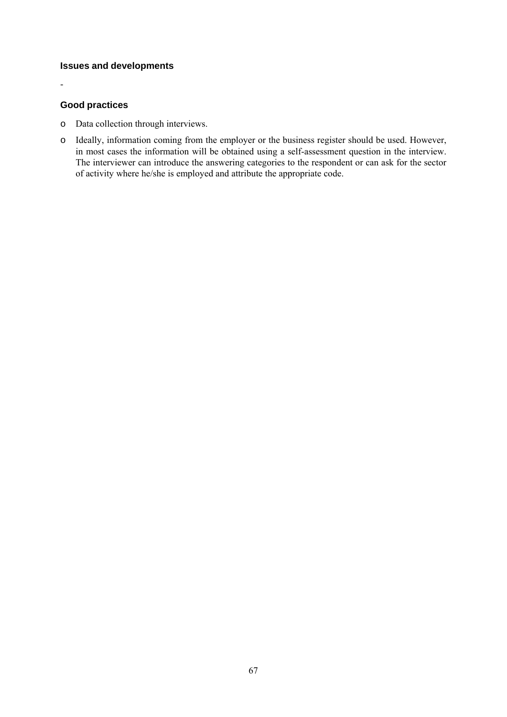# **Issues and developments**

#### **Good practices**

-

- o Data collection through interviews.
- o Ideally, information coming from the employer or the business register should be used. However, in most cases the information will be obtained using a self-assessment question in the interview. The interviewer can introduce the answering categories to the respondent or can ask for the sector of activity where he/she is employed and attribute the appropriate code.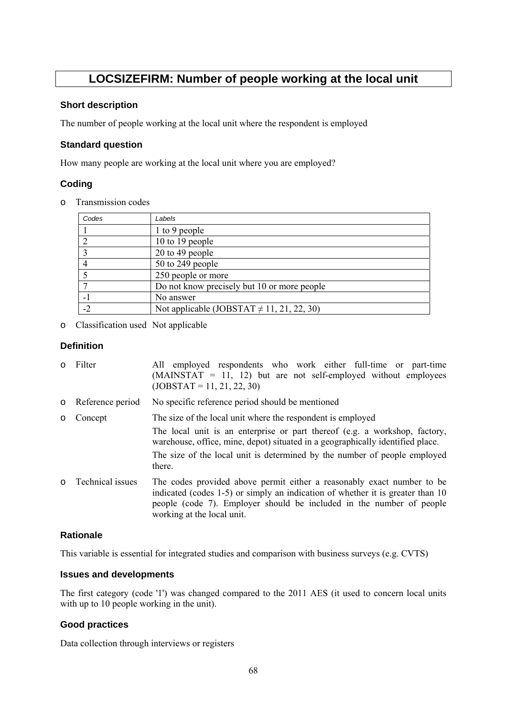# **LOCSIZEFIRM: Number of people working at the local unit**

#### **Short description**

The number of people working at the local unit where the respondent is employed

#### **Standard question**

How many people are working at the local unit where you are employed?

## **Coding**

o Transmission codes

| Codes | Labels                                         |
|-------|------------------------------------------------|
|       | 1 to 9 people                                  |
|       | 10 to 19 people                                |
|       | 20 to 49 people                                |
|       | 50 to 249 people                               |
|       | 250 people or more                             |
|       | Do not know precisely but 10 or more people    |
|       | No answer                                      |
| $-2$  | Not applicable (JOBSTAT $\neq$ 11, 21, 22, 30) |

o Classification used Not applicable

#### **Definition**

| $\circ$ | Filter             | All employed respondents who work either full-time or part-time<br>$(MAINSTAT = 11, 12)$ but are not self-employed without employees<br>$(JOBSTAT = 11, 21, 22, 30)$                                                                                           |
|---------|--------------------|----------------------------------------------------------------------------------------------------------------------------------------------------------------------------------------------------------------------------------------------------------------|
|         | o Reference period | No specific reference period should be mentioned                                                                                                                                                                                                               |
| $\circ$ | Concept            | The size of the local unit where the respondent is employed                                                                                                                                                                                                    |
|         |                    | The local unit is an enterprise or part thereof (e.g. a workshop, factory,<br>warehouse, office, mine, depot) situated in a geographically identified place.                                                                                                   |
|         |                    | The size of the local unit is determined by the number of people employed<br>there.                                                                                                                                                                            |
| $\circ$ | Technical issues   | The codes provided above permit either a reasonably exact number to be<br>indicated (codes 1-5) or simply an indication of whether it is greater than 10<br>people (code 7). Employer should be included in the number of people<br>working at the local unit. |

#### **Rationale**

This variable is essential for integrated studies and comparison with business surveys (e.g. CVTS)

#### **Issues and developments**

The first category (code '1') was changed compared to the 2011 AES (it used to concern local units with up to 10 people working in the unit).

# **Good practices**

Data collection through interviews or registers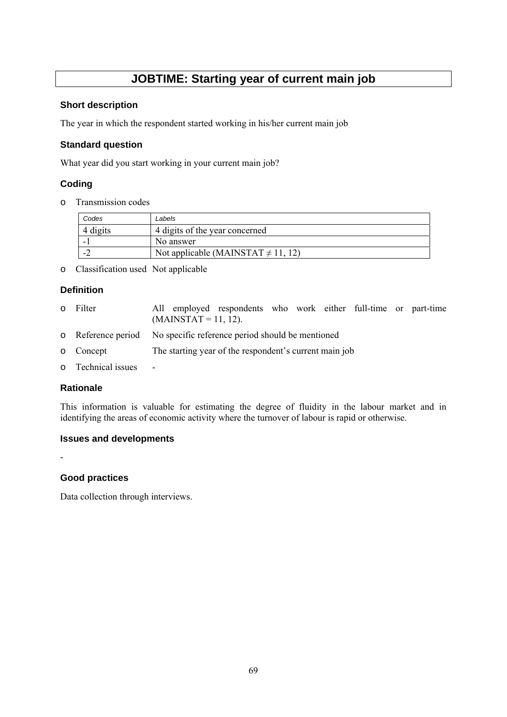# **JOBTIME: Starting year of current main job**

#### **Short description**

The year in which the respondent started working in his/her current main job

## **Standard question**

What year did you start working in your current main job?

# **Coding**

o Transmission codes

| Codes    | Labels                                  |
|----------|-----------------------------------------|
| 4 digits | 4 digits of the year concerned          |
|          | No answer                               |
| . .      | Not applicable (MAINSTAT $\neq$ 11, 12) |

o Classification used Not applicable

# **Definition**

- o Filter All employed respondents who work either full-time or part-time  $(MAINSTAT = 11, 12)$ .
- o Reference period No specific reference period should be mentioned
- o Concept The starting year of the respondent's current main job
- o Technical issues -

## **Rationale**

This information is valuable for estimating the degree of fluidity in the labour market and in identifying the areas of economic activity where the turnover of labour is rapid or otherwise.

## **Issues and developments**

-

## **Good practices**

Data collection through interviews.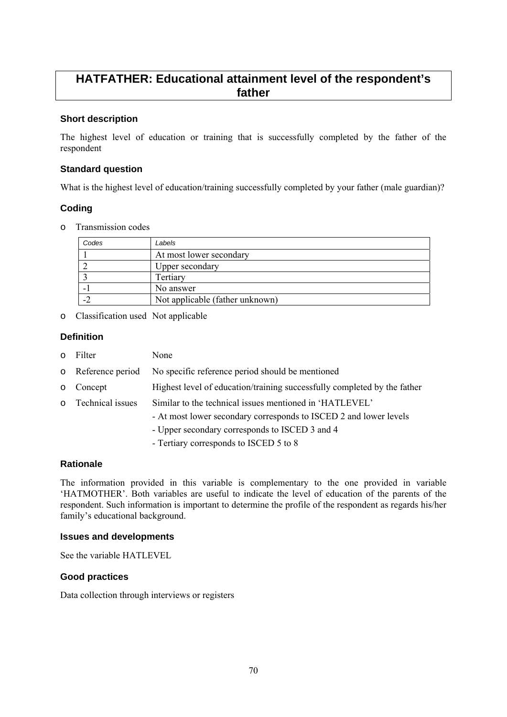# **HATFATHER: Educational attainment level of the respondent's father**

## **Short description**

The highest level of education or training that is successfully completed by the father of the respondent

#### **Standard question**

What is the highest level of education/training successfully completed by your father (male guardian)?

## **Coding**

o Transmission codes

| Codes                    | Labels                          |
|--------------------------|---------------------------------|
|                          | At most lower secondary         |
|                          | Upper secondary                 |
|                          | Tertiary                        |
| $\overline{\phantom{0}}$ | No answer                       |
| $-2$                     | Not applicable (father unknown) |

o Classification used Not applicable

#### **Definition**

| $\circ$ | Filter             | None                                                                                                                                                                                                                     |
|---------|--------------------|--------------------------------------------------------------------------------------------------------------------------------------------------------------------------------------------------------------------------|
|         | o Reference period | No specific reference period should be mentioned                                                                                                                                                                         |
| $\circ$ | Concept            | Highest level of education/training successfully completed by the father                                                                                                                                                 |
|         | o Technical issues | Similar to the technical issues mentioned in 'HATLEVEL'<br>- At most lower secondary corresponds to ISCED 2 and lower levels<br>- Upper secondary corresponds to ISCED 3 and 4<br>- Tertiary corresponds to ISCED 5 to 8 |

#### **Rationale**

The information provided in this variable is complementary to the one provided in variable 'HATMOTHER'. Both variables are useful to indicate the level of education of the parents of the respondent. Such information is important to determine the profile of the respondent as regards his/her family's educational background.

#### **Issues and developments**

See the variable HATLEVEL

#### **Good practices**

Data collection through interviews or registers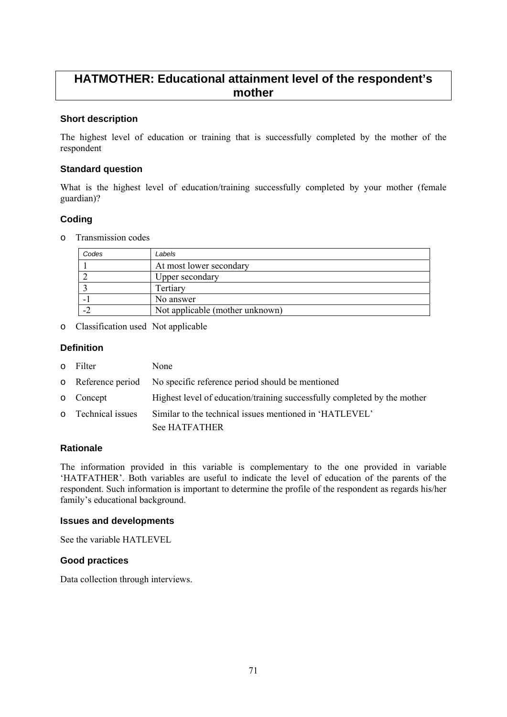# **HATMOTHER: Educational attainment level of the respondent's mother**

## **Short description**

The highest level of education or training that is successfully completed by the mother of the respondent

#### **Standard question**

What is the highest level of education/training successfully completed by your mother (female guardian)?

## **Coding**

o Transmission codes

| Codes | Labels                          |
|-------|---------------------------------|
|       | At most lower secondary         |
|       | Upper secondary                 |
|       | Tertiary                        |
|       | No answer                       |
|       | Not applicable (mother unknown) |

o Classification used Not applicable

#### **Definition**

- o Filter None
- o Reference period No specific reference period should be mentioned
- o Concept Highest level of education/training successfully completed by the mother
- o Technical issues Similar to the technical issues mentioned in 'HATLEVEL'

See HATFATHER

#### **Rationale**

The information provided in this variable is complementary to the one provided in variable 'HATFATHER'. Both variables are useful to indicate the level of education of the parents of the respondent. Such information is important to determine the profile of the respondent as regards his/her family's educational background.

#### **Issues and developments**

See the variable HATLEVEL

## **Good practices**

Data collection through interviews.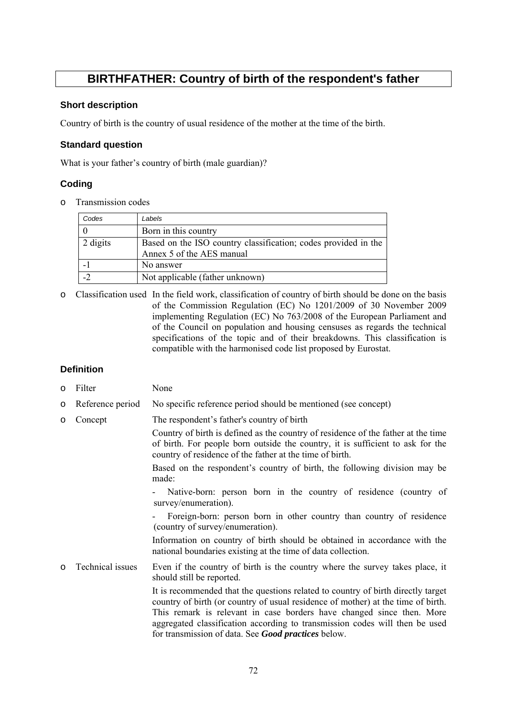# **BIRTHFATHER: Country of birth of the respondent's father**

#### **Short description**

Country of birth is the country of usual residence of the mother at the time of the birth.

#### **Standard question**

What is your father's country of birth (male guardian)?

## **Coding**

o Transmission codes

| Codes    | Labels                                                                                      |
|----------|---------------------------------------------------------------------------------------------|
|          | Born in this country                                                                        |
| 2 digits | Based on the ISO country classification; codes provided in the<br>Annex 5 of the AES manual |
|          | No answer                                                                                   |
|          | Not applicable (father unknown)                                                             |

o Classification used In the field work, classification of country of birth should be done on the basis of the Commission Regulation (EC) No 1201/2009 of 30 November 2009 implementing Regulation (EC) No 763/2008 of the European Parliament and of the Council on population and housing censuses as regards the technical specifications of the topic and of their breakdowns. This classification is compatible with the harmonised code list proposed by Eurostat.

# **Definition**

| $\circ$ | Filter           | None                                                                                                                                                                                                                                                                                                                         |
|---------|------------------|------------------------------------------------------------------------------------------------------------------------------------------------------------------------------------------------------------------------------------------------------------------------------------------------------------------------------|
| $\circ$ | Reference period | No specific reference period should be mentioned (see concept)                                                                                                                                                                                                                                                               |
| $\circ$ | Concept          | The respondent's father's country of birth                                                                                                                                                                                                                                                                                   |
|         |                  | Country of birth is defined as the country of residence of the father at the time<br>of birth. For people born outside the country, it is sufficient to ask for the<br>country of residence of the father at the time of birth.                                                                                              |
|         |                  | Based on the respondent's country of birth, the following division may be<br>made:                                                                                                                                                                                                                                           |
|         |                  | Native-born: person born in the country of residence (country of<br>survey/enumeration).                                                                                                                                                                                                                                     |
|         |                  | Foreign-born: person born in other country than country of residence<br>(country of survey/enumeration).                                                                                                                                                                                                                     |
|         |                  | Information on country of birth should be obtained in accordance with the<br>national boundaries existing at the time of data collection.                                                                                                                                                                                    |
| $\circ$ | Technical issues | Even if the country of birth is the country where the survey takes place, it<br>should still be reported.                                                                                                                                                                                                                    |
|         |                  | It is recommended that the questions related to country of birth directly target<br>country of birth (or country of usual residence of mother) at the time of birth.<br>This remark is relevant in case borders have changed since then. More<br>aggregated classification according to transmission codes will then be used |

for transmission of data. See *Good practices* below.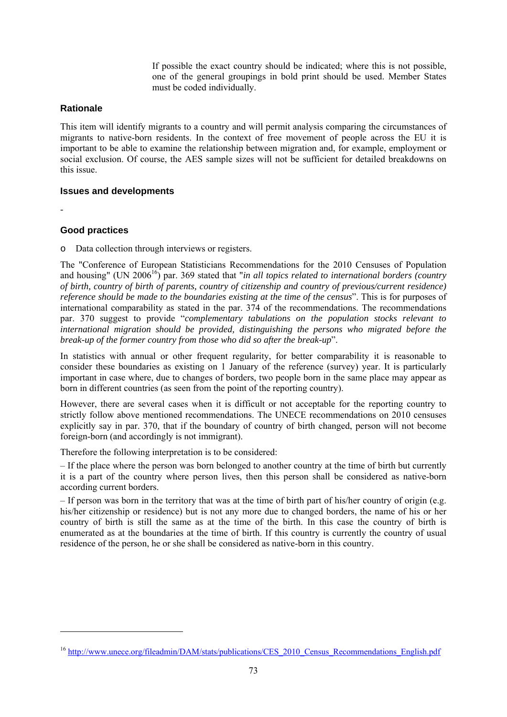If possible the exact country should be indicated; where this is not possible, one of the general groupings in bold print should be used. Member States must be coded individually.

#### **Rationale**

This item will identify migrants to a country and will permit analysis comparing the circumstances of migrants to native-born residents. In the context of free movement of people across the EU it is important to be able to examine the relationship between migration and, for example, employment or social exclusion. Of course, the AES sample sizes will not be sufficient for detailed breakdowns on this issue.

#### **Issues and developments**

-

-

#### **Good practices**

o Data collection through interviews or registers.

The "Conference of European Statisticians Recommendations for the 2010 Censuses of Population and housing" (UN 2006<sup>16</sup>) par. 369 stated that "*in all topics related to international borders (country and topics related to international borders (country and topics) of birth, country of birth of parents, country of citizenship and country of previous/current residence) reference should be made to the boundaries existing at the time of the census*". This is for purposes of international comparability as stated in the par. 374 of the recommendations. The recommendations par. 370 suggest to provide "*complementary tabulations on the population stocks relevant to international migration should be provided, distinguishing the persons who migrated before the break-up of the former country from those who did so after the break-up*".

In statistics with annual or other frequent regularity, for better comparability it is reasonable to consider these boundaries as existing on 1 January of the reference (survey) year. It is particularly important in case where, due to changes of borders, two people born in the same place may appear as born in different countries (as seen from the point of the reporting country).

However, there are several cases when it is difficult or not acceptable for the reporting country to strictly follow above mentioned recommendations. The UNECE recommendations on 2010 censuses explicitly say in par. 370, that if the boundary of country of birth changed, person will not become foreign-born (and accordingly is not immigrant).

Therefore the following interpretation is to be considered:

– If the place where the person was born belonged to another country at the time of birth but currently it is a part of the country where person lives, then this person shall be considered as native-born according current borders.

– If person was born in the territory that was at the time of birth part of his/her country of origin (e.g. his/her citizenship or residence) but is not any more due to changed borders, the name of his or her country of birth is still the same as at the time of the birth. In this case the country of birth is enumerated as at the boundaries at the time of birth. If this country is currently the country of usual residence of the person, he or she shall be considered as native-born in this country.

<sup>&</sup>lt;sup>16</sup> [http://www.unece.org/file](http://www.unece.org/fileadmin/DAM/stats/publications/CES_2010_Census_Recommendations_English.pdf)admin/DAM/stats/publications/CES\_2010\_Census\_Recommendations\_English.pdf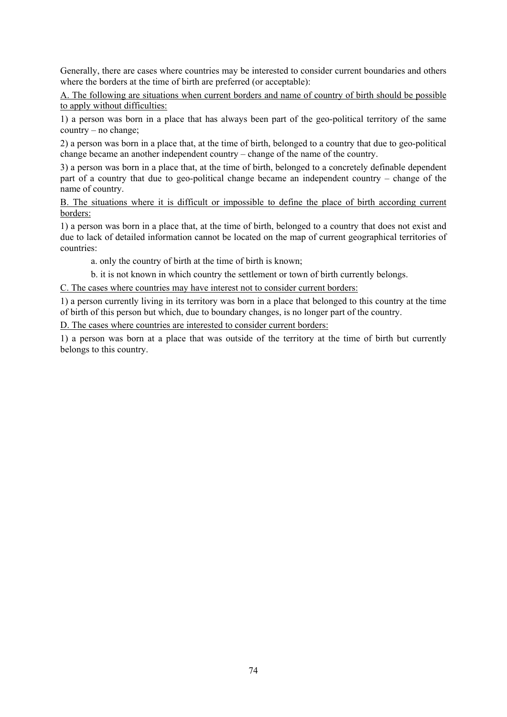Generally, there are cases where countries may be interested to consider current boundaries and others where the borders at the time of birth are preferred (or acceptable):

A. The following are situations when current borders and name of country of birth should be possible to apply without difficulties:

1) a person was born in a place that has always been part of the geo-political territory of the same country – no change;

2) a person was born in a place that, at the time of birth, belonged to a country that due to geo-political change became an another independent country – change of the name of the country.

3) a person was born in a place that, at the time of birth, belonged to a concretely definable dependent part of a country that due to geo-political change became an independent country – change of the name of country.

B. The situations where it is difficult or impossible to define the place of birth according current borders:

1) a person was born in a place that, at the time of birth, belonged to a country that does not exist and due to lack of detailed information cannot be located on the map of current geographical territories of countries:

a. only the country of birth at the time of birth is known;

b. it is not known in which country the settlement or town of birth currently belongs.

C. The cases where countries may have interest not to consider current borders:

1) a person currently living in its territory was born in a place that belonged to this country at the time of birth of this person but which, due to boundary changes, is no longer part of the country.

D. The cases where countries are interested to consider current borders:

1) a person was born at a place that was outside of the territory at the time of birth but currently belongs to this country.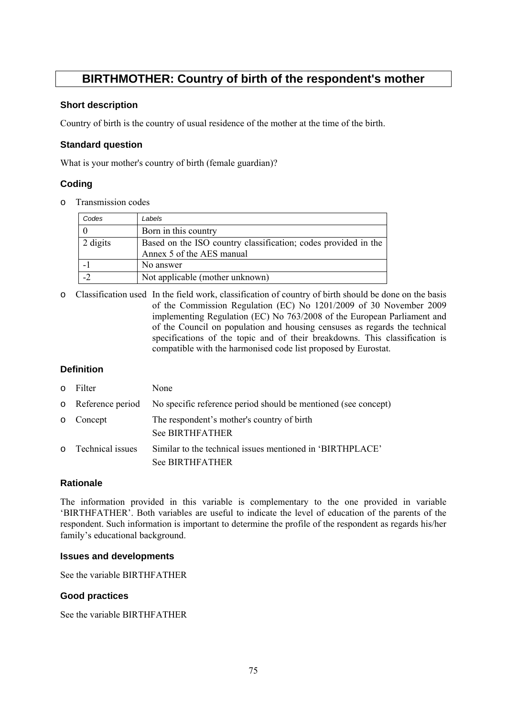# **BIRTHMOTHER: Country of birth of the respondent's mother**

# **Short description**

Country of birth is the country of usual residence of the mother at the time of the birth.

#### **Standard question**

What is your mother's country of birth (female guardian)?

# **Coding**

o Transmission codes

| Codes    | Labels                                                                                      |  |
|----------|---------------------------------------------------------------------------------------------|--|
|          | Born in this country                                                                        |  |
| 2 digits | Based on the ISO country classification; codes provided in the<br>Annex 5 of the AES manual |  |
|          | No answer                                                                                   |  |
| $-2$     | Not applicable (mother unknown)                                                             |  |

o Classification used In the field work, classification of country of birth should be done on the basis of the Commission Regulation (EC) No 1201/2009 of 30 November 2009 implementing Regulation (EC) No 763/2008 of the European Parliament and of the Council on population and housing censuses as regards the technical specifications of the topic and of their breakdowns. This classification is compatible with the harmonised code list proposed by Eurostat.

# **Definition**

| $\Omega$ | Filter             | None                                                                                |
|----------|--------------------|-------------------------------------------------------------------------------------|
|          | o Reference period | No specific reference period should be mentioned (see concept)                      |
|          | o Concept          | The respondent's mother's country of birth<br><b>See BIRTHFATHER</b>                |
|          | o Technical issues | Similar to the technical issues mentioned in 'BIRTHPLACE'<br><b>See BIRTHFATHER</b> |

# **Rationale**

The information provided in this variable is complementary to the one provided in variable 'BIRTHFATHER'. Both variables are useful to indicate the level of education of the parents of the respondent. Such information is important to determine the profile of the respondent as regards his/her family's educational background.

#### **Issues and developments**

See the variable BIRTHFATHER

# **Good practices**

See the variable BIRTHFATHER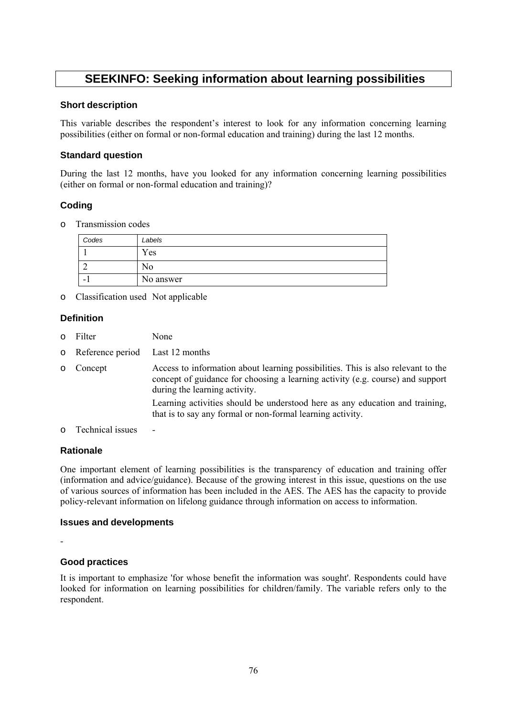# **SEEKINFO: Seeking information about learning possibilities**

#### **Short description**

This variable describes the respondent's interest to look for any information concerning learning possibilities (either on formal or non-formal education and training) during the last 12 months.

# **Standard question**

During the last 12 months, have you looked for any information concerning learning possibilities (either on formal or non-formal education and training)?

# **Coding**

o Transmission codes

| Codes | Labels    |
|-------|-----------|
|       | Yes       |
|       | 'NO       |
| -     | No answer |

o Classification used Not applicable

#### **Definition**

- o Filter None
- o Reference period Last 12 months
- o Concept Access to information about learning possibilities. This is also relevant to the concept of guidance for choosing a learning activity (e.g. course) and support during the learning activity. Learning activities should be understood here as any education and training, that is to say any formal or non-formal learning activity.
- o Technical issues -

#### **Rationale**

One important element of learning possibilities is the transparency of education and training offer (information and advice/guidance). Because of the growing interest in this issue, questions on the use of various sources of information has been included in the AES. The AES has the capacity to provide policy-relevant information on lifelong guidance through information on access to information.

#### **Issues and developments**

-

#### **Good practices**

It is important to emphasize 'for whose benefit the information was sought'. Respondents could have looked for information on learning possibilities for children/family. The variable refers only to the respondent.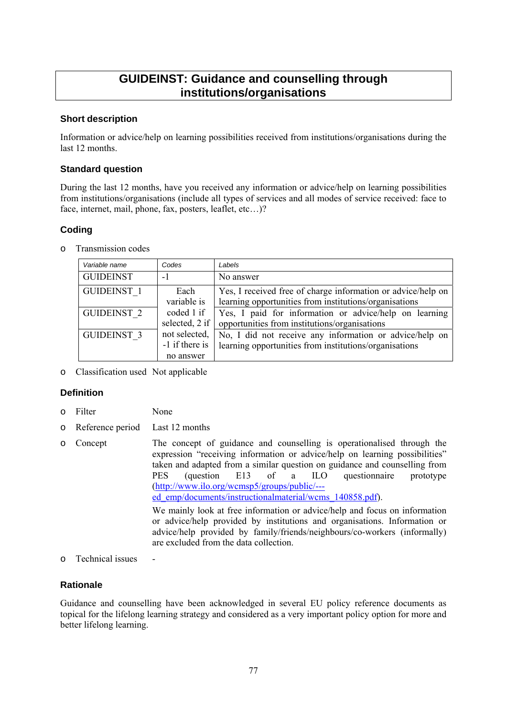# **GUIDEINST: Guidance and counselling through institutions/organisations**

# **Short description**

Information or advice/help on learning possibilities received from institutions/organisations during the last 12 months.

#### **Standard question**

During the last 12 months, have you received any information or advice/help on learning possibilities from institutions/organisations (include all types of services and all modes of service received: face to face, internet, mail, phone, fax, posters, leaflet, etc…)?

# **Coding**

o Transmission codes

| Variable name      | Codes          | Labels                                                       |  |
|--------------------|----------------|--------------------------------------------------------------|--|
| <b>GUIDEINST</b>   | -1             | No answer                                                    |  |
| <b>GUIDEINST 1</b> | Each           | Yes, I received free of charge information or advice/help on |  |
|                    | variable is    | learning opportunities from institutions/organisations       |  |
| <b>GUIDEINST 2</b> | coded 1 if     | Yes, I paid for information or advice/help on learning       |  |
|                    | selected, 2 if | opportunities from institutions/organisations                |  |
| <b>GUIDEINST 3</b> | not selected,  | No, I did not receive any information or advice/help on      |  |
|                    | -1 if there is | learning opportunities from institutions/organisations       |  |
|                    | no answer      |                                                              |  |

o Classification used Not applicable

# **Definition**

- o Filter None
- o Reference period Last 12 months
- o Concept The concept of guidance and counselling is operationalised through the expression "receiving information or advice/help on learning possibilities" taken and adapted from a similar question on guidance and counselling from PES (question E13 of a ILO questionnaire prototype [\(http://www.ilo.org/wcmsp5/groups/public/--](http://www.ilo.org/wcmsp5/groups/public/---ed_emp/documents/instructionalmaterial/wcms_140858.pdf) [ed\\_emp/documents/instructionalmaterial/wcms\\_140858.pdf\).](http://www.ilo.org/wcmsp5/groups/public/---ed_emp/documents/instructionalmaterial/wcms_140858.pdf) We mainly look at free information or advice/help and focus on information or advice/help provided by institutions and organisations. Information or advice/help provided by family/friends/neighbours/co-workers (informally) are excluded from the data collection.
- o Technical issues -

# **Rationale**

Guidance and counselling have been acknowledged in several EU policy reference documents as topical for the lifelong learning strategy and considered as a very important policy option for more and better lifelong learning.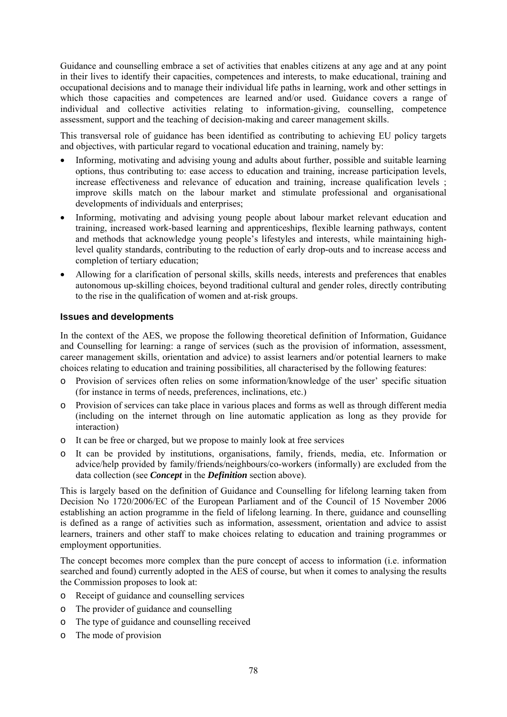Guidance and counselling embrace a set of activities that enables citizens at any age and at any point in their lives to identify their capacities, competences and interests, to make educational, training and occupational decisions and to manage their individual life paths in learning, work and other settings in which those capacities and competences are learned and/or used. Guidance covers a range of individual and collective activities relating to information-giving, counselling, competence assessment, support and the teaching of decision-making and career management skills.

This transversal role of guidance has been identified as contributing to achieving EU policy targets and objectives, with particular regard to vocational education and training, namely by:

- Informing, motivating and advising young and adults about further, possible and suitable learning options, thus contributing to: ease access to education and training, increase participation levels, increase effectiveness and relevance of education and training, increase qualification levels ; improve skills match on the labour market and stimulate professional and organisational developments of individuals and enterprises;
- Informing, motivating and advising young people about labour market relevant education and training, increased work-based learning and apprenticeships, flexible learning pathways, content and methods that acknowledge young people's lifestyles and interests, while maintaining highlevel quality standards, contributing to the reduction of early drop-outs and to increase access and completion of tertiary education;
- Allowing for a clarification of personal skills, skills needs, interests and preferences that enables autonomous up-skilling choices, beyond traditional cultural and gender roles, directly contributing to the rise in the qualification of women and at-risk groups.

#### **Issues and developments**

In the context of the AES, we propose the following theoretical definition of Information, Guidance and Counselling for learning: a range of services (such as the provision of information, assessment, career management skills, orientation and advice) to assist learners and/or potential learners to make choices relating to education and training possibilities, all characterised by the following features:

- o Provision of services often relies on some information/knowledge of the user' specific situation (for instance in terms of needs, preferences, inclinations, etc.)
- o Provision of services can take place in various places and forms as well as through different media (including on the internet through on line automatic application as long as they provide for interaction)
- o It can be free or charged, but we propose to mainly look at free services
- o It can be provided by institutions, organisations, family, friends, media, etc. Information or advice/help provided by family/friends/neighbours/co-workers (informally) are excluded from the data collection (see *Concept* in the *Definition* section above).

This is largely based on the definition of Guidance and Counselling for lifelong learning taken from Decision No 1720/2006/EC of the European Parliament and of the Council of 15 November 2006 establishing an action programme in the field of lifelong learning. In there, guidance and counselling is defined as a range of activities such as information, assessment, orientation and advice to assist learners, trainers and other staff to make choices relating to education and training programmes or employment opportunities.

The concept becomes more complex than the pure concept of access to information (i.e. information searched and found) currently adopted in the AES of course, but when it comes to analysing the results the Commission proposes to look at:

- o Receipt of guidance and counselling services
- o The provider of guidance and counselling
- o The type of guidance and counselling received
- o The mode of provision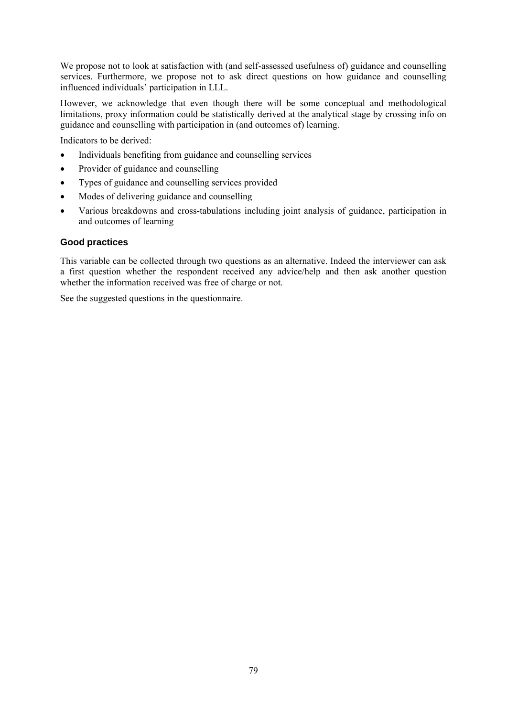We propose not to look at satisfaction with (and self-assessed usefulness of) guidance and counselling services. Furthermore, we propose not to ask direct questions on how guidance and counselling influenced individuals' participation in LLL.

However, we acknowledge that even though there will be some conceptual and methodological limitations, proxy information could be statistically derived at the analytical stage by crossing info on guidance and counselling with participation in (and outcomes of) learning.

Indicators to be derived:

- Individuals benefiting from guidance and counselling services
- Provider of guidance and counselling
- Types of guidance and counselling services provided
- Modes of delivering guidance and counselling
- Various breakdowns and cross-tabulations including joint analysis of guidance, participation in and outcomes of learning

#### **Good practices**

This variable can be collected through two questions as an alternative. Indeed the interviewer can ask a first question whether the respondent received any advice/help and then ask another question whether the information received was free of charge or not.

See the suggested questions in the questionnaire.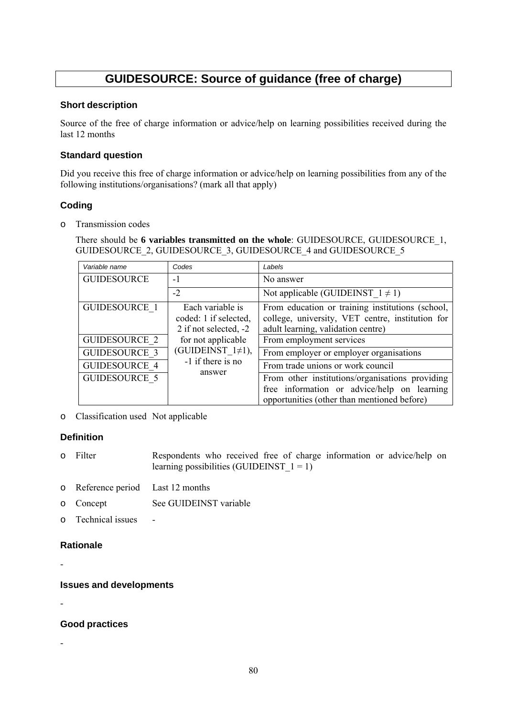# **GUIDESOURCE: Source of guidance (free of charge)**

#### **Short description**

Source of the free of charge information or advice/help on learning possibilities received during the last 12 months

# **Standard question**

Did you receive this free of charge information or advice/help on learning possibilities from any of the following institutions/organisations? (mark all that apply)

# **Coding**

o Transmission codes

There should be **6 variables transmitted on the whole**: GUIDESOURCE, GUIDESOURCE\_1, GUIDESOURCE\_2, GUIDESOURCE\_3, GUIDESOURCE\_4 and GUIDESOURCE\_5

| Variable name        | Codes                                                              | Labels                                                                                                                                        |
|----------------------|--------------------------------------------------------------------|-----------------------------------------------------------------------------------------------------------------------------------------------|
| <b>GUIDESOURCE</b>   | $-1$                                                               | No answer                                                                                                                                     |
|                      | $-2$                                                               | Not applicable (GUIDEINST $1 \neq 1$ )                                                                                                        |
| <b>GUIDESOURCE 1</b> | Each variable is<br>coded: 1 if selected,<br>2 if not selected, -2 | From education or training institutions (school,<br>college, university, VET centre, institution for<br>adult learning, validation centre)    |
| <b>GUIDESOURCE 2</b> | for not applicable<br>(GUIDEINST $1\neq 1$ ),<br>-1 if there is no | From employment services                                                                                                                      |
| <b>GUIDESOURCE 3</b> |                                                                    | From employer or employer organisations                                                                                                       |
| <b>GUIDESOURCE 4</b> |                                                                    | From trade unions or work council                                                                                                             |
| <b>GUIDESOURCE 5</b> | answer                                                             | From other institutions/organisations providing<br>free information or advice/help on learning<br>opportunities (other than mentioned before) |

o Classification used Not applicable

# **Definition**

- o Filter Respondents who received free of charge information or advice/help on learning possibilities (GUIDEINST  $1 = 1$ )
- o Reference period Last 12 months
- o Concept See GUIDEINST variable
- o Technical issues -

# **Rationale**

-

**Issues and developments** 

**Good practices** 

-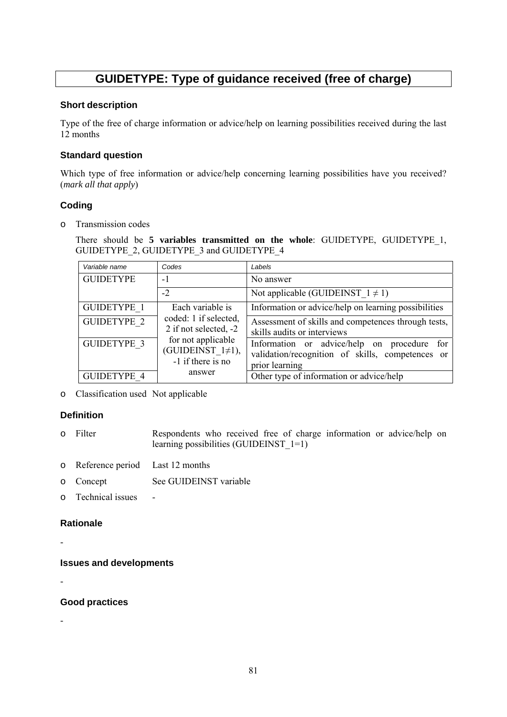# **GUIDETYPE: Type of guidance received (free of charge)**

#### **Short description**

Type of the free of charge information or advice/help on learning possibilities received during the last 12 months

# **Standard question**

Which type of free information or advice/help concerning learning possibilities have you received? (*mark all that apply*)

# **Coding**

o Transmission codes

There should be **5 variables transmitted on the whole**: GUIDETYPE, GUIDETYPE\_1, GUIDETYPE\_2, GUIDETYPE\_3 and GUIDETYPE\_4

| Variable name      | Codes                                                                                                                          | Labels                                                                                                               |
|--------------------|--------------------------------------------------------------------------------------------------------------------------------|----------------------------------------------------------------------------------------------------------------------|
| <b>GUIDETYPE</b>   | $-1$                                                                                                                           | No answer                                                                                                            |
|                    | $-2$                                                                                                                           | Not applicable (GUIDEINST $1 \neq 1$ )                                                                               |
| <b>GUIDETYPE 1</b> | Each variable is                                                                                                               | Information or advice/help on learning possibilities                                                                 |
| <b>GUIDETYPE 2</b> | coded: 1 if selected,<br>2 if not selected, -2<br>for not applicable<br>(GUIDEINST $1\neq 1$ ),<br>-1 if there is no<br>answer | Assessment of skills and competences through tests,<br>skills audits or interviews                                   |
| <b>GUIDETYPE 3</b> |                                                                                                                                | Information or advice/help on procedure<br>for<br>validation/recognition of skills, competences or<br>prior learning |
| <b>GUIDETYPE 4</b> |                                                                                                                                | Other type of information or advice/help                                                                             |

o Classification used Not applicable

# **Definition**

- o Filter Respondents who received free of charge information or advice/help on learning possibilities (GUIDEINST 1=1)
- o Reference period Last 12 months
- o Concept See GUIDEINST variable
- o Technical issues -

# **Rationale**

-

**Issues and developments** 

# **Good practices**

-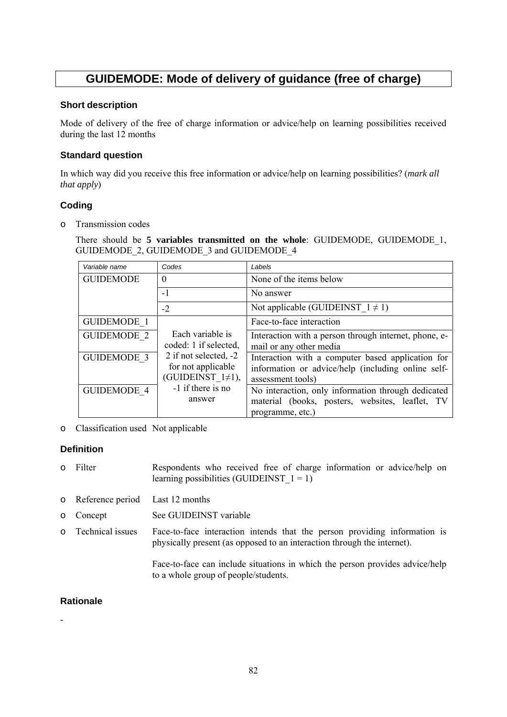# **GUIDEMODE: Mode of delivery of guidance (free of charge)**

#### **Short description**

Mode of delivery of the free of charge information or advice/help on learning possibilities received during the last 12 months

# **Standard question**

In which way did you receive this free information or advice/help on learning possibilities? (*mark all that apply*)

# **Coding**

o Transmission codes

There should be **5 variables transmitted on the whole**: GUIDEMODE, GUIDEMODE\_1, GUIDEMODE\_2, GUIDEMODE\_3 and GUIDEMODE\_4

| Variable name      | Codes                                                                                                                                              | Labels                                                                                                                       |
|--------------------|----------------------------------------------------------------------------------------------------------------------------------------------------|------------------------------------------------------------------------------------------------------------------------------|
| <b>GUIDEMODE</b>   | $\Omega$                                                                                                                                           | None of the items below                                                                                                      |
|                    | $-1$                                                                                                                                               | No answer                                                                                                                    |
|                    | $-2$                                                                                                                                               | Not applicable (GUIDEINST $1 \neq 1$ )                                                                                       |
| <b>GUIDEMODE 1</b> |                                                                                                                                                    | Face-to-face interaction                                                                                                     |
| <b>GUIDEMODE 2</b> | Each variable is<br>coded: 1 if selected,<br>2 if not selected, -2<br>for not applicable<br>(GUIDEINST $1\neq 1$ ),<br>-1 if there is no<br>answer | Interaction with a person through internet, phone, e-<br>mail or any other media                                             |
| <b>GUIDEMODE 3</b> |                                                                                                                                                    | Interaction with a computer based application for<br>information or advice/help (including online self-<br>assessment tools) |
| <b>GUIDEMODE 4</b> |                                                                                                                                                    | No interaction, only information through dedicated<br>material (books, posters, websites, leaflet, TV<br>programme, etc.)    |

o Classification used Not applicable

# **Definition**

- o Filter Respondents who received free of charge information or advice/help on learning possibilities (GUIDEINST  $1 = 1$ )
- o Reference period Last 12 months
- o Concept See GUIDEINST variable
- o Technical issues Face-to-face interaction intends that the person providing information is physically present (as opposed to an interaction through the internet).

Face-to-face can include situations in which the person provides advice/help to a whole group of people/students.

# **Rationale**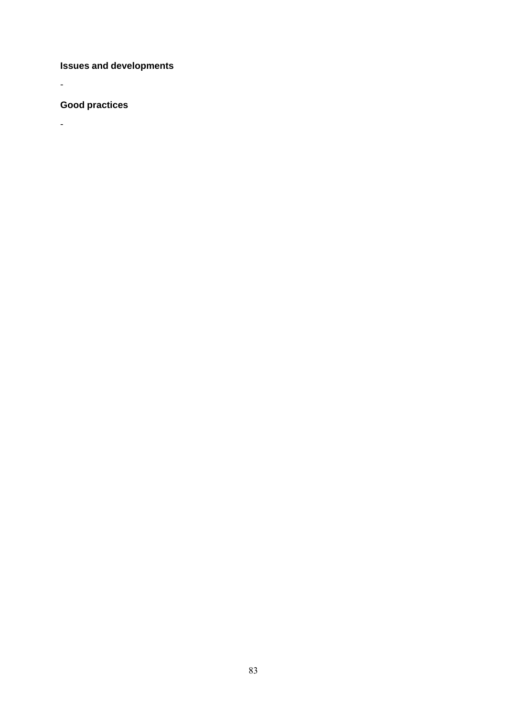**Issues and developments** 

**Good practices** 

-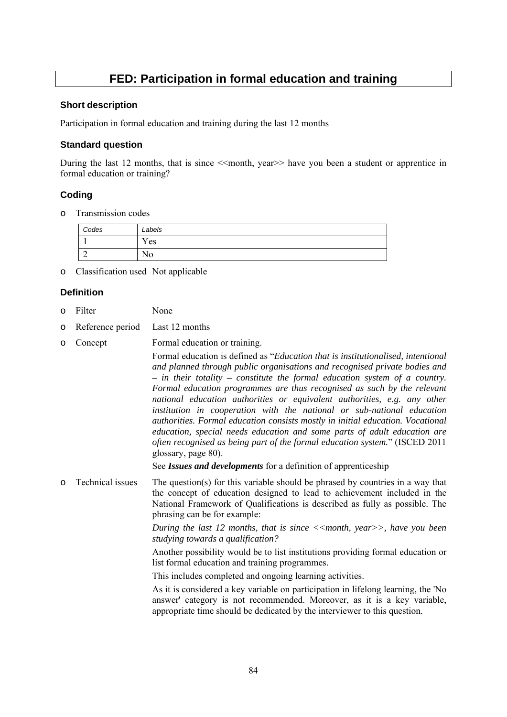# **FED: Participation in formal education and training**

#### **Short description**

Participation in formal education and training during the last 12 months

#### **Standard question**

During the last 12 months, that is since << month, year >> have you been a student or apprentice in formal education or training?

# **Coding**

o Transmission codes

| Codes | Labels  |
|-------|---------|
|       | Yes     |
| -     | -<br>No |

o Classification used Not applicable

# **Definition**

- o Filter None
- o Reference period Last 12 months

| $\circ$ | Concept          | Formal education or training.                                                                                                                                                                                                                                                                                                                                                                                                                                                                                                                                                                                                                                                                                                                         |
|---------|------------------|-------------------------------------------------------------------------------------------------------------------------------------------------------------------------------------------------------------------------------------------------------------------------------------------------------------------------------------------------------------------------------------------------------------------------------------------------------------------------------------------------------------------------------------------------------------------------------------------------------------------------------------------------------------------------------------------------------------------------------------------------------|
|         |                  | Formal education is defined as "Education that is institutionalised, intentional<br>and planned through public organisations and recognised private bodies and<br>$-$ in their totality $-$ constitute the formal education system of a country.<br>Formal education programmes are thus recognised as such by the relevant<br>national education authorities or equivalent authorities, e.g. any other<br>institution in cooperation with the national or sub-national education<br>authorities. Formal education consists mostly in initial education. Vocational<br>education, special needs education and some parts of adult education are<br>often recognised as being part of the formal education system." (ISCED 2011<br>glossary, page 80). |
|         |                  | See Issues and developments for a definition of apprenticeship                                                                                                                                                                                                                                                                                                                                                                                                                                                                                                                                                                                                                                                                                        |
| $\circ$ | Technical issues | The question(s) for this variable should be phrased by countries in a way that<br>the concept of education designed to lead to achievement included in the<br>National Framework of Qualifications is described as fully as possible. The<br>phrasing can be for example:                                                                                                                                                                                                                                                                                                                                                                                                                                                                             |
|         |                  | During the last 12 months, that is since $\langle\langle \rangle$ = $\langle \rangle$ = $\langle \rangle$ , have you been<br>studying towards a qualification?                                                                                                                                                                                                                                                                                                                                                                                                                                                                                                                                                                                        |
|         |                  | Another possibility would be to list institutions providing formal education or<br>list formal education and training programmes.                                                                                                                                                                                                                                                                                                                                                                                                                                                                                                                                                                                                                     |
|         |                  | This includes completed and ongoing learning activities.                                                                                                                                                                                                                                                                                                                                                                                                                                                                                                                                                                                                                                                                                              |
|         |                  | As it is considered a key variable on participation in lifelong learning, the 'No<br>answer' category is not recommended. Moreover, as it is a key variable,<br>appropriate time should be dedicated by the interviewer to this question.                                                                                                                                                                                                                                                                                                                                                                                                                                                                                                             |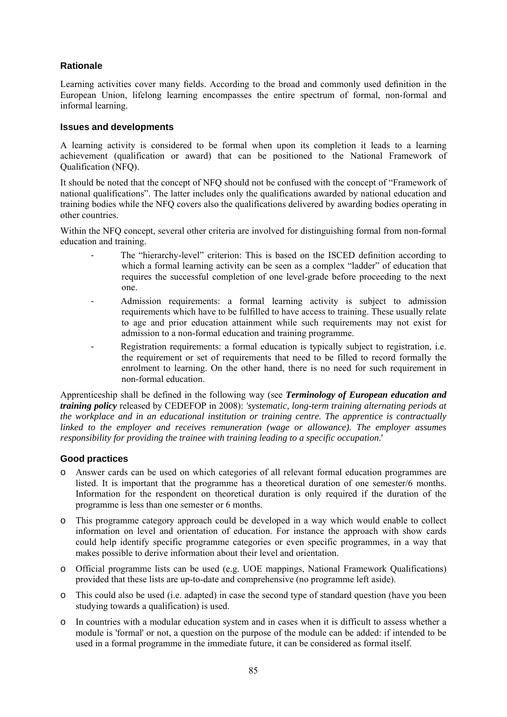# **Rationale**

Learning activities cover many fields. According to the broad and commonly used definition in the European Union, lifelong learning encompasses the entire spectrum of formal, non-formal and informal learning.

#### **Issues and developments**

A learning activity is considered to be formal when upon its completion it leads to a learning achievement (qualification or award) that can be positioned to the National Framework of Qualification (NFQ).

It should be noted that the concept of NFQ should not be confused with the concept of "Framework of national qualifications". The latter includes only the qualifications awarded by national education and training bodies while the NFQ covers also the qualifications delivered by awarding bodies operating in other countries.

Within the NFQ concept, several other criteria are involved for distinguishing formal from non-formal education and training.

- The "hierarchy-level" criterion: This is based on the ISCED definition according to which a formal learning activity can be seen as a complex "ladder" of education that requires the successful completion of one level-grade before proceeding to the next one.
- Admission requirements: a formal learning activity is subject to admission requirements which have to be fulfilled to have access to training. These usually relate to age and prior education attainment while such requirements may not exist for admission to a non-formal education and training programme.
- Registration requirements: a formal education is typically subject to registration, i.e. the requirement or set of requirements that need to be filled to record formally the enrolment to learning. On the other hand, there is no need for such requirement in non-formal education.

Apprenticeship shall be defined in the following way (see *Terminology of European education and training policy* released by CEDEFOP in 2008): *'systematic, long-term training alternating periods at the workplace and in an educational institution or training centre. The apprentice is contractually linked to the employer and receives remuneration (wage or allowance). The employer assumes responsibility for providing the trainee with training leading to a specific occupation.*'

#### **Good practices**

- o Answer cards can be used on which categories of all relevant formal education programmes are listed. It is important that the programme has a theoretical duration of one semester/6 months. Information for the respondent on theoretical duration is only required if the duration of the programme is less than one semester or 6 months.
- o This programme category approach could be developed in a way which would enable to collect information on level and orientation of education. For instance the approach with show cards could help identify specific programme categories or even specific programmes, in a way that makes possible to derive information about their level and orientation.
- o Official programme lists can be used (e.g. UOE mappings, National Framework Qualifications) provided that these lists are up-to-date and comprehensive (no programme left aside).
- o This could also be used (i.e. adapted) in case the second type of standard question (have you been studying towards a qualification) is used.
- o In countries with a modular education system and in cases when it is difficult to assess whether a module is 'formal' or not, a question on the purpose of the module can be added: if intended to be used in a formal programme in the immediate future, it can be considered as formal itself.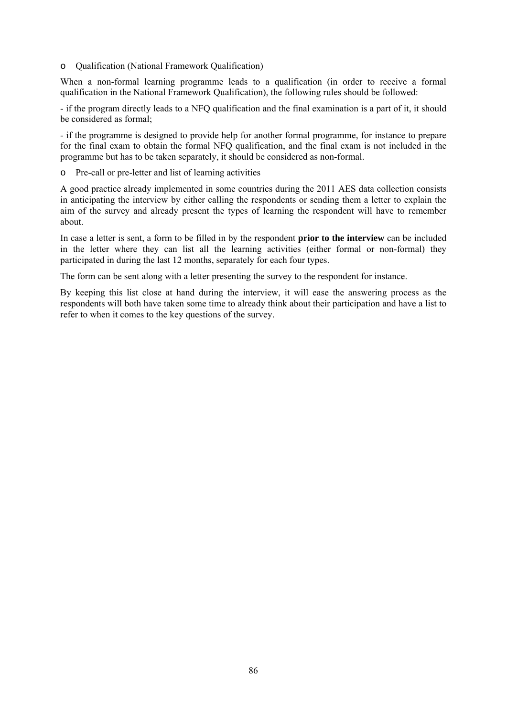o Qualification (National Framework Qualification)

When a non-formal learning programme leads to a qualification (in order to receive a formal qualification in the National Framework Qualification), the following rules should be followed:

- if the program directly leads to a NFQ qualification and the final examination is a part of it, it should be considered as formal;

- if the programme is designed to provide help for another formal programme, for instance to prepare for the final exam to obtain the formal NFO qualification, and the final exam is not included in the programme but has to be taken separately, it should be considered as non-formal.

o Pre-call or pre-letter and list of learning activities

A good practice already implemented in some countries during the 2011 AES data collection consists in anticipating the interview by either calling the respondents or sending them a letter to explain the aim of the survey and already present the types of learning the respondent will have to remember about.

In case a letter is sent, a form to be filled in by the respondent **prior to the interview** can be included in the letter where they can list all the learning activities (either formal or non-formal) they participated in during the last 12 months, separately for each four types.

The form can be sent along with a letter presenting the survey to the respondent for instance.

By keeping this list close at hand during the interview, it will ease the answering process as the respondents will both have taken some time to already think about their participation and have a list to refer to when it comes to the key questions of the survey.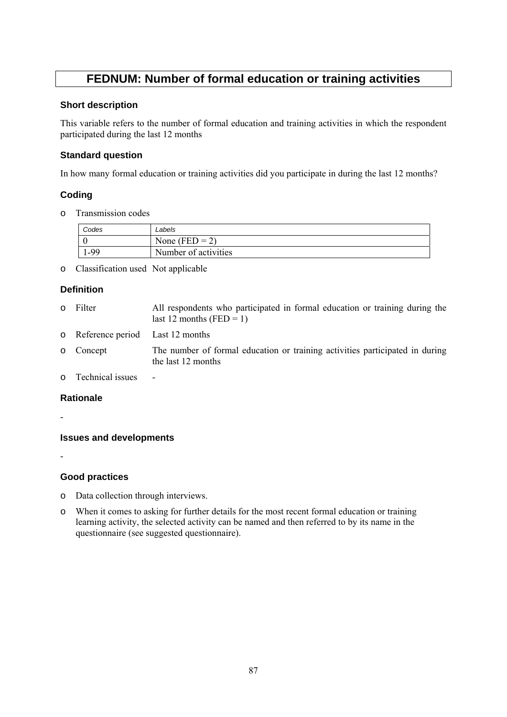# **FEDNUM: Number of formal education or training activities**

#### **Short description**

This variable refers to the number of formal education and training activities in which the respondent participated during the last 12 months

# **Standard question**

In how many formal education or training activities did you participate in during the last 12 months?

# **Coding**

o Transmission codes

| Codes  | Labels               |
|--------|----------------------|
|        | None (FED = 2)       |
| . - 99 | Number of activities |

o Classification used Not applicable

# **Definition**

o Filter All respondents who participated in formal education or training during the last 12 months (FED  $=$  1) o Reference period Last 12 months o Concept The number of formal education or training activities participated in during the last 12 months o Technical issues -

# **Rationale**

-

-

**Issues and developments** 

# **Good practices**

- o Data collection through interviews.
- o When it comes to asking for further details for the most recent formal education or training learning activity, the selected activity can be named and then referred to by its name in the questionnaire (see suggested questionnaire).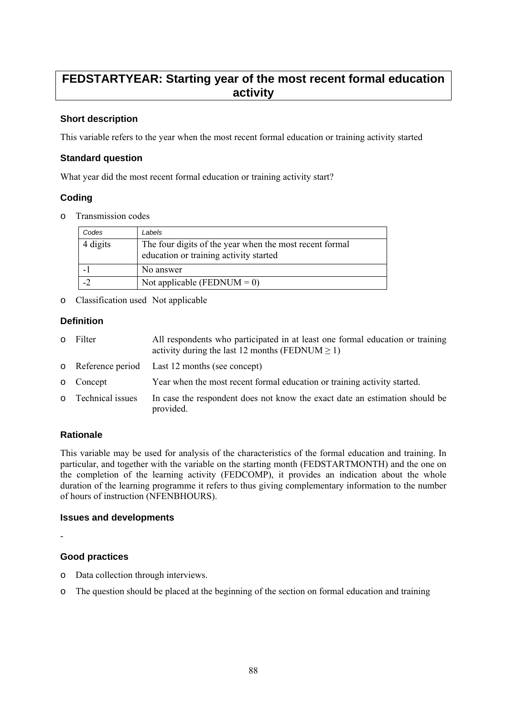# **FEDSTARTYEAR: Starting year of the most recent formal education activity**

# **Short description**

This variable refers to the year when the most recent formal education or training activity started

#### **Standard question**

What year did the most recent formal education or training activity start?

# **Coding**

o Transmission codes

| Codes    | Labels                                                                                            |
|----------|---------------------------------------------------------------------------------------------------|
| 4 digits | The four digits of the year when the most recent formal<br>education or training activity started |
|          | No answer                                                                                         |
|          | Not applicable (FEDNUM = 0)                                                                       |

o Classification used Not applicable

# **Definition**

| 0 Filter           | All respondents who participated in at least one formal education or training<br>activity during the last 12 months (FEDNUM $\geq$ 1) |
|--------------------|---------------------------------------------------------------------------------------------------------------------------------------|
|                    | o Reference period Last 12 months (see concept)                                                                                       |
| o Concept          | Year when the most recent formal education or training activity started.                                                              |
| o Technical issues | In case the respondent does not know the exact date an estimation should be<br>provided.                                              |

# **Rationale**

This variable may be used for analysis of the characteristics of the formal education and training. In particular, and together with the variable on the starting month (FEDSTARTMONTH) and the one on the completion of the learning activity (FEDCOMP), it provides an indication about the whole duration of the learning programme it refers to thus giving complementary information to the number of hours of instruction (NFENBHOURS).

#### **Issues and developments**

-

# **Good practices**

- o Data collection through interviews.
- o The question should be placed at the beginning of the section on formal education and training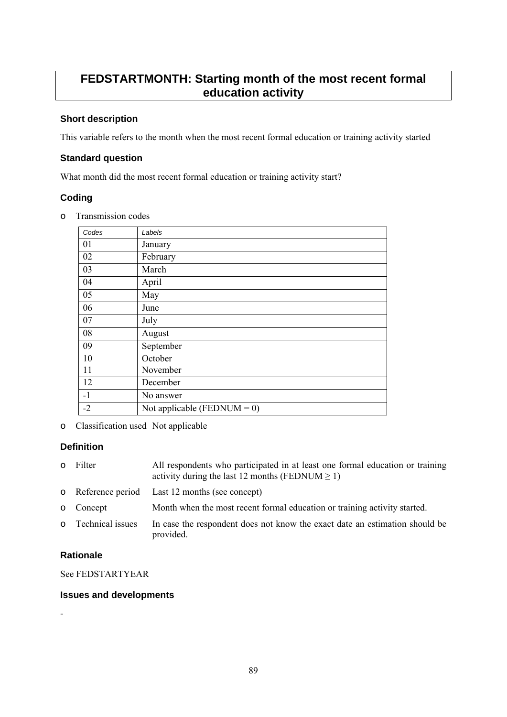# **FEDSTARTMONTH: Starting month of the most recent formal education activity**

# **Short description**

This variable refers to the month when the most recent formal education or training activity started

#### **Standard question**

What month did the most recent formal education or training activity start?

# **Coding**

o Transmission codes

| Codes | Labels                         |
|-------|--------------------------------|
| 01    | January                        |
| 02    | February                       |
| 03    | March                          |
| 04    | April                          |
| 05    | May                            |
| 06    | June                           |
| 07    | July                           |
| 08    | August                         |
| 09    | September                      |
| 10    | October                        |
| 11    | November                       |
| 12    | December                       |
| $-1$  | No answer                      |
| $-2$  | Not applicable (FEDNUM = $0$ ) |

o Classification used Not applicable

# **Definition**

| $\circ$ | Filter             | All respondents who participated in at least one formal education or training<br>activity during the last 12 months (FEDNUM $\geq$ 1) |
|---------|--------------------|---------------------------------------------------------------------------------------------------------------------------------------|
|         |                    | o Reference period Last 12 months (see concept)                                                                                       |
|         | o Concept          | Month when the most recent formal education or training activity started.                                                             |
|         | o Technical issues | In case the respondent does not know the exact date an estimation should be<br>provided.                                              |

# **Rationale**

See FEDSTARTYEAR

#### **Issues and developments**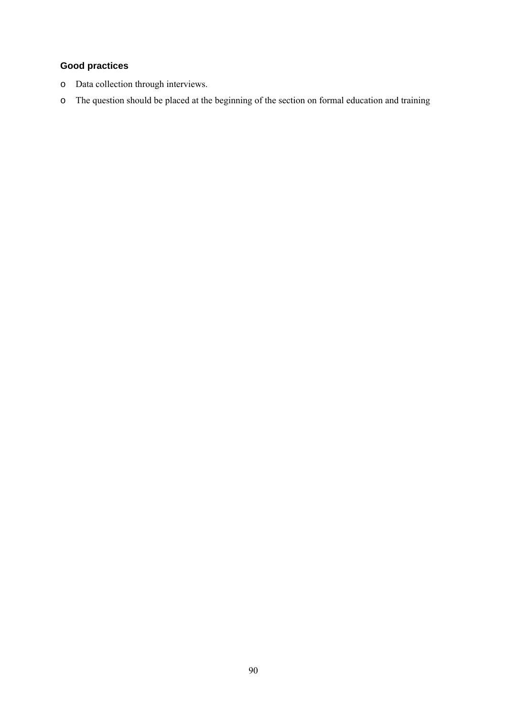# **Good practices**

- o Data collection through interviews.
- o The question should be placed at the beginning of the section on formal education and training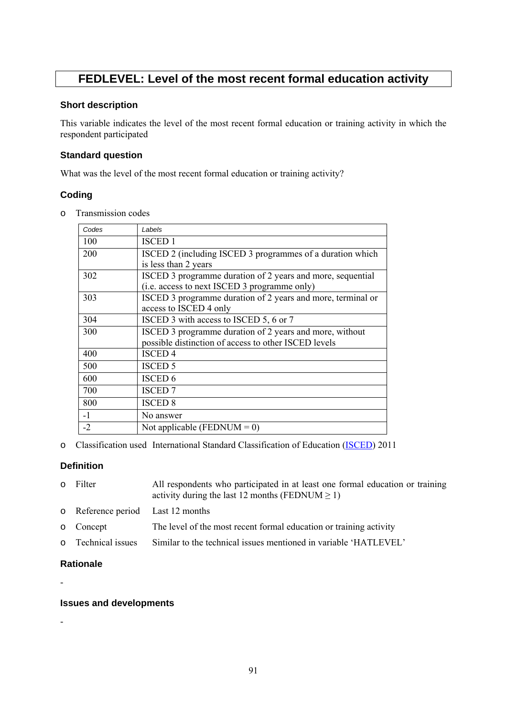# **FEDLEVEL: Level of the most recent formal education activity**

#### **Short description**

This variable indicates the level of the most recent formal education or training activity in which the respondent participated

#### **Standard question**

What was the level of the most recent formal education or training activity?

# **Coding**

o Transmission codes

| Codes | Labels                                                                                                          |
|-------|-----------------------------------------------------------------------------------------------------------------|
| 100   | <b>ISCED 1</b>                                                                                                  |
| 200   | ISCED 2 (including ISCED 3 programmes of a duration which<br>is less than 2 years                               |
| 302   | ISCED 3 programme duration of 2 years and more, sequential<br>(i.e. access to next ISCED 3 programme only)      |
| 303   | ISCED 3 programme duration of 2 years and more, terminal or<br>access to ISCED 4 only                           |
| 304   | ISCED 3 with access to ISCED 5, 6 or 7                                                                          |
| 300   | ISCED 3 programme duration of 2 years and more, without<br>possible distinction of access to other ISCED levels |
| 400   | <b>ISCED4</b>                                                                                                   |
| 500   | <b>ISCED 5</b>                                                                                                  |
| 600   | ISCED 6                                                                                                         |
| 700   | <b>ISCED</b> 7                                                                                                  |
| 800   | <b>ISCED 8</b>                                                                                                  |
| $-1$  | No answer                                                                                                       |
| $-2$  | Not applicable (FEDNUM = 0)                                                                                     |

o Classification used International Standard Classification of Education [\(ISCED\)](http://ec.europa.eu/eurostat/statistics-explained/index.php/International_Standard_Classification_of_Education_(ISCED)) 2011

# **Definition**

| $\circ$ | Filter                            | All respondents who participated in at least one formal education or training<br>activity during the last 12 months (FEDNUM $\geq$ 1) |
|---------|-----------------------------------|---------------------------------------------------------------------------------------------------------------------------------------|
|         | o Reference period Last 12 months |                                                                                                                                       |
|         | o Concept                         | The level of the most recent formal education or training activity                                                                    |
|         | o Technical issues                | Similar to the technical issues mentioned in variable 'HATLEVEL'                                                                      |
|         |                                   |                                                                                                                                       |

# **Rationale**

-

# **Issues and developments**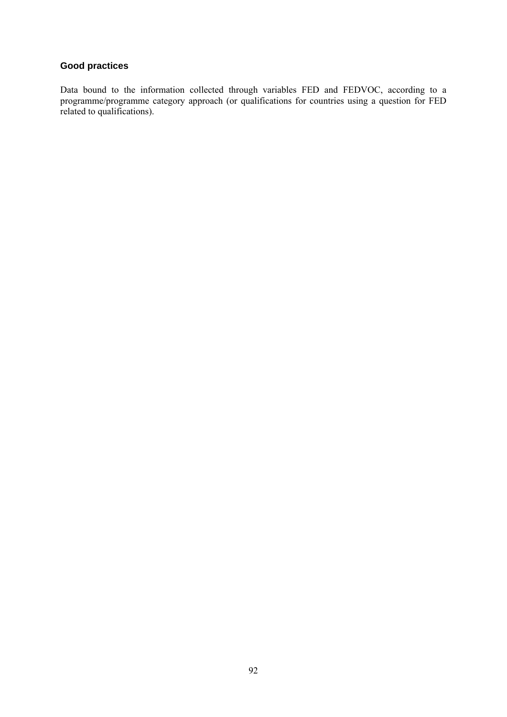# **Good practices**

Data bound to the information collected through variables FED and FEDVOC, according to a programme/programme category approach (or qualifications for countries using a question for FED related to qualifications).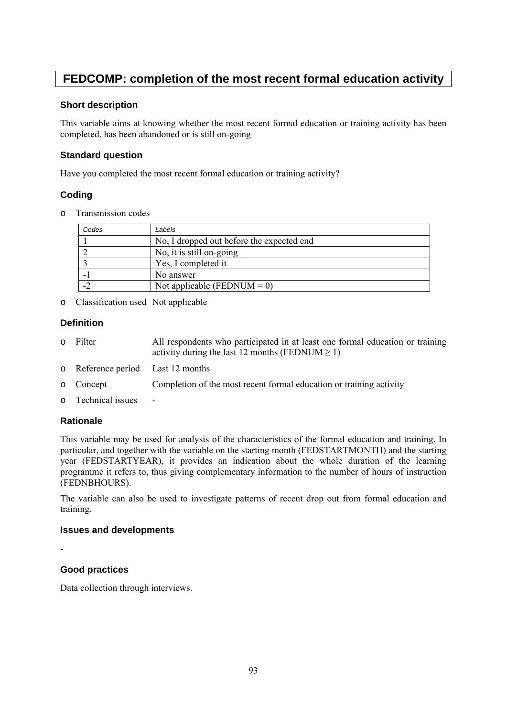# **FEDCOMP: completion of the most recent formal education activity**

#### **Short description**

This variable aims at knowing whether the most recent formal education or training activity has been completed, has been abandoned or is still on-going

#### **Standard question**

Have you completed the most recent formal education or training activity?

# **Coding**

o Transmission codes

| Codes | Labels                                    |
|-------|-------------------------------------------|
|       | No, I dropped out before the expected end |
|       | No, it is still on-going                  |
|       | Yes, I completed it                       |
|       | No answer                                 |
|       | Not applicable (FEDNUM = 0)               |

o Classification used Not applicable

# **Definition**

- o Filter All respondents who participated in at least one formal education or training activity during the last 12 months (FEDNUM  $\geq$  1)
- o Reference period Last 12 months
- o Concept Completion of the most recent formal education or training activity
- $\circ$  Technical issues

# **Rationale**

This variable may be used for analysis of the characteristics of the formal education and training. In particular, and together with the variable on the starting month (FEDSTARTMONTH) and the starting year (FEDSTARTYEAR), it provides an indication about the whole duration of the learning programme it refers to, thus giving complementary information to the number of hours of instruction (FEDNBHOURS).

The variable can also be used to investigate patterns of recent drop out from formal education and training.

#### **Issues and developments**

-

# **Good practices**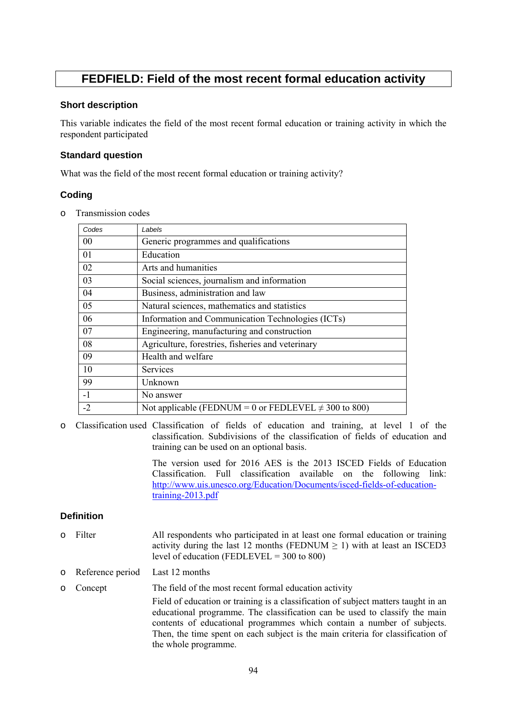# **FEDFIELD: Field of the most recent formal education activity**

#### **Short description**

This variable indicates the field of the most recent formal education or training activity in which the respondent participated

#### **Standard question**

What was the field of the most recent formal education or training activity?

# **Coding**

o Transmission codes

| Codes | Labels                                                    |
|-------|-----------------------------------------------------------|
| 00    | Generic programmes and qualifications                     |
| 01    | Education                                                 |
| 02    | Arts and humanities                                       |
| 03    | Social sciences, journalism and information               |
| 04    | Business, administration and law                          |
| 05    | Natural sciences, mathematics and statistics              |
| 06    | Information and Communication Technologies (ICTs)         |
| 07    | Engineering, manufacturing and construction               |
| 08    | Agriculture, forestries, fisheries and veterinary         |
| 09    | Health and welfare                                        |
| 10    | Services                                                  |
| 99    | Unknown                                                   |
| $-1$  | No answer                                                 |
| $-2$  | Not applicable (FEDNUM = 0 or FEDLEVEL $\neq$ 300 to 800) |

o Classification used Classification of fields of education and training, at level 1 of the classification. Subdivisions of the classification of fields of education and training can be used on an optional basis.

> The version used for 2016 AES is the 2013 ISCED Fields of Education Classification. Full classification available on the following link: [http://www.uis.unesco.org/Education/Documents/isced-fields-of-education](http://www.uis.unesco.org/Education/Documents/isced-fields-of-education-training-2013.pdf)[training-2013.pdf](http://www.uis.unesco.org/Education/Documents/isced-fields-of-education-training-2013.pdf)

# **Definition**

- o Filter All respondents who participated in at least one formal education or training activity during the last 12 months (FEDNUM  $> 1$ ) with at least an ISCED3 level of education (FEDLEVEL  $=$  300 to 800)
- o Reference period Last 12 months
- o Concept The field of the most recent formal education activity Field of education or training is a classification of subject matters taught in an educational programme. The classification can be used to classify the main contents of educational programmes which contain a number of subjects. Then, the time spent on each subject is the main criteria for classification of the whole programme.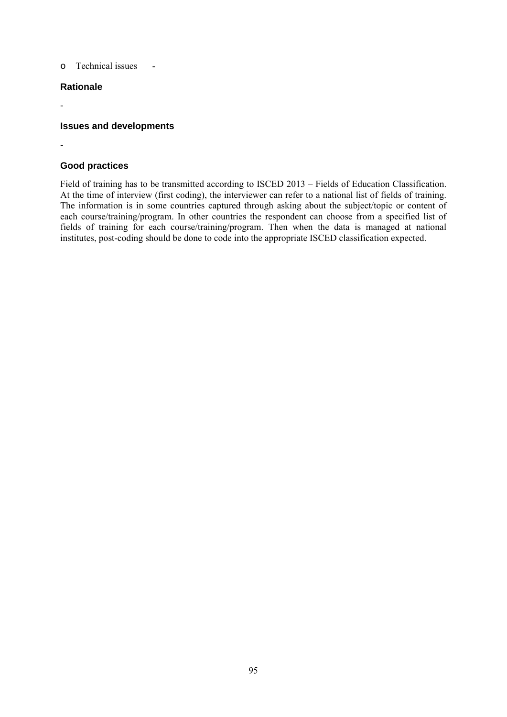o Technical issues -

#### **Rationale**

-

-

#### **Issues and developments**

#### **Good practices**

Field of training has to be transmitted according to ISCED 2013 – Fields of Education Classification. At the time of interview (first coding), the interviewer can refer to a national list of fields of training. The information is in some countries captured through asking about the subject/topic or content of each course/training/program. In other countries the respondent can choose from a specified list of fields of training for each course/training/program. Then when the data is managed at national institutes, post-coding should be done to code into the appropriate ISCED classification expected.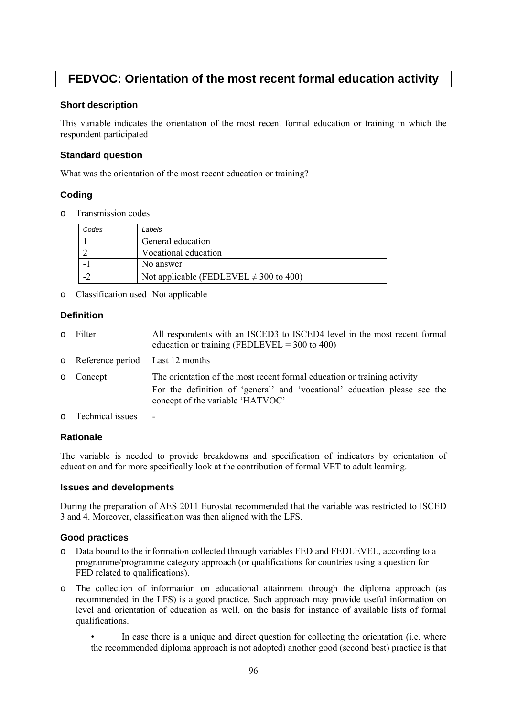# **FEDVOC: Orientation of the most recent formal education activity**

#### **Short description**

This variable indicates the orientation of the most recent formal education or training in which the respondent participated

#### **Standard question**

What was the orientation of the most recent education or training?

# **Coding**

o Transmission codes

| Codes | Labels                                      |
|-------|---------------------------------------------|
|       | General education                           |
|       | Vocational education                        |
|       | No answer                                   |
|       | Not applicable (FEDLEVEL $\neq$ 300 to 400) |

o Classification used Not applicable

#### **Definition**

- o Filter All respondents with an ISCED3 to ISCED4 level in the most recent formal education or training (FEDLEVEL =  $300$  to  $400$ ) o Reference period Last 12 months o Concept The orientation of the most recent formal education or training activity For the definition of 'general' and 'vocational' education please see the concept of the variable 'HATVOC'
- $\circ$  Technical issues

# **Rationale**

The variable is needed to provide breakdowns and specification of indicators by orientation of education and for more specifically look at the contribution of formal VET to adult learning.

#### **Issues and developments**

During the preparation of AES 2011 Eurostat recommended that the variable was restricted to ISCED 3 and 4. Moreover, classification was then aligned with the LFS.

# **Good practices**

- o Data bound to the information collected through variables FED and FEDLEVEL, according to a programme/programme category approach (or qualifications for countries using a question for FED related to qualifications).
- o The collection of information on educational attainment through the diploma approach (as recommended in the LFS) is a good practice. Such approach may provide useful information on level and orientation of education as well, on the basis for instance of available lists of formal qualifications.
	- In case there is a unique and direct question for collecting the orientation (i.e. where the recommended diploma approach is not adopted) another good (second best) practice is that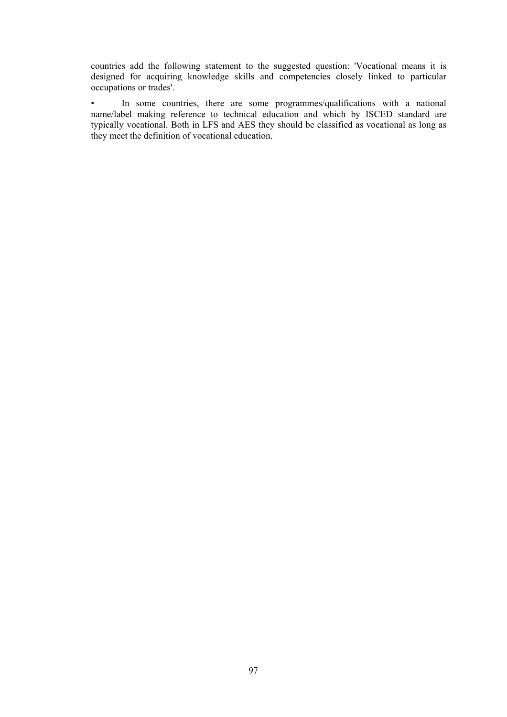countries add the following statement to the suggested question: 'Vocational means it is designed for acquiring knowledge skills and competencies closely linked to particular occupations or trades'.

• In some countries, there are some programmes/qualifications with a national name/label making reference to technical education and which by ISCED standard are typically vocational. Both in LFS and AES they should be classified as vocational as long as they meet the definition of vocational education.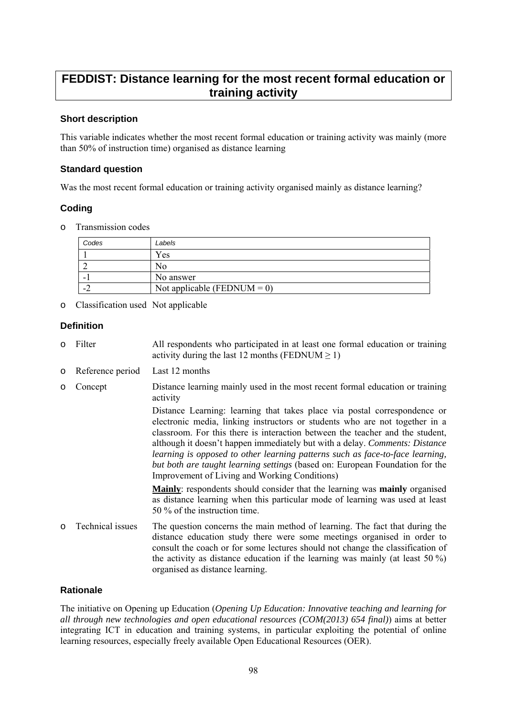# **FEDDIST: Distance learning for the most recent formal education or training activity**

#### **Short description**

This variable indicates whether the most recent formal education or training activity was mainly (more than 50% of instruction time) organised as distance learning

#### **Standard question**

Was the most recent formal education or training activity organised mainly as distance learning?

#### **Coding**

o Transmission codes

| Codes            | Labels                      |
|------------------|-----------------------------|
|                  | Yes                         |
|                  | No                          |
| -                | No answer                   |
| $\blacksquare$ . | Not applicable (FEDNUM = 0) |

o Classification used Not applicable

#### **Definition**

- o Filter All respondents who participated in at least one formal education or training activity during the last 12 months (FEDNUM  $\geq$  1)
- o Reference period Last 12 months
- o Concept Distance learning mainly used in the most recent formal education or training activity

Distance Learning: learning that takes place via postal correspondence or electronic media, linking instructors or students who are not together in a classroom. For this there is interaction between the teacher and the student, although it doesn't happen immediately but with a delay. *Comments: Distance learning is opposed to other learning patterns such as face-to-face learning, but both are taught learning settings* (based on: European Foundation for the Improvement of Living and Working Conditions)

**Mainly**: respondents should consider that the learning was **mainly** organised as distance learning when this particular mode of learning was used at least 50 % of the instruction time.

o Technical issues The question concerns the main method of learning. The fact that during the distance education study there were some meetings organised in order to consult the coach or for some lectures should not change the classification of the activity as distance education if the learning was mainly (at least 50 %) organised as distance learning.

#### **Rationale**

The initiative on Opening up Education (*Opening Up Education: Innovative teaching and learning for all through new technologies and open educational resources (COM(2013) 654 final)*) aims at better integrating ICT in education and training systems, in particular exploiting the potential of online learning resources, especially freely available Open Educational Resources (OER).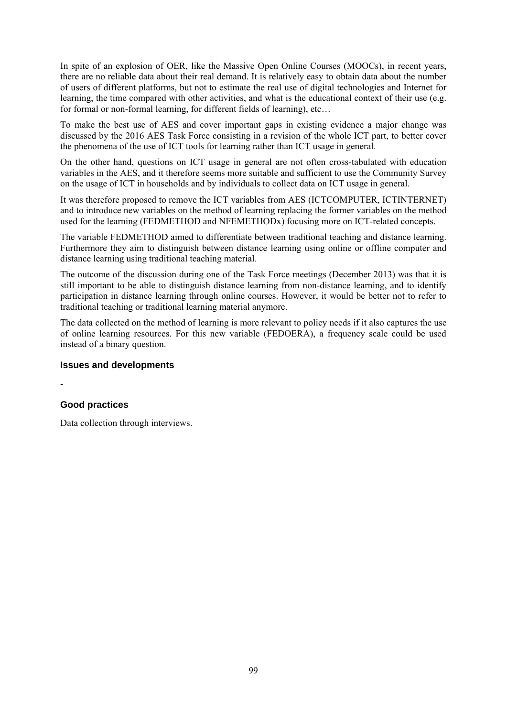In spite of an explosion of OER, like the Massive Open Online Courses (MOOCs), in recent years, there are no reliable data about their real demand. It is relatively easy to obtain data about the number of users of different platforms, but not to estimate the real use of digital technologies and Internet for learning, the time compared with other activities, and what is the educational context of their use (e.g. for formal or non-formal learning, for different fields of learning), etc...

To make the best use of AES and cover important gaps in existing evidence a major change was discussed by the 2016 AES Task Force consisting in a revision of the whole ICT part, to better cover the phenomena of the use of ICT tools for learning rather than ICT usage in general.

On the other hand, questions on ICT usage in general are not often cross-tabulated with education variables in the AES, and it therefore seems more suitable and sufficient to use the Community Survey on the usage of ICT in households and by individuals to collect data on ICT usage in general.

It was therefore proposed to remove the ICT variables from AES (ICTCOMPUTER, ICTINTERNET) and to introduce new variables on the method of learning replacing the former variables on the method used for the learning (FEDMETHOD and NFEMETHODx) focusing more on ICT-related concepts.

The variable FEDMETHOD aimed to differentiate between traditional teaching and distance learning. Furthermore they aim to distinguish between distance learning using online or offline computer and distance learning using traditional teaching material.

The outcome of the discussion during one of the Task Force meetings (December 2013) was that it is still important to be able to distinguish distance learning from non-distance learning, and to identify participation in distance learning through online courses. However, it would be better not to refer to traditional teaching or traditional learning material anymore.

The data collected on the method of learning is more relevant to policy needs if it also captures the use of online learning resources. For this new variable (FEDOERA), a frequency scale could be used instead of a binary question.

#### **Issues and developments**

#### **Good practices**

-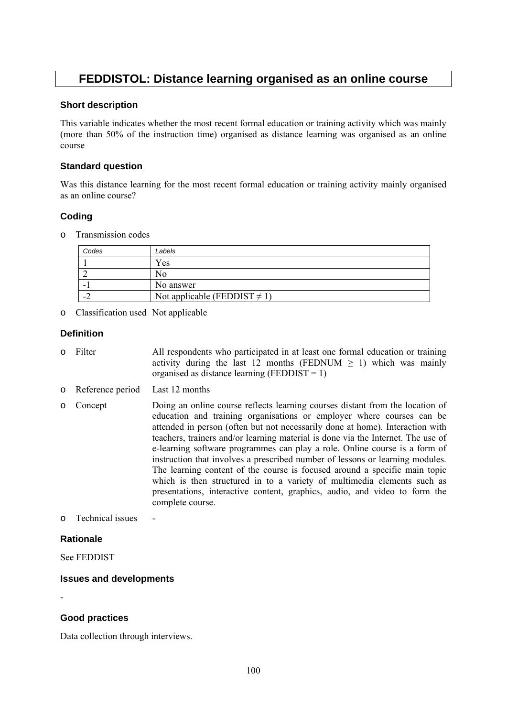# **FEDDISTOL: Distance learning organised as an online course**

#### **Short description**

This variable indicates whether the most recent formal education or training activity which was mainly (more than 50% of the instruction time) organised as distance learning was organised as an online course

#### **Standard question**

Was this distance learning for the most recent formal education or training activity mainly organised as an online course?

# **Coding**

o Transmission codes

| Codes | Labels                            |
|-------|-----------------------------------|
|       | ′es                               |
|       | NΟ                                |
| -     | No answer                         |
| ۰.    | Not applicable (FEDDIST $\neq$ 1) |

o Classification used Not applicable

#### **Definition**

- o Filter All respondents who participated in at least one formal education or training activity during the last 12 months (FEDNUM  $\geq$  1) which was mainly organised as distance learning (FEDDIST = 1)
- o Reference period Last 12 months
- o Concept Doing an online course reflects learning courses distant from the location of education and training organisations or employer where courses can be attended in person (often but not necessarily done at home). Interaction with teachers, trainers and/or learning material is done via the Internet. The use of e-learning software programmes can play a role. Online course is a form of instruction that involves a prescribed number of lessons or learning modules. The learning content of the course is focused around a specific main topic which is then structured in to a variety of multimedia elements such as presentations, interactive content, graphics, audio, and video to form the complete course.
- $\circ$  Technical issues

#### **Rationale**

-

See FEDDIST

# **Issues and developments**

#### **Good practices**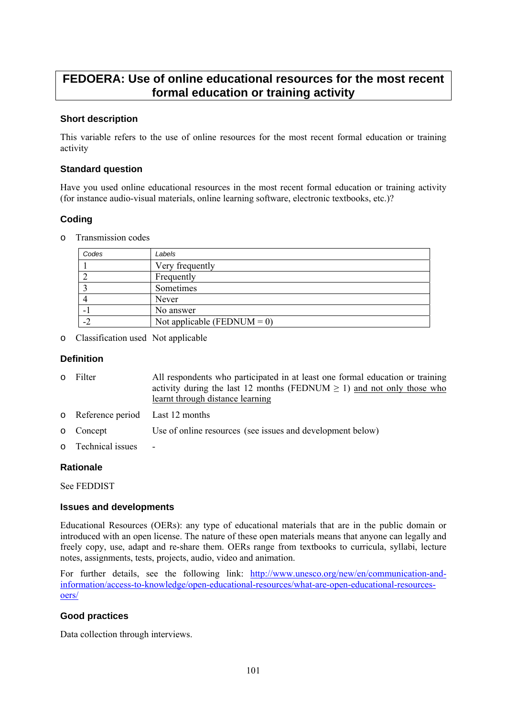# **FEDOERA: Use of online educational resources for the most recent formal education or training activity**

#### **Short description**

This variable refers to the use of online resources for the most recent formal education or training activity

#### **Standard question**

Have you used online educational resources in the most recent formal education or training activity (for instance audio-visual materials, online learning software, electronic textbooks, etc.)?

# **Coding**

o Transmission codes

| Codes | Labels                      |
|-------|-----------------------------|
|       | Very frequently             |
|       | Frequently                  |
|       | Sometimes                   |
|       | Never                       |
|       | No answer                   |
|       | Not applicable (FEDNUM = 0) |

o Classification used Not applicable

#### **Definition**

| 0 Filter                          | All respondents who participated in at least one formal education or training<br>activity during the last 12 months (FEDNUM $\geq$ 1) and not only those who<br>learnt through distance learning |
|-----------------------------------|--------------------------------------------------------------------------------------------------------------------------------------------------------------------------------------------------|
| o Reference period Last 12 months |                                                                                                                                                                                                  |
| o Concept                         | Use of online resources (see issues and development below)                                                                                                                                       |
| o Technical issues                | ۰                                                                                                                                                                                                |

#### **Rationale**

See FEDDIST

#### **Issues and developments**

Educational Resources (OERs): any type of educational materials that are in the public domain or introduced with an open license. The nature of these open materials means that anyone can legally and freely copy, use, adapt and re-share them. OERs range from textbooks to curricula, syllabi, lecture notes, assignments, tests, projects, audio, video and animation.

For further details, see the following link: [http://www.unesco.org/new/en/communication-and](http://www.unesco.org/new/en/communication-and-information/access-to-knowledge/open-educational-resources/what-are-open-educational-resources-oers/)[information/access-to-knowledge/open-educational-resources/what-are-open-educational-resources](http://www.unesco.org/new/en/communication-and-information/access-to-knowledge/open-educational-resources/what-are-open-educational-resources-oers/)[oers/](http://www.unesco.org/new/en/communication-and-information/access-to-knowledge/open-educational-resources/what-are-open-educational-resources-oers/)

#### **Good practices**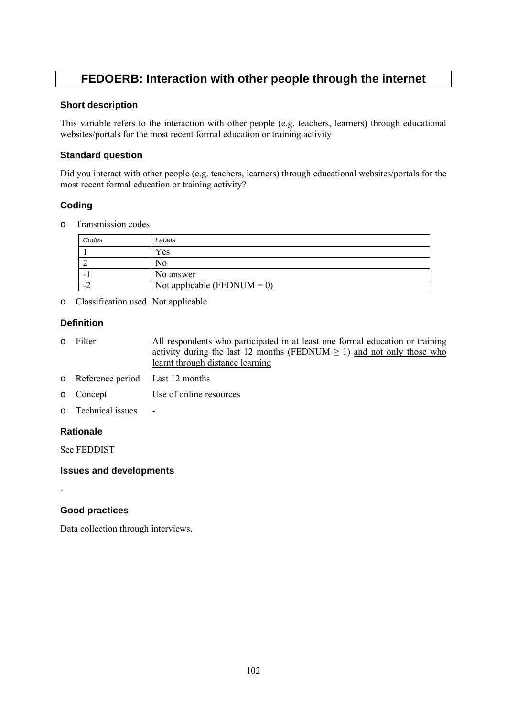# **FEDOERB: Interaction with other people through the internet**

#### **Short description**

This variable refers to the interaction with other people (e.g. teachers, learners) through educational websites/portals for the most recent formal education or training activity

# **Standard question**

Did you interact with other people (e.g. teachers, learners) through educational websites/portals for the most recent formal education or training activity?

# **Coding**

o Transmission codes

| Codes | Labels                      |
|-------|-----------------------------|
|       | Yes                         |
|       | NΟ                          |
|       | No answer                   |
| . .   | Not applicable (FEDNUM = 0) |

o Classification used Not applicable

# **Definition**

- o Filter All respondents who participated in at least one formal education or training activity during the last 12 months (FEDNUM  $\geq$  1) and not only those who learnt through distance learning
- o Reference period Last 12 months
- o Concept Use of online resources
- o Technical issues

# **Rationale**

-

See FEDDIST

# **Issues and developments**

**Good practices**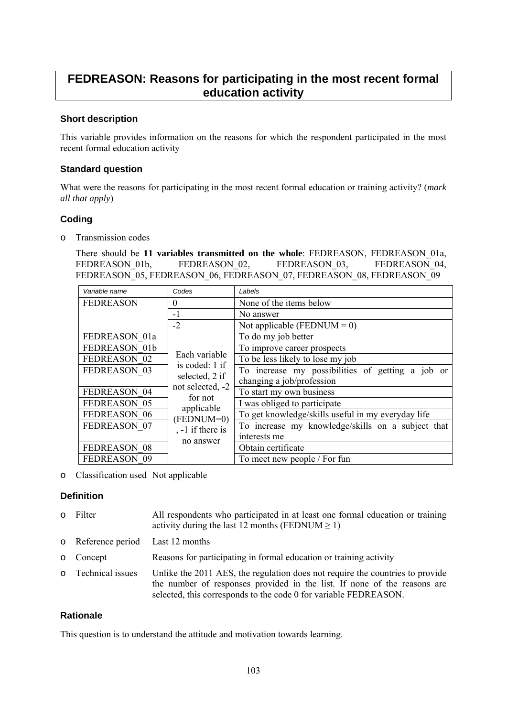# **FEDREASON: Reasons for participating in the most recent formal education activity**

# **Short description**

This variable provides information on the reasons for which the respondent participated in the most recent formal education activity

#### **Standard question**

What were the reasons for participating in the most recent formal education or training activity? (*mark all that apply*)

# **Coding**

o Transmission codes

There should be **11 variables transmitted on the whole**: FEDREASON, FEDREASON\_01a, FEDREASON 01b, FEDREASON 02, FEDREASON 03, FEDREASON 04, FEDREASON<sup>05</sup>, FEDREASON 06, FEDREASON 07, FEDREASON 08, FEDREASON 09

| Variable name    | Codes                               | Labels                                             |
|------------------|-------------------------------------|----------------------------------------------------|
| <b>FEDREASON</b> | $\theta$                            | None of the items below                            |
|                  | $-1$                                | No answer                                          |
|                  | $-2$                                | Not applicable (FEDNUM = $0$ )                     |
| FEDREASON 01a    |                                     | To do my job better                                |
| FEDREASON 01b    |                                     | To improve career prospects                        |
| FEDREASON 02     | Each variable                       | To be less likely to lose my job                   |
| FEDREASON 03     | is coded: 1 if<br>selected, 2 if    | To increase my possibilities of getting a job or   |
|                  | not selected, -2                    | changing a job/profession                          |
| FEDREASON 04     | for not<br>applicable<br>(FEDNUM=0) | To start my own business                           |
| FEDREASON 05     |                                     | I was obliged to participate                       |
| FEDREASON 06     |                                     | To get knowledge/skills useful in my everyday life |
| FEDREASON 07     | , -1 if there is                    | To increase my knowledge/skills on a subject that  |
|                  | no answer                           | interests me                                       |
| FEDREASON 08     |                                     | Obtain certificate                                 |
| FEDREASON 09     |                                     | To meet new people / For fun                       |

o Classification used Not applicable

# **Definition**

- o Filter All respondents who participated in at least one formal education or training activity during the last 12 months (FEDNUM  $\geq$  1)
- o Reference period Last 12 months

o Concept Reasons for participating in formal education or training activity

o Technical issues Unlike the 2011 AES, the regulation does not require the countries to provide the number of responses provided in the list. If none of the reasons are selected, this corresponds to the code 0 for variable FEDREASON.

# **Rationale**

This question is to understand the attitude and motivation towards learning.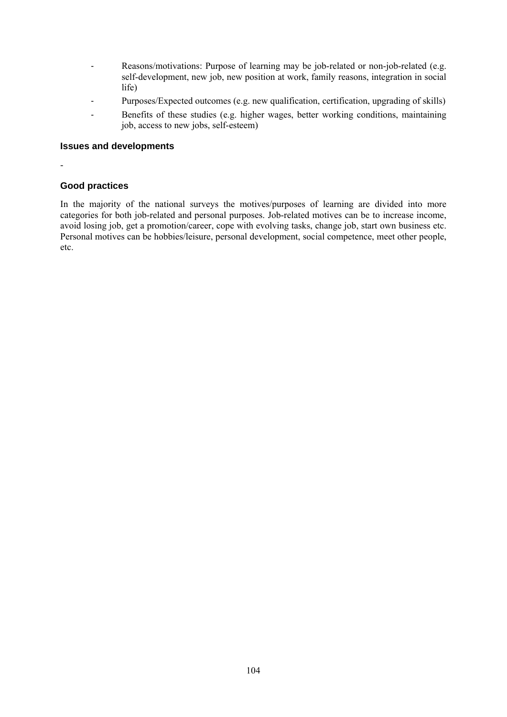- Reasons/motivations: Purpose of learning may be job-related or non-job-related (e.g. self-development, new job, new position at work, family reasons, integration in social life)
- Purposes/Expected outcomes (e.g. new qualification, certification, upgrading of skills)
- Benefits of these studies (e.g. higher wages, better working conditions, maintaining job, access to new jobs, self-esteem)

#### **Issues and developments**

-

# **Good practices**

In the majority of the national surveys the motives/purposes of learning are divided into more categories for both job-related and personal purposes. Job-related motives can be to increase income, avoid losing job, get a promotion/career, cope with evolving tasks, change job, start own business etc. Personal motives can be hobbies/leisure, personal development, social competence, meet other people, etc.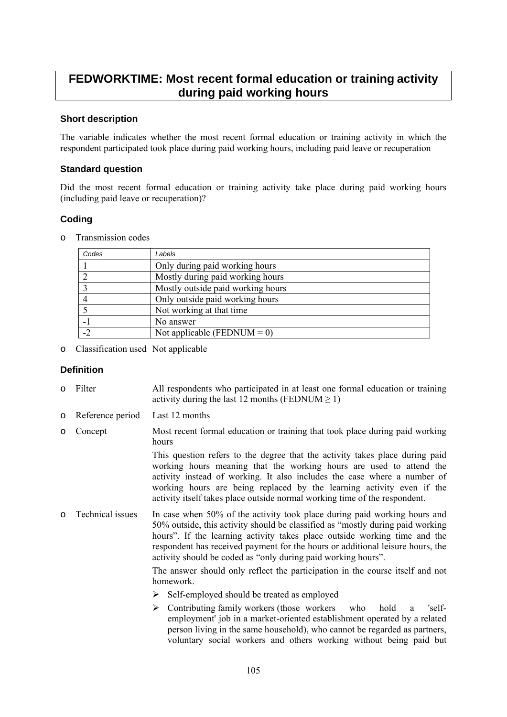# **FEDWORKTIME: Most recent formal education or training activity during paid working hours**

#### **Short description**

The variable indicates whether the most recent formal education or training activity in which the respondent participated took place during paid working hours, including paid leave or recuperation

#### **Standard question**

Did the most recent formal education or training activity take place during paid working hours (including paid leave or recuperation)?

# **Coding**

o Transmission codes

| Codes | Labels                            |
|-------|-----------------------------------|
|       | Only during paid working hours    |
|       | Mostly during paid working hours  |
|       | Mostly outside paid working hours |
|       | Only outside paid working hours   |
|       | Not working at that time          |
|       | No answer                         |
| $-2$  | Not applicable (FEDNUM = 0)       |

o Classification used Not applicable

# **Definition**

- o Filter All respondents who participated in at least one formal education or training activity during the last 12 months (FEDNUM  $> 1$ )
- o Reference period Last 12 months
- o Concept Most recent formal education or training that took place during paid working hours

 This question refers to the degree that the activity takes place during paid working hours meaning that the working hours are used to attend the activity instead of working. It also includes the case where a number of working hours are being replaced by the learning activity even if the activity itself takes place outside normal working time of the respondent.

o Technical issues In case when 50% of the activity took place during paid working hours and 50% outside, this activity should be classified as "mostly during paid working hours". If the learning activity takes place outside working time and the respondent has received payment for the hours or additional leisure hours, the activity should be coded as "only during paid working hours".

> The answer should only reflect the participation in the course itself and not homework.

- $\triangleright$  Self-employed should be treated as employed
- $\triangleright$  Contributing family workers (those workers who hold a 'selfemployment' job in a market-oriented establishment operated by a related person living in the same household), who cannot be regarded as partners, voluntary social workers and others working without being paid but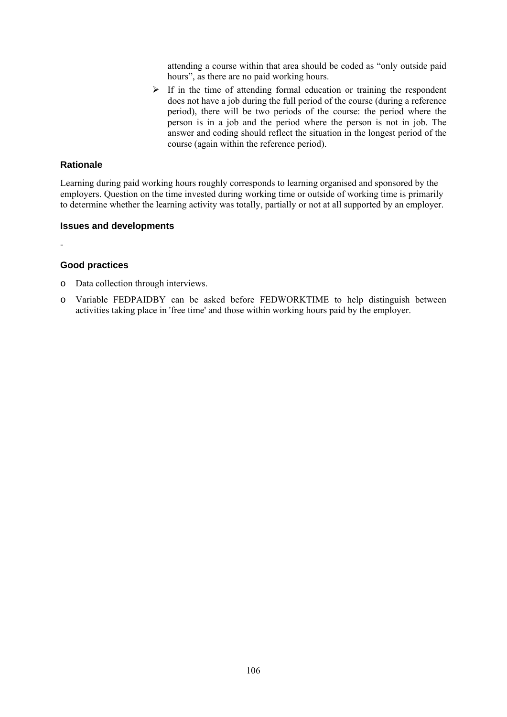attending a course within that area should be coded as "only outside paid hours", as there are no paid working hours.

 $\triangleright$  If in the time of attending formal education or training the respondent does not have a job during the full period of the course (during a reference period), there will be two periods of the course: the period where the person is in a job and the period where the person is not in job. The answer and coding should reflect the situation in the longest period of the course (again within the reference period).

#### **Rationale**

Learning during paid working hours roughly corresponds to learning organised and sponsored by the employers. Question on the time invested during working time or outside of working time is primarily to determine whether the learning activity was totally, partially or not at all supported by an employer.

#### **Issues and developments**

-

#### **Good practices**

- o Data collection through interviews.
- o Variable FEDPAIDBY can be asked before FEDWORKTIME to help distinguish between activities taking place in 'free time' and those within working hours paid by the employer.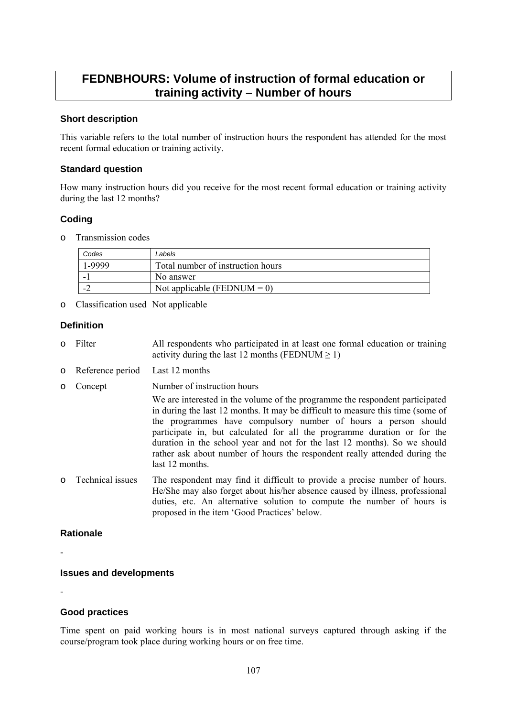# **FEDNBHOURS: Volume of instruction of formal education or training activity – Number of hours**

#### **Short description**

This variable refers to the total number of instruction hours the respondent has attended for the most recent formal education or training activity.

#### **Standard question**

How many instruction hours did you receive for the most recent formal education or training activity during the last 12 months?

# **Coding**

o Transmission codes

| Codes | Labels                            |
|-------|-----------------------------------|
| .9999 | Total number of instruction hours |
|       | No answer                         |
|       | Not applicable (FEDNUM = 0)       |

o Classification used Not applicable

# **Definition**

- o Filter All respondents who participated in at least one formal education or training activity during the last 12 months (FEDNUM  $\geq$  1)
- o Reference period Last 12 months
- o Concept Number of instruction hours

We are interested in the volume of the programme the respondent participated in during the last 12 months. It may be difficult to measure this time (some of the programmes have compulsory number of hours a person should participate in, but calculated for all the programme duration or for the duration in the school year and not for the last 12 months). So we should rather ask about number of hours the respondent really attended during the last 12 months.

o Technical issues The respondent may find it difficult to provide a precise number of hours. He/She may also forget about his/her absence caused by illness, professional duties, etc. An alternative solution to compute the number of hours is proposed in the item 'Good Practices' below.

# **Rationale**

-

# **Issues and developments**

-

# **Good practices**

Time spent on paid working hours is in most national surveys captured through asking if the course/program took place during working hours or on free time.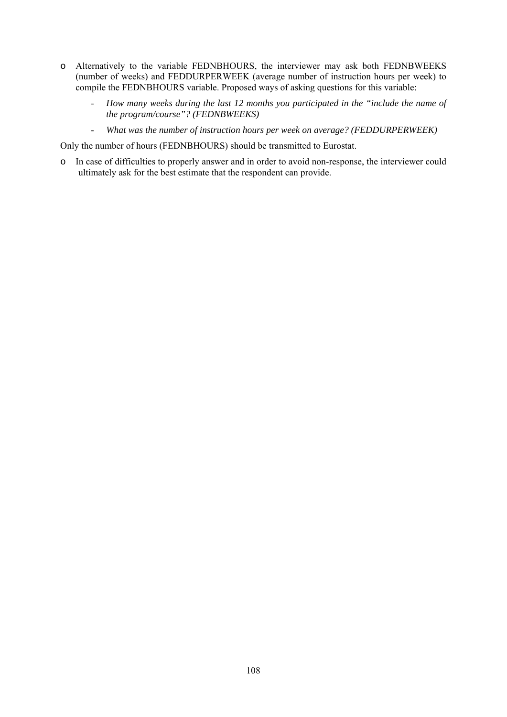- o Alternatively to the variable FEDNBHOURS, the interviewer may ask both FEDNBWEEKS (number of weeks) and FEDDURPERWEEK (average number of instruction hours per week) to compile the FEDNBHOURS variable. Proposed ways of asking questions for this variable:
	- *How many weeks during the last 12 months you participated in the "include the name of the program/course"? (FEDNBWEEKS)*
	- *What was the number of instruction hours per week on average? (FEDDURPERWEEK)*

Only the number of hours (FEDNBHOURS) should be transmitted to Eurostat.

o In case of difficulties to properly answer and in order to avoid non-response, the interviewer could ultimately ask for the best estimate that the respondent can provide.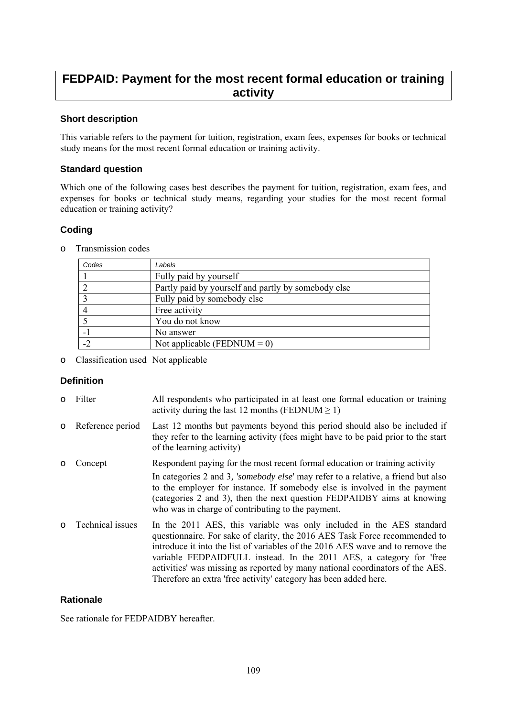## **FEDPAID: Payment for the most recent formal education or training activity**

## **Short description**

This variable refers to the payment for tuition, registration, exam fees, expenses for books or technical study means for the most recent formal education or training activity.

## **Standard question**

Which one of the following cases best describes the payment for tuition, registration, exam fees, and expenses for books or technical study means, regarding your studies for the most recent formal education or training activity?

## **Coding**

| Codes | Labels                                              |
|-------|-----------------------------------------------------|
|       | Fully paid by yourself                              |
|       | Partly paid by yourself and partly by somebody else |
|       | Fully paid by somebody else                         |
|       | Free activity                                       |
|       | You do not know                                     |
| $-1$  | No answer                                           |
| $-2$  | Not applicable (FEDNUM = 0)                         |

o Transmission codes

o Classification used Not applicable

## **Definition**

o Filter All respondents who participated in at least one formal education or training activity during the last 12 months (FEDNUM  $\geq$  1) o Reference period Last 12 months but payments beyond this period should also be included if they refer to the learning activity (fees might have to be paid prior to the start of the learning activity) o Concept Respondent paying for the most recent formal education or training activity In categories 2 and 3*, 'somebody else*' may refer to a relative, a friend but also to the employer for instance. If somebody else is involved in the payment (categories 2 and 3), then the next question FEDPAIDBY aims at knowing who was in charge of contributing to the payment. o Technical issues In the 2011 AES, this variable was only included in the AES standard questionnaire. For sake of clarity, the 2016 AES Task Force recommended to introduce it into the list of variables of the 2016 AES wave and to remove the variable FEDPAIDFULL instead. In the 2011 AES, a category for 'free activities' was missing as reported by many national coordinators of the AES. Therefore an extra 'free activity' category has been added here.

## **Rationale**

See rationale for FEDPAIDBY hereafter.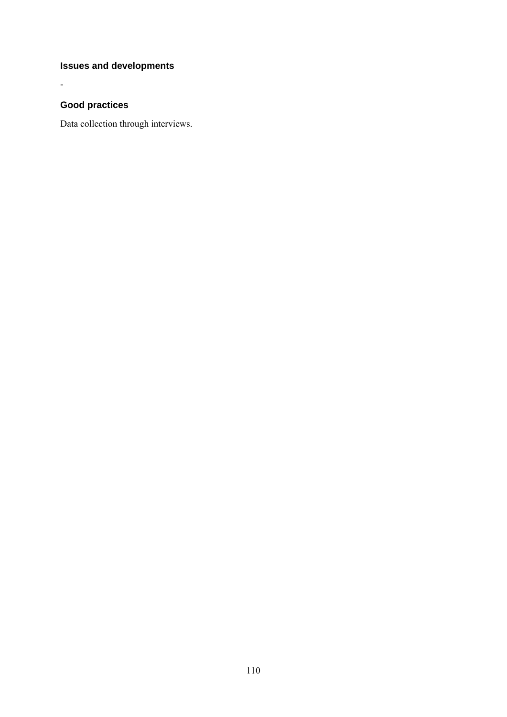## **Issues and developments**

## **Good practices**

-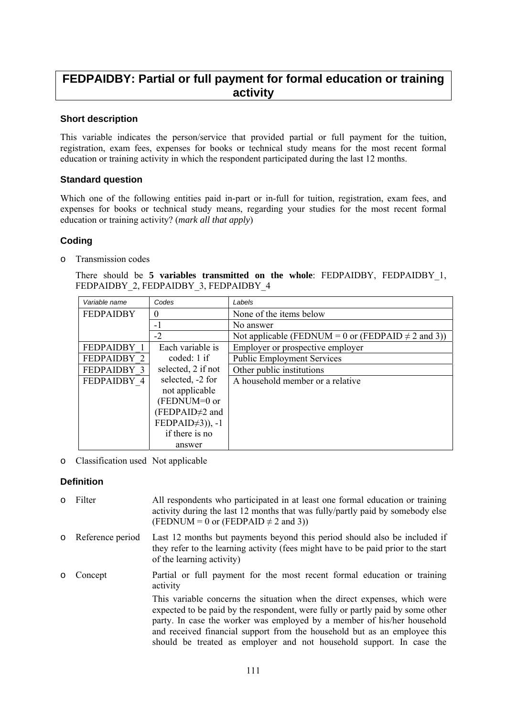## **FEDPAIDBY: Partial or full payment for formal education or training activity**

## **Short description**

This variable indicates the person/service that provided partial or full payment for the tuition, registration, exam fees, expenses for books or technical study means for the most recent formal education or training activity in which the respondent participated during the last 12 months.

### **Standard question**

Which one of the following entities paid in-part or in-full for tuition, registration, exam fees, and expenses for books or technical study means, regarding your studies for the most recent formal education or training activity? (*mark all that apply*)

## **Coding**

o Transmission codes

There should be **5 variables transmitted on the whole**: FEDPAIDBY, FEDPAIDBY\_1, FEDPAIDBY 2, FEDPAIDBY 3, FEDPAIDBY 4

| Variable name                | Codes                      | Labels                                                  |
|------------------------------|----------------------------|---------------------------------------------------------|
| <b>FEDPAIDBY</b><br>$\theta$ |                            | None of the items below                                 |
|                              | $-1$                       | No answer                                               |
|                              | $-2$                       | Not applicable (FEDNUM = 0 or (FEDPAID $\neq$ 2 and 3)) |
| FEDPAIDBY 1                  | Each variable is           | Employer or prospective employer                        |
| FEDPAIDBY 2                  | coded: 1 if                | <b>Public Employment Services</b>                       |
| FEDPAIDBY 3                  | selected, 2 if not         | Other public institutions                               |
| FEDPAIDBY 4                  | selected, -2 for           | A household member or a relative                        |
|                              | not applicable             |                                                         |
|                              | (FEDNUM=0 or               |                                                         |
|                              | (FEDPAID <sup>+2</sup> and |                                                         |
|                              | $FEDPAID\neq 3)$ ), -1     |                                                         |
|                              | if there is no             |                                                         |
|                              | answer                     |                                                         |

o Classification used Not applicable

## **Definition**

| $\circ$ | Filter             | All respondents who participated in at least one formal education or training<br>activity during the last 12 months that was fully/partly paid by somebody else<br>(FEDNUM = 0 or (FEDPAID $\neq$ 2 and 3))                                                                                                                                                                                 |
|---------|--------------------|---------------------------------------------------------------------------------------------------------------------------------------------------------------------------------------------------------------------------------------------------------------------------------------------------------------------------------------------------------------------------------------------|
|         | o Reference period | Last 12 months but payments beyond this period should also be included if<br>they refer to the learning activity (fees might have to be paid prior to the start<br>of the learning activity)                                                                                                                                                                                                |
| $\circ$ | Concept            | Partial or full payment for the most recent formal education or training<br>activity                                                                                                                                                                                                                                                                                                        |
|         |                    | This variable concerns the situation when the direct expenses, which were<br>expected to be paid by the respondent, were fully or partly paid by some other<br>party. In case the worker was employed by a member of his/her household<br>and received financial support from the household but as an employee this<br>should be treated as employer and not household support. In case the |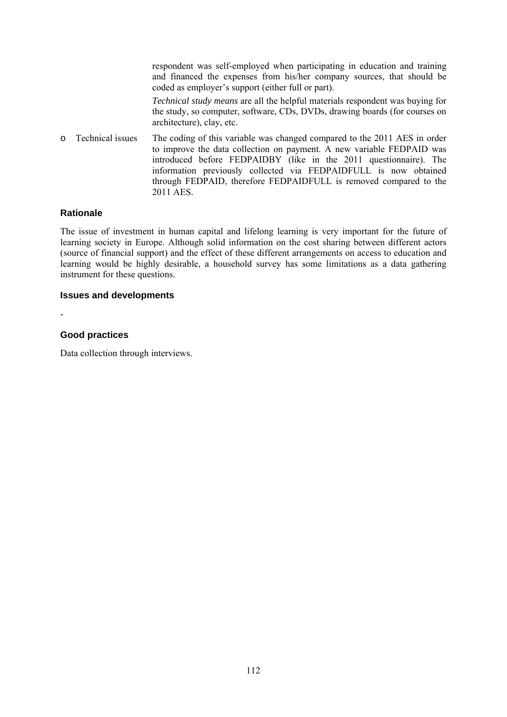|         |                  | respondent was self-employed when participating in education and training<br>and financed the expenses from his/her company sources, that should be<br>coded as employer's support (either full or part).                                                                                                                                                                     |
|---------|------------------|-------------------------------------------------------------------------------------------------------------------------------------------------------------------------------------------------------------------------------------------------------------------------------------------------------------------------------------------------------------------------------|
|         |                  | <i>Technical study means</i> are all the helpful materials respondent was buying for<br>the study, so computer, software, CDs, DVDs, drawing boards (for courses on<br>architecture), clay, etc.                                                                                                                                                                              |
| $\circ$ | Technical issues | The coding of this variable was changed compared to the 2011 AES in order<br>to improve the data collection on payment. A new variable FEDPAID was<br>introduced before FEDPAIDBY (like in the 2011 questionnaire). The<br>information previously collected via FEDPAIDFULL is now obtained<br>through FEDPAID, therefore FEDPAIDFULL is removed compared to the<br>2011 AES. |

## **Rationale**

The issue of investment in human capital and lifelong learning is very important for the future of learning society in Europe. Although solid information on the cost sharing between different actors (source of financial support) and the effect of these different arrangements on access to education and learning would be highly desirable, a household survey has some limitations as a data gathering instrument for these questions.

#### **Issues and developments**

-

#### **Good practices**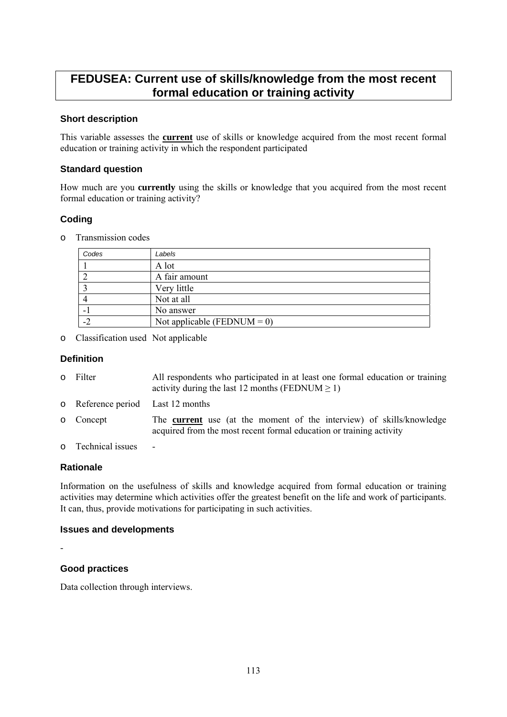## **FEDUSEA: Current use of skills/knowledge from the most recent formal education or training activity**

## **Short description**

This variable assesses the **current** use of skills or knowledge acquired from the most recent formal education or training activity in which the respondent participated

### **Standard question**

How much are you **currently** using the skills or knowledge that you acquired from the most recent formal education or training activity?

## **Coding**

o Transmission codes

| Codes | Labels                         |
|-------|--------------------------------|
|       | A lot                          |
|       | A fair amount                  |
|       | Very little                    |
|       | Not at all                     |
|       | No answer                      |
|       | Not applicable (FEDNUM = $0$ ) |

o Classification used Not applicable

#### **Definition**

| 0 Filter                          | All respondents who participated in at least one formal education or training<br>activity during the last 12 months (FEDNUM $\geq$ 1)              |
|-----------------------------------|----------------------------------------------------------------------------------------------------------------------------------------------------|
| o Reference period Last 12 months |                                                                                                                                                    |
| o Concept                         | The <b>current</b> use (at the moment of the interview) of skills/knowledge<br>acquired from the most recent formal education or training activity |
| o Technical issues                | $\overline{\phantom{0}}$                                                                                                                           |

#### **Rationale**

Information on the usefulness of skills and knowledge acquired from formal education or training activities may determine which activities offer the greatest benefit on the life and work of participants. It can, thus, provide motivations for participating in such activities.

#### **Issues and developments**

-

## **Good practices**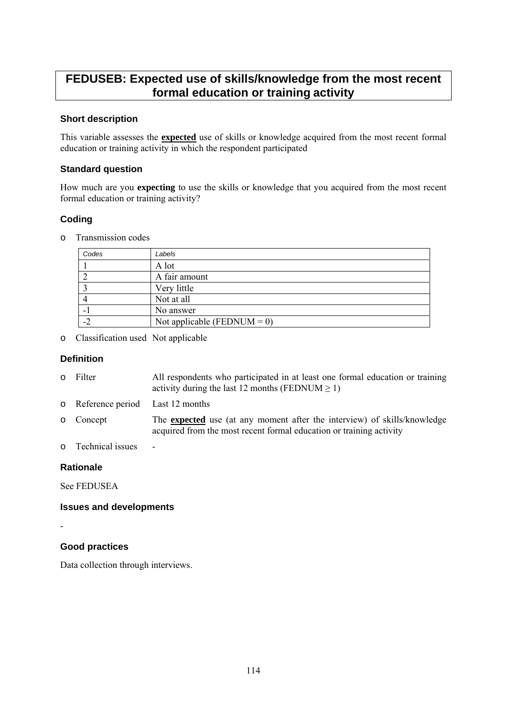## **FEDUSEB: Expected use of skills/knowledge from the most recent formal education or training activity**

## **Short description**

This variable assesses the **expected** use of skills or knowledge acquired from the most recent formal education or training activity in which the respondent participated

### **Standard question**

How much are you **expecting** to use the skills or knowledge that you acquired from the most recent formal education or training activity?

## **Coding**

o Transmission codes

| Codes | Labels                         |
|-------|--------------------------------|
|       | A lot                          |
|       | A fair amount                  |
|       | Very little                    |
|       | Not at all                     |
|       | No answer                      |
|       | Not applicable (FEDNUM = $0$ ) |

o Classification used Not applicable

#### **Definition**

| o Filter | All respondents who participated in at least one formal education or training<br>activity during the last 12 months (FEDNUM $\geq$ 1) |
|----------|---------------------------------------------------------------------------------------------------------------------------------------|
|          | $\cdots$ $\cdots$ $\cdots$                                                                                                            |

- o Reference period Last 12 months
- o Concept The **expected** use (at any moment after the interview) of skills/knowledge acquired from the most recent formal education or training activity
- o Technical issues -

## **Rationale**

See FEDUSEA

#### **Issues and developments**

-

## **Good practices**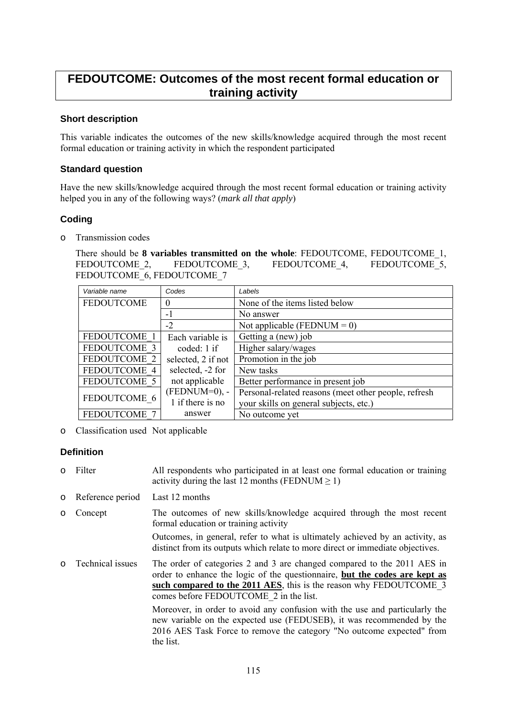## **FEDOUTCOME: Outcomes of the most recent formal education or training activity**

## **Short description**

This variable indicates the outcomes of the new skills/knowledge acquired through the most recent formal education or training activity in which the respondent participated

### **Standard question**

Have the new skills/knowledge acquired through the most recent formal education or training activity helped you in any of the following ways? (*mark all that apply*)

## **Coding**

o Transmission codes

There should be **8 variables transmitted on the whole**: FEDOUTCOME, FEDOUTCOME\_1, FEDOUTCOME 2, FEDOUTCOME 3, FEDOUTCOME 4, FEDOUTCOME 5, FEDOUTCOME 6, FEDOUTCOME 7

| Variable name       | Codes              | Labels                                               |
|---------------------|--------------------|------------------------------------------------------|
| <b>FEDOUTCOME</b>   | $\theta$           | None of the items listed below                       |
|                     | $-1$               | No answer                                            |
|                     | $-2$               | Not applicable (FEDNUM = $0$ )                       |
| FEDOUTCOME 1        | Each variable is   | Getting a (new) job                                  |
| FEDOUTCOME 3        | coded: 1 if        | Higher salary/wages                                  |
| FEDOUTCOME 2        | selected, 2 if not | Promotion in the job                                 |
| FEDOUTCOME 4        | selected, -2 for   | New tasks                                            |
| FEDOUTCOME 5        | not applicable     | Better performance in present job                    |
| FEDOUTCOME 6        | $(FEDNUM=0), -$    | Personal-related reasons (meet other people, refresh |
|                     | 1 if there is no   | your skills on general subjects, etc.)               |
| <b>FEDOUTCOME 7</b> | answer             | No outcome yet                                       |

o Classification used Not applicable

## **Definition**

- o Filter All respondents who participated in at least one formal education or training activity during the last 12 months (FEDNUM  $\geq$  1)
- o Reference period Last 12 months
- o Concept The outcomes of new skills/knowledge acquired through the most recent formal education or training activity

Outcomes, in general, refer to what is ultimately achieved by an activity, as distinct from its outputs which relate to more direct or immediate objectives.

o Technical issues The order of categories 2 and 3 are changed compared to the 2011 AES in order to enhance the logic of the questionnaire, **but the codes are kept as such compared to the 2011 AES**, this is the reason why FEDOUTCOME\_3 comes before FEDOUTCOME\_2 in the list.

Moreover, in order to avoid any confusion with the use and particularly the new variable on the expected use (FEDUSEB), it was recommended by the 2016 AES Task Force to remove the category "No outcome expected" from the list.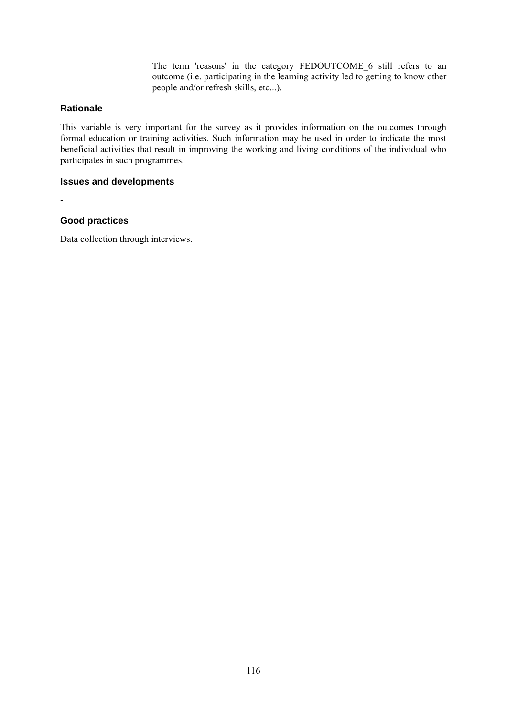The term 'reasons' in the category FEDOUTCOME 6 still refers to an outcome (i.e. participating in the learning activity led to getting to know other people and/or refresh skills, etc...).

## **Rationale**

This variable is very important for the survey as it provides information on the outcomes through formal education or training activities. Such information may be used in order to indicate the most beneficial activities that result in improving the working and living conditions of the individual who participates in such programmes.

#### **Issues and developments**

-

## **Good practices**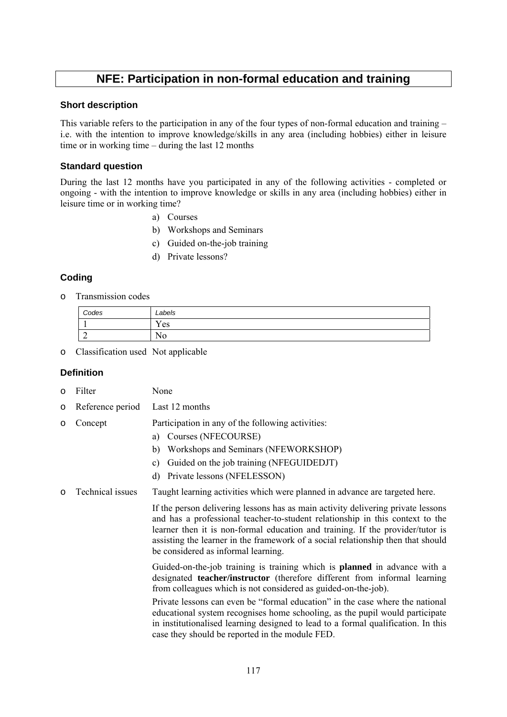## **NFE: Participation in non-formal education and training**

#### **Short description**

This variable refers to the participation in any of the four types of non-formal education and training – i.e. with the intention to improve knowledge/skills in any area (including hobbies) either in leisure time or in working time – during the last 12 months

## **Standard question**

During the last 12 months have you participated in any of the following activities - completed or ongoing - with the intention to improve knowledge or skills in any area (including hobbies) either in leisure time or in working time?

- a) Courses
- b) Workshops and Seminars
- c) Guided on-the-job training
- d) Private lessons?

## **Coding**

o Transmission codes

| Codes       | Labels                         |
|-------------|--------------------------------|
|             | $\mathbf{v}$<br>Yes            |
| $\sim$<br>∼ | $\mathbf{r}$<br>N <sub>0</sub> |

o Classification used Not applicable

## **Definition**

- o Filter None
- o Reference period Last 12 months
- o Concept Participation in any of the following activities:
	- a) Courses (NFECOURSE)
	- b) Workshops and Seminars (NFEWORKSHOP)
	- c) Guided on the job training (NFEGUIDEDJT)
	- d) Private lessons (NFELESSON)
- o Technical issues Taught learning activities which were planned in advance are targeted here.

If the person delivering lessons has as main activity delivering private lessons and has a professional teacher-to-student relationship in this context to the learner then it is non-formal education and training. If the provider/tutor is assisting the learner in the framework of a social relationship then that should be considered as informal learning.

Guided-on-the-job training is training which is **planned** in advance with a designated **teacher/instructor** (therefore different from informal learning from colleagues which is not considered as guided-on-the-job).

Private lessons can even be "formal education" in the case where the national educational system recognises home schooling, as the pupil would participate in institutionalised learning designed to lead to a formal qualification. In this case they should be reported in the module FED.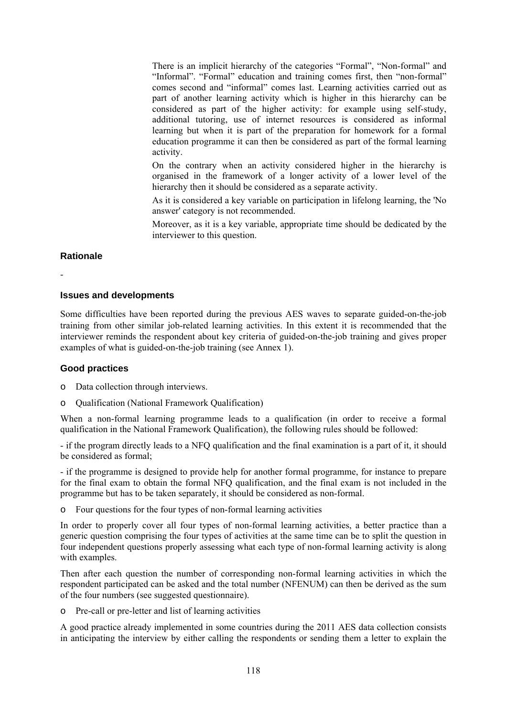There is an implicit hierarchy of the categories "Formal", "Non-formal" and "Informal". "Formal" education and training comes first, then "non-formal" comes second and "informal" comes last. Learning activities carried out as part of another learning activity which is higher in this hierarchy can be considered as part of the higher activity: for example using self-study, additional tutoring, use of internet resources is considered as informal learning but when it is part of the preparation for homework for a formal education programme it can then be considered as part of the formal learning activity.

On the contrary when an activity considered higher in the hierarchy is organised in the framework of a longer activity of a lower level of the hierarchy then it should be considered as a separate activity.

As it is considered a key variable on participation in lifelong learning, the 'No answer' category is not recommended.

Moreover, as it is a key variable, appropriate time should be dedicated by the interviewer to this question.

### **Rationale**

-

#### **Issues and developments**

Some difficulties have been reported during the previous AES waves to separate guided-on-the-job training from other similar job-related learning activities. In this extent it is recommended that the interviewer reminds the respondent about key criteria of guided-on-the-job training and gives proper examples of what is guided-on-the-job training (see Annex 1).

#### **Good practices**

- o Data collection through interviews.
- o Qualification (National Framework Qualification)

When a non-formal learning programme leads to a qualification (in order to receive a formal qualification in the National Framework Qualification), the following rules should be followed:

- if the program directly leads to a NFQ qualification and the final examination is a part of it, it should be considered as formal;

- if the programme is designed to provide help for another formal programme, for instance to prepare for the final exam to obtain the formal NFQ qualification, and the final exam is not included in the programme but has to be taken separately, it should be considered as non-formal.

o Four questions for the four types of non-formal learning activities

In order to properly cover all four types of non-formal learning activities, a better practice than a generic question comprising the four types of activities at the same time can be to split the question in four independent questions properly assessing what each type of non-formal learning activity is along with examples.

Then after each question the number of corresponding non-formal learning activities in which the respondent participated can be asked and the total number (NFENUM) can then be derived as the sum of the four numbers (see suggested questionnaire).

o Pre-call or pre-letter and list of learning activities

A good practice already implemented in some countries during the 2011 AES data collection consists in anticipating the interview by either calling the respondents or sending them a letter to explain the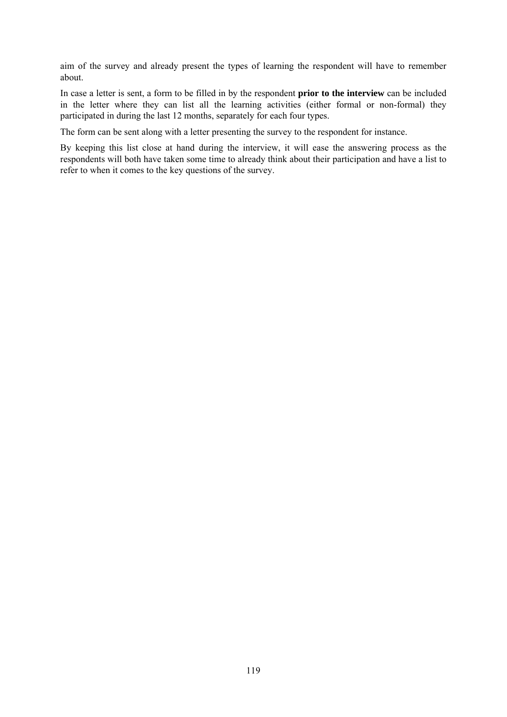aim of the survey and already present the types of learning the respondent will have to remember about.

In case a letter is sent, a form to be filled in by the respondent **prior to the interview** can be included in the letter where they can list all the learning activities (either formal or non-formal) they participated in during the last 12 months, separately for each four types.

The form can be sent along with a letter presenting the survey to the respondent for instance.

By keeping this list close at hand during the interview, it will ease the answering process as the respondents will both have taken some time to already think about their participation and have a list to refer to when it comes to the key questions of the survey.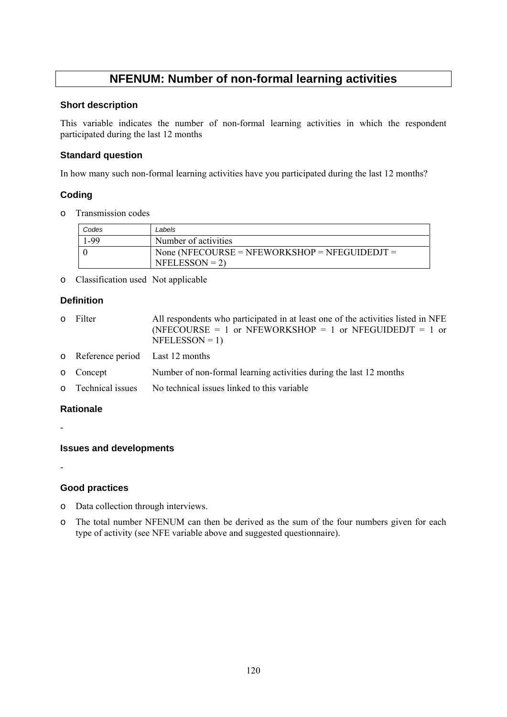## **NFENUM: Number of non-formal learning activities**

#### **Short description**

This variable indicates the number of non-formal learning activities in which the respondent participated during the last 12 months

## **Standard question**

In how many such non-formal learning activities have you participated during the last 12 months?

## **Coding**

o Transmission codes

| Codes | Labels                                                           |
|-------|------------------------------------------------------------------|
| -99 ا | Number of activities                                             |
|       | None (NFECOURSE = NFEWORKSHOP = NFEGUIDEDJT =<br>$NFELESSON = 2$ |

o Classification used Not applicable

## **Definition**

| 0 Filter                          | All respondents who participated in at least one of the activities listed in NFE<br>(NFECOURSE = 1 or NFEWORKSHOP = 1 or NFEGUIDEDJT = 1 or<br>$NFELESSON = 1$ |
|-----------------------------------|----------------------------------------------------------------------------------------------------------------------------------------------------------------|
| o Reference period Last 12 months |                                                                                                                                                                |
| o Concept                         | Number of non-formal learning activities during the last 12 months                                                                                             |
| o Technical issues                | No technical issues linked to this variable                                                                                                                    |

## **Rationale**

-

## **Issues and developments**

-

## **Good practices**

- o Data collection through interviews.
- o The total number NFENUM can then be derived as the sum of the four numbers given for each type of activity (see NFE variable above and suggested questionnaire).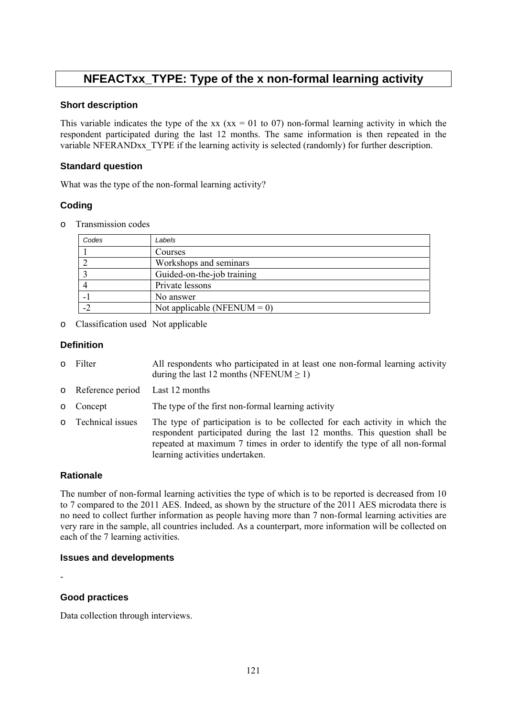## **NFEACTxx\_TYPE: Type of the x non-formal learning activity**

### **Short description**

This variable indicates the type of the xx (xx = 01 to 07) non-formal learning activity in which the respondent participated during the last 12 months. The same information is then repeated in the variable NFERANDxx\_TYPE if the learning activity is selected (randomly) for further description.

## **Standard question**

What was the type of the non-formal learning activity?

## **Coding**

o Transmission codes

| Codes | Labels                         |
|-------|--------------------------------|
|       | Courses                        |
|       | Workshops and seminars         |
|       | Guided-on-the-job training     |
|       | Private lessons                |
|       | No answer                      |
|       | Not applicable (NFENUM = $0$ ) |

o Classification used Not applicable

## **Definition**

- o Filter All respondents who participated in at least one non-formal learning activity during the last 12 months (NFENUM  $\geq$  1)
- o Reference period Last 12 months
- o Concept The type of the first non-formal learning activity
- o Technical issues The type of participation is to be collected for each activity in which the respondent participated during the last 12 months. This question shall be repeated at maximum 7 times in order to identify the type of all non-formal learning activities undertaken.

## **Rationale**

The number of non-formal learning activities the type of which is to be reported is decreased from 10 to 7 compared to the 2011 AES. Indeed, as shown by the structure of the 2011 AES microdata there is no need to collect further information as people having more than 7 non-formal learning activities are very rare in the sample, all countries included. As a counterpart, more information will be collected on each of the 7 learning activities.

## **Issues and developments**

## **Good practices**

-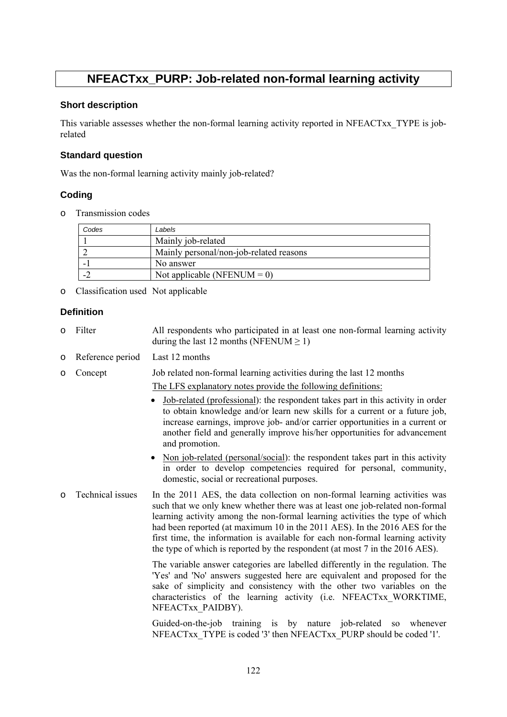## **NFEACTxx\_PURP: Job-related non-formal learning activity**

### **Short description**

This variable assesses whether the non-formal learning activity reported in NFEACTxx\_TYPE is jobrelated

## **Standard question**

Was the non-formal learning activity mainly job-related?

## **Coding**

o Transmission codes

| Codes | Labels                                  |
|-------|-----------------------------------------|
|       | Mainly job-related                      |
|       | Mainly personal/non-job-related reasons |
|       | No answer                               |
|       | Not applicable (NFENUM = 0)             |

o Classification used Not applicable

## **Definition**

- o Filter All respondents who participated in at least one non-formal learning activity during the last 12 months (NFENUM  $> 1$ )
- o Reference period Last 12 months
- o Concept Job related non-formal learning activities during the last 12 months
	- The LFS explanatory notes provide the following definitions:
	- Job-related (professional): the respondent takes part in this activity in order to obtain knowledge and/or learn new skills for a current or a future job, increase earnings, improve job- and/or carrier opportunities in a current or another field and generally improve his/her opportunities for advancement and promotion.
	- Non job-related (personal/social): the respondent takes part in this activity in order to develop competencies required for personal, community, domestic, social or recreational purposes.
- o Technical issues In the 2011 AES, the data collection on non-formal learning activities was such that we only knew whether there was at least one job-related non-formal learning activity among the non-formal learning activities the type of which had been reported (at maximum 10 in the 2011 AES). In the 2016 AES for the first time, the information is available for each non-formal learning activity the type of which is reported by the respondent (at most 7 in the 2016 AES).

The variable answer categories are labelled differently in the regulation. The 'Yes' and 'No' answers suggested here are equivalent and proposed for the sake of simplicity and consistency with the other two variables on the characteristics of the learning activity (i.e. NFEACTxx\_WORKTIME, NFEACTxx\_PAIDBY).

Guided-on-the-job training is by nature job-related so whenever NFEACTxx\_TYPE is coded '3' then NFEACTxx\_PURP should be coded '1'.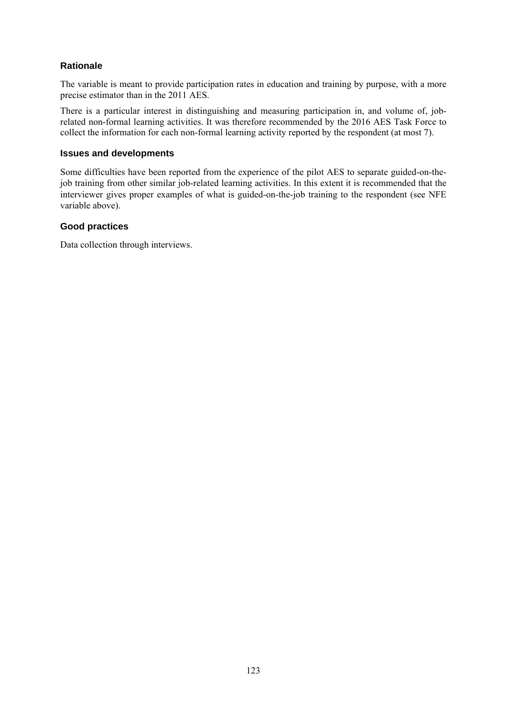## **Rationale**

The variable is meant to provide participation rates in education and training by purpose, with a more precise estimator than in the 2011 AES.

There is a particular interest in distinguishing and measuring participation in, and volume of, jobrelated non-formal learning activities. It was therefore recommended by the 2016 AES Task Force to collect the information for each non-formal learning activity reported by the respondent (at most 7).

#### **Issues and developments**

Some difficulties have been reported from the experience of the pilot AES to separate guided-on-thejob training from other similar job-related learning activities. In this extent it is recommended that the interviewer gives proper examples of what is guided-on-the-job training to the respondent (see NFE variable above).

## **Good practices**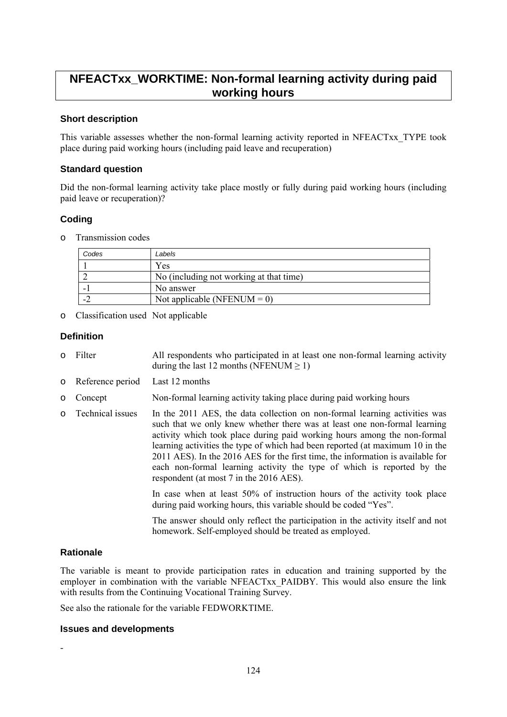## **NFEACTxx\_WORKTIME: Non-formal learning activity during paid working hours**

## **Short description**

This variable assesses whether the non-formal learning activity reported in NFEACTxx\_TYPE took place during paid working hours (including paid leave and recuperation)

### **Standard question**

Did the non-formal learning activity take place mostly or fully during paid working hours (including paid leave or recuperation)?

## **Coding**

o Transmission codes

| Codes | Labels                                  |
|-------|-----------------------------------------|
|       | Yes                                     |
|       | No (including not working at that time) |
| -     | No answer                               |
| $-$   | Not applicable (NFENUM = 0)             |

o Classification used Not applicable

## **Definition**

- o Filter All respondents who participated in at least one non-formal learning activity during the last 12 months (NFENUM  $\geq$  1)
- o Reference period Last 12 months
- o Concept Non-formal learning activity taking place during paid working hours
- o Technical issues In the 2011 AES, the data collection on non-formal learning activities was such that we only knew whether there was at least one non-formal learning activity which took place during paid working hours among the non-formal learning activities the type of which had been reported (at maximum 10 in the 2011 AES). In the 2016 AES for the first time, the information is available for each non-formal learning activity the type of which is reported by the respondent (at most 7 in the 2016 AES).

In case when at least 50% of instruction hours of the activity took place during paid working hours, this variable should be coded "Yes".

The answer should only reflect the participation in the activity itself and not homework. Self-employed should be treated as employed.

## **Rationale**

-

The variable is meant to provide participation rates in education and training supported by the employer in combination with the variable NFEACTxx\_PAIDBY. This would also ensure the link with results from the Continuing Vocational Training Survey.

See also the rationale for the variable FEDWORKTIME.

#### **Issues and developments**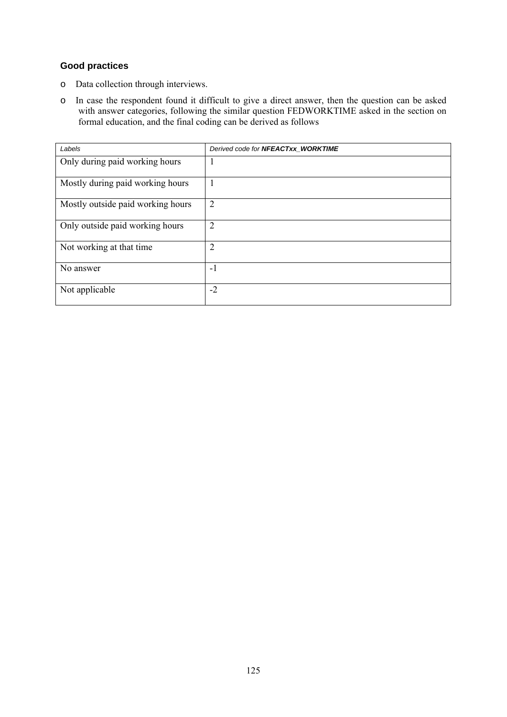## **Good practices**

- o Data collection through interviews.
- o In case the respondent found it difficult to give a direct answer, then the question can be asked with answer categories, following the similar question FEDWORKTIME asked in the section on formal education, and the final coding can be derived as follows

| Labels                            | Derived code for NFEACTxx_WORKTIME |
|-----------------------------------|------------------------------------|
| Only during paid working hours    | п                                  |
| Mostly during paid working hours  |                                    |
| Mostly outside paid working hours | $\overline{2}$                     |
| Only outside paid working hours   | $\overline{2}$                     |
| Not working at that time          | $\overline{2}$                     |
| No answer                         | $-1$                               |
| Not applicable                    | $-2$                               |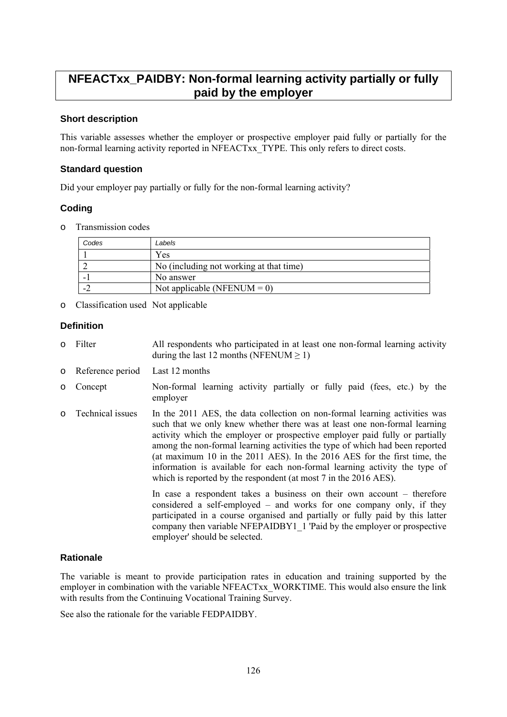## **NFEACTxx\_PAIDBY: Non-formal learning activity partially or fully paid by the employer**

## **Short description**

This variable assesses whether the employer or prospective employer paid fully or partially for the non-formal learning activity reported in NFEACTxx\_TYPE. This only refers to direct costs.

### **Standard question**

Did your employer pay partially or fully for the non-formal learning activity?

## **Coding**

o Transmission codes

| Codes | Labels                                  |
|-------|-----------------------------------------|
|       | Yes                                     |
|       | No (including not working at that time) |
|       | No answer                               |
|       | Not applicable (NFENUM = $0$ )          |

o Classification used Not applicable

### **Definition**

- o Filter All respondents who participated in at least one non-formal learning activity during the last 12 months (NFENUM  $\geq$  1)
- o Reference period Last 12 months
- o Concept Non-formal learning activity partially or fully paid (fees, etc.) by the employer
- o Technical issues In the 2011 AES, the data collection on non-formal learning activities was such that we only knew whether there was at least one non-formal learning activity which the employer or prospective employer paid fully or partially among the non-formal learning activities the type of which had been reported (at maximum 10 in the 2011 AES). In the 2016 AES for the first time, the information is available for each non-formal learning activity the type of which is reported by the respondent (at most 7 in the 2016 AES).

In case a respondent takes a business on their own account – therefore considered a self-employed – and works for one company only, if they participated in a course organised and partially or fully paid by this latter company then variable NFEPAIDBY1\_1 'Paid by the employer or prospective employer' should be selected.

## **Rationale**

The variable is meant to provide participation rates in education and training supported by the employer in combination with the variable NFEACTxx\_WORKTIME. This would also ensure the link with results from the Continuing Vocational Training Survey.

See also the rationale for the variable FEDPAIDBY.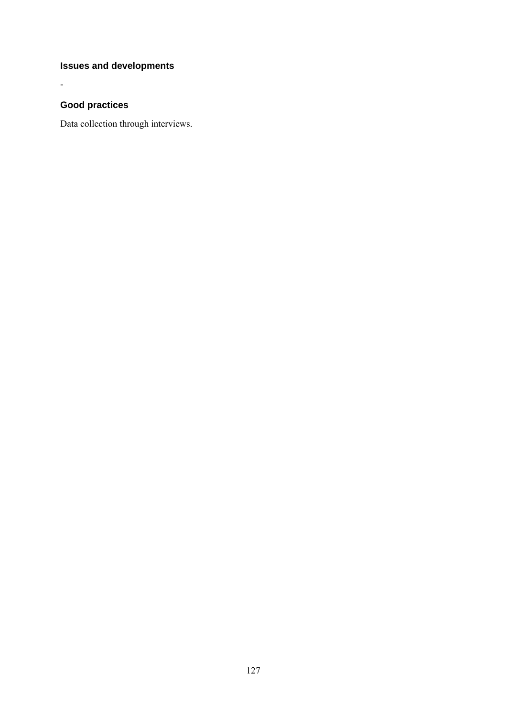## **Issues and developments**

## **Good practices**

-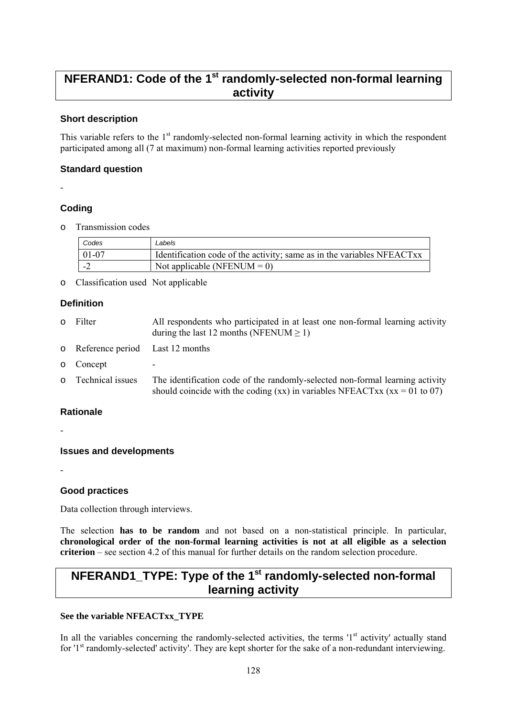## **NFERAND1: Code of the 1st randomly-selected non-formal learning activity**

## **Short description**

This variable refers to the 1<sup>st</sup> randomly-selected non-formal learning activity in which the respondent participated among all (7 at maximum) non-formal learning activities reported previously

## **Standard question**

#### -

## **Coding**

o Transmission codes

| Codes     | Labels                                                                 |
|-----------|------------------------------------------------------------------------|
| $01 - 07$ | Identification code of the activity; same as in the variables NFEACTxx |
|           | Not applicable (NFENUM = $0$ )                                         |

o Classification used Not applicable

## **Definition**

| $\circ$  | Filter                            | All respondents who participated in at least one non-formal learning activity<br>during the last 12 months (NFENUM $\geq$ 1)                                |
|----------|-----------------------------------|-------------------------------------------------------------------------------------------------------------------------------------------------------------|
|          | o Reference period Last 12 months |                                                                                                                                                             |
| $\circ$  | Concept                           |                                                                                                                                                             |
| $\Omega$ | Technical issues                  | The identification code of the randomly-selected non-formal learning activity<br>should coincide with the coding (xx) in variables NFEACTxx (xx = 01 to 07) |

## **Rationale**

-

-

## **Issues and developments**

## **Good practices**

Data collection through interviews.

The selection **has to be random** and not based on a non-statistical principle. In particular, **chronological order of the non-formal learning activities is not at all eligible as a selection criterion** – see section 4.2 of this manual for further details on the random selection procedure.

## **NFERAND1\_TYPE: Type of the 1<sup>st</sup> randomly-selected non-formal learning activity**

## **See the variable NFEACTxx\_TYPE**

In all the variables concerning the randomly-selected activities, the terms  $1<sup>st</sup>$  activity' actually stand for '1<sup>st</sup> randomly-selected' activity'. They are kept shorter for the sake of a non-redundant interviewing.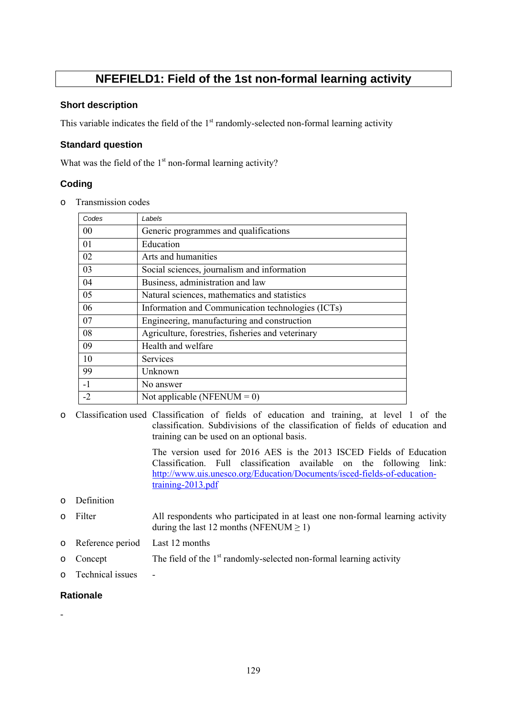## **NFEFIELD1: Field of the 1st non-formal learning activity**

## **Short description**

This variable indicates the field of the  $1<sup>st</sup>$  randomly-selected non-formal learning activity

## **Standard question**

What was the field of the 1<sup>st</sup> non-formal learning activity?

## **Coding**

o Transmission codes

| Codes | Labels                                            |
|-------|---------------------------------------------------|
| 00    | Generic programmes and qualifications             |
| 01    | Education                                         |
| 02    | Arts and humanities                               |
| 03    | Social sciences, journalism and information       |
| 04    | Business, administration and law                  |
| 05    | Natural sciences, mathematics and statistics      |
| 06    | Information and Communication technologies (ICTs) |
| 07    | Engineering, manufacturing and construction       |
| 08    | Agriculture, forestries, fisheries and veterinary |
| 09    | Health and welfare                                |
| 10    | Services                                          |
| 99    | Unknown                                           |
| $-1$  | No answer                                         |
| $-2$  | Not applicable (NFENUM = $0$ )                    |

o Classification used Classification of fields of education and training, at level 1 of the classification. Subdivisions of the classification of fields of education and training can be used on an optional basis.

> The version used for 2016 AES is the 2013 ISCED Fields of Education Classification. Full classification available on the following link: [http://www.uis.unesco.org/Education/Documents/isced-fields-of-education](http://www.uis.unesco.org/Education/Documents/isced-fields-of-education-training-2013.pdf)[training-2013.pdf](http://www.uis.unesco.org/Education/Documents/isced-fields-of-education-training-2013.pdf)

## o Definition

- o Filter All respondents who participated in at least one non-formal learning activity during the last 12 months (NFENUM  $> 1$ )
- o Reference period Last 12 months
- $\circ$  Concept The field of the 1<sup>st</sup> randomly-selected non-formal learning activity
- o Technical issues -

#### **Rationale**

-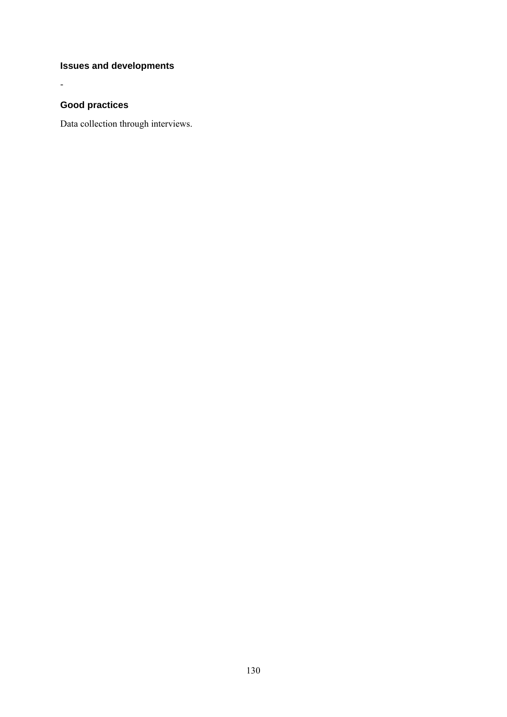## **Issues and developments**

## **Good practices**

-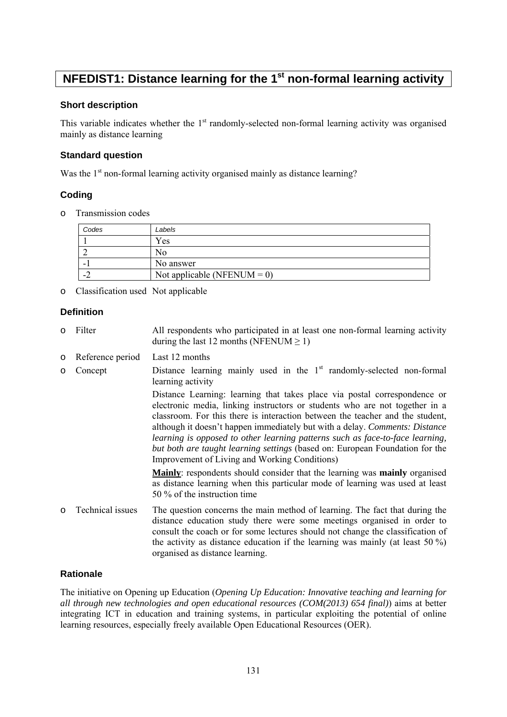## **NFEDIST1: Distance learning for the 1<sup>st</sup> non-formal learning activity**

### **Short description**

This variable indicates whether the  $1<sup>st</sup>$  randomly-selected non-formal learning activity was organised mainly as distance learning

## **Standard question**

Was the 1<sup>st</sup> non-formal learning activity organised mainly as distance learning?

## **Coding**

o Transmission codes

| Codes | Labels                         |
|-------|--------------------------------|
|       | Yes                            |
|       | NΟ                             |
| -     | No answer                      |
| . .   | Not applicable (NFENUM = $0$ ) |

o Classification used Not applicable

## **Definition**

- o Filter All respondents who participated in at least one non-formal learning activity during the last 12 months (NFENUM  $> 1$ )
- o Reference period Last 12 months
- $\circ$  Concept Distance learning mainly used in the 1<sup>st</sup> randomly-selected non-formal learning activity

Distance Learning: learning that takes place via postal correspondence or electronic media, linking instructors or students who are not together in a classroom. For this there is interaction between the teacher and the student, although it doesn't happen immediately but with a delay. *Comments: Distance learning is opposed to other learning patterns such as face-to-face learning, but both are taught learning settings* (based on: European Foundation for the Improvement of Living and Working Conditions)

**Mainly**: respondents should consider that the learning was **mainly** organised as distance learning when this particular mode of learning was used at least 50 % of the instruction time

o Technical issues The question concerns the main method of learning. The fact that during the distance education study there were some meetings organised in order to consult the coach or for some lectures should not change the classification of the activity as distance education if the learning was mainly (at least 50 %) organised as distance learning.

### **Rationale**

The initiative on Opening up Education (*Opening Up Education: Innovative teaching and learning for all through new technologies and open educational resources (COM(2013) 654 final)*) aims at better integrating ICT in education and training systems, in particular exploiting the potential of online learning resources, especially freely available Open Educational Resources (OER).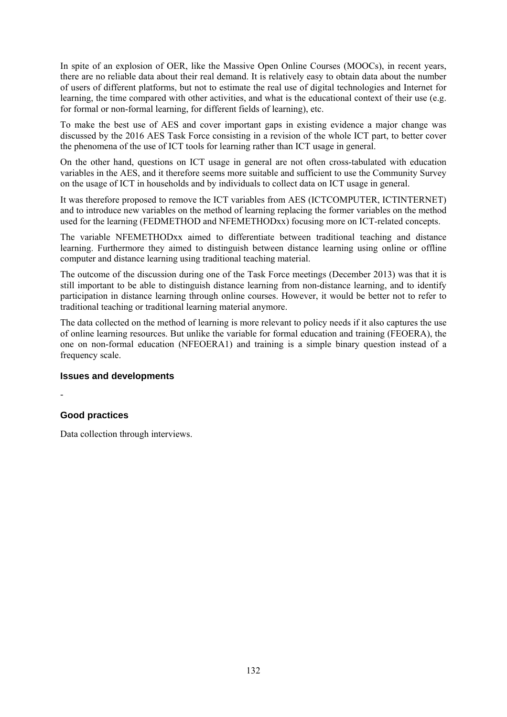In spite of an explosion of OER, like the Massive Open Online Courses (MOOCs), in recent years, there are no reliable data about their real demand. It is relatively easy to obtain data about the number of users of different platforms, but not to estimate the real use of digital technologies and Internet for learning, the time compared with other activities, and what is the educational context of their use (e.g. for formal or non-formal learning, for different fields of learning), etc.

To make the best use of AES and cover important gaps in existing evidence a major change was discussed by the 2016 AES Task Force consisting in a revision of the whole ICT part, to better cover the phenomena of the use of ICT tools for learning rather than ICT usage in general.

On the other hand, questions on ICT usage in general are not often cross-tabulated with education variables in the AES, and it therefore seems more suitable and sufficient to use the Community Survey on the usage of ICT in households and by individuals to collect data on ICT usage in general.

It was therefore proposed to remove the ICT variables from AES (ICTCOMPUTER, ICTINTERNET) and to introduce new variables on the method of learning replacing the former variables on the method used for the learning (FEDMETHOD and NFEMETHODxx) focusing more on ICT-related concepts.

The variable NFEMETHODxx aimed to differentiate between traditional teaching and distance learning. Furthermore they aimed to distinguish between distance learning using online or offline computer and distance learning using traditional teaching material.

The outcome of the discussion during one of the Task Force meetings (December 2013) was that it is still important to be able to distinguish distance learning from non-distance learning, and to identify participation in distance learning through online courses. However, it would be better not to refer to traditional teaching or traditional learning material anymore.

The data collected on the method of learning is more relevant to policy needs if it also captures the use of online learning resources. But unlike the variable for formal education and training (FEOERA), the one on non-formal education (NFEOERA1) and training is a simple binary question instead of a frequency scale.

## **Issues and developments**

-

## **Good practices**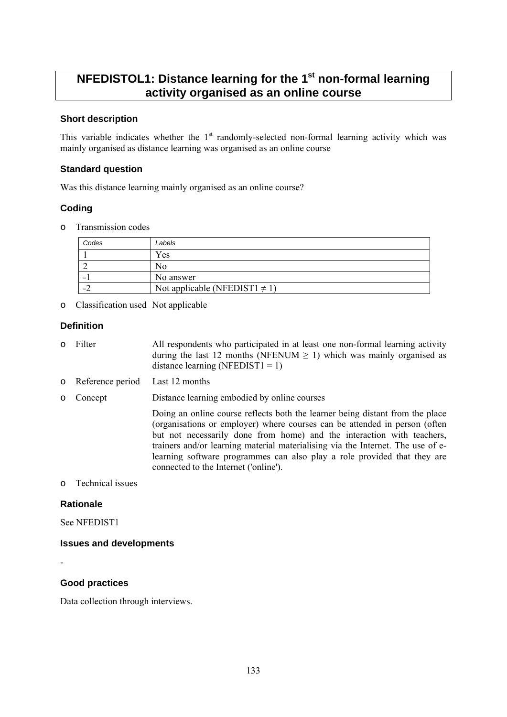## **NFEDISTOL1: Distance learning for the 1st non-formal learning activity organised as an online course**

## **Short description**

This variable indicates whether the  $1<sup>st</sup>$  randomly-selected non-formal learning activity which was mainly organised as distance learning was organised as an online course

#### **Standard question**

Was this distance learning mainly organised as an online course?

## **Coding**

o Transmission codes

| Codes | Labels                             |
|-------|------------------------------------|
|       | Yes                                |
|       | No                                 |
|       | No answer                          |
| . .   | Not applicable (NFEDIST1 $\neq$ 1) |

o Classification used Not applicable

### **Definition**

- o Filter All respondents who participated in at least one non-formal learning activity during the last 12 months (NFENUM  $\geq$  1) which was mainly organised as distance learning (NFEDIST1 = 1)
- o Reference period Last 12 months
- o Concept Distance learning embodied by online courses

Doing an online course reflects both the learner being distant from the place (organisations or employer) where courses can be attended in person (often but not necessarily done from home) and the interaction with teachers, trainers and/or learning material materialising via the Internet. The use of elearning software programmes can also play a role provided that they are connected to the Internet ('online').

### o Technical issues

#### **Rationale**

See NFEDIST1

#### **Issues and developments**

-

## **Good practices**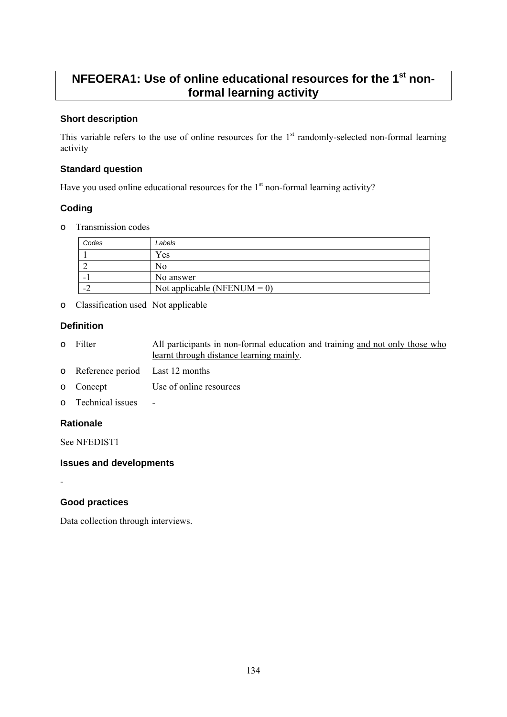## **NFEOERA1: Use of online educational resources for the 1<sup>st</sup> nonformal learning activity**

## **Short description**

This variable refers to the use of online resources for the  $1<sup>st</sup>$  randomly-selected non-formal learning activity

## **Standard question**

Have you used online educational resources for the  $1<sup>st</sup>$  non-formal learning activity?

## **Coding**

o Transmission codes

| Codes          | Labels                         |
|----------------|--------------------------------|
|                | Yes                            |
|                | 'NO                            |
|                | No answer                      |
| $\blacksquare$ | Not applicable (NFENUM = $0$ ) |

o Classification used Not applicable

## **Definition**

- o Filter All participants in non-formal education and training and not only those who learnt through distance learning mainly.
- o Reference period Last 12 months
- o Concept Use of online resources
- o Technical issues -

## **Rationale**

See NFEDIST1

## **Issues and developments**

-

## **Good practices**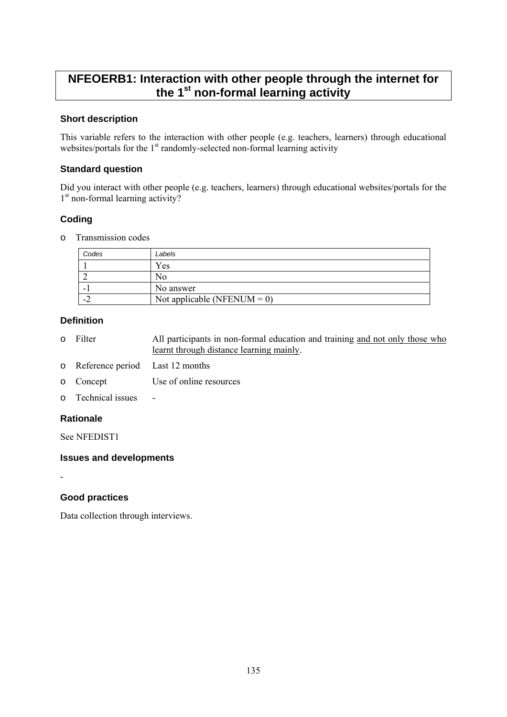## **NFEOERB1: Interaction with other people through the internet for the 1st non-formal learning activity**

## **Short description**

This variable refers to the interaction with other people (e.g. teachers, learners) through educational websites/portals for the 1<sup>st</sup> randomly-selected non-formal learning activity

## **Standard question**

Did you interact with other people (e.g. teachers, learners) through educational websites/portals for the  $1<sup>st</sup>$  non-formal learning activity?

## **Coding**

o Transmission codes

| Codes            | Labels                      |
|------------------|-----------------------------|
|                  | Yes                         |
|                  | N0                          |
| -                | No answer                   |
| $\blacksquare$ . | Not applicable (NFENUM = 0) |

## **Definition**

- o Filter All participants in non-formal education and training and not only those who learnt through distance learning mainly.
- o Reference period Last 12 months
- o Concept Use of online resources
- o Technical issues -

## **Rationale**

-

See NFEDIST1

## **Issues and developments**

## **Good practices**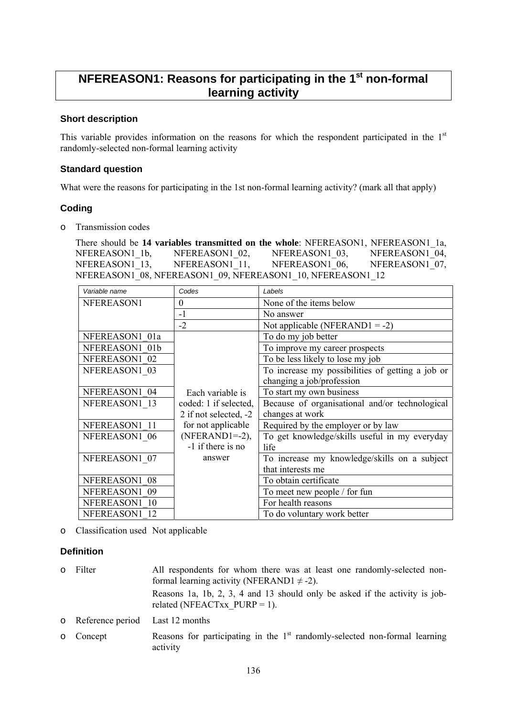## **NFEREASON1: Reasons for participating in the 1st non-formal learning activity**

## **Short description**

This variable provides information on the reasons for which the respondent participated in the  $1<sup>st</sup>$ randomly-selected non-formal learning activity

### **Standard question**

What were the reasons for participating in the 1st non-formal learning activity? (mark all that apply)

### **Coding**

o Transmission codes

There should be **14 variables transmitted on the whole**: NFEREASON1, NFEREASON1\_1a, NFEREASON1\_1b, NFEREASON1\_02, NFEREASON1\_03, NFEREASON1\_04, NFEREASON1 13, NFEREASON1 11, NFEREASON1 06, NFEREASON1 07, NFEREASON1<sup>08</sup>, NFEREASON109, NFEREASON110, NFEREASON112

| Variable name  | Codes                 | Labels                                           |
|----------------|-----------------------|--------------------------------------------------|
| NFEREASON1     | $\theta$              | None of the items below                          |
|                | $-1$                  | No answer                                        |
|                | $-2$                  | Not applicable (NFERAND1 = -2)                   |
| NFEREASON1 01a |                       | To do my job better                              |
| NFEREASON1 01b |                       | To improve my career prospects                   |
| NFEREASON1 02  |                       | To be less likely to lose my job                 |
| NFEREASON1 03  |                       | To increase my possibilities of getting a job or |
|                |                       | changing a job/profession                        |
| NFEREASON1 04  | Each variable is      | To start my own business                         |
| NFEREASON1 13  | coded: 1 if selected, | Because of organisational and/or technological   |
|                | 2 if not selected, -2 | changes at work                                  |
| NFEREASON1 11  | for not applicable    | Required by the employer or by law               |
| NFEREASON1 06  | $(NFERAND1=-2)$ ,     | To get knowledge/skills useful in my everyday    |
|                | -1 if there is no     | life                                             |
| NFEREASON1 07  | answer                | To increase my knowledge/skills on a subject     |
|                |                       | that interests me                                |
| NFEREASON1 08  |                       | To obtain certificate                            |
| NFEREASON1 09  |                       | To meet new people / for fun                     |
| NFEREASON1 10  |                       | For health reasons                               |
| NFEREASON1 12  |                       | To do voluntary work better                      |

o Classification used Not applicable

## **Definition**

| 0 Filter                          | All respondents for whom there was at least one randomly-selected non-<br>formal learning activity (NFERAND1 $\neq$ -2). |
|-----------------------------------|--------------------------------------------------------------------------------------------------------------------------|
|                                   | Reasons 1a, 1b, 2, 3, 4 and 13 should only be asked if the activity is job-<br>related (NFEACTxx $PURP = 1$ ).           |
| o Reference period Last 12 months |                                                                                                                          |
| o Concept                         | Reasons for participating in the $1st$ randomly-selected non-formal learning<br>activity                                 |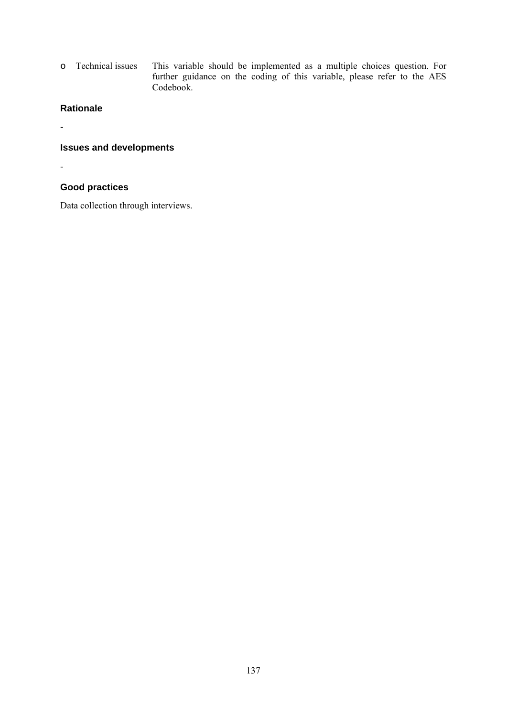o Technical issues This variable should be implemented as a multiple choices question. For further guidance on the coding of this variable, please refer to the AES Codebook.

## **Rationale**

**Issues and developments** 

-

-

## **Good practices**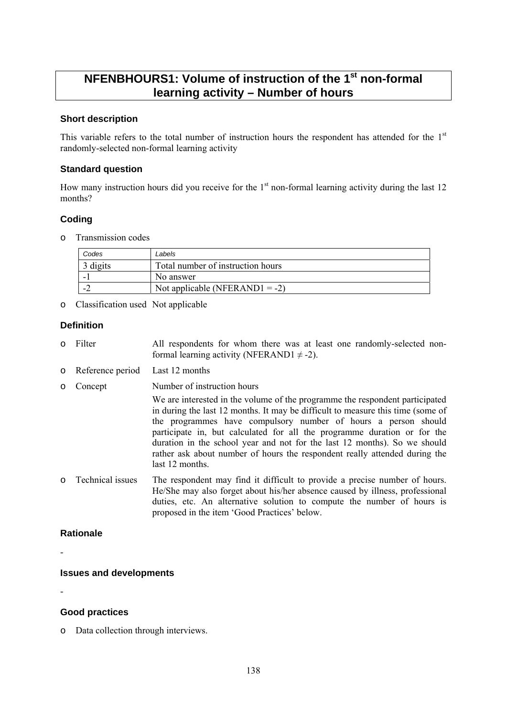## **NFENBHOURS1: Volume of instruction of the 1st non-formal learning activity – Number of hours**

## **Short description**

This variable refers to the total number of instruction hours the respondent has attended for the  $1<sup>st</sup>$ randomly-selected non-formal learning activity

#### **Standard question**

How many instruction hours did you receive for the  $1<sup>st</sup>$  non-formal learning activity during the last 12 months?

## **Coding**

o Transmission codes

| Codes    | Labels                            |
|----------|-----------------------------------|
| 3 digits | Total number of instruction hours |
|          | No answer                         |
|          | Not applicable (NFERAND1 = -2)    |

o Classification used Not applicable

## **Definition**

- o Filter All respondents for whom there was at least one randomly-selected nonformal learning activity (NFERAND1  $\neq$  -2).
- o Reference period Last 12 months
- o Concept Number of instruction hours

We are interested in the volume of the programme the respondent participated in during the last 12 months. It may be difficult to measure this time (some of the programmes have compulsory number of hours a person should participate in, but calculated for all the programme duration or for the duration in the school year and not for the last 12 months). So we should rather ask about number of hours the respondent really attended during the last 12 months.

o Technical issues The respondent may find it difficult to provide a precise number of hours. He/She may also forget about his/her absence caused by illness, professional duties, etc. An alternative solution to compute the number of hours is proposed in the item 'Good Practices' below.

## **Rationale**

-

## **Issues and developments**

-

## **Good practices**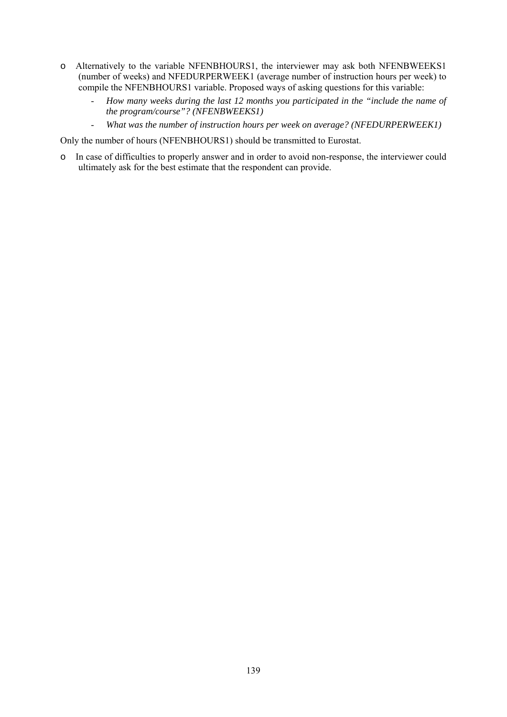- o Alternatively to the variable NFENBHOURS1, the interviewer may ask both NFENBWEEKS1 (number of weeks) and NFEDURPERWEEK1 (average number of instruction hours per week) to compile the NFENBHOURS1 variable. Proposed ways of asking questions for this variable:
	- *How many weeks during the last 12 months you participated in the "include the name of the program/course"? (NFENBWEEKS1)*
	- *What was the number of instruction hours per week on average? (NFEDURPERWEEK1)*

Only the number of hours (NFENBHOURS1) should be transmitted to Eurostat.

o In case of difficulties to properly answer and in order to avoid non-response, the interviewer could ultimately ask for the best estimate that the respondent can provide.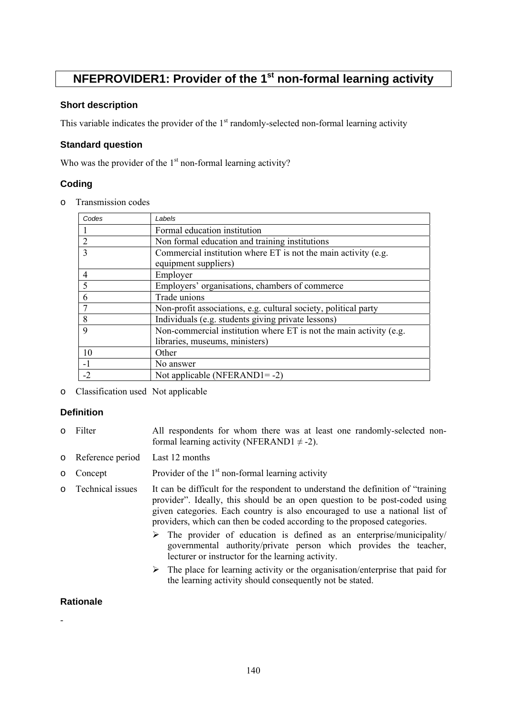## **NFEPROVIDER1: Provider of the 1<sup>st</sup> non-formal learning activity**

## **Short description**

This variable indicates the provider of the  $1<sup>st</sup>$  randomly-selected non-formal learning activity

## **Standard question**

Who was the provider of the  $1<sup>st</sup>$  non-formal learning activity?

## **Coding**

o Transmission codes

| Codes          | Labels                                                             |
|----------------|--------------------------------------------------------------------|
|                | Formal education institution                                       |
| $\overline{2}$ | Non formal education and training institutions                     |
| 3              | Commercial institution where ET is not the main activity (e.g.     |
|                | equipment suppliers)                                               |
| $\overline{4}$ | Employer                                                           |
| 5              | Employers' organisations, chambers of commerce                     |
| 6              | Trade unions                                                       |
|                | Non-profit associations, e.g. cultural society, political party    |
| 8              | Individuals (e.g. students giving private lessons)                 |
| 9              | Non-commercial institution where ET is not the main activity (e.g. |
|                | libraries, museums, ministers)                                     |
| 10             | Other                                                              |
| $-1$           | No answer                                                          |
| $-2$           | Not applicable (NFERAND1= $-2$ )                                   |

o Classification used Not applicable

## **Definition**

- o Filter All respondents for whom there was at least one randomly-selected nonformal learning activity (NFERAND1  $\neq$  -2).
- o Reference period Last 12 months
- $\circ$  Concept Provider of the 1<sup>st</sup> non-formal learning activity
- o Technical issues It can be difficult for the respondent to understand the definition of "training provider". Ideally, this should be an open question to be post-coded using given categories. Each country is also encouraged to use a national list of providers, which can then be coded according to the proposed categories.
	- $\triangleright$  The provider of education is defined as an enterprise/municipality/ governmental authority/private person which provides the teacher, lecturer or instructor for the learning activity.
	- $\triangleright$  The place for learning activity or the organisation/enterprise that paid for the learning activity should consequently not be stated.

## **Rationale**

-

140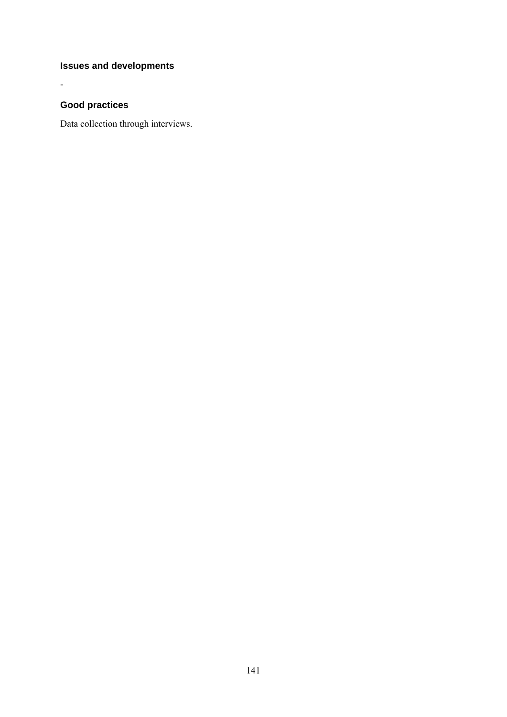## **Issues and developments**

## **Good practices**

-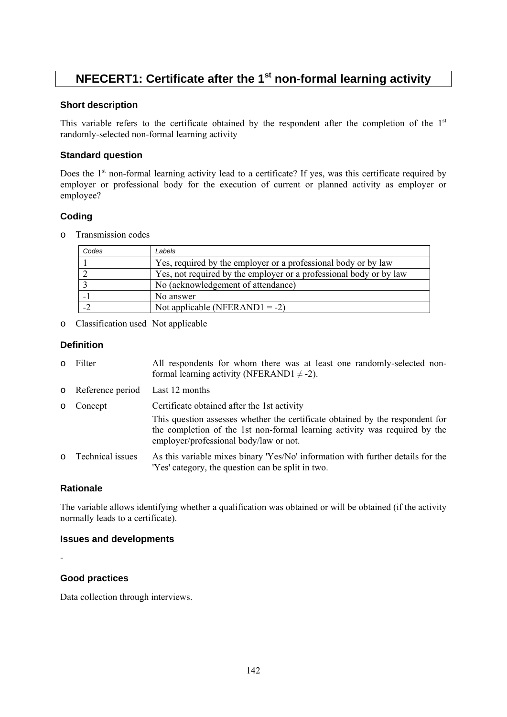## **NFECERT1: Certificate after the 1<sup>st</sup> non-formal learning activity**

## **Short description**

This variable refers to the certificate obtained by the respondent after the completion of the  $1<sup>st</sup>$ randomly-selected non-formal learning activity

## **Standard question**

Does the  $1<sup>st</sup>$  non-formal learning activity lead to a certificate? If yes, was this certificate required by employer or professional body for the execution of current or planned activity as employer or employee?

## **Coding**

o Transmission codes

| Codes | Labels                                                             |
|-------|--------------------------------------------------------------------|
|       | Yes, required by the employer or a professional body or by law     |
|       | Yes, not required by the employer or a professional body or by law |
|       | No (acknowledgement of attendance)                                 |
|       | No answer                                                          |
|       | Not applicable (NFERAND1 = -2)                                     |

o Classification used Not applicable

## **Definition**

- o Filter All respondents for whom there was at least one randomly-selected nonformal learning activity (NFERAND1  $\neq$  -2).
- o Reference period Last 12 months
- o Concept Certificate obtained after the 1st activity
- This question assesses whether the certificate obtained by the respondent for the completion of the 1st non-formal learning activity was required by the employer/professional body/law or not.
- o Technical issues As this variable mixes binary 'Yes/No' information with further details for the 'Yes' category, the question can be split in two.

## **Rationale**

The variable allows identifying whether a qualification was obtained or will be obtained (if the activity normally leads to a certificate).

#### **Issues and developments**

-

## **Good practices**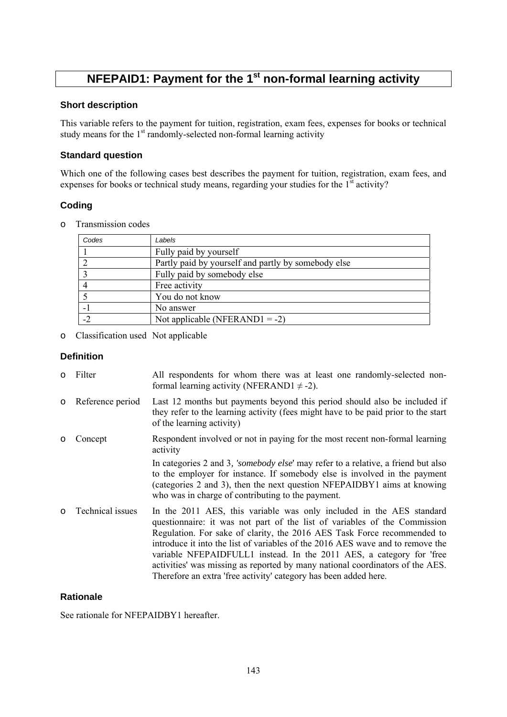# **NFEPAID1: Payment for the 1<sup>st</sup> non-formal learning activity**

### **Short description**

This variable refers to the payment for tuition, registration, exam fees, expenses for books or technical study means for the  $1<sup>st</sup>$  randomly-selected non-formal learning activity

## **Standard question**

Which one of the following cases best describes the payment for tuition, registration, exam fees, and expenses for books or technical study means, regarding your studies for the  $1<sup>st</sup>$  activity?

## **Coding**

o Transmission codes

| Codes | Labels                                              |
|-------|-----------------------------------------------------|
|       | Fully paid by yourself                              |
|       | Partly paid by yourself and partly by somebody else |
|       | Fully paid by somebody else                         |
|       | Free activity                                       |
|       | You do not know                                     |
|       | No answer                                           |
| $-2$  | Not applicable (NFERAND1 = -2)                      |

o Classification used Not applicable

#### **Definition**

| $\circ$ | Filter           | All respondents for whom there was at least one randomly-selected non-<br>formal learning activity (NFERAND1 $\neq$ -2).                                                                                                                                                                                                                                                                                                                                                                                                                    |
|---------|------------------|---------------------------------------------------------------------------------------------------------------------------------------------------------------------------------------------------------------------------------------------------------------------------------------------------------------------------------------------------------------------------------------------------------------------------------------------------------------------------------------------------------------------------------------------|
| $\circ$ | Reference period | Last 12 months but payments beyond this period should also be included if<br>they refer to the learning activity (fees might have to be paid prior to the start<br>of the learning activity)                                                                                                                                                                                                                                                                                                                                                |
| $\circ$ | Concept          | Respondent involved or not in paying for the most recent non-formal learning<br>activity                                                                                                                                                                                                                                                                                                                                                                                                                                                    |
|         |                  | In categories 2 and 3, 'somebody else' may refer to a relative, a friend but also<br>to the employer for instance. If somebody else is involved in the payment<br>(categories 2 and 3), then the next question NFEPAIDBY1 aims at knowing<br>who was in charge of contributing to the payment.                                                                                                                                                                                                                                              |
| $\circ$ | Technical issues | In the 2011 AES, this variable was only included in the AES standard<br>questionnaire: it was not part of the list of variables of the Commission<br>Regulation. For sake of clarity, the 2016 AES Task Force recommended to<br>introduce it into the list of variables of the 2016 AES wave and to remove the<br>variable NFEPAIDFULL1 instead. In the 2011 AES, a category for 'free<br>activities' was missing as reported by many national coordinators of the AES.<br>Therefore an extra 'free activity' category has been added here. |

## **Rationale**

See rationale for NFEPAIDBY1 hereafter.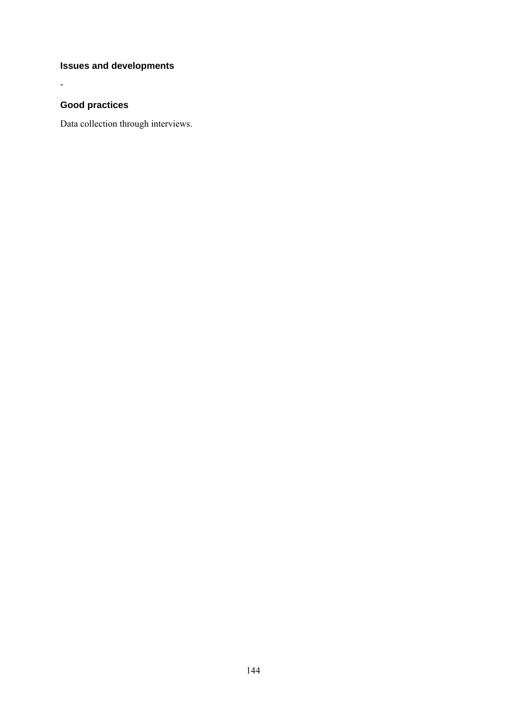## **Issues and developments**

## **Good practices**

-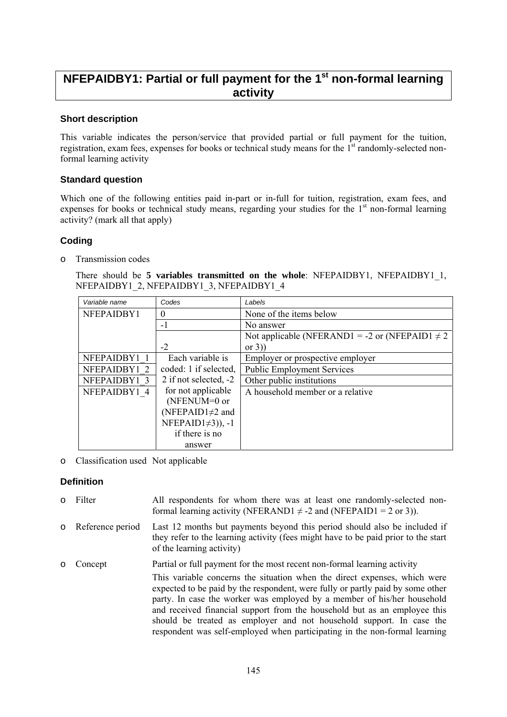## **NFEPAIDBY1: Partial or full payment for the 1<sup>st</sup> non-formal learning activity**

#### **Short description**

This variable indicates the person/service that provided partial or full payment for the tuition, registration, exam fees, expenses for books or technical study means for the  $1<sup>st</sup>$  randomly-selected nonformal learning activity

#### **Standard question**

Which one of the following entities paid in-part or in-full for tuition, registration, exam fees, and expenses for books or technical study means, regarding your studies for the 1<sup>st</sup> non-formal learning activity? (mark all that apply)

#### **Coding**

o Transmission codes

There should be **5 variables transmitted on the whole**: NFEPAIDBY1, NFEPAIDBY1\_1, NFEPAIDBY1\_2, NFEPAIDBY1\_3, NFEPAIDBY1\_4

| Variable name | Codes                   | Labels                                              |  |
|---------------|-------------------------|-----------------------------------------------------|--|
| NFEPAIDBY1    | $\theta$                | None of the items below                             |  |
|               | $-1$                    | No answer                                           |  |
|               |                         | Not applicable (NFERAND1 = -2 or (NFEPAID1 $\neq$ 2 |  |
|               | $-2$                    | or $3)$                                             |  |
| NFEPAIDBY1    | Each variable is        | Employer or prospective employer                    |  |
| NFEPAIDBY1 2  | coded: 1 if selected,   | <b>Public Employment Services</b>                   |  |
| NFEPAIDBY1 3  | 2 if not selected, $-2$ | Other public institutions                           |  |
| NFEPAIDBY1 4  | for not applicable      | A household member or a relative                    |  |
|               | $(NFENUM=0 or$          |                                                     |  |
|               | (NFEPAID1 $\neq$ 2 and  |                                                     |  |
|               | NFEPAID1 $\neq$ 3)), -1 |                                                     |  |
|               | if there is no          |                                                     |  |
|               | answer                  |                                                     |  |

o Classification used Not applicable

#### **Definition**

o Filter All respondents for whom there was at least one randomly-selected nonformal learning activity (NFERAND1  $\neq$  -2 and (NFEPAID1 = 2 or 3)). o Reference period Last 12 months but payments beyond this period should also be included if they refer to the learning activity (fees might have to be paid prior to the start of the learning activity) o Concept Partial or full payment for the most recent non-formal learning activity This variable concerns the situation when the direct expenses, which were expected to be paid by the respondent, were fully or partly paid by some other party. In case the worker was employed by a member of his/her household and received financial support from the household but as an employee this should be treated as employer and not household support. In case the respondent was self-employed when participating in the non-formal learning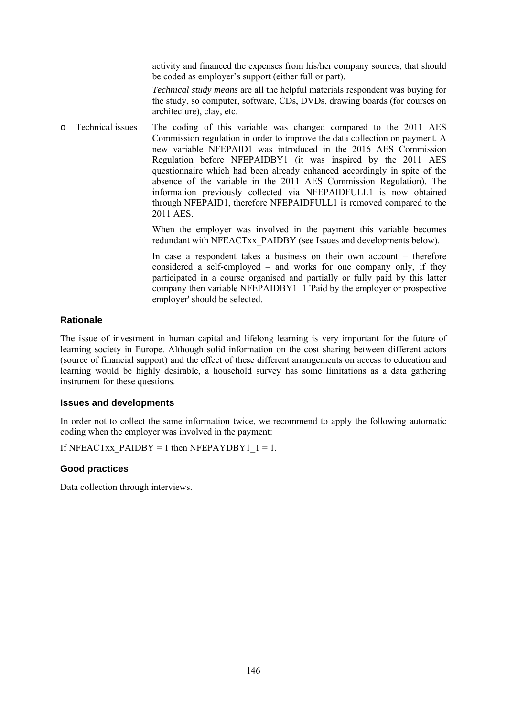activity and financed the expenses from his/her company sources, that should be coded as employer's support (either full or part).

*Technical study means* are all the helpful materials respondent was buying for the study, so computer, software, CDs, DVDs, drawing boards (for courses on architecture), clay, etc.

o Technical issues The coding of this variable was changed compared to the 2011 AES Commission regulation in order to improve the data collection on payment. A new variable NFEPAID1 was introduced in the 2016 AES Commission Regulation before NFEPAIDBY1 (it was inspired by the 2011 AES questionnaire which had been already enhanced accordingly in spite of the absence of the variable in the 2011 AES Commission Regulation). The information previously collected via NFEPAIDFULL1 is now obtained through NFEPAID1, therefore NFEPAIDFULL1 is removed compared to the 2011 AES.

> When the employer was involved in the payment this variable becomes redundant with NFEACTxx\_PAIDBY (see Issues and developments below).

> In case a respondent takes a business on their own account – therefore considered a self-employed – and works for one company only, if they participated in a course organised and partially or fully paid by this latter company then variable NFEPAIDBY1\_1 'Paid by the employer or prospective employer' should be selected.

#### **Rationale**

The issue of investment in human capital and lifelong learning is very important for the future of learning society in Europe. Although solid information on the cost sharing between different actors (source of financial support) and the effect of these different arrangements on access to education and learning would be highly desirable, a household survey has some limitations as a data gathering instrument for these questions.

#### **Issues and developments**

In order not to collect the same information twice, we recommend to apply the following automatic coding when the employer was involved in the payment:

If NFEACTxx\_PAIDBY = 1 then NFEPAYDBY1\_1 = 1.

#### **Good practices**

Data collection through interviews.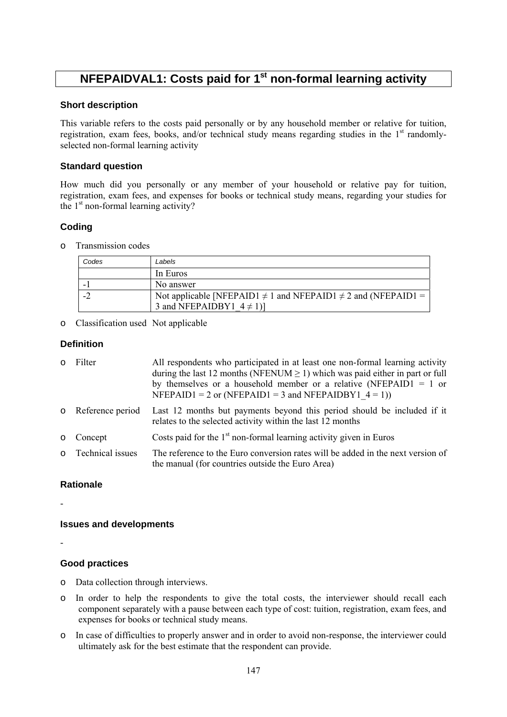## **NFEPAIDVAL1: Costs paid for 1<sup>st</sup> non-formal learning activity**

#### **Short description**

This variable refers to the costs paid personally or by any household member or relative for tuition, registration, exam fees, books, and/or technical study means regarding studies in the 1<sup>st</sup> randomlyselected non-formal learning activity

#### **Standard question**

How much did you personally or any member of your household or relative pay for tuition, registration, exam fees, and expenses for books or technical study means, regarding your studies for the  $1<sup>st</sup>$  non-formal learning activity?

### **Coding**

o Transmission codes

| Codes | Labels                                                                                                   |  |
|-------|----------------------------------------------------------------------------------------------------------|--|
|       | In Euros                                                                                                 |  |
|       | No answer                                                                                                |  |
|       | Not applicable [NFEPAID1 $\neq$ 1 and NFEPAID1 $\neq$ 2 and (NFEPAID1 =<br>3 and NFEPAIDBY1 $4 \neq 1$ ] |  |
|       |                                                                                                          |  |

o Classification used Not applicable

#### **Definition**

| o Filter           | All respondents who participated in at least one non-formal learning activity<br>during the last 12 months (NFENUM $\geq$ 1) which was paid either in part or full<br>by themselves or a household member or a relative (NFEPAID1 = 1 or<br>NFEPAID1 = 2 or (NFEPAID1 = 3 and NFEPAIDBY1 $4 = 1$ )) |  |
|--------------------|-----------------------------------------------------------------------------------------------------------------------------------------------------------------------------------------------------------------------------------------------------------------------------------------------------|--|
| o Reference period | Last 12 months but payments beyond this period should be included if it<br>relates to the selected activity within the last 12 months                                                                                                                                                               |  |
| o Concept          | Costs paid for the $1st$ non-formal learning activity given in Euros                                                                                                                                                                                                                                |  |
| o Technical issues | The reference to the Euro conversion rates will be added in the next version of<br>the manual (for countries outside the Euro Area)                                                                                                                                                                 |  |

#### **Rationale**

-

#### **Issues and developments**

-

#### **Good practices**

- o Data collection through interviews.
- o In order to help the respondents to give the total costs, the interviewer should recall each component separately with a pause between each type of cost: tuition, registration, exam fees, and expenses for books or technical study means.
- o In case of difficulties to properly answer and in order to avoid non-response, the interviewer could ultimately ask for the best estimate that the respondent can provide.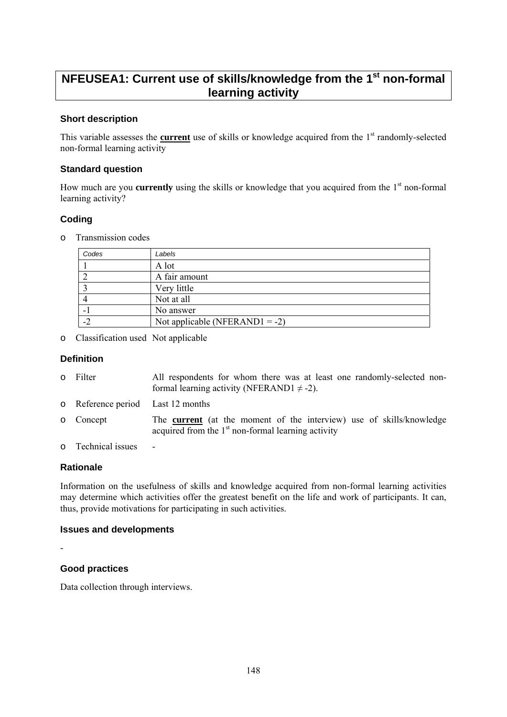## **NFEUSEA1: Current use of skills/knowledge from the 1st non-formal learning activity**

#### **Short description**

This variable assesses the **current** use of skills or knowledge acquired from the 1<sup>st</sup> randomly-selected non-formal learning activity

#### **Standard question**

How much are you **currently** using the skills or knowledge that you acquired from the 1<sup>st</sup> non-formal learning activity?

### **Coding**

o Transmission codes

| Codes | Labels                         |
|-------|--------------------------------|
|       | A lot                          |
|       | A fair amount                  |
|       | Very little                    |
|       | Not at all                     |
|       | No answer                      |
|       | Not applicable (NFERAND1 = -2) |

o Classification used Not applicable

#### **Definition**

| 0 Filter                                   | All respondents for whom there was at least one randomly-selected non-<br>formal learning activity (NFERAND1 $\neq$ -2).            |  |  |
|--------------------------------------------|-------------------------------------------------------------------------------------------------------------------------------------|--|--|
| o Reference period Last 12 months          |                                                                                                                                     |  |  |
| o Concept                                  | The <b>current</b> (at the moment of the interview) use of skills/knowledge<br>acquired from the $1st$ non-formal learning activity |  |  |
| $\mathbf{T}$ 1 $\mathbf{T}$ 1 $\mathbf{T}$ |                                                                                                                                     |  |  |

o Technical issues -

#### **Rationale**

Information on the usefulness of skills and knowledge acquired from non-formal learning activities may determine which activities offer the greatest benefit on the life and work of participants. It can, thus, provide motivations for participating in such activities.

#### **Issues and developments**

-

### **Good practices**

Data collection through interviews.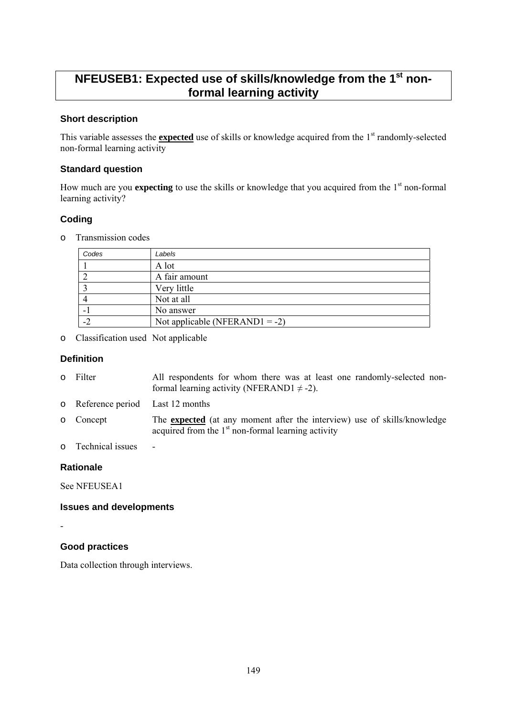## **NFEUSEB1: Expected use of skills/knowledge from the 1st nonformal learning activity**

#### **Short description**

This variable assesses the **expected** use of skills or knowledge acquired from the 1<sup>st</sup> randomly-selected non-formal learning activity

#### **Standard question**

How much are you **expecting** to use the skills or knowledge that you acquired from the 1<sup>st</sup> non-formal learning activity?

### **Coding**

o Transmission codes

| Codes | Labels                         |
|-------|--------------------------------|
|       | A lot                          |
|       | A fair amount                  |
|       | Very little                    |
|       | Not at all                     |
|       | No answer                      |
|       | Not applicable (NFERAND1 = -2) |

o Classification used Not applicable

#### **Definition**

| o Filter | All respondents for whom there was at least one randomly-selected non- |
|----------|------------------------------------------------------------------------|
|          | formal learning activity (NFERAND1 $\neq$ -2).                         |

- o Reference period Last 12 months
- o Concept The **expected** (at any moment after the interview) use of skills/knowledge acquired from the  $1<sup>st</sup>$  non-formal learning activity
- o Technical issues -

#### **Rationale**

See NFEUSEA1

#### **Issues and developments**

-

#### **Good practices**

Data collection through interviews.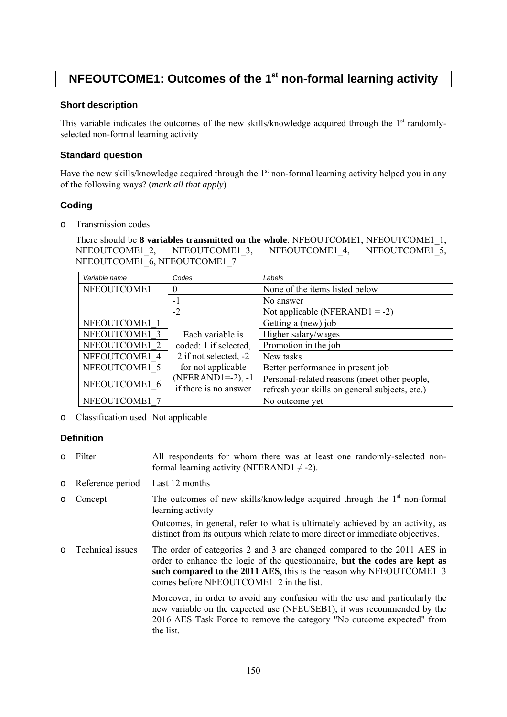## **NFEOUTCOME1: Outcomes of the 1<sup>st</sup> non-formal learning activity**

#### **Short description**

This variable indicates the outcomes of the new skills/knowledge acquired through the  $1<sup>st</sup>$  randomlyselected non-formal learning activity

#### **Standard question**

Have the new skills/knowledge acquired through the  $1<sup>st</sup>$  non-formal learning activity helped you in any of the following ways? (*mark all that apply*)

#### **Coding**

o Transmission codes

There should be **8 variables transmitted on the whole**: NFEOUTCOME1, NFEOUTCOME1\_1, NFEOUTCOME1\_2, NFEOUTCOME1\_3, NFEOUTCOME1\_4, NFEOUTCOME1\_5, NFEOUTCOME1<sup>6</sup>, NFEOUTCOME17

| Variable name | Codes                 | Labels                                         |
|---------------|-----------------------|------------------------------------------------|
| NFEOUTCOME1   | $\theta$              | None of the items listed below                 |
|               | $-1$                  | No answer                                      |
|               | $-2$                  | Not applicable (NFERAND1 = -2)                 |
| NFEOUTCOME1 1 |                       | Getting a (new) job                            |
| NFEOUTCOME1 3 | Each variable is      | Higher salary/wages                            |
| NFEOUTCOME1 2 | coded: 1 if selected, | Promotion in the job                           |
| NFEOUTCOME1 4 | 2 if not selected, -2 | New tasks                                      |
| NFEOUTCOME1 5 | for not applicable    | Better performance in present job              |
| NFEOUTCOME1 6 | $(NFERAND1=-2)$ , -1  | Personal-related reasons (meet other people,   |
|               | if there is no answer | refresh your skills on general subjects, etc.) |
| NFEOUTCOME1   |                       | No outcome yet                                 |

o Classification used Not applicable

#### **Definition**

- o Filter All respondents for whom there was at least one randomly-selected nonformal learning activity (NFERAND1  $\neq$  -2).
- o Reference period Last 12 months
- $\circ$  Concept The outcomes of new skills/knowledge acquired through the 1<sup>st</sup> non-formal learning activity

Outcomes, in general, refer to what is ultimately achieved by an activity, as distinct from its outputs which relate to more direct or immediate objectives.

o Technical issues The order of categories 2 and 3 are changed compared to the 2011 AES in order to enhance the logic of the questionnaire, **but the codes are kept as such compared to the 2011 AES**, this is the reason why NFEOUTCOME1\_3 comes before NFEOUTCOME1\_2 in the list.

> Moreover, in order to avoid any confusion with the use and particularly the new variable on the expected use (NFEUSEB1), it was recommended by the 2016 AES Task Force to remove the category "No outcome expected" from the list.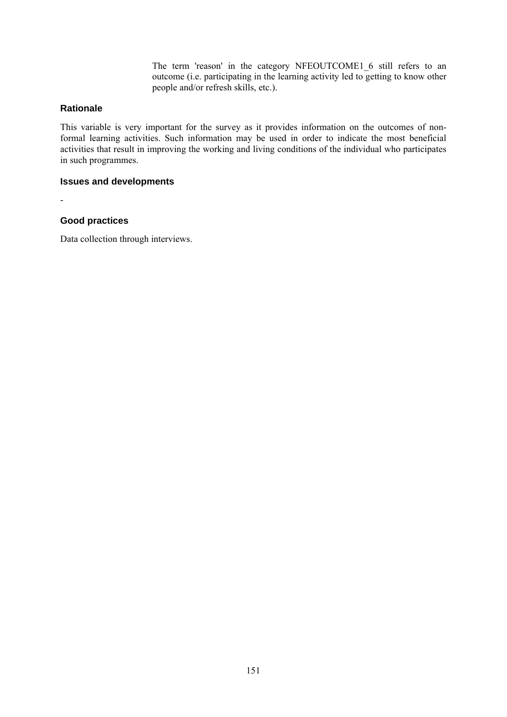The term 'reason' in the category NFEOUTCOME1\_6 still refers to an outcome (i.e. participating in the learning activity led to getting to know other people and/or refresh skills, etc.).

#### **Rationale**

This variable is very important for the survey as it provides information on the outcomes of nonformal learning activities. Such information may be used in order to indicate the most beneficial activities that result in improving the working and living conditions of the individual who participates in such programmes.

#### **Issues and developments**

-

#### **Good practices**

Data collection through interviews.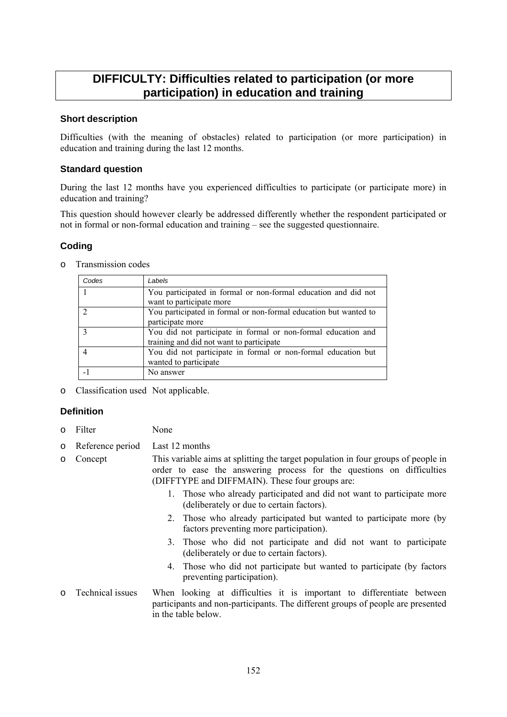## **DIFFICULTY: Difficulties related to participation (or more participation) in education and training**

#### **Short description**

Difficulties (with the meaning of obstacles) related to participation (or more participation) in education and training during the last 12 months.

#### **Standard question**

During the last 12 months have you experienced difficulties to participate (or participate more) in education and training?

This question should however clearly be addressed differently whether the respondent participated or not in formal or non-formal education and training – see the suggested questionnaire.

#### **Coding**

o Transmission codes

| Codes | Labels                                                           |
|-------|------------------------------------------------------------------|
|       | You participated in formal or non-formal education and did not   |
|       | want to participate more                                         |
|       | You participated in formal or non-formal education but wanted to |
|       | participate more                                                 |
|       | You did not participate in formal or non-formal education and    |
|       | training and did not want to participate                         |
|       | You did not participate in formal or non-formal education but    |
|       | wanted to participate                                            |
|       | No answer                                                        |

o Classification used Not applicable.

#### **Definition**

- o Filter None
- o Reference period Last 12 months
- o Concept This variable aims at splitting the target population in four groups of people in order to ease the answering process for the questions on difficulties (DIFFTYPE and DIFFMAIN). These four groups are:
	- 1. Those who already participated and did not want to participate more (deliberately or due to certain factors).
	- 2. Those who already participated but wanted to participate more (by factors preventing more participation).
	- 3. Those who did not participate and did not want to participate (deliberately or due to certain factors).
	- 4. Those who did not participate but wanted to participate (by factors preventing participation).
- o Technical issues When looking at difficulties it is important to differentiate between participants and non-participants. The different groups of people are presented in the table below.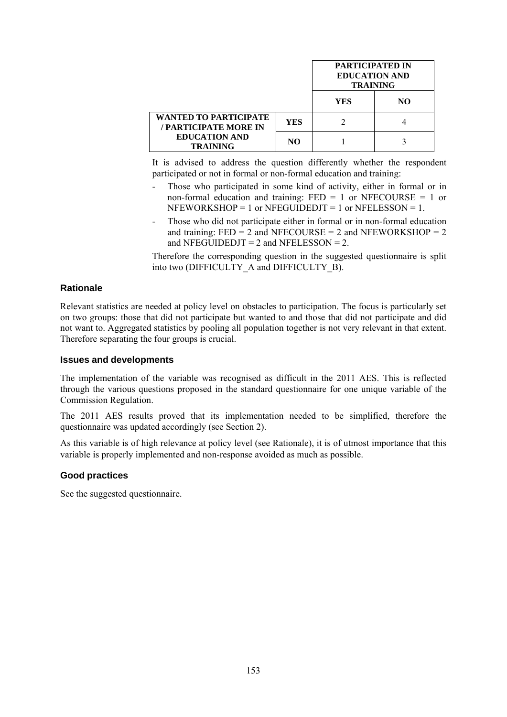|                                                |            | <b>PARTICIPATED IN</b><br><b>EDUCATION AND</b><br><b>TRAINING</b> |    |
|------------------------------------------------|------------|-------------------------------------------------------------------|----|
|                                                |            | YES                                                               | NΟ |
| WANTED TO PARTICIPATE<br>/ PARTICIPATE MORE IN | <b>YES</b> |                                                                   |    |
| <b>EDUCATION AND</b><br><b>TRAINING</b>        | NO.        |                                                                   |    |

It is advised to address the question differently whether the respondent participated or not in formal or non-formal education and training:

- Those who participated in some kind of activity, either in formal or in non-formal education and training:  $FED = 1$  or NFECOURSE = 1 or  $NFEWORKSHOP = 1$  or  $NFEGUIDEDJT = 1$  or  $NFELESSON = 1$ .
- Those who did not participate either in formal or in non-formal education and training:  $FED = 2$  and  $NFECOURSE = 2$  and  $NFEWORKSHOP = 2$ and NFEGUIDEDJT =  $2$  and NFELESSON =  $2$ .

Therefore the corresponding question in the suggested questionnaire is split into two (DIFFICULTY\_A and DIFFICULTY\_B).

#### **Rationale**

Relevant statistics are needed at policy level on obstacles to participation. The focus is particularly set on two groups: those that did not participate but wanted to and those that did not participate and did not want to. Aggregated statistics by pooling all population together is not very relevant in that extent. Therefore separating the four groups is crucial.

#### **Issues and developments**

The implementation of the variable was recognised as difficult in the 2011 AES. This is reflected through the various questions proposed in the standard questionnaire for one unique variable of the Commission Regulation.

The 2011 AES results proved that its implementation needed to be simplified, therefore the questionnaire was updated accordingly (see Section 2).

As this variable is of high relevance at policy level (see Rationale), it is of utmost importance that this variable is properly implemented and non-response avoided as much as possible.

#### **Good practices**

See the suggested questionnaire.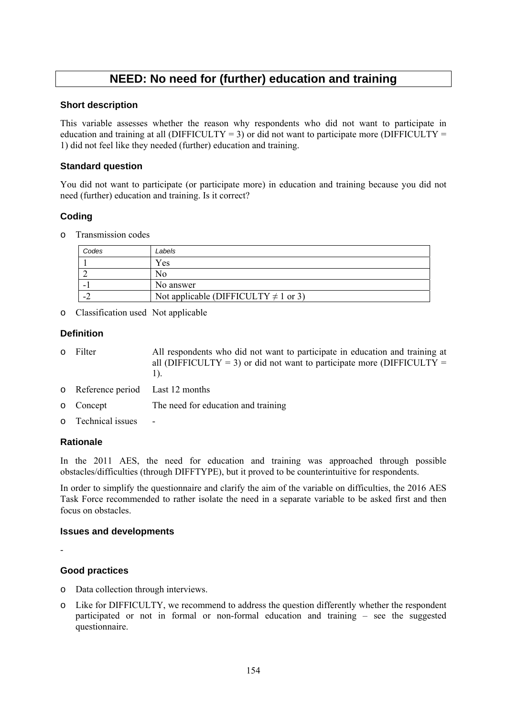## **NEED: No need for (further) education and training**

#### **Short description**

This variable assesses whether the reason why respondents who did not want to participate in education and training at all (DIFFICULTY = 3) or did not want to participate more (DIFFICULTY = 1) did not feel like they needed (further) education and training.

#### **Standard question**

You did not want to participate (or participate more) in education and training because you did not need (further) education and training. Is it correct?

#### **Coding**

o Transmission codes

| Codes | Labels                                    |
|-------|-------------------------------------------|
|       | Yes                                       |
|       |                                           |
| -     | No answer                                 |
|       | Not applicable (DIFFICULTY $\neq$ 1 or 3) |

o Classification used Not applicable

#### **Definition**

- o Filter All respondents who did not want to participate in education and training at all (DIFFICULTY = 3) or did not want to participate more (DIFFICULTY = 1).
- o Reference period Last 12 months
- o Concept The need for education and training
- o Technical issues -

#### **Rationale**

In the 2011 AES, the need for education and training was approached through possible obstacles/difficulties (through DIFFTYPE), but it proved to be counterintuitive for respondents.

In order to simplify the questionnaire and clarify the aim of the variable on difficulties, the 2016 AES Task Force recommended to rather isolate the need in a separate variable to be asked first and then focus on obstacles.

#### **Issues and developments**

-

#### **Good practices**

- o Data collection through interviews.
- o Like for DIFFICULTY, we recommend to address the question differently whether the respondent participated or not in formal or non-formal education and training – see the suggested questionnaire.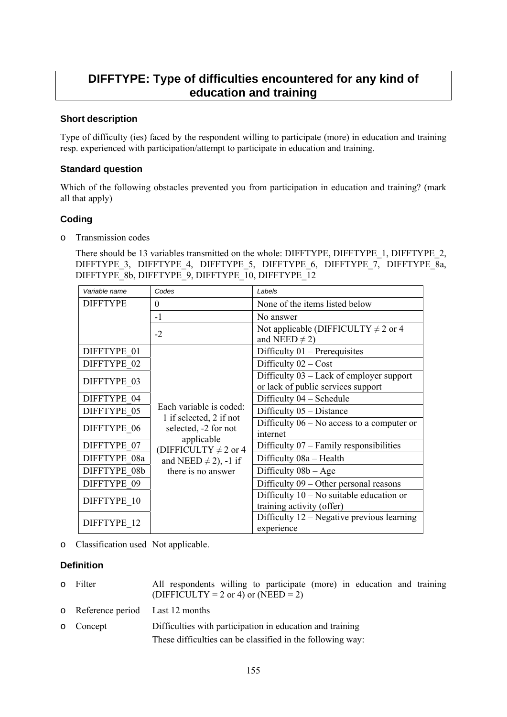## **DIFFTYPE: Type of difficulties encountered for any kind of education and training**

#### **Short description**

Type of difficulty (ies) faced by the respondent willing to participate (more) in education and training resp. experienced with participation/attempt to participate in education and training.

#### **Standard question**

Which of the following obstacles prevented you from participation in education and training? (mark all that apply)

### **Coding**

o Transmission codes

There should be 13 variables transmitted on the whole: DIFFTYPE, DIFFTYPE 1, DIFFTYPE 2, DIFFTYPE 3, DIFFTYPE 4, DIFFTYPE 5, DIFFTYPE 6, DIFFTYPE 7, DIFFTYPE 8a, DIFFTYPE 8b, DIFFTYPE 9, DIFFTYPE 10, DIFFTYPE 12

| Variable name   | Codes                                                                      | Labels                                                                         |
|-----------------|----------------------------------------------------------------------------|--------------------------------------------------------------------------------|
| <b>DIFFTYPE</b> | $\Omega$                                                                   | None of the items listed below                                                 |
|                 | $-1$                                                                       | No answer                                                                      |
|                 | $-2$                                                                       | Not applicable (DIFFICULTY $\neq$ 2 or 4<br>and NEED $\neq$ 2)                 |
| DIFFTYPE 01     |                                                                            | Difficulty $01$ – Prerequisites                                                |
| DIFFTYPE 02     |                                                                            | Difficulty $02 - Cost$                                                         |
| DIFFTYPE 03     |                                                                            | Difficulty 03 – Lack of employer support<br>or lack of public services support |
| DIFFTYPE 04     |                                                                            | Difficulty 04 – Schedule                                                       |
| DIFFTYPE 05     | Each variable is coded:<br>1 if selected, 2 if not<br>selected, -2 for not | Difficulty $05 - Distance$                                                     |
| DIFFTYPE 06     |                                                                            | Difficulty $06 - No$ access to a computer or<br>internet                       |
| DIFFTYPE 07     | applicable<br>(DIFFICULTY $\neq$ 2 or 4                                    | Difficulty $07$ – Family responsibilities                                      |
| DIFFTYPE 08a    | and NEED $\neq$ 2), -1 if<br>there is no answer                            | Difficulty 08a - Health                                                        |
| DIFFTYPE 08b    |                                                                            | Difficulty $08b - Age$                                                         |
| DIFFTYPE 09     |                                                                            | Difficulty $09 -$ Other personal reasons                                       |
| DIFFTYPE 10     |                                                                            | Difficulty $10 - No$ suitable education or<br>training activity (offer)        |
| DIFFTYPE 12     |                                                                            | Difficulty $12$ – Negative previous learning<br>experience                     |

o Classification used Not applicable.

#### **Definition**

- o Filter All respondents willing to participate (more) in education and training  $(DIFFICULTY = 2 or 4)$  or  $(NEED = 2)$
- o Reference period Last 12 months
- o Concept Difficulties with participation in education and training These difficulties can be classified in the following way: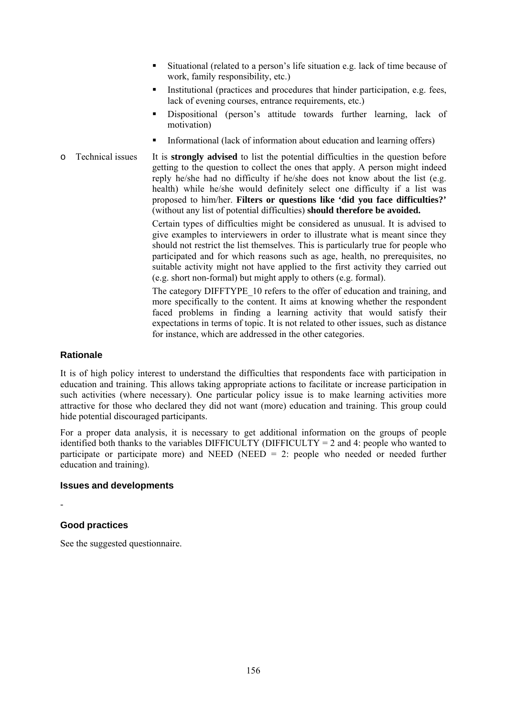- Situational (related to a person's life situation e.g. lack of time because of work, family responsibility, etc.)
- Institutional (practices and procedures that hinder participation, e.g. fees, lack of evening courses, entrance requirements, etc.)
- Dispositional (person's attitude towards further learning, lack of motivation)
- Informational (lack of information about education and learning offers)
- o Technical issues It is **strongly advised** to list the potential difficulties in the question before getting to the question to collect the ones that apply. A person might indeed reply he/she had no difficulty if he/she does not know about the list (e.g. health) while he/she would definitely select one difficulty if a list was proposed to him/her. **Filters or questions like 'did you face difficulties?'**  (without any list of potential difficulties) **should therefore be avoided.**

Certain types of difficulties might be considered as unusual. It is advised to give examples to interviewers in order to illustrate what is meant since they should not restrict the list themselves. This is particularly true for people who participated and for which reasons such as age, health, no prerequisites, no suitable activity might not have applied to the first activity they carried out (e.g. short non-formal) but might apply to others (e.g. formal).

The category DIFFTYPE\_10 refers to the offer of education and training, and more specifically to the content. It aims at knowing whether the respondent faced problems in finding a learning activity that would satisfy their expectations in terms of topic. It is not related to other issues, such as distance for instance, which are addressed in the other categories.

#### **Rationale**

It is of high policy interest to understand the difficulties that respondents face with participation in education and training. This allows taking appropriate actions to facilitate or increase participation in such activities (where necessary). One particular policy issue is to make learning activities more attractive for those who declared they did not want (more) education and training. This group could hide potential discouraged participants.

For a proper data analysis, it is necessary to get additional information on the groups of people identified both thanks to the variables DIFFICULTY (DIFFICULTY = 2 and 4: people who wanted to participate or participate more) and NEED (NEED  $= 2$ : people who needed or needed further education and training).

#### **Issues and developments**

### **Good practices**

-

See the suggested questionnaire.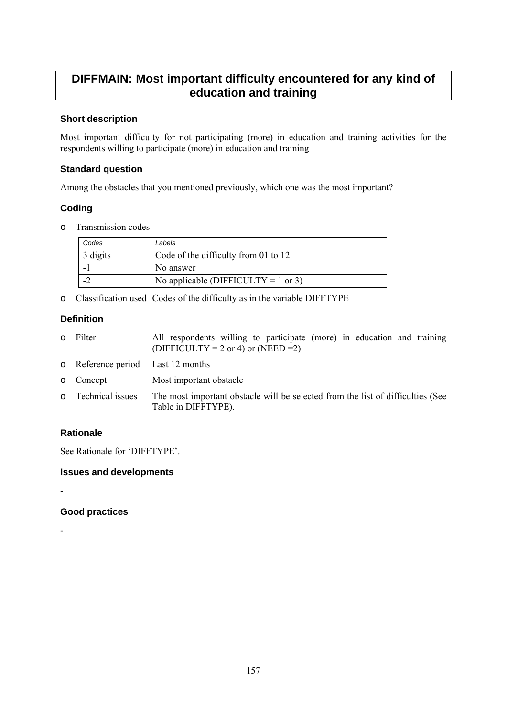## **DIFFMAIN: Most important difficulty encountered for any kind of education and training**

#### **Short description**

Most important difficulty for not participating (more) in education and training activities for the respondents willing to participate (more) in education and training

#### **Standard question**

Among the obstacles that you mentioned previously, which one was the most important?

### **Coding**

o Transmission codes

| Codes    | Labels                               |
|----------|--------------------------------------|
| 3 digits | Code of the difficulty from 01 to 12 |
|          | No answer                            |
|          | No applicable (DIFFICULTY = 1 or 3)  |

o Classification used Codes of the difficulty as in the variable DIFFTYPE

### **Definition**

| 0 Filter                          | All respondents willing to participate (more) in education and training<br>(DIFFICULTY = 2 or 4) or (NEED = 2) |
|-----------------------------------|----------------------------------------------------------------------------------------------------------------|
| o Reference period Last 12 months |                                                                                                                |
| o Concept                         | Most important obstacle                                                                                        |
| o Technical issues                | The most important obstacle will be selected from the list of difficulties (See<br>Table in DIFFTYPE).         |

### **Rationale**

-

-

See Rationale for 'DIFFTYPE'.

**Issues and developments** 

**Good practices**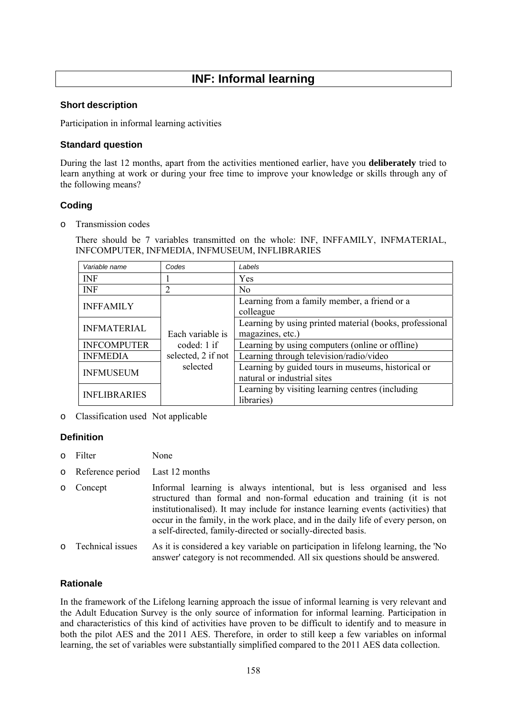## **INF: Informal learning**

#### **Short description**

Participation in informal learning activities

#### **Standard question**

During the last 12 months, apart from the activities mentioned earlier, have you **deliberately** tried to learn anything at work or during your free time to improve your knowledge or skills through any of the following means?

#### **Coding**

o Transmission codes

There should be 7 variables transmitted on the whole: INF, INFFAMILY, INFMATERIAL, INFCOMPUTER, INFMEDIA, INFMUSEUM, INFLIBRARIES

| Variable name       | Codes                                                   | Labels                                                  |
|---------------------|---------------------------------------------------------|---------------------------------------------------------|
| <b>INF</b>          |                                                         | Yes                                                     |
| <b>INF</b>          | 2                                                       | N <sub>0</sub>                                          |
| <b>INFFAMILY</b>    | Each variable is<br>coded: $1$ if<br>selected, 2 if not | Learning from a family member, a friend or a            |
|                     |                                                         | colleague                                               |
| <b>INFMATERIAL</b>  |                                                         | Learning by using printed material (books, professional |
|                     |                                                         | magazines, etc.)                                        |
| <b>INFCOMPUTER</b>  |                                                         | Learning by using computers (online or offline)         |
| <b>INFMEDIA</b>     |                                                         | Learning through television/radio/video                 |
| <b>INFMUSEUM</b>    | selected                                                | Learning by guided tours in museums, historical or      |
|                     |                                                         | natural or industrial sites                             |
| <b>INFLIBRARIES</b> |                                                         | Learning by visiting learning centres (including        |
|                     |                                                         | libraries)                                              |

o Classification used Not applicable

#### **Definition**

- o Filter None
- o Reference period Last 12 months
- o Concept Informal learning is always intentional, but is less organised and less structured than formal and non-formal education and training (it is not institutionalised). It may include for instance learning events (activities) that occur in the family, in the work place, and in the daily life of every person, on a self-directed, family-directed or socially-directed basis.
- o Technical issues As it is considered a key variable on participation in lifelong learning, the 'No answer' category is not recommended. All six questions should be answered.

#### **Rationale**

In the framework of the Lifelong learning approach the issue of informal learning is very relevant and the Adult Education Survey is the only source of information for informal learning. Participation in and characteristics of this kind of activities have proven to be difficult to identify and to measure in both the pilot AES and the 2011 AES. Therefore, in order to still keep a few variables on informal learning, the set of variables were substantially simplified compared to the 2011 AES data collection.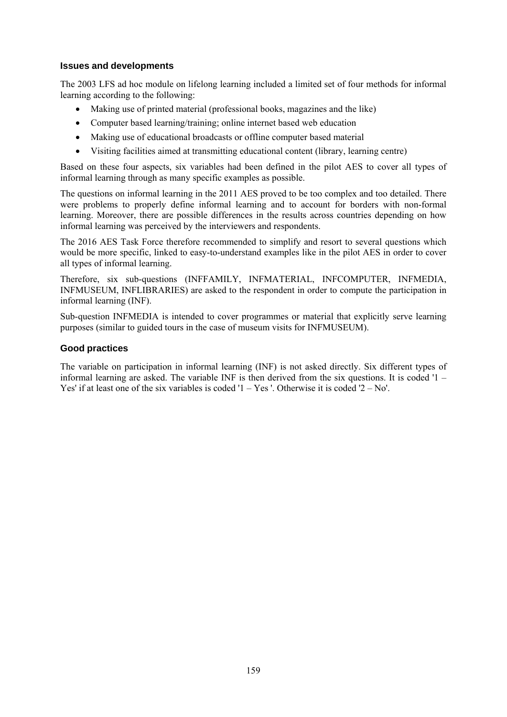#### **Issues and developments**

The 2003 LFS ad hoc module on lifelong learning included a limited set of four methods for informal learning according to the following:

- Making use of printed material (professional books, magazines and the like)
- Computer based learning/training; online internet based web education
- Making use of educational broadcasts or offline computer based material
- Visiting facilities aimed at transmitting educational content (library, learning centre)

Based on these four aspects, six variables had been defined in the pilot AES to cover all types of informal learning through as many specific examples as possible.

The questions on informal learning in the 2011 AES proved to be too complex and too detailed. There were problems to properly define informal learning and to account for borders with non-formal learning. Moreover, there are possible differences in the results across countries depending on how informal learning was perceived by the interviewers and respondents.

The 2016 AES Task Force therefore recommended to simplify and resort to several questions which would be more specific, linked to easy-to-understand examples like in the pilot AES in order to cover all types of informal learning.

Therefore, six sub-questions (INFFAMILY, INFMATERIAL, INFCOMPUTER, INFMEDIA, INFMUSEUM, INFLIBRARIES) are asked to the respondent in order to compute the participation in informal learning (INF).

Sub-question INFMEDIA is intended to cover programmes or material that explicitly serve learning purposes (similar to guided tours in the case of museum visits for INFMUSEUM).

#### **Good practices**

The variable on participation in informal learning (INF) is not asked directly. Six different types of informal learning are asked. The variable INF is then derived from the six questions. It is coded '1 – Yes' if at least one of the six variables is coded  $1 - Yes'$ . Otherwise it is coded  $2 - No'$ .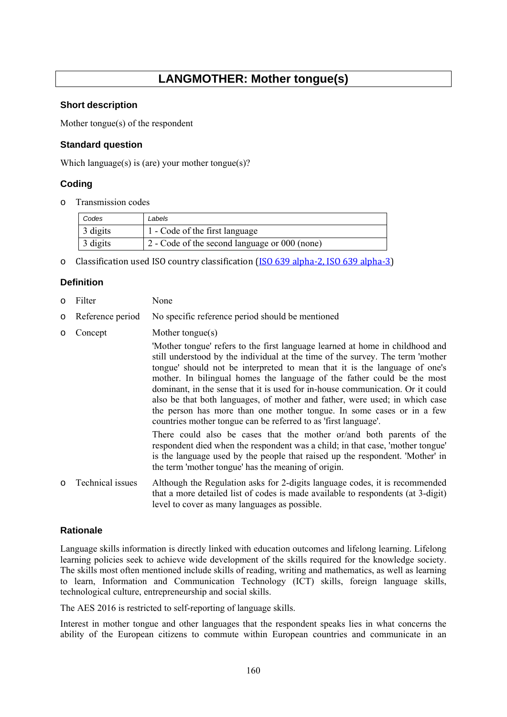## **LANGMOTHER: Mother tongue(s)**

#### **Short description**

Mother tongue(s) of the respondent

#### **Standard question**

Which language(s) is (are) your mother tongue(s)?

#### **Coding**

o Transmission codes

| Codes    | Labels                                        |
|----------|-----------------------------------------------|
| 3 digits | 1 - Code of the first language                |
| 3 digits | 2 - Code of the second language or 000 (none) |

o Classification used ISO country classification [\(ISO 639 alpha-2, ISO 639 alpha-3\)](http://www.loc.gov/standards/iso639-2/php/code_list.php)

### **Definition**

- o Filter None
- o Reference period No specific reference period should be mentioned
- o Concept Mother tongue(s)

'Mother tongue' refers to the first language learned at home in childhood and still understood by the individual at the time of the survey. The term 'mother tongue' should not be interpreted to mean that it is the language of one's mother. In bilingual homes the language of the father could be the most dominant, in the sense that it is used for in-house communication. Or it could also be that both languages, of mother and father, were used; in which case the person has more than one mother tongue. In some cases or in a few countries mother tongue can be referred to as 'first language'.

There could also be cases that the mother or/and both parents of the respondent died when the respondent was a child; in that case, 'mother tongue' is the language used by the people that raised up the respondent. 'Mother' in the term 'mother tongue' has the meaning of origin.

o Technical issues Although the Regulation asks for 2-digits language codes, it is recommended that a more detailed list of codes is made available to respondents (at 3-digit) level to cover as many languages as possible.

### **Rationale**

Language skills information is directly linked with education outcomes and lifelong learning. Lifelong learning policies seek to achieve wide development of the skills required for the knowledge society. The skills most often mentioned include skills of reading, writing and mathematics, as well as learning to learn, Information and Communication Technology (ICT) skills, foreign language skills, technological culture, entrepreneurship and social skills.

The AES 2016 is restricted to self-reporting of language skills.

Interest in mother tongue and other languages that the respondent speaks lies in what concerns the ability of the European citizens to commute within European countries and communicate in an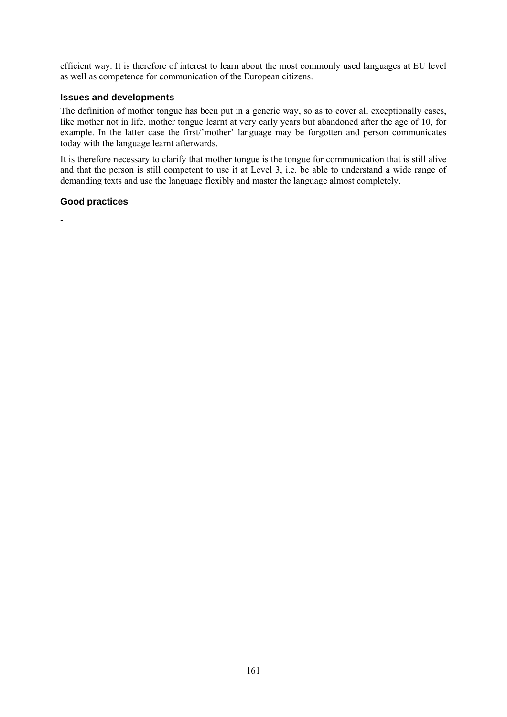efficient way. It is therefore of interest to learn about the most commonly used languages at EU level as well as competence for communication of the European citizens.

#### **Issues and developments**

The definition of mother tongue has been put in a generic way, so as to cover all exceptionally cases, like mother not in life, mother tongue learnt at very early years but abandoned after the age of 10, for example. In the latter case the first/'mother' language may be forgotten and person communicates today with the language learnt afterwards.

It is therefore necessary to clarify that mother tongue is the tongue for communication that is still alive and that the person is still competent to use it at Level 3, i.e. be able to understand a wide range of demanding texts and use the language flexibly and master the language almost completely.

#### **Good practices**

-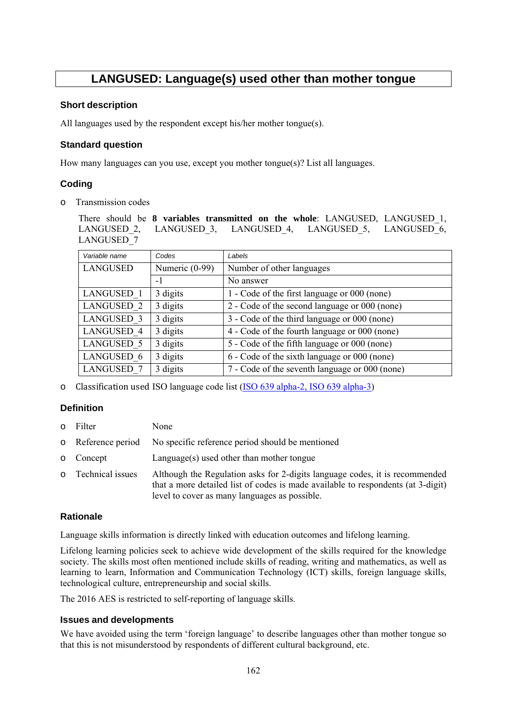## **LANGUSED: Language(s) used other than mother tongue**

#### **Short description**

All languages used by the respondent except his/her mother tongue(s).

#### **Standard question**

How many languages can you use, except you mother tongue(s)? List all languages.

#### **Coding**

o Transmission codes

There should be **8 variables transmitted on the whole**: LANGUSED, LANGUSED\_1, LANGUSED 2, LANGUSED 3, LANGUSED 4, LANGUSED 5, LANGUSED 6, LANGUSED\_7

| Variable name     | Codes          | Labels                                         |
|-------------------|----------------|------------------------------------------------|
| <b>LANGUSED</b>   | Numeric (0-99) | Number of other languages                      |
|                   | $-1$           | No answer                                      |
| LANGUSED 1        | 3 digits       | 1 - Code of the first language or 000 (none)   |
| <b>LANGUSED 2</b> | 3 digits       | 2 - Code of the second language or 000 (none)  |
| <b>LANGUSED 3</b> | 3 digits       | 3 - Code of the third language or 000 (none)   |
| <b>LANGUSED 4</b> | 3 digits       | 4 - Code of the fourth language or 000 (none)  |
| <b>LANGUSED 5</b> | 3 digits       | 5 - Code of the fifth language or 000 (none)   |
| LANGUSED 6        | 3 digits       | 6 - Code of the sixth language or 000 (none)   |
| <b>LANGUSED 7</b> | 3 digits       | 7 - Code of the seventh language or 000 (none) |

o Classification used ISO language code list [\(ISO 639 alpha-2, ISO 639 alpha-3\)](http://www.loc.gov/standards/iso639-2/php/code_list.php) 

#### **Definition**

- o Filter None
- o Reference period No specific reference period should be mentioned
- o Concept Language(s) used other than mother tongue
- o Technical issues Although the Regulation asks for 2-digits language codes, it is recommended that a more detailed list of codes is made available to respondents (at 3-digit) level to cover as many languages as possible.

#### **Rationale**

Language skills information is directly linked with education outcomes and lifelong learning.

Lifelong learning policies seek to achieve wide development of the skills required for the knowledge society. The skills most often mentioned include skills of reading, writing and mathematics, as well as learning to learn, Information and Communication Technology (ICT) skills, foreign language skills, technological culture, entrepreneurship and social skills.

The 2016 AES is restricted to self-reporting of language skills.

#### **Issues and developments**

We have avoided using the term 'foreign language' to describe languages other than mother tongue so that this is not misunderstood by respondents of different cultural background, etc.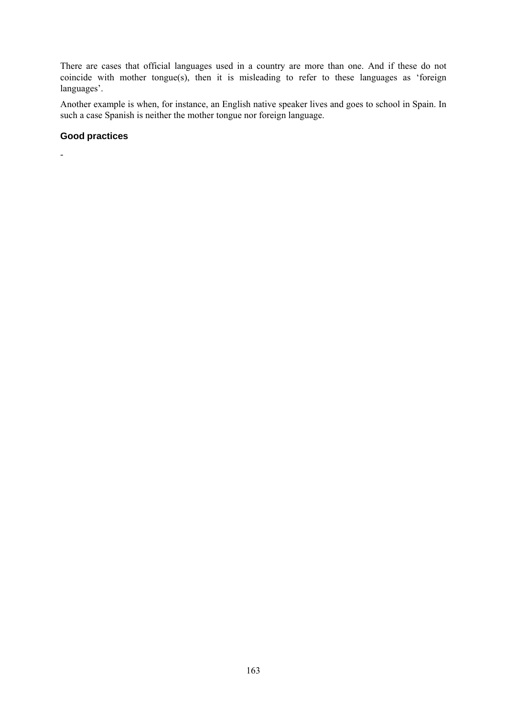There are cases that official languages used in a country are more than one. And if these do not coincide with mother tongue(s), then it is misleading to refer to these languages as 'foreign languages'.

Another example is when, for instance, an English native speaker lives and goes to school in Spain. In such a case Spanish is neither the mother tongue nor foreign language.

#### **Good practices**

-

163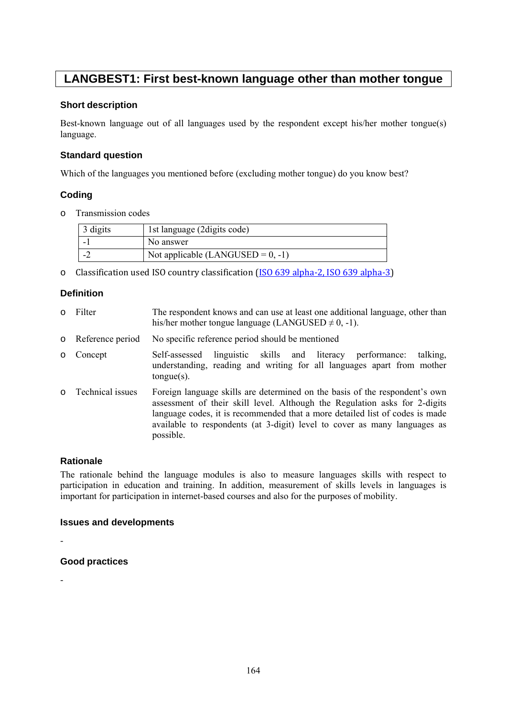## **LANGBEST1: First best-known language other than mother tongue**

#### **Short description**

Best-known language out of all languages used by the respondent except his/her mother tongue(s) language.

#### **Standard question**

Which of the languages you mentioned before (excluding mother tongue) do you know best?

#### **Coding**

o Transmission codes

| 3 digits | 1st language (2digits code)          |
|----------|--------------------------------------|
|          | No answer                            |
|          | Not applicable (LANGUSED = $0, -1$ ) |

o Classification used ISO country classification [\(ISO 639 alpha-2, ISO 639 alpha-3\)](http://www.loc.gov/standards/iso639-2/php/code_list.php)

#### **Definition**

o Filter The respondent knows and can use at least one additional language, other than his/her mother tongue language (LANGUSED  $\neq$  0, -1). o Reference period No specific reference period should be mentioned o Concept Self-assessed linguistic skills and literacy performance: talking, understanding, reading and writing for all languages apart from mother tongue(s). o Technical issues Foreign language skills are determined on the basis of the respondent's own assessment of their skill level. Although the Regulation asks for 2-digits language codes, it is recommended that a more detailed list of codes is made

#### **Rationale**

The rationale behind the language modules is also to measure languages skills with respect to participation in education and training. In addition, measurement of skills levels in languages is important for participation in internet-based courses and also for the purposes of mobility.

available to respondents (at 3-digit) level to cover as many languages as

#### **Issues and developments**

possible.

-

#### **Good practices**

-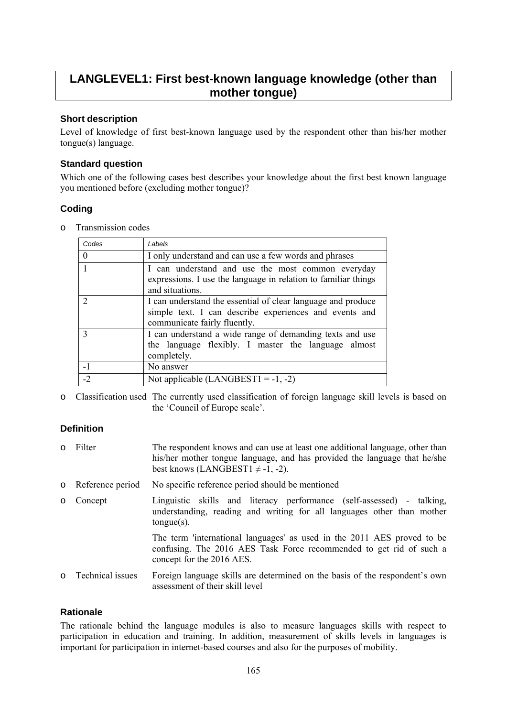## **LANGLEVEL1: First best-known language knowledge (other than mother tongue)**

#### **Short description**

Level of knowledge of first best-known language used by the respondent other than his/her mother tongue(s) language.

#### **Standard question**

Which one of the following cases best describes your knowledge about the first best known language you mentioned before (excluding mother tongue)?

### **Coding**

o Transmission codes

| Codes         | Labels                                                                                                                                                 |
|---------------|--------------------------------------------------------------------------------------------------------------------------------------------------------|
| $\Omega$      | I only understand and can use a few words and phrases                                                                                                  |
|               | I can understand and use the most common everyday<br>expressions. I use the language in relation to familiar things<br>and situations.                 |
| $\mathcal{D}$ | I can understand the essential of clear language and produce<br>simple text. I can describe experiences and events and<br>communicate fairly fluently. |
| $\mathbf{3}$  | I can understand a wide range of demanding texts and use<br>the language flexibly. I master the language almost<br>completely.                         |
| $-1$          | No answer                                                                                                                                              |
| $-2$          | Not applicable $(LANGBEST1 = -1, -2)$                                                                                                                  |

o Classification used The currently used classification of foreign language skill levels is based on the 'Council of Europe scale'.

### **Definition**

- o Filter The respondent knows and can use at least one additional language, other than his/her mother tongue language, and has provided the language that he/she best knows (LANGBEST1  $\neq$  -1, -2).
- o Reference period No specific reference period should be mentioned

concept for the 2016 AES.

- o Concept Linguistic skills and literacy performance (self-assessed) talking, understanding, reading and writing for all languages other than mother tongue(s). The term 'international languages' as used in the 2011 AES proved to be confusing. The 2016 AES Task Force recommended to get rid of such a
- o Technical issues Foreign language skills are determined on the basis of the respondent's own assessment of their skill level

#### **Rationale**

The rationale behind the language modules is also to measure languages skills with respect to participation in education and training. In addition, measurement of skills levels in languages is important for participation in internet-based courses and also for the purposes of mobility.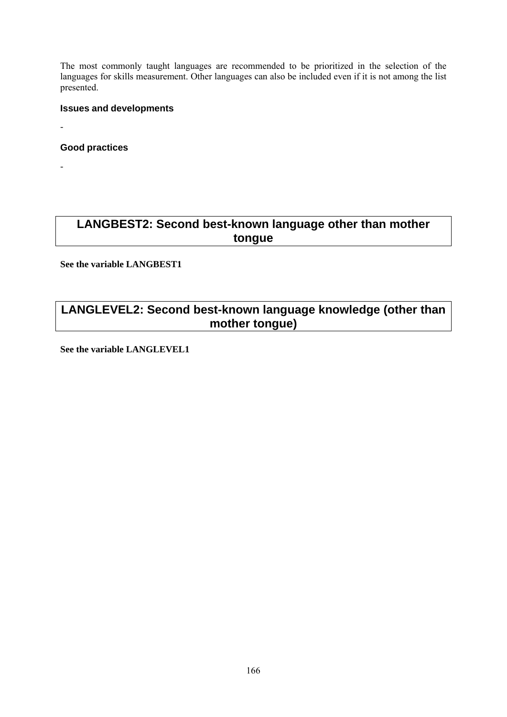The most commonly taught languages are recommended to be prioritized in the selection of the languages for skills measurement. Other languages can also be included even if it is not among the list presented.

#### **Issues and developments**

**Good practices** 

-

-

## **LANGBEST2: Second best-known language other than mother tongue**

**See the variable LANGBEST1** 

## **LANGLEVEL2: Second best-known language knowledge (other than mother tongue)**

**See the variable LANGLEVEL1**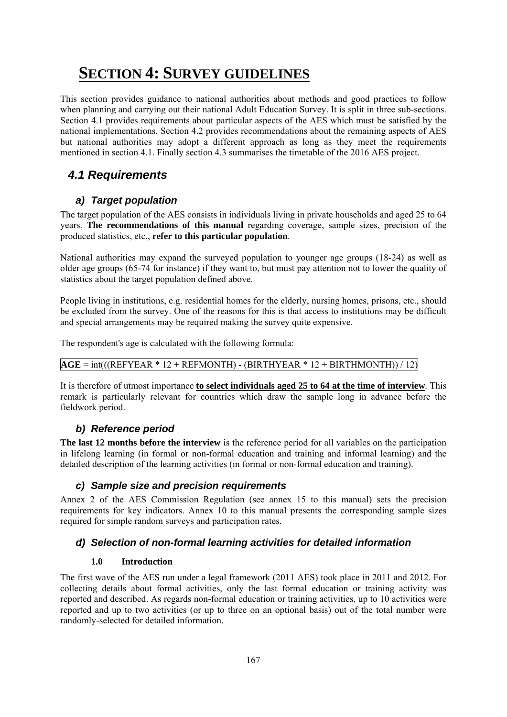# **SECTION 4: SURVEY GUIDELINES**

This section provides guidance to national authorities about methods and good practices to follow when planning and carrying out their national Adult Education Survey. It is split in three sub-sections. Section 4.1 provides requirements about particular aspects of the AES which must be satisfied by the national implementations. Section 4.2 provides recommendations about the remaining aspects of AES but national authorities may adopt a different approach as long as they meet the requirements mentioned in section 4.1. Finally section 4.3 summarises the timetable of the 2016 AES project.

## *4.1 Requirements*

## *a) Target population*

The target population of the AES consists in individuals living in private households and aged 25 to 64 years. **The recommendations of this manual** regarding coverage, sample sizes, precision of the produced statistics, etc., **refer to this particular population**.

National authorities may expand the surveyed population to younger age groups (18-24) as well as older age groups (65-74 for instance) if they want to, but must pay attention not to lower the quality of statistics about the target population defined above.

People living in institutions, e.g. residential homes for the elderly, nursing homes, prisons, etc., should be excluded from the survey. One of the reasons for this is that access to institutions may be difficult and special arrangements may be required making the survey quite expensive.

The respondent's age is calculated with the following formula:

### $\overline{AGE} = \text{int}((REFYEAR * 12 + REFMONTH) - (BIRTHYEAR * 12 + BIRTHMONTH))/12)$

It is therefore of utmost importance **to select individuals aged 25 to 64 at the time of interview**. This remark is particularly relevant for countries which draw the sample long in advance before the fieldwork period.

### *b) Reference period*

**The last 12 months before the interview** is the reference period for all variables on the participation in lifelong learning (in formal or non-formal education and training and informal learning) and the detailed description of the learning activities (in formal or non-formal education and training).

### *c) Sample size and precision requirements*

Annex 2 of the AES Commission Regulation (see annex 15 to this manual) sets the precision requirements for key indicators. Annex 10 to this manual presents the corresponding sample sizes required for simple random surveys and participation rates.

### *d) Selection of non-formal learning activities for detailed information*

#### **1.0 Introduction**

The first wave of the AES run under a legal framework (2011 AES) took place in 2011 and 2012. For collecting details about formal activities, only the last formal education or training activity was reported and described. As regards non-formal education or training activities, up to 10 activities were reported and up to two activities (or up to three on an optional basis) out of the total number were randomly-selected for detailed information.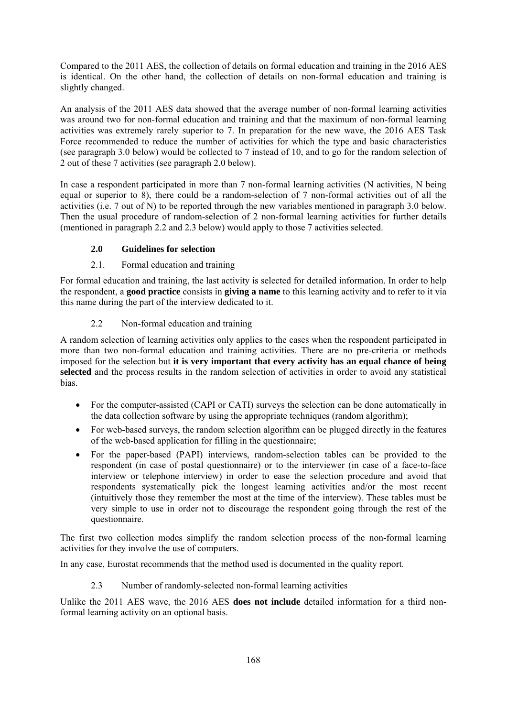Compared to the 2011 AES, the collection of details on formal education and training in the 2016 AES is identical. On the other hand, the collection of details on non-formal education and training is slightly changed.

An analysis of the 2011 AES data showed that the average number of non-formal learning activities was around two for non-formal education and training and that the maximum of non-formal learning activities was extremely rarely superior to 7. In preparation for the new wave, the 2016 AES Task Force recommended to reduce the number of activities for which the type and basic characteristics (see paragraph 3.0 below) would be collected to 7 instead of 10, and to go for the random selection of 2 out of these 7 activities (see paragraph 2.0 below).

In case a respondent participated in more than 7 non-formal learning activities (N activities, N being equal or superior to 8), there could be a random-selection of 7 non-formal activities out of all the activities (i.e. 7 out of N) to be reported through the new variables mentioned in paragraph 3.0 below. Then the usual procedure of random-selection of 2 non-formal learning activities for further details (mentioned in paragraph 2.2 and 2.3 below) would apply to those 7 activities selected.

### **2.0 Guidelines for selection**

#### 2.1. Formal education and training

For formal education and training, the last activity is selected for detailed information. In order to help the respondent, a **good practice** consists in **giving a name** to this learning activity and to refer to it via this name during the part of the interview dedicated to it.

### 2.2 Non-formal education and training

A random selection of learning activities only applies to the cases when the respondent participated in more than two non-formal education and training activities. There are no pre-criteria or methods imposed for the selection but **it is very important that every activity has an equal chance of being selected** and the process results in the random selection of activities in order to avoid any statistical bias.

- For the computer-assisted (CAPI or CATI) surveys the selection can be done automatically in the data collection software by using the appropriate techniques (random algorithm);
- For web-based surveys, the random selection algorithm can be plugged directly in the features of the web-based application for filling in the questionnaire;
- For the paper-based (PAPI) interviews, random-selection tables can be provided to the respondent (in case of postal questionnaire) or to the interviewer (in case of a face-to-face interview or telephone interview) in order to ease the selection procedure and avoid that respondents systematically pick the longest learning activities and/or the most recent (intuitively those they remember the most at the time of the interview). These tables must be very simple to use in order not to discourage the respondent going through the rest of the questionnaire.

The first two collection modes simplify the random selection process of the non-formal learning activities for they involve the use of computers.

In any case, Eurostat recommends that the method used is documented in the quality report.

2.3 Number of randomly-selected non-formal learning activities

Unlike the 2011 AES wave, the 2016 AES **does not include** detailed information for a third nonformal learning activity on an optional basis.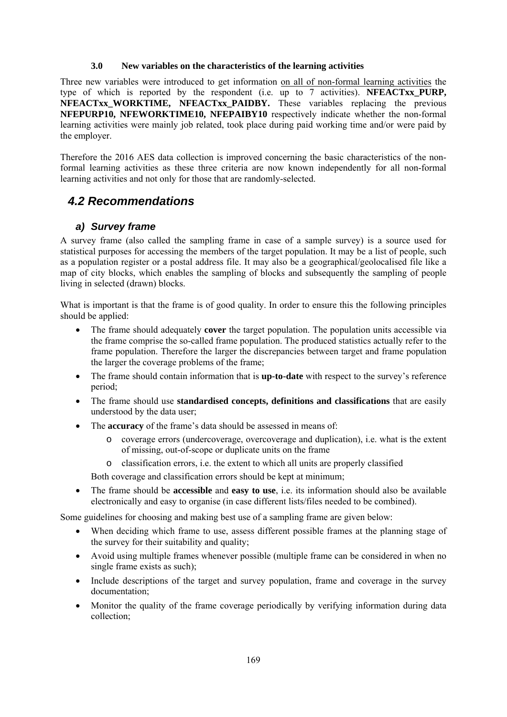#### **3.0 New variables on the characteristics of the learning activities**

Three new variables were introduced to get information on all of non-formal learning activities the type of which is reported by the respondent (i.e. up to 7 activities). **NFEACTxx\_PURP, NFEACTxx\_WORKTIME, NFEACTxx\_PAIDBY.** These variables replacing the previous **NFEPURP10, NFEWORKTIME10, NFEPAIBY10** respectively indicate whether the non-formal learning activities were mainly job related, took place during paid working time and/or were paid by the employer.

Therefore the 2016 AES data collection is improved concerning the basic characteristics of the nonformal learning activities as these three criteria are now known independently for all non-formal learning activities and not only for those that are randomly-selected.

## *4.2 Recommendations*

#### *a) Survey frame*

A survey frame (also called the sampling frame in case of a sample survey) is a source used for statistical purposes for accessing the members of the target population. It may be a list of people, such as a population register or a postal address file. It may also be a geographical/geolocalised file like a map of city blocks, which enables the sampling of blocks and subsequently the sampling of people living in selected (drawn) blocks.

What is important is that the frame is of good quality. In order to ensure this the following principles should be applied:

- The frame should adequately **cover** the target population. The population units accessible via the frame comprise the so-called frame population. The produced statistics actually refer to the frame population. Therefore the larger the discrepancies between target and frame population the larger the coverage problems of the frame;
- The frame should contain information that is **up-to-date** with respect to the survey's reference period;
- The frame should use **standardised concepts, definitions and classifications** that are easily understood by the data user;
- The **accuracy** of the frame's data should be assessed in means of:
	- o coverage errors (undercoverage, overcoverage and duplication), i.e. what is the extent of missing, out-of-scope or duplicate units on the frame
	- o classification errors, i.e. the extent to which all units are properly classified

Both coverage and classification errors should be kept at minimum;

• The frame should be **accessible** and **easy to use**, i.e. its information should also be available electronically and easy to organise (in case different lists/files needed to be combined).

Some guidelines for choosing and making best use of a sampling frame are given below:

- When deciding which frame to use, assess different possible frames at the planning stage of the survey for their suitability and quality;
- Avoid using multiple frames whenever possible (multiple frame can be considered in when no single frame exists as such);
- Include descriptions of the target and survey population, frame and coverage in the survey documentation;
- Monitor the quality of the frame coverage periodically by verifying information during data collection;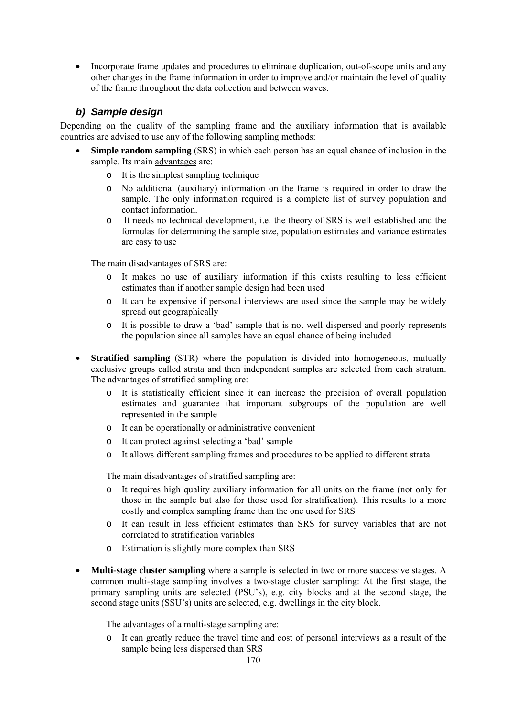• Incorporate frame updates and procedures to eliminate duplication, out-of-scope units and any other changes in the frame information in order to improve and/or maintain the level of quality of the frame throughout the data collection and between waves.

### *b) Sample design*

Depending on the quality of the sampling frame and the auxiliary information that is available countries are advised to use any of the following sampling methods:

- **Simple random sampling** (SRS) in which each person has an equal chance of inclusion in the sample. Its main advantages are:
	- o It is the simplest sampling technique
	- o No additional (auxiliary) information on the frame is required in order to draw the sample. The only information required is a complete list of survey population and contact information.
	- o It needs no technical development, i.e. the theory of SRS is well established and the formulas for determining the sample size, population estimates and variance estimates are easy to use

The main disadvantages of SRS are:

- o It makes no use of auxiliary information if this exists resulting to less efficient estimates than if another sample design had been used
- o It can be expensive if personal interviews are used since the sample may be widely spread out geographically
- o It is possible to draw a 'bad' sample that is not well dispersed and poorly represents the population since all samples have an equal chance of being included
- **Stratified sampling** (STR) where the population is divided into homogeneous, mutually exclusive groups called strata and then independent samples are selected from each stratum. The advantages of stratified sampling are:
	- o It is statistically efficient since it can increase the precision of overall population estimates and guarantee that important subgroups of the population are well represented in the sample
	- o It can be operationally or administrative convenient
	- o It can protect against selecting a 'bad' sample
	- o It allows different sampling frames and procedures to be applied to different strata

The main disadvantages of stratified sampling are:

- o It requires high quality auxiliary information for all units on the frame (not only for those in the sample but also for those used for stratification). This results to a more costly and complex sampling frame than the one used for SRS
- o It can result in less efficient estimates than SRS for survey variables that are not correlated to stratification variables
- o Estimation is slightly more complex than SRS
- **Multi-stage cluster sampling** where a sample is selected in two or more successive stages. A common multi-stage sampling involves a two-stage cluster sampling: At the first stage, the primary sampling units are selected (PSU's), e.g. city blocks and at the second stage, the second stage units (SSU's) units are selected, e.g. dwellings in the city block.

The advantages of a multi-stage sampling are:

o It can greatly reduce the travel time and cost of personal interviews as a result of the sample being less dispersed than SRS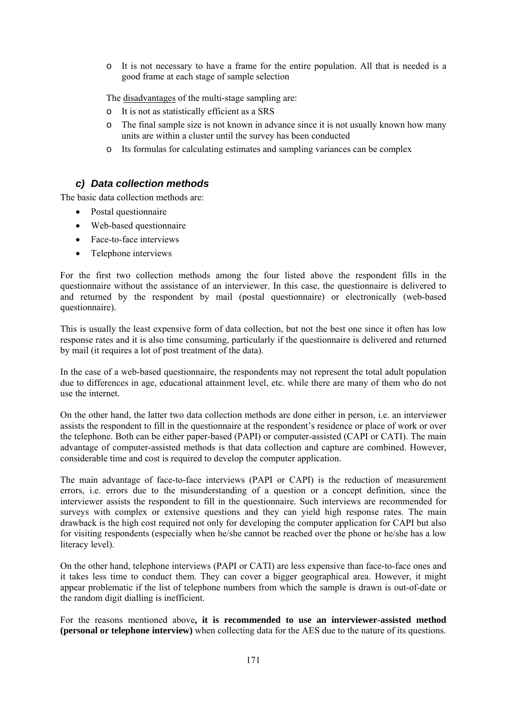o It is not necessary to have a frame for the entire population. All that is needed is a good frame at each stage of sample selection

The disadvantages of the multi-stage sampling are:

- o It is not as statistically efficient as a SRS
- o The final sample size is not known in advance since it is not usually known how many units are within a cluster until the survey has been conducted
- o Its formulas for calculating estimates and sampling variances can be complex

### *c) Data collection methods*

The basic data collection methods are:

- Postal questionnaire
- Web-based questionnaire
- Face-to-face interviews
- Telephone interviews

For the first two collection methods among the four listed above the respondent fills in the questionnaire without the assistance of an interviewer. In this case, the questionnaire is delivered to and returned by the respondent by mail (postal questionnaire) or electronically (web-based questionnaire).

This is usually the least expensive form of data collection, but not the best one since it often has low response rates and it is also time consuming, particularly if the questionnaire is delivered and returned by mail (it requires a lot of post treatment of the data).

In the case of a web-based questionnaire, the respondents may not represent the total adult population due to differences in age, educational attainment level, etc. while there are many of them who do not use the internet.

On the other hand, the latter two data collection methods are done either in person, i.e. an interviewer assists the respondent to fill in the questionnaire at the respondent's residence or place of work or over the telephone. Both can be either paper-based (PAPI) or computer-assisted (CAPI or CATI). The main advantage of computer-assisted methods is that data collection and capture are combined. However, considerable time and cost is required to develop the computer application.

The main advantage of face-to-face interviews (PAPI or CAPI) is the reduction of measurement errors, i.e. errors due to the misunderstanding of a question or a concept definition, since the interviewer assists the respondent to fill in the questionnaire. Such interviews are recommended for surveys with complex or extensive questions and they can yield high response rates. The main drawback is the high cost required not only for developing the computer application for CAPI but also for visiting respondents (especially when he/she cannot be reached over the phone or he/she has a low literacy level).

On the other hand, telephone interviews (PAPI or CATI) are less expensive than face-to-face ones and it takes less time to conduct them. They can cover a bigger geographical area. However, it might appear problematic if the list of telephone numbers from which the sample is drawn is out-of-date or the random digit dialling is inefficient.

For the reasons mentioned above**, it is recommended to use an interviewer-assisted method (personal or telephone interview)** when collecting data for the AES due to the nature of its questions.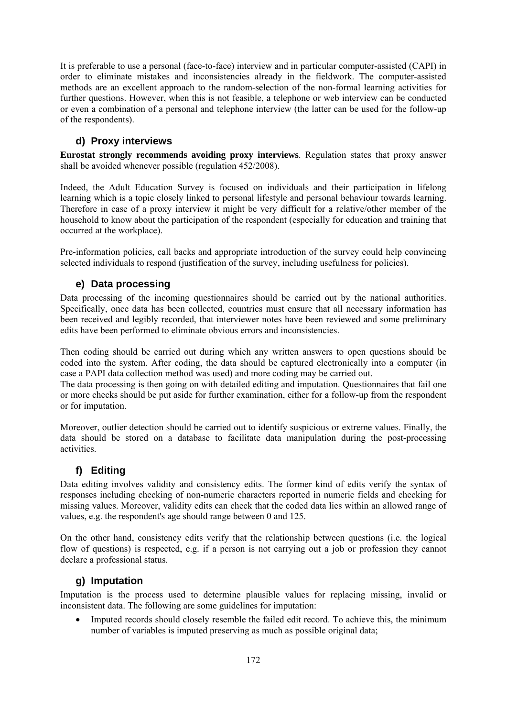It is preferable to use a personal (face-to-face) interview and in particular computer-assisted (CAPI) in order to eliminate mistakes and inconsistencies already in the fieldwork. The computer-assisted methods are an excellent approach to the random-selection of the non-formal learning activities for further questions. However, when this is not feasible, a telephone or web interview can be conducted or even a combination of a personal and telephone interview (the latter can be used for the follow-up of the respondents).

### **d) Proxy interviews**

**Eurostat strongly recommends avoiding proxy interviews**. Regulation states that proxy answer shall be avoided whenever possible (regulation 452/2008).

Indeed, the Adult Education Survey is focused on individuals and their participation in lifelong learning which is a topic closely linked to personal lifestyle and personal behaviour towards learning. Therefore in case of a proxy interview it might be very difficult for a relative/other member of the household to know about the participation of the respondent (especially for education and training that occurred at the workplace).

Pre-information policies, call backs and appropriate introduction of the survey could help convincing selected individuals to respond (justification of the survey, including usefulness for policies).

### **e) Data processing**

Data processing of the incoming questionnaires should be carried out by the national authorities. Specifically, once data has been collected, countries must ensure that all necessary information has been received and legibly recorded, that interviewer notes have been reviewed and some preliminary edits have been performed to eliminate obvious errors and inconsistencies.

Then coding should be carried out during which any written answers to open questions should be coded into the system. After coding, the data should be captured electronically into a computer (in case a PAPI data collection method was used) and more coding may be carried out.

The data processing is then going on with detailed editing and imputation. Questionnaires that fail one or more checks should be put aside for further examination, either for a follow-up from the respondent or for imputation.

Moreover, outlier detection should be carried out to identify suspicious or extreme values. Finally, the data should be stored on a database to facilitate data manipulation during the post-processing activities.

## **f) Editing**

Data editing involves validity and consistency edits. The former kind of edits verify the syntax of responses including checking of non-numeric characters reported in numeric fields and checking for missing values. Moreover, validity edits can check that the coded data lies within an allowed range of values, e.g. the respondent's age should range between 0 and 125.

On the other hand, consistency edits verify that the relationship between questions (i.e. the logical flow of questions) is respected, e.g. if a person is not carrying out a job or profession they cannot declare a professional status.

### **g) Imputation**

Imputation is the process used to determine plausible values for replacing missing, invalid or inconsistent data. The following are some guidelines for imputation:

• Imputed records should closely resemble the failed edit record. To achieve this, the minimum number of variables is imputed preserving as much as possible original data;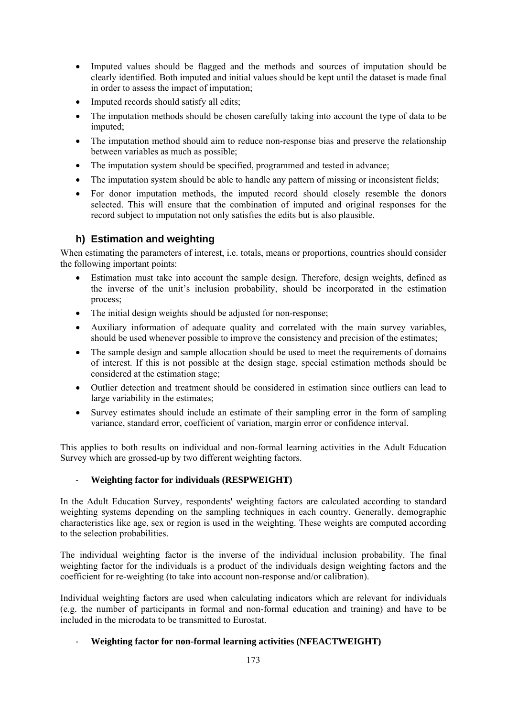- Imputed values should be flagged and the methods and sources of imputation should be clearly identified. Both imputed and initial values should be kept until the dataset is made final in order to assess the impact of imputation;
- Imputed records should satisfy all edits;
- The imputation methods should be chosen carefully taking into account the type of data to be imputed;
- The imputation method should aim to reduce non-response bias and preserve the relationship between variables as much as possible;
- The imputation system should be specified, programmed and tested in advance;
- The imputation system should be able to handle any pattern of missing or inconsistent fields;
- For donor imputation methods, the imputed record should closely resemble the donors selected. This will ensure that the combination of imputed and original responses for the record subject to imputation not only satisfies the edits but is also plausible.

### **h) Estimation and weighting**

When estimating the parameters of interest, i.e. totals, means or proportions, countries should consider the following important points:

- Estimation must take into account the sample design. Therefore, design weights, defined as the inverse of the unit's inclusion probability, should be incorporated in the estimation process;
- The initial design weights should be adjusted for non-response;
- Auxiliary information of adequate quality and correlated with the main survey variables, should be used whenever possible to improve the consistency and precision of the estimates;
- The sample design and sample allocation should be used to meet the requirements of domains of interest. If this is not possible at the design stage, special estimation methods should be considered at the estimation stage;
- Outlier detection and treatment should be considered in estimation since outliers can lead to large variability in the estimates;
- Survey estimates should include an estimate of their sampling error in the form of sampling variance, standard error, coefficient of variation, margin error or confidence interval.

This applies to both results on individual and non-formal learning activities in the Adult Education Survey which are grossed-up by two different weighting factors.

#### - **Weighting factor for individuals (RESPWEIGHT)**

In the Adult Education Survey, respondents' weighting factors are calculated according to standard weighting systems depending on the sampling techniques in each country. Generally, demographic characteristics like age, sex or region is used in the weighting. These weights are computed according to the selection probabilities.

The individual weighting factor is the inverse of the individual inclusion probability. The final weighting factor for the individuals is a product of the individuals design weighting factors and the coefficient for re-weighting (to take into account non-response and/or calibration).

Individual weighting factors are used when calculating indicators which are relevant for individuals (e.g. the number of participants in formal and non-formal education and training) and have to be included in the microdata to be transmitted to Eurostat.

#### - **Weighting factor for non-formal learning activities (NFEACTWEIGHT)**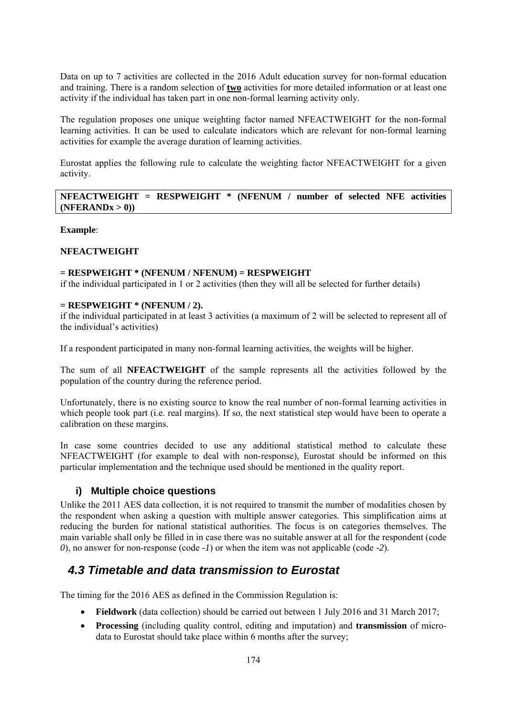Data on up to 7 activities are collected in the 2016 Adult education survey for non-formal education and training. There is a random selection of **two** activities for more detailed information or at least one activity if the individual has taken part in one non-formal learning activity only.

The regulation proposes one unique weighting factor named NFEACTWEIGHT for the non-formal learning activities. It can be used to calculate indicators which are relevant for non-formal learning activities for example the average duration of learning activities.

Eurostat applies the following rule to calculate the weighting factor NFEACTWEIGHT for a given activity.

#### **NFEACTWEIGHT = RESPWEIGHT \* (NFENUM / number of selected NFE activities**   $(NFERANDx > 0)$

#### **Example**:

#### **NFEACTWEIGHT**

#### **= RESPWEIGHT \* (NFENUM / NFENUM) = RESPWEIGHT**

if the individual participated in 1 or 2 activities (then they will all be selected for further details)

#### **= RESPWEIGHT \* (NFENUM / 2).**

if the individual participated in at least 3 activities (a maximum of 2 will be selected to represent all of the individual's activities)

If a respondent participated in many non-formal learning activities, the weights will be higher.

The sum of all **NFEACTWEIGHT** of the sample represents all the activities followed by the population of the country during the reference period.

Unfortunately, there is no existing source to know the real number of non-formal learning activities in which people took part (i.e. real margins). If so, the next statistical step would have been to operate a calibration on these margins.

In case some countries decided to use any additional statistical method to calculate these NFEACTWEIGHT (for example to deal with non-response), Eurostat should be informed on this particular implementation and the technique used should be mentioned in the quality report.

#### **i) Multiple choice questions**

Unlike the 2011 AES data collection, it is not required to transmit the number of modalities chosen by the respondent when asking a question with multiple answer categories. This simplification aims at reducing the burden for national statistical authorities. The focus is on categories themselves. The main variable shall only be filled in in case there was no suitable answer at all for the respondent (code *0*), no answer for non-response (code *-1*) or when the item was not applicable (code *-2*).

## *4.3 Timetable and data transmission to Eurostat*

The timing for the 2016 AES as defined in the Commission Regulation is:

- **Fieldwork** (data collection) should be carried out between 1 July 2016 and 31 March 2017;
- **Processing** (including quality control, editing and imputation) and **transmission** of microdata to Eurostat should take place within 6 months after the survey;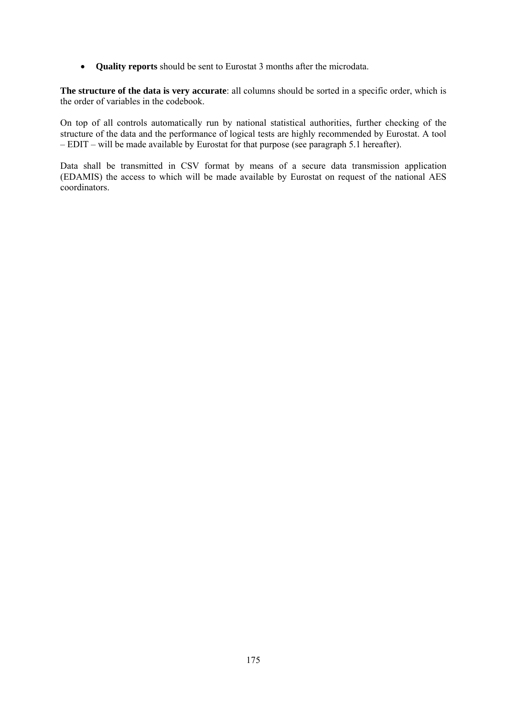• **Quality reports** should be sent to Eurostat 3 months after the microdata.

**The structure of the data is very accurate**: all columns should be sorted in a specific order, which is the order of variables in the codebook.

On top of all controls automatically run by national statistical authorities, further checking of the structure of the data and the performance of logical tests are highly recommended by Eurostat. A tool – EDIT – will be made available by Eurostat for that purpose (see paragraph 5.1 hereafter).

Data shall be transmitted in CSV format by means of a secure data transmission application (EDAMIS) the access to which will be made available by Eurostat on request of the national AES coordinators.